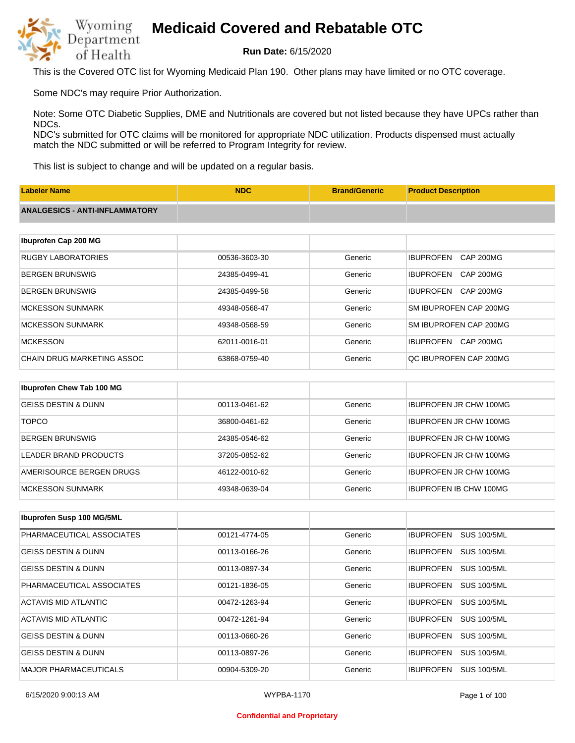

**Run Date:** 6/15/2020

This is the Covered OTC list for Wyoming Medicaid Plan 190. Other plans may have limited or no OTC coverage.

Some NDC's may require Prior Authorization.

Note: Some OTC Diabetic Supplies, DME and Nutritionals are covered but not listed because they have UPCs rather than NDCs.

NDC's submitted for OTC claims will be monitored for appropriate NDC utilization. Products dispensed must actually match the NDC submitted or will be referred to Program Integrity for review.

This list is subject to change and will be updated on a regular basis.

| <b>Labeler Name</b>                   | <b>NDC</b>    | <b>Brand/Generic</b> | <b>Product Description</b>           |
|---------------------------------------|---------------|----------------------|--------------------------------------|
| <b>ANALGESICS - ANTI-INFLAMMATORY</b> |               |                      |                                      |
|                                       |               |                      |                                      |
| Ibuprofen Cap 200 MG                  |               |                      |                                      |
| <b>RUGBY LABORATORIES</b>             | 00536-3603-30 | Generic              | <b>CAP 200MG</b><br><b>IBUPROFEN</b> |
| <b>BERGEN BRUNSWIG</b>                | 24385-0499-41 | Generic              | <b>IBUPROFEN</b><br><b>CAP 200MG</b> |
| <b>BERGEN BRUNSWIG</b>                | 24385-0499-58 | Generic              | <b>CAP 200MG</b><br><b>IBUPROFEN</b> |
| <b>MCKESSON SUNMARK</b>               | 49348-0568-47 | Generic              | SM IBUPROFEN CAP 200MG               |
| <b>MCKESSON SUNMARK</b>               | 49348-0568-59 | Generic              | SM IBUPROFEN CAP 200MG               |
| <b>MCKESSON</b>                       | 62011-0016-01 | Generic              | CAP 200MG<br><b>IBUPROFEN</b>        |
| CHAIN DRUG MARKETING ASSOC            | 63868-0759-40 | Generic              | QC IBUPROFEN CAP 200MG               |
|                                       |               |                      |                                      |
| Ibuprofen Chew Tab 100 MG             |               |                      |                                      |
| <b>GEISS DESTIN &amp; DUNN</b>        | 00113-0461-62 | Generic              | <b>IBUPROFEN JR CHW 100MG</b>        |

| <b>TOPCO</b>             | 36800-0461-62 | Generic | <b>IBUPROFEN JR CHW 100MG</b> |
|--------------------------|---------------|---------|-------------------------------|
| BERGEN BRUNSWIG          | 24385-0546-62 | Generic | <b>IBUPROFEN JR CHW 100MG</b> |
| LEADER BRAND PRODUCTS    | 37205-0852-62 | Generic | <b>IBUPROFEN JR CHW 100MG</b> |
| AMERISOURCE BERGEN DRUGS | 46122-0010-62 | Generic | <b>IBUPROFEN JR CHW 100MG</b> |
| IMCKESSON SUNMARK        | 49348-0639-04 | Generic | <b>IBUPROFEN IB CHW 100MG</b> |

| <b>Ibuprofen Susp 100 MG/5ML</b> |               |         |                                        |
|----------------------------------|---------------|---------|----------------------------------------|
| PHARMACEUTICAL ASSOCIATES        | 00121-4774-05 | Generic | <b>SUS 100/5ML</b><br><b>IBUPROFEN</b> |
| <b>GEISS DESTIN &amp; DUNN</b>   | 00113-0166-26 | Generic | <b>SUS 100/5ML</b><br><b>IBUPROFEN</b> |
| <b>GEISS DESTIN &amp; DUNN</b>   | 00113-0897-34 | Generic | <b>SUS 100/5ML</b><br><b>IBUPROFEN</b> |
| PHARMACEUTICAL ASSOCIATES        | 00121-1836-05 | Generic | <b>SUS 100/5ML</b><br><b>IBUPROFEN</b> |
| ACTAVIS MID ATLANTIC             | 00472-1263-94 | Generic | <b>SUS 100/5ML</b><br><b>IBUPROFEN</b> |
| ACTAVIS MID ATLANTIC             | 00472-1261-94 | Generic | <b>SUS 100/5ML</b><br><b>IBUPROFEN</b> |
| <b>GEISS DESTIN &amp; DUNN</b>   | 00113-0660-26 | Generic | <b>IBUPROFEN</b><br><b>SUS 100/5ML</b> |
| <b>GEISS DESTIN &amp; DUNN</b>   | 00113-0897-26 | Generic | <b>SUS 100/5ML</b><br><b>IBUPROFEN</b> |
| <b>MAJOR PHARMACEUTICALS</b>     | 00904-5309-20 | Generic | <b>IBUPROFEN</b><br><b>SUS 100/5ML</b> |

#### **Confidential and Proprietary**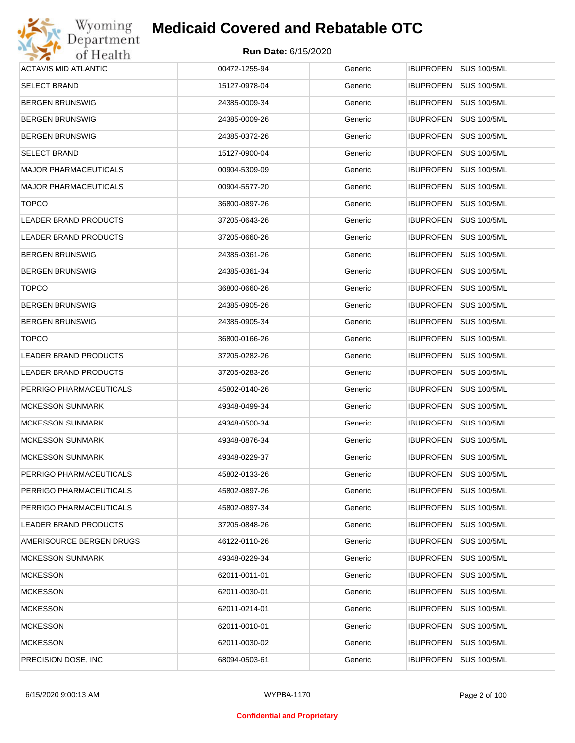

| Wyoming                      | <b>Medicaid Covered and Rebatable OTC</b> |         |                                        |
|------------------------------|-------------------------------------------|---------|----------------------------------------|
| Department<br>of Health      | <b>Run Date: 6/15/2020</b>                |         |                                        |
| <b>ACTAVIS MID ATLANTIC</b>  | 00472-1255-94                             | Generic | <b>IBUPROFEN</b><br><b>SUS 100/5ML</b> |
| <b>SELECT BRAND</b>          | 15127-0978-04                             | Generic | <b>IBUPROFEN</b><br><b>SUS 100/5ML</b> |
| BERGEN BRUNSWIG              | 24385-0009-34                             | Generic | <b>IBUPROFEN</b><br><b>SUS 100/5ML</b> |
| BERGEN BRUNSWIG              | 24385-0009-26                             | Generic | <b>IBUPROFEN</b><br><b>SUS 100/5ML</b> |
| BERGEN BRUNSWIG              | 24385-0372-26                             | Generic | <b>IBUPROFEN</b><br><b>SUS 100/5ML</b> |
| SELECT BRAND                 | 15127-0900-04                             | Generic | <b>IBUPROFEN</b><br><b>SUS 100/5ML</b> |
| MAJOR PHARMACEUTICALS        | 00904-5309-09                             | Generic | <b>IBUPROFEN</b><br><b>SUS 100/5ML</b> |
| MAJOR PHARMACEUTICALS        | 00904-5577-20                             | Generic | <b>IBUPROFEN</b><br><b>SUS 100/5ML</b> |
| <b>TOPCO</b>                 | 36800-0897-26                             | Generic | <b>IBUPROFEN</b><br><b>SUS 100/5ML</b> |
| LEADER BRAND PRODUCTS        | 37205-0643-26                             | Generic | <b>IBUPROFEN</b><br><b>SUS 100/5ML</b> |
| <b>LEADER BRAND PRODUCTS</b> | 37205-0660-26                             | Generic | <b>IBUPROFEN</b><br><b>SUS 100/5ML</b> |
| BERGEN BRUNSWIG              | 24385-0361-26                             | Generic | <b>IBUPROFEN</b><br><b>SUS 100/5ML</b> |
| BERGEN BRUNSWIG              | 24385-0361-34                             | Generic | <b>IBUPROFEN</b><br><b>SUS 100/5ML</b> |
| <b>TOPCO</b>                 | 36800-0660-26                             | Generic | <b>IBUPROFEN</b><br><b>SUS 100/5ML</b> |
| BERGEN BRUNSWIG              | 24385-0905-26                             | Generic | <b>IBUPROFEN</b><br><b>SUS 100/5ML</b> |
| BERGEN BRUNSWIG              | 24385-0905-34                             | Generic | <b>IBUPROFEN</b><br><b>SUS 100/5ML</b> |
| <b>TOPCO</b>                 | 36800-0166-26                             | Generic | <b>IBUPROFEN</b><br><b>SUS 100/5ML</b> |
| LEADER BRAND PRODUCTS        | 37205-0282-26                             | Generic | <b>IBUPROFEN</b><br><b>SUS 100/5ML</b> |
| LEADER BRAND PRODUCTS        | 37205-0283-26                             | Generic | <b>IBUPROFEN</b><br><b>SUS 100/5ML</b> |
| PERRIGO PHARMACEUTICALS      | 45802-0140-26                             | Generic | <b>IBUPROFEN</b><br><b>SUS 100/5ML</b> |
| <b>MCKESSON SUNMARK</b>      | 49348-0499-34                             | Generic | <b>IBUPROFEN</b><br><b>SUS 100/5ML</b> |
| <b>MCKESSON SUNMARK</b>      | 49348-0500-34                             | Generic | <b>IBUPROFEN</b><br><b>SUS 100/5ML</b> |
| MCKESSON SUNMARK             | 49348-0876-34                             | Generic | IBUPROFEN SUS 100/5ML                  |
| <b>MCKESSON SUNMARK</b>      | 49348-0229-37                             | Generic | <b>SUS 100/5ML</b><br><b>IBUPROFEN</b> |
| PERRIGO PHARMACEUTICALS      | 45802-0133-26                             | Generic | <b>SUS 100/5ML</b><br><b>IBUPROFEN</b> |
| PERRIGO PHARMACEUTICALS      | 45802-0897-26                             | Generic | <b>IBUPROFEN</b><br><b>SUS 100/5ML</b> |
| PERRIGO PHARMACEUTICALS      | 45802-0897-34                             | Generic | <b>SUS 100/5ML</b><br><b>IBUPROFEN</b> |
| LEADER BRAND PRODUCTS        | 37205-0848-26                             | Generic | <b>IBUPROFEN</b><br><b>SUS 100/5ML</b> |
| AMERISOURCE BERGEN DRUGS     | 46122-0110-26                             | Generic | <b>IBUPROFEN</b><br><b>SUS 100/5ML</b> |
| <b>MCKESSON SUNMARK</b>      | 49348-0229-34                             | Generic | <b>IBUPROFEN</b><br><b>SUS 100/5ML</b> |
| <b>MCKESSON</b>              | 62011-0011-01                             | Generic | <b>IBUPROFEN</b><br><b>SUS 100/5ML</b> |
| <b>MCKESSON</b>              | 62011-0030-01                             | Generic | <b>IBUPROFEN</b><br><b>SUS 100/5ML</b> |
| <b>MCKESSON</b>              | 62011-0214-01                             | Generic | <b>IBUPROFEN</b><br><b>SUS 100/5ML</b> |
| <b>MCKESSON</b>              | 62011-0010-01                             | Generic | <b>IBUPROFEN</b><br><b>SUS 100/5ML</b> |
| <b>MCKESSON</b>              | 62011-0030-02                             | Generic | <b>IBUPROFEN</b><br><b>SUS 100/5ML</b> |
| PRECISION DOSE, INC          | 68094-0503-61                             | Generic | <b>SUS 100/5ML</b><br><b>IBUPROFEN</b> |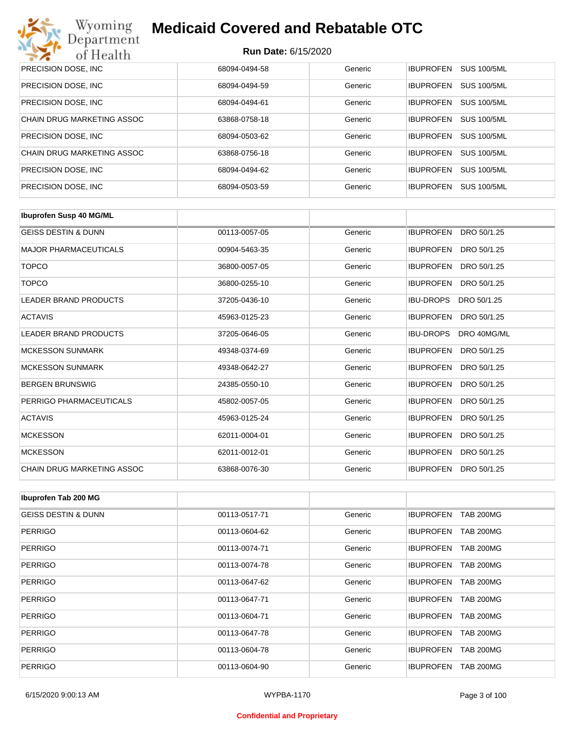

| PRECISION DOSE, INC.        | 68094-0494-58 | Generic | <b>IBUPROFEN</b><br>SUS 100/5ML        |
|-----------------------------|---------------|---------|----------------------------------------|
| <b>PRECISION DOSE, INC.</b> | 68094-0494-59 | Generic | <b>SUS 100/5ML</b><br><b>IBUPROFEN</b> |
| PRECISION DOSE, INC.        | 68094-0494-61 | Generic | <b>IBUPROFEN</b><br><b>SUS 100/5ML</b> |
| CHAIN DRUG MARKETING ASSOC  | 63868-0758-18 | Generic | <b>SUS 100/5ML</b><br><b>IBUPROFEN</b> |
| PRECISION DOSE, INC.        | 68094-0503-62 | Generic | <b>IBUPROFEN</b><br><b>SUS 100/5ML</b> |
| CHAIN DRUG MARKETING ASSOC  | 63868-0756-18 | Generic | SUS 100/5ML<br><b>IBUPROFEN</b>        |
| PRECISION DOSE, INC.        | 68094-0494-62 | Generic | <b>SUS 100/5ML</b><br><b>IBUPROFEN</b> |
| <b>PRECISION DOSE, INC.</b> | 68094-0503-59 | Generic | <b>SUS 100/5ML</b><br><b>IBUPROFEN</b> |

| <b>Ibuprofen Susp 40 MG/ML</b> |               |         |                                 |
|--------------------------------|---------------|---------|---------------------------------|
| <b>GEISS DESTIN &amp; DUNN</b> | 00113-0057-05 | Generic | <b>IBUPROFEN</b><br>DRO 50/1.25 |
| <b>MAJOR PHARMACEUTICALS</b>   | 00904-5463-35 | Generic | <b>IBUPROFEN</b><br>DRO 50/1.25 |
| <b>TOPCO</b>                   | 36800-0057-05 | Generic | <b>IBUPROFEN</b><br>DRO 50/1.25 |
| <b>TOPCO</b>                   | 36800-0255-10 | Generic | <b>IBUPROFEN</b><br>DRO 50/1.25 |
| <b>LEADER BRAND PRODUCTS</b>   | 37205-0436-10 | Generic | <b>IBU-DROPS</b><br>DRO 50/1.25 |
| <b>ACTAVIS</b>                 | 45963-0125-23 | Generic | <b>IBUPROFEN</b><br>DRO 50/1.25 |
| <b>LEADER BRAND PRODUCTS</b>   | 37205-0646-05 | Generic | <b>IBU-DROPS</b><br>DRO 40MG/ML |
| <b>MCKESSON SUNMARK</b>        | 49348-0374-69 | Generic | <b>IBUPROFEN</b><br>DRO 50/1.25 |
| <b>MCKESSON SUNMARK</b>        | 49348-0642-27 | Generic | <b>IBUPROFEN</b><br>DRO 50/1.25 |
| <b>BERGEN BRUNSWIG</b>         | 24385-0550-10 | Generic | <b>IBUPROFEN</b><br>DRO 50/1.25 |
| PERRIGO PHARMACEUTICALS        | 45802-0057-05 | Generic | <b>IBUPROFEN</b><br>DRO 50/1.25 |
| <b>ACTAVIS</b>                 | 45963-0125-24 | Generic | <b>IBUPROFEN</b><br>DRO 50/1.25 |
| <b>MCKESSON</b>                | 62011-0004-01 | Generic | <b>IBUPROFEN</b><br>DRO 50/1.25 |
| <b>MCKESSON</b>                | 62011-0012-01 | Generic | <b>IBUPROFEN</b><br>DRO 50/1.25 |
| CHAIN DRUG MARKETING ASSOC     | 63868-0076-30 | Generic | <b>IBUPROFEN</b><br>DRO 50/1.25 |

| Ibuprofen Tab 200 MG           |               |         |                                      |
|--------------------------------|---------------|---------|--------------------------------------|
| <b>GEISS DESTIN &amp; DUNN</b> | 00113-0517-71 | Generic | <b>IBUPROFEN</b><br><b>TAB 200MG</b> |
| PERRIGO                        | 00113-0604-62 | Generic | <b>IBUPROFEN</b><br><b>TAB 200MG</b> |
| <b>PERRIGO</b>                 | 00113-0074-71 | Generic | <b>TAB 200MG</b><br><b>IBUPROFEN</b> |
| <b>PERRIGO</b>                 | 00113-0074-78 | Generic | <b>TAB 200MG</b><br><b>IBUPROFEN</b> |
| <b>PERRIGO</b>                 | 00113-0647-62 | Generic | <b>IBUPROFEN</b><br><b>TAB 200MG</b> |
| <b>PERRIGO</b>                 | 00113-0647-71 | Generic | <b>TAB 200MG</b><br><b>IBUPROFEN</b> |
| <b>PERRIGO</b>                 | 00113-0604-71 | Generic | <b>IBUPROFEN</b><br><b>TAB 200MG</b> |
| <b>PERRIGO</b>                 | 00113-0647-78 | Generic | <b>TAB 200MG</b><br><b>IBUPROFEN</b> |
| <b>PERRIGO</b>                 | 00113-0604-78 | Generic | <b>IBUPROFEN</b><br><b>TAB 200MG</b> |
| <b>PERRIGO</b>                 | 00113-0604-90 | Generic | <b>TAB 200MG</b><br><b>IBUPROFEN</b> |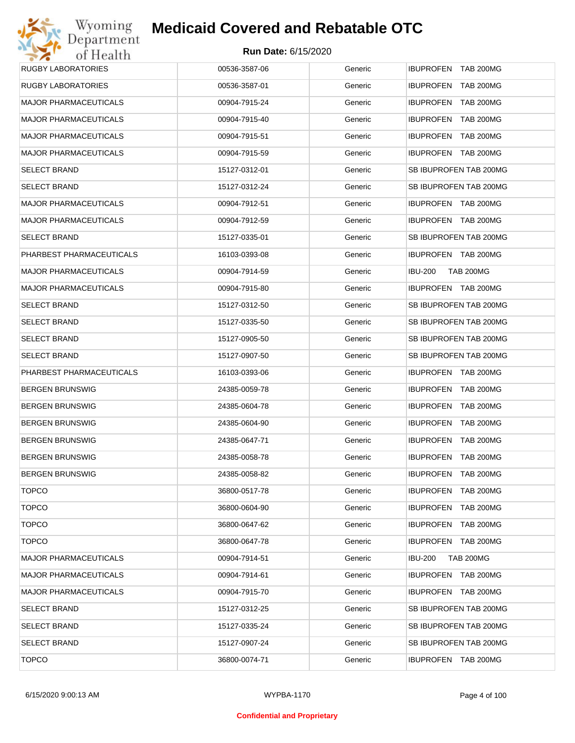| Wyoming                      | <b>Medicaid Covered and Rebatable OTC</b> |         |                                      |
|------------------------------|-------------------------------------------|---------|--------------------------------------|
| Department<br>of Health      | <b>Run Date: 6/15/2020</b>                |         |                                      |
| <b>RUGBY LABORATORIES</b>    | 00536-3587-06                             | Generic | IBUPROFEN TAB 200MG                  |
| <b>RUGBY LABORATORIES</b>    | 00536-3587-01                             | Generic | <b>IBUPROFEN</b><br><b>TAB 200MG</b> |
| <b>MAJOR PHARMACEUTICALS</b> | 00904-7915-24                             | Generic | <b>IBUPROFEN</b><br>TAB 200MG        |
| <b>MAJOR PHARMACEUTICALS</b> | 00904-7915-40                             | Generic | <b>IBUPROFEN</b><br><b>TAB 200MG</b> |
| <b>MAJOR PHARMACEUTICALS</b> | 00904-7915-51                             | Generic | <b>IBUPROFEN</b><br>TAB 200MG        |
| <b>MAJOR PHARMACEUTICALS</b> | 00904-7915-59                             | Generic | IBUPROFEN TAB 200MG                  |
| <b>SELECT BRAND</b>          | 15127-0312-01                             | Generic | SB IBUPROFEN TAB 200MG               |
| <b>SELECT BRAND</b>          | 15127-0312-24                             | Generic | SB IBUPROFEN TAB 200MG               |
| <b>MAJOR PHARMACEUTICALS</b> | 00904-7912-51                             | Generic | <b>IBUPROFEN TAB 200MG</b>           |
| <b>MAJOR PHARMACEUTICALS</b> | 00904-7912-59                             | Generic | IBUPROFEN TAB 200MG                  |
| <b>SELECT BRAND</b>          | 15127-0335-01                             | Generic | SB IBUPROFEN TAB 200MG               |
| PHARBEST PHARMACEUTICALS     | 16103-0393-08                             | Generic | IBUPROFEN TAB 200MG                  |
| <b>MAJOR PHARMACEUTICALS</b> | 00904-7914-59                             | Generic | <b>IBU-200</b><br><b>TAB 200MG</b>   |
| <b>MAJOR PHARMACEUTICALS</b> | 00904-7915-80                             | Generic | IBUPROFEN TAB 200MG                  |
| <b>SELECT BRAND</b>          | 15127-0312-50                             | Generic | SB IBUPROFEN TAB 200MG               |
| <b>SELECT BRAND</b>          | 15127-0335-50                             | Generic | SB IBUPROFEN TAB 200MG               |
| <b>SELECT BRAND</b>          | 15127-0905-50                             | Generic | SB IBUPROFEN TAB 200MG               |
| <b>SELECT BRAND</b>          | 15127-0907-50                             | Generic | SB IBUPROFEN TAB 200MG               |
| PHARBEST PHARMACEUTICALS     | 16103-0393-06                             | Generic | <b>IBUPROFEN TAB 200MG</b>           |
| <b>BERGEN BRUNSWIG</b>       | 24385-0059-78                             | Generic | IBUPROFEN TAB 200MG                  |
| <b>BERGEN BRUNSWIG</b>       | 24385-0604-78                             | Generic | <b>IBUPROFEN</b><br>TAB 200MG        |
| <b>BERGEN BRUNSWIG</b>       | 24385-0604-90                             | Generic | <b>IBUPROFEN TAB 200MG</b>           |
| <b>BERGEN BRUNSWIG</b>       | 24385-0647-71                             | Generic | <b>IBUPROFEN TAB 200MG</b>           |
| <b>BERGEN BRUNSWIG</b>       | 24385-0058-78                             | Generic | IBUPROFEN TAB 200MG                  |
| <b>BERGEN BRUNSWIG</b>       | 24385-0058-82                             | Generic | <b>IBUPROFEN</b><br><b>TAB 200MG</b> |
| <b>TOPCO</b>                 | 36800-0517-78                             | Generic | <b>IBUPROFEN</b><br><b>TAB 200MG</b> |
| <b>TOPCO</b>                 | 36800-0604-90                             | Generic | <b>IBUPROFEN</b><br><b>TAB 200MG</b> |
| <b>TOPCO</b>                 | 36800-0647-62                             | Generic | <b>IBUPROFEN</b><br>TAB 200MG        |
| <b>TOPCO</b>                 | 36800-0647-78                             | Generic | IBUPROFEN TAB 200MG                  |
| <b>MAJOR PHARMACEUTICALS</b> | 00904-7914-51                             | Generic | <b>IBU-200</b><br>TAB 200MG          |
| <b>MAJOR PHARMACEUTICALS</b> | 00904-7914-61                             | Generic | IBUPROFEN TAB 200MG                  |
| <b>MAJOR PHARMACEUTICALS</b> | 00904-7915-70                             | Generic | IBUPROFEN TAB 200MG                  |
| SELECT BRAND                 | 15127-0312-25                             | Generic | SB IBUPROFEN TAB 200MG               |
| <b>SELECT BRAND</b>          | 15127-0335-24                             | Generic | SB IBUPROFEN TAB 200MG               |
| <b>SELECT BRAND</b>          | 15127-0907-24                             | Generic | SB IBUPROFEN TAB 200MG               |
| <b>TOPCO</b>                 | 36800-0074-71                             | Generic | IBUPROFEN TAB 200MG                  |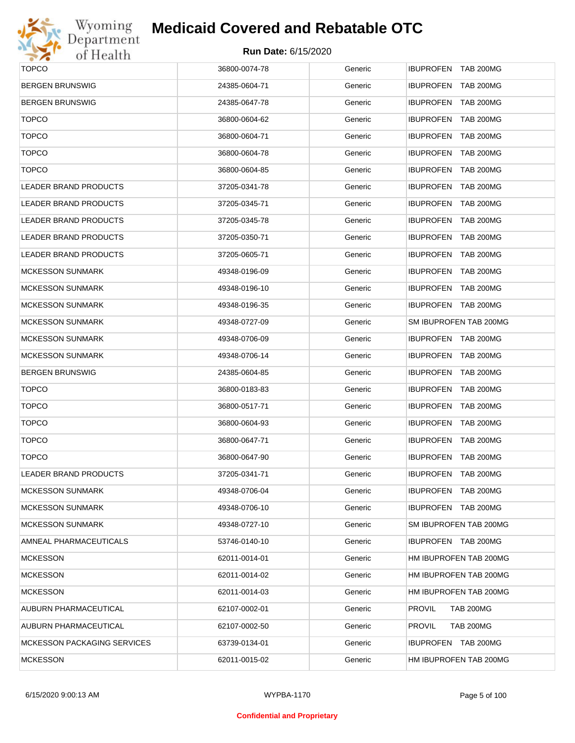

| <b>TOPCO</b>                       | 36800-0074-78 | Generic | IBUPROFEN TAB 200MG               |
|------------------------------------|---------------|---------|-----------------------------------|
| <b>BERGEN BRUNSWIG</b>             | 24385-0604-71 | Generic | IBUPROFEN TAB 200MG               |
| <b>BERGEN BRUNSWIG</b>             | 24385-0647-78 | Generic | <b>IBUPROFEN TAB 200MG</b>        |
| <b>TOPCO</b>                       | 36800-0604-62 | Generic | IBUPROFEN TAB 200MG               |
| <b>TOPCO</b>                       | 36800-0604-71 | Generic | <b>IBUPROFEN TAB 200MG</b>        |
| <b>TOPCO</b>                       | 36800-0604-78 | Generic | IBUPROFEN TAB 200MG               |
| <b>TOPCO</b>                       | 36800-0604-85 | Generic | <b>IBUPROFEN TAB 200MG</b>        |
| <b>LEADER BRAND PRODUCTS</b>       | 37205-0341-78 | Generic | IBUPROFEN TAB 200MG               |
| <b>LEADER BRAND PRODUCTS</b>       | 37205-0345-71 | Generic | <b>IBUPROFEN TAB 200MG</b>        |
| <b>LEADER BRAND PRODUCTS</b>       | 37205-0345-78 | Generic | IBUPROFEN TAB 200MG               |
| <b>LEADER BRAND PRODUCTS</b>       | 37205-0350-71 | Generic | <b>IBUPROFEN TAB 200MG</b>        |
| <b>LEADER BRAND PRODUCTS</b>       | 37205-0605-71 | Generic | IBUPROFEN TAB 200MG               |
| <b>MCKESSON SUNMARK</b>            | 49348-0196-09 | Generic | <b>IBUPROFEN TAB 200MG</b>        |
| <b>MCKESSON SUNMARK</b>            | 49348-0196-10 | Generic | IBUPROFEN TAB 200MG               |
| <b>MCKESSON SUNMARK</b>            | 49348-0196-35 | Generic | IBUPROFEN TAB 200MG               |
| <b>MCKESSON SUNMARK</b>            | 49348-0727-09 | Generic | SM IBUPROFEN TAB 200MG            |
| <b>MCKESSON SUNMARK</b>            | 49348-0706-09 | Generic | IBUPROFEN TAB 200MG               |
| <b>MCKESSON SUNMARK</b>            | 49348-0706-14 | Generic | IBUPROFEN TAB 200MG               |
| <b>BERGEN BRUNSWIG</b>             | 24385-0604-85 | Generic | <b>IBUPROFEN TAB 200MG</b>        |
| <b>TOPCO</b>                       | 36800-0183-83 | Generic | IBUPROFEN TAB 200MG               |
| <b>TOPCO</b>                       | 36800-0517-71 | Generic | <b>IBUPROFEN TAB 200MG</b>        |
| <b>TOPCO</b>                       | 36800-0604-93 | Generic | IBUPROFEN TAB 200MG               |
| <b>TOPCO</b>                       | 36800-0647-71 | Generic | IBUPROFEN TAB 200MG               |
| <b>TOPCO</b>                       | 36800-0647-90 | Generic | IBUPROFEN TAB 200MG               |
| <b>LEADER BRAND PRODUCTS</b>       | 37205-0341-71 | Generic | IBUPROFEN TAB 200MG               |
| <b>MCKESSON SUNMARK</b>            | 49348-0706-04 | Generic | IBUPROFEN TAB 200MG               |
| <b>MCKESSON SUNMARK</b>            | 49348-0706-10 | Generic | IBUPROFEN TAB 200MG               |
| <b>MCKESSON SUNMARK</b>            | 49348-0727-10 | Generic | SM IBUPROFEN TAB 200MG            |
| AMNEAL PHARMACEUTICALS             | 53746-0140-10 | Generic | IBUPROFEN TAB 200MG               |
| <b>MCKESSON</b>                    | 62011-0014-01 | Generic | HM IBUPROFEN TAB 200MG            |
| <b>MCKESSON</b>                    | 62011-0014-02 | Generic | HM IBUPROFEN TAB 200MG            |
| <b>MCKESSON</b>                    | 62011-0014-03 | Generic | HM IBUPROFEN TAB 200MG            |
| AUBURN PHARMACEUTICAL              | 62107-0002-01 | Generic | <b>TAB 200MG</b><br><b>PROVIL</b> |
| AUBURN PHARMACEUTICAL              | 62107-0002-50 | Generic | <b>TAB 200MG</b><br><b>PROVIL</b> |
| <b>MCKESSON PACKAGING SERVICES</b> | 63739-0134-01 | Generic | IBUPROFEN TAB 200MG               |
| <b>MCKESSON</b>                    | 62011-0015-02 | Generic | HM IBUPROFEN TAB 200MG            |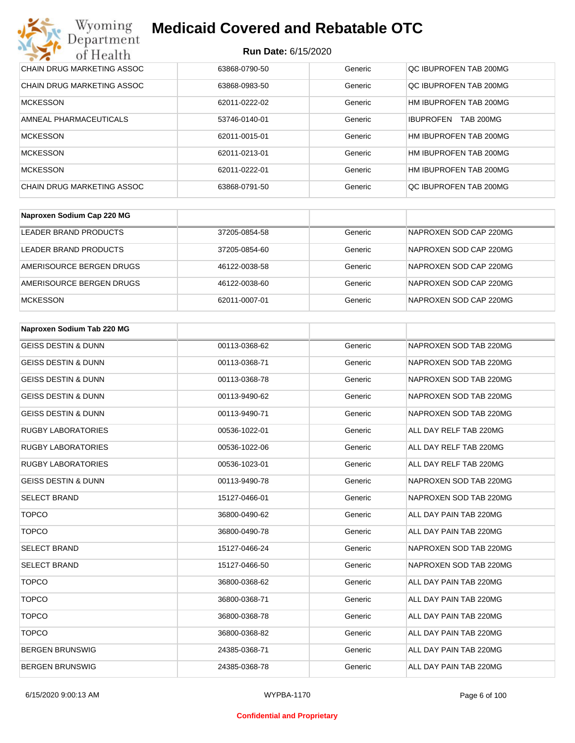#### **Run Date:** 6/15/2020

| Wyoming<br><b>Medicaid Covered and Rebatable OTC</b><br>Department |                            |         |                                      |  |
|--------------------------------------------------------------------|----------------------------|---------|--------------------------------------|--|
| of Health                                                          | <b>Run Date: 6/15/2020</b> |         |                                      |  |
| <b>CHAIN DRUG MARKETING ASSOC</b>                                  | 63868-0790-50              | Generic | QC IBUPROFEN TAB 200MG               |  |
| CHAIN DRUG MARKETING ASSOC                                         | 63868-0983-50              | Generic | OC IBUPROFEN TAB 200MG               |  |
| <b>MCKESSON</b>                                                    | 62011-0222-02              | Generic | HM IBUPROFEN TAB 200MG               |  |
| AMNEAL PHARMACEUTICALS                                             | 53746-0140-01              | Generic | <b>IBUPROFEN</b><br><b>TAB 200MG</b> |  |
| <b>MCKESSON</b>                                                    | 62011-0015-01              | Generic | HM IBUPROFEN TAB 200MG               |  |
| <b>MCKESSON</b>                                                    | 62011-0213-01              | Generic | HM IBUPROFEN TAB 200MG               |  |
| MCKESSON                                                           | 62011-0222-01              | Generic | HM IBUPROFEN TAB 200MG               |  |
| CHAIN DRUG MARKETING ASSOC                                         | 63868-0791-50              | Generic | OC IBUPROFEN TAB 200MG               |  |

| Naproxen Sodium Cap 220 MG |               |         |                        |
|----------------------------|---------------|---------|------------------------|
| LEADER BRAND PRODUCTS      | 37205-0854-58 | Generic | NAPROXEN SOD CAP 220MG |
| LEADER BRAND PRODUCTS      | 37205-0854-60 | Generic | NAPROXEN SOD CAP 220MG |
| AMERISOURCE BERGEN DRUGS   | 46122-0038-58 | Generic | NAPROXEN SOD CAP 220MG |
| AMERISOURCE BERGEN DRUGS   | 46122-0038-60 | Generic | NAPROXEN SOD CAP 220MG |
| <b>MCKESSON</b>            | 62011-0007-01 | Generic | NAPROXEN SOD CAP 220MG |

| Naproxen Sodium Tab 220 MG     |               |         |                        |
|--------------------------------|---------------|---------|------------------------|
| <b>GEISS DESTIN &amp; DUNN</b> | 00113-0368-62 | Generic | NAPROXEN SOD TAB 220MG |
| <b>GEISS DESTIN &amp; DUNN</b> | 00113-0368-71 | Generic | NAPROXEN SOD TAB 220MG |
| <b>GEISS DESTIN &amp; DUNN</b> | 00113-0368-78 | Generic | NAPROXEN SOD TAB 220MG |
| <b>GEISS DESTIN &amp; DUNN</b> | 00113-9490-62 | Generic | NAPROXEN SOD TAB 220MG |
| <b>GEISS DESTIN &amp; DUNN</b> | 00113-9490-71 | Generic | NAPROXEN SOD TAB 220MG |
| <b>RUGBY LABORATORIES</b>      | 00536-1022-01 | Generic | ALL DAY RELF TAB 220MG |
| <b>RUGBY LABORATORIES</b>      | 00536-1022-06 | Generic | ALL DAY RELF TAB 220MG |
| <b>RUGBY LABORATORIES</b>      | 00536-1023-01 | Generic | ALL DAY RELF TAB 220MG |
| <b>GEISS DESTIN &amp; DUNN</b> | 00113-9490-78 | Generic | NAPROXEN SOD TAB 220MG |
| <b>SELECT BRAND</b>            | 15127-0466-01 | Generic | NAPROXEN SOD TAB 220MG |
| <b>TOPCO</b>                   | 36800-0490-62 | Generic | ALL DAY PAIN TAB 220MG |
| <b>TOPCO</b>                   | 36800-0490-78 | Generic | ALL DAY PAIN TAB 220MG |
| <b>SELECT BRAND</b>            | 15127-0466-24 | Generic | NAPROXEN SOD TAB 220MG |
| <b>SELECT BRAND</b>            | 15127-0466-50 | Generic | NAPROXEN SOD TAB 220MG |
| <b>TOPCO</b>                   | 36800-0368-62 | Generic | ALL DAY PAIN TAB 220MG |
| <b>TOPCO</b>                   | 36800-0368-71 | Generic | ALL DAY PAIN TAB 220MG |
| <b>TOPCO</b>                   | 36800-0368-78 | Generic | ALL DAY PAIN TAB 220MG |
| <b>TOPCO</b>                   | 36800-0368-82 | Generic | ALL DAY PAIN TAB 220MG |
| <b>BERGEN BRUNSWIG</b>         | 24385-0368-71 | Generic | ALL DAY PAIN TAB 220MG |
| <b>BERGEN BRUNSWIG</b>         | 24385-0368-78 | Generic | ALL DAY PAIN TAB 220MG |

#### **Confidential and Proprietary**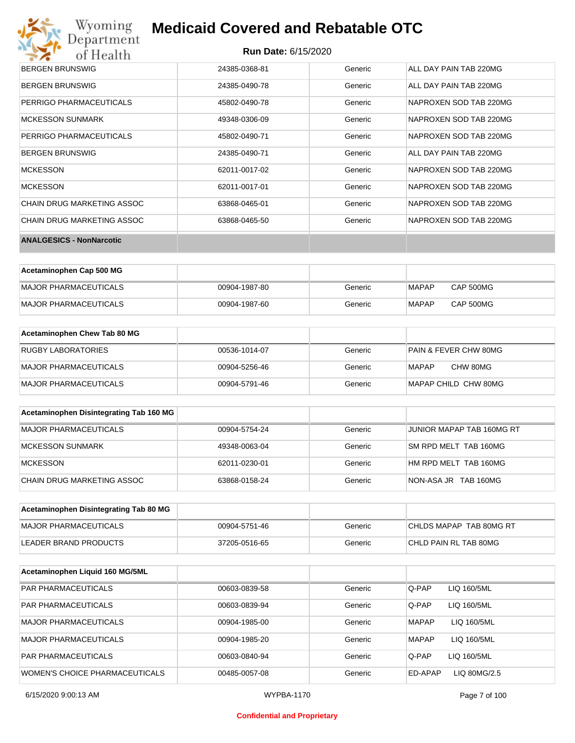# Wyoming<br>Department<br>of Health

## **Medicaid Covered and Rebatable OTC**

| <b>BERGEN BRUNSWIG</b>          | 24385-0368-81 | Generic | ALL DAY PAIN TAB 220MG |
|---------------------------------|---------------|---------|------------------------|
| BERGEN BRUNSWIG                 | 24385-0490-78 | Generic | ALL DAY PAIN TAB 220MG |
| PERRIGO PHARMACEUTICALS         | 45802-0490-78 | Generic | NAPROXEN SOD TAB 220MG |
| <b>MCKESSON SUNMARK</b>         | 49348-0306-09 | Generic | NAPROXEN SOD TAB 220MG |
| PERRIGO PHARMACEUTICALS         | 45802-0490-71 | Generic | NAPROXEN SOD TAB 220MG |
| <b>BERGEN BRUNSWIG</b>          | 24385-0490-71 | Generic | ALL DAY PAIN TAB 220MG |
| <b>MCKESSON</b>                 | 62011-0017-02 | Generic | NAPROXEN SOD TAB 220MG |
| <b>MCKESSON</b>                 | 62011-0017-01 | Generic | NAPROXEN SOD TAB 220MG |
| CHAIN DRUG MARKETING ASSOC      | 63868-0465-01 | Generic | NAPROXEN SOD TAB 220MG |
| CHAIN DRUG MARKETING ASSOC      | 63868-0465-50 | Generic | NAPROXEN SOD TAB 220MG |
| <b>ANALGESICS - NonNarcotic</b> |               |         |                        |

| Acetaminophen Cap 500 MG |               |         |       |           |
|--------------------------|---------------|---------|-------|-----------|
| MAJOR PHARMACEUTICALS    | 00904-1987-80 | Generic | MAPAP | CAP 500MG |
| MAJOR PHARMACEUTICALS    | 00904-1987-60 | Generic | MAPAP | CAP 500MG |

| Acetaminophen Chew Tab 80 MG |               |         |                                  |
|------------------------------|---------------|---------|----------------------------------|
| <b>RUGBY LABORATORIES</b>    | 00536-1014-07 | Generic | <b>PAIN &amp; FEVER CHW 80MG</b> |
| MAJOR PHARMACEUTICALS        | 00904-5256-46 | Generic | CHW 80MG<br>MAPAP                |
| MAJOR PHARMACEUTICALS        | 00904-5791-46 | Generic | MAPAP CHILD CHW 80MG             |

| Acetaminophen Disintegrating Tab 160 MG |               |         |                           |
|-----------------------------------------|---------------|---------|---------------------------|
| MAJOR PHARMACEUTICALS                   | 00904-5754-24 | Generic | JUNIOR MAPAP TAB 160MG RT |
| MCKESSON SUNMARK                        | 49348-0063-04 | Generic | SM RPD MELT TAB 160MG     |
| MCKESSON                                | 62011-0230-01 | Generic | HM RPD MELT TAB 160MG     |
| CHAIN DRUG MARKETING ASSOC              | 63868-0158-24 | Generic | NON-ASA JR TAB 160MG      |

| Acetaminophen Disintegrating Tab 80 MG |               |         |                         |
|----------------------------------------|---------------|---------|-------------------------|
| MAJOR PHARMACEUTICALS                  | 00904-5751-46 | Generic | CHLDS MAPAP TAB 80MG RT |
| LEADER BRAND PRODUCTS                  | 37205-0516-65 | Generic | CHLD PAIN RL TAB 80MG   |

| Acetaminophen Liquid 160 MG/5ML |               |         |                             |
|---------------------------------|---------------|---------|-----------------------------|
| <b>PAR PHARMACEUTICALS</b>      | 00603-0839-58 | Generic | Q-PAP<br>LIQ 160/5ML        |
| <b>PAR PHARMACEUTICALS</b>      | 00603-0839-94 | Generic | Q-PAP<br>LIQ 160/5ML        |
| MAJOR PHARMACEUTICALS           | 00904-1985-00 | Generic | <b>MAPAP</b><br>LIQ 160/5ML |
| MAJOR PHARMACEUTICALS           | 00904-1985-20 | Generic | <b>MAPAP</b><br>LIQ 160/5ML |
| <b>PAR PHARMACEUTICALS</b>      | 00603-0840-94 | Generic | Q-PAP<br>LIQ 160/5ML        |
| WOMEN'S CHOICE PHARMACEUTICALS  | 00485-0057-08 | Generic | ED-APAP<br>LIQ 80MG/2.5     |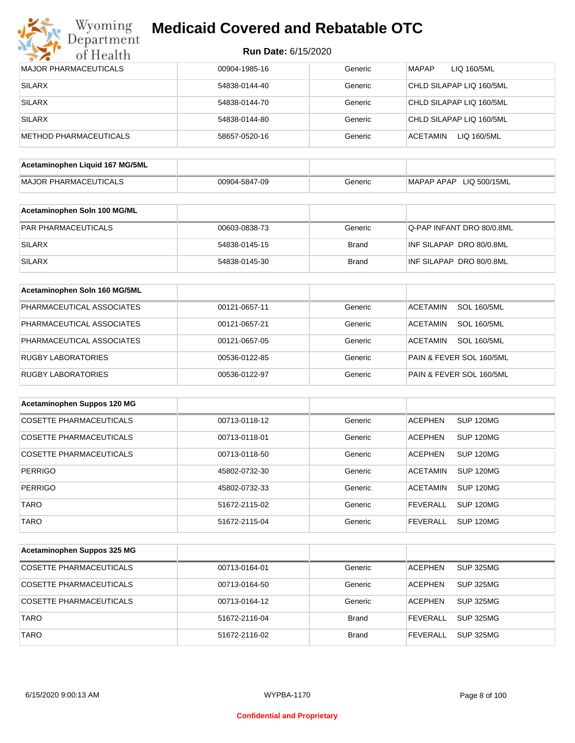

| <b>Run Date: 6/15/2020</b> |  |
|----------------------------|--|
|----------------------------|--|

| <b>MAJOR PHARMACEUTICALS</b>    | 00904-1985-16 | Generic      | <b>MAPAP</b><br>LIQ 160/5ML           |
|---------------------------------|---------------|--------------|---------------------------------------|
| <b>SILARX</b>                   | 54838-0144-40 | Generic      | CHLD SILAPAP LIQ 160/5ML              |
| <b>SILARX</b>                   | 54838-0144-70 | Generic      | CHLD SILAPAP LIQ 160/5ML              |
| <b>SILARX</b>                   | 54838-0144-80 | Generic      | CHLD SILAPAP LIQ 160/5ML              |
| METHOD PHARMACEUTICALS          | 58657-0520-16 | Generic      | <b>ACETAMIN</b><br>LIQ 160/5ML        |
| Acetaminophen Liquid 167 MG/5ML |               |              |                                       |
|                                 |               |              |                                       |
| <b>MAJOR PHARMACEUTICALS</b>    | 00904-5847-09 | Generic      | MAPAP APAP LIQ 500/15ML               |
| Acetaminophen Soln 100 MG/ML    |               |              |                                       |
| PAR PHARMACEUTICALS             | 00603-0838-73 | Generic      | Q-PAP INFANT DRO 80/0.8ML             |
| <b>SILARX</b>                   | 54838-0145-15 | <b>Brand</b> | INF SILAPAP DRO 80/0.8ML              |
| <b>SILARX</b>                   | 54838-0145-30 | <b>Brand</b> | INF SILAPAP DRO 80/0.8ML              |
| Acetaminophen Soln 160 MG/5ML   |               |              |                                       |
|                                 |               |              |                                       |
| PHARMACEUTICAL ASSOCIATES       | 00121-0657-11 | Generic      | <b>SOL 160/5ML</b><br><b>ACETAMIN</b> |
| PHARMACEUTICAL ASSOCIATES       | 00121-0657-21 | Generic      | <b>SOL 160/5ML</b><br>ACETAMIN        |
| PHARMACEUTICAL ASSOCIATES       | 00121-0657-05 | Generic      | <b>ACETAMIN</b><br><b>SOL 160/5ML</b> |
| <b>RUGBY LABORATORIES</b>       | 00536-0122-85 | Generic      | PAIN & FEVER SOL 160/5ML              |
| <b>RUGBY LABORATORIES</b>       | 00536-0122-97 | Generic      | PAIN & FEVER SOL 160/5ML              |
| Acetaminophen Suppos 120 MG     |               |              |                                       |
| <b>COSETTE PHARMACEUTICALS</b>  | 00713-0118-12 | Generic      | <b>SUP 120MG</b><br><b>ACEPHEN</b>    |
| COSETTE PHARMACEUTICALS         | 00713-0118-01 | Generic      | <b>ACEPHEN</b><br>SUP 120MG           |
| <b>COSETTE PHARMACEUTICALS</b>  | 00713-0118-50 | Generic      | <b>ACEPHEN</b><br>SUP 120MG           |
| <b>PERRIGO</b>                  | 45802-0732-30 | Generic      | <b>ACETAMIN</b><br>SUP 120MG          |
| PERRIGO                         | 45802-0732-33 | Generic      | ACETAMIN SUP 120MG                    |
| <b>TARO</b>                     | 51672-2115-02 | Generic      | <b>FEVERALL</b><br><b>SUP 120MG</b>   |
| <b>TARO</b>                     | 51672-2115-04 | Generic      | <b>FEVERALL</b><br><b>SUP 120MG</b>   |
| Acetaminophen Suppos 325 MG     |               |              |                                       |
|                                 |               |              |                                       |
| COSETTE PHARMACEUTICALS         | 00713-0164-01 | Generic      | <b>SUP 325MG</b><br><b>ACEPHEN</b>    |
| COSETTE PHARMACEUTICALS         | 00713-0164-50 | Generic      | <b>ACEPHEN</b><br><b>SUP 325MG</b>    |
| COSETTE PHARMACEUTICALS         | 00713-0164-12 | Generic      | <b>ACEPHEN</b><br><b>SUP 325MG</b>    |
| <b>TARO</b>                     | 51672-2116-04 | <b>Brand</b> | <b>FEVERALL</b><br><b>SUP 325MG</b>   |
| <b>TARO</b>                     | 51672-2116-02 | <b>Brand</b> | <b>SUP 325MG</b><br><b>FEVERALL</b>   |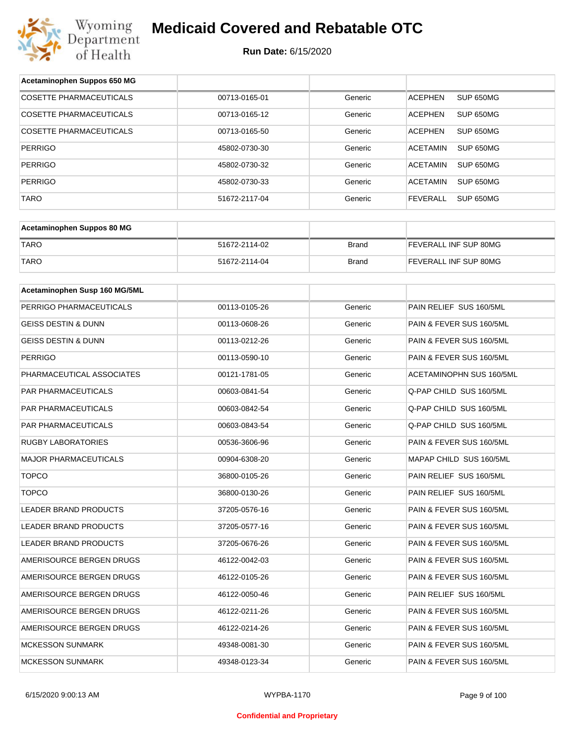

| Acetaminophen Suppos 650 MG    |               |              |                                     |
|--------------------------------|---------------|--------------|-------------------------------------|
| <b>COSETTE PHARMACEUTICALS</b> | 00713-0165-01 | Generic      | SUP 650MG<br><b>ACEPHEN</b>         |
| COSETTE PHARMACEUTICALS        | 00713-0165-12 | Generic      | <b>ACEPHEN</b><br>SUP 650MG         |
| COSETTE PHARMACEUTICALS        | 00713-0165-50 | Generic      | <b>ACEPHEN</b><br>SUP 650MG         |
| <b>PERRIGO</b>                 | 45802-0730-30 | Generic      | <b>ACETAMIN</b><br>SUP 650MG        |
| <b>PERRIGO</b>                 | 45802-0730-32 | Generic      | <b>ACETAMIN</b><br>SUP 650MG        |
| <b>PERRIGO</b>                 | 45802-0730-33 | Generic      | <b>ACETAMIN</b><br>SUP 650MG        |
| <b>TARO</b>                    | 51672-2117-04 | Generic      | <b>FEVERALL</b><br><b>SUP 650MG</b> |
|                                |               |              |                                     |
| Acetaminophen Suppos 80 MG     |               |              |                                     |
| <b>TARO</b>                    | 51672-2114-02 | <b>Brand</b> | FEVERALL INF SUP 80MG               |
| <b>TARO</b>                    | 51672-2114-04 | <b>Brand</b> | FEVERALL INF SUP 80MG               |
|                                |               |              |                                     |
| Acetaminophen Susp 160 MG/5ML  |               |              |                                     |
| PERRIGO PHARMACEUTICALS        | 00113-0105-26 | Generic      | PAIN RELIEF SUS 160/5ML             |
| <b>GEISS DESTIN &amp; DUNN</b> | 00113-0608-26 | Generic      | PAIN & FEVER SUS 160/5ML            |
| <b>GEISS DESTIN &amp; DUNN</b> | 00113-0212-26 | Generic      | PAIN & FEVER SUS 160/5ML            |
| <b>PERRIGO</b>                 | 00113-0590-10 | Generic      | PAIN & FEVER SUS 160/5ML            |
| PHARMACEUTICAL ASSOCIATES      | 00121-1781-05 | Generic      | ACETAMINOPHN SUS 160/5ML            |
| PAR PHARMACEUTICALS            | 00603-0841-54 | Generic      | Q-PAP CHILD SUS 160/5ML             |
| PAR PHARMACEUTICALS            | 00603-0842-54 | Generic      | Q-PAP CHILD SUS 160/5ML             |
| PAR PHARMACEUTICALS            | 00603-0843-54 | Generic      | Q-PAP CHILD SUS 160/5ML             |
| <b>RUGBY LABORATORIES</b>      | 00536-3606-96 | Generic      | PAIN & FEVER SUS 160/5ML            |
| <b>MAJOR PHARMACEUTICALS</b>   | 00904-6308-20 | Generic      | MAPAP CHILD SUS 160/5ML             |
| <b>TOPCO</b>                   | 36800-0105-26 | Generic      | PAIN RELIEF SUS 160/5ML             |
| <b>TOPCO</b>                   | 36800-0130-26 | Generic      | PAIN RELIEF SUS 160/5ML             |
| LEADER BRAND PRODUCTS          | 37205-0576-16 | Generic      | PAIN & FEVER SUS 160/5ML            |
| LEADER BRAND PRODUCTS          | 37205-0577-16 | Generic      | PAIN & FEVER SUS 160/5ML            |
| LEADER BRAND PRODUCTS          | 37205-0676-26 | Generic      | PAIN & FEVER SUS 160/5ML            |
| AMERISOURCE BERGEN DRUGS       | 46122-0042-03 | Generic      | PAIN & FEVER SUS 160/5ML            |
| AMERISOURCE BERGEN DRUGS       | 46122-0105-26 | Generic      | PAIN & FEVER SUS 160/5ML            |
| AMERISOURCE BERGEN DRUGS       | 46122-0050-46 | Generic      | PAIN RELIEF SUS 160/5ML             |
| AMERISOURCE BERGEN DRUGS       | 46122-0211-26 | Generic      | PAIN & FEVER SUS 160/5ML            |
| AMERISOURCE BERGEN DRUGS       | 46122-0214-26 | Generic      | PAIN & FEVER SUS 160/5ML            |
| MCKESSON SUNMARK               | 49348-0081-30 | Generic      | PAIN & FEVER SUS 160/5ML            |
| MCKESSON SUNMARK               | 49348-0123-34 | Generic      | PAIN & FEVER SUS 160/5ML            |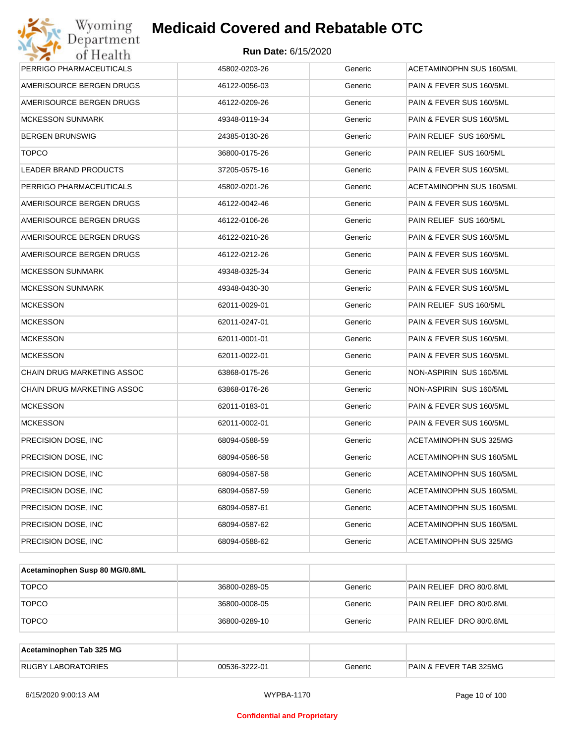| Wyoming<br>Department      | <b>Medicaid Covered and Rebatable OTC</b> |         |                                 |
|----------------------------|-------------------------------------------|---------|---------------------------------|
| of Health                  | <b>Run Date: 6/15/2020</b>                |         |                                 |
| PERRIGO PHARMACEUTICALS    | 45802-0203-26                             | Generic | <b>ACETAMINOPHN SUS 160/5ML</b> |
| AMERISOURCE BERGEN DRUGS   | 46122-0056-03                             | Generic | PAIN & FEVER SUS 160/5ML        |
| AMERISOURCE BERGEN DRUGS   | 46122-0209-26                             | Generic | PAIN & FEVER SUS 160/5ML        |
| <b>MCKESSON SUNMARK</b>    | 49348-0119-34                             | Generic | PAIN & FEVER SUS 160/5ML        |
| <b>BERGEN BRUNSWIG</b>     | 24385-0130-26                             | Generic | PAIN RELIEF SUS 160/5ML         |
| <b>TOPCO</b>               | 36800-0175-26                             | Generic | PAIN RELIEF SUS 160/5ML         |
| LEADER BRAND PRODUCTS      | 37205-0575-16                             | Generic | PAIN & FEVER SUS 160/5ML        |
| PERRIGO PHARMACEUTICALS    | 45802-0201-26                             | Generic | ACETAMINOPHN SUS 160/5ML        |
| AMERISOURCE BERGEN DRUGS   | 46122-0042-46                             | Generic | PAIN & FEVER SUS 160/5ML        |
| AMERISOURCE BERGEN DRUGS   | 46122-0106-26                             | Generic | PAIN RELIEF SUS 160/5ML         |
| AMERISOURCE BERGEN DRUGS   | 46122-0210-26                             | Generic | PAIN & FEVER SUS 160/5ML        |
| AMERISOURCE BERGEN DRUGS   | 46122-0212-26                             | Generic | PAIN & FEVER SUS 160/5ML        |
| <b>MCKESSON SUNMARK</b>    | 49348-0325-34                             | Generic | PAIN & FEVER SUS 160/5ML        |
| <b>MCKESSON SUNMARK</b>    | 49348-0430-30                             | Generic | PAIN & FEVER SUS 160/5ML        |
| <b>MCKESSON</b>            | 62011-0029-01                             | Generic | PAIN RELIEF SUS 160/5ML         |
| <b>MCKESSON</b>            | 62011-0247-01                             | Generic | PAIN & FEVER SUS 160/5ML        |
| <b>MCKESSON</b>            | 62011-0001-01                             | Generic | PAIN & FEVER SUS 160/5ML        |
| <b>MCKESSON</b>            | 62011-0022-01                             | Generic | PAIN & FEVER SUS 160/5ML        |
| CHAIN DRUG MARKETING ASSOC | 63868-0175-26                             | Generic | NON-ASPIRIN SUS 160/5ML         |
| CHAIN DRUG MARKETING ASSOC | 63868-0176-26                             | Generic | NON-ASPIRIN SUS 160/5ML         |
| <b>MCKESSON</b>            | 62011-0183-01                             | Generic | PAIN & FEVER SUS 160/5ML        |
| <b>MCKESSON</b>            | 62011-0002-01                             | Generic | PAIN & FEVER SUS 160/5ML        |
| PRECISION DOSE, INC        | 68094-0588-59                             | Generic | ACETAMINOPHN SUS 325MG          |
| PRECISION DOSE, INC        | 68094-0586-58                             | Generic | ACETAMINOPHN SUS 160/5ML        |
| PRECISION DOSE, INC        | 68094-0587-58                             | Generic | ACETAMINOPHN SUS 160/5ML        |
| PRECISION DOSE, INC        | 68094-0587-59                             | Generic | ACETAMINOPHN SUS 160/5ML        |
| PRECISION DOSE, INC        | 68094-0587-61                             | Generic | ACETAMINOPHN SUS 160/5ML        |
| PRECISION DOSE, INC        | 68094-0587-62                             | Generic | ACETAMINOPHN SUS 160/5ML        |
| PRECISION DOSE, INC        | 68094-0588-62                             | Generic | ACETAMINOPHN SUS 325MG          |

| Acetaminophen Susp 80 MG/0.8ML |               |         |                          |
|--------------------------------|---------------|---------|--------------------------|
| <b>TOPCO</b>                   | 36800-0289-05 | Generic | PAIN RELIEF DRO 80/0.8ML |
| <b>TOPCO</b>                   | 36800-0008-05 | Generic | PAIN RELIEF DRO 80/0.8ML |
| <b>TOPCO</b>                   | 36800-0289-10 | Generic | PAIN RELIEF DRO 80/0.8ML |

| Acetaminophen Tab 325 MG  |               |         |                                   |
|---------------------------|---------------|---------|-----------------------------------|
| <b>RUGBY LABORATORIES</b> | 00536-3222-01 | Generic | <b>PAIN &amp; FEVER TAB 325MG</b> |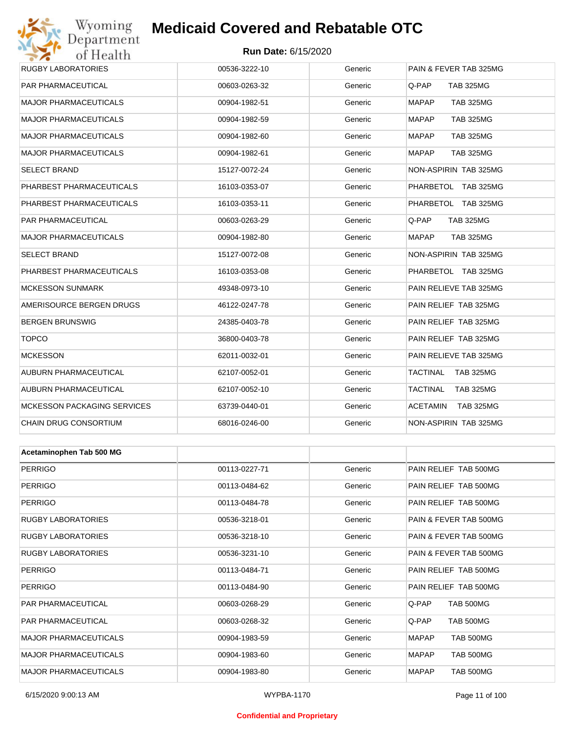#### **Run Date:** 6/15/2020

| Wyoming                      | <b>Medicaid Covered and Rebatable OTC</b> |         |                                     |  |  |
|------------------------------|-------------------------------------------|---------|-------------------------------------|--|--|
| Department<br>of Health      | <b>Run Date: 6/15/2020</b>                |         |                                     |  |  |
| <b>RUGBY LABORATORIES</b>    | 00536-3222-10                             | Generic | PAIN & FEVER TAB 325MG              |  |  |
| PAR PHARMACEUTICAL           | 00603-0263-32                             | Generic | Q-PAP<br><b>TAB 325MG</b>           |  |  |
| MAJOR PHARMACEUTICALS        | 00904-1982-51                             | Generic | <b>MAPAP</b><br><b>TAB 325MG</b>    |  |  |
| MAJOR PHARMACEUTICALS        | 00904-1982-59                             | Generic | <b>MAPAP</b><br><b>TAB 325MG</b>    |  |  |
| <b>MAJOR PHARMACEUTICALS</b> | 00904-1982-60                             | Generic | <b>MAPAP</b><br><b>TAB 325MG</b>    |  |  |
| MAJOR PHARMACEUTICALS        | 00904-1982-61                             | Generic | <b>MAPAP</b><br><b>TAB 325MG</b>    |  |  |
| <b>SELECT BRAND</b>          | 15127-0072-24                             | Generic | NON-ASPIRIN TAB 325MG               |  |  |
| PHARBEST PHARMACEUTICALS     | 16103-0353-07                             | Generic | PHARBETOL TAB 325MG                 |  |  |
| PHARBEST PHARMACEUTICALS     | 16103-0353-11                             | Generic | PHARBETOL TAB 325MG                 |  |  |
| PAR PHARMACEUTICAL           | 00603-0263-29                             | Generic | Q-PAP<br><b>TAB 325MG</b>           |  |  |
| MAJOR PHARMACEUTICALS        | 00904-1982-80                             | Generic | <b>MAPAP</b><br><b>TAB 325MG</b>    |  |  |
| <b>SELECT BRAND</b>          | 15127-0072-08                             | Generic | NON-ASPIRIN TAB 325MG               |  |  |
| PHARBEST PHARMACEUTICALS     | 16103-0353-08                             | Generic | PHARBETOL TAB 325MG                 |  |  |
| MCKESSON SUNMARK             | 49348-0973-10                             | Generic | PAIN RELIEVE TAB 325MG              |  |  |
| AMERISOURCE BERGEN DRUGS     | 46122-0247-78                             | Generic | PAIN RELIEF TAB 325MG               |  |  |
| BERGEN BRUNSWIG              | 24385-0403-78                             | Generic | PAIN RELIEF TAB 325MG               |  |  |
| <b>TOPCO</b>                 | 36800-0403-78                             | Generic | PAIN RELIEF TAB 325MG               |  |  |
| MCKESSON                     | 62011-0032-01                             | Generic | PAIN RELIEVE TAB 325MG              |  |  |
| AUBURN PHARMACEUTICAL        | 62107-0052-01                             | Generic | TACTINAL<br><b>TAB 325MG</b>        |  |  |
| AUBURN PHARMACEUTICAL        | 62107-0052-10                             | Generic | TACTINAL<br><b>TAB 325MG</b>        |  |  |
| MCKESSON PACKAGING SERVICES  | 63739-0440-01                             | Generic | <b>ACETAMIN</b><br><b>TAB 325MG</b> |  |  |
| CHAIN DRUG CONSORTIUM        | 68016-0246-00                             | Generic | NON-ASPIRIN TAB 325MG               |  |  |
|                              |                                           |         |                                     |  |  |
| Acetaminophen Tab 500 MG     |                                           |         |                                     |  |  |
| <b>PERRIGO</b>               | 00113-0227-71                             | Generic | PAIN RELIEF TAB 500MG               |  |  |
| <b>PERRIGO</b>               | 00113-0484-62                             | Generic | PAIN RELIEF TAB 500MG               |  |  |
| PERRIGO                      | 00113-0484-78                             | Generic | PAIN RELIEF TAB 500MG               |  |  |
| RUGBY LABORATORIES           | 00536-3218-01                             | Generic | PAIN & FEVER TAB 500MG              |  |  |
| <b>RUGBY LABORATORIES</b>    | 00536-3218-10                             | Generic | PAIN & FEVER TAB 500MG              |  |  |
| <b>RUGBY LABORATORIES</b>    | 00536-3231-10                             | Generic | PAIN & FEVER TAB 500MG              |  |  |
| PERRIGO                      | 00113-0484-71                             | Generic | PAIN RELIEF TAB 500MG               |  |  |
| <b>PERRIGO</b>               | 00113-0484-90                             | Generic | PAIN RELIEF TAB 500MG               |  |  |
| PAR PHARMACEUTICAL           | 00603-0268-29                             | Generic | Q-PAP<br><b>TAB 500MG</b>           |  |  |
| PAR PHARMACEUTICAL           | 00603-0268-32                             | Generic | Q-PAP<br><b>TAB 500MG</b>           |  |  |
| MAJOR PHARMACEUTICALS        | 00904-1983-59                             | Generic | <b>MAPAP</b><br><b>TAB 500MG</b>    |  |  |

MAJOR PHARMACEUTICALS 00904-1983-60 Generic MAPAP TAB 500MG MAJOR PHARMACEUTICALS 
and the composition of the composition of the composition of the component of the component of the component of the component of the component of the component of the component of the component of th

#### **Confidential and Proprietary**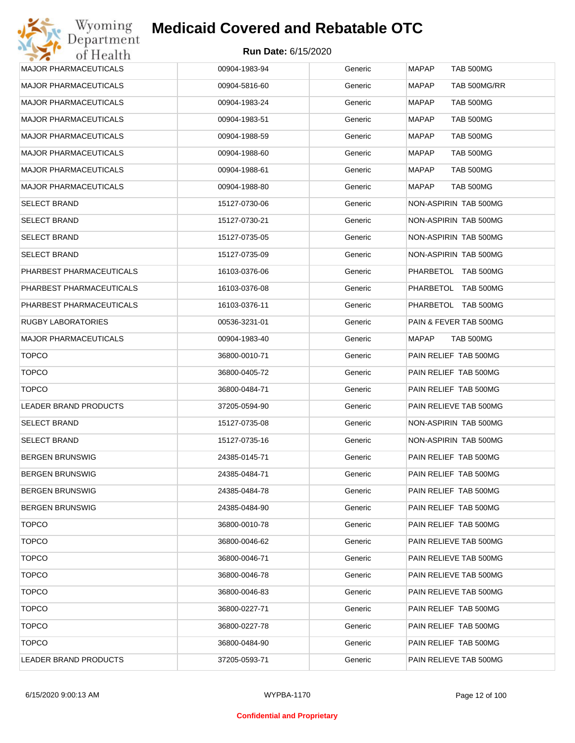| <b>MAJOR PHARMACEUTICALS</b> | 00904-1983-94 | Generic | <b>MAPAP</b><br>TAB 500MG    |
|------------------------------|---------------|---------|------------------------------|
| <b>MAJOR PHARMACEUTICALS</b> | 00904-5816-60 | Generic | <b>MAPAP</b><br>TAB 500MG/RR |
| <b>MAJOR PHARMACEUTICALS</b> | 00904-1983-24 | Generic | MAPAP<br>TAB 500MG           |
| <b>MAJOR PHARMACEUTICALS</b> | 00904-1983-51 | Generic | MAPAP<br>TAB 500MG           |
| <b>MAJOR PHARMACEUTICALS</b> | 00904-1988-59 | Generic | MAPAP<br>TAB 500MG           |
| <b>MAJOR PHARMACEUTICALS</b> | 00904-1988-60 | Generic | MAPAP<br>TAB 500MG           |
| <b>MAJOR PHARMACEUTICALS</b> | 00904-1988-61 | Generic | MAPAP<br>TAB 500MG           |
| <b>MAJOR PHARMACEUTICALS</b> | 00904-1988-80 | Generic | MAPAP<br>TAB 500MG           |
| <b>SELECT BRAND</b>          | 15127-0730-06 | Generic | NON-ASPIRIN TAB 500MG        |
| <b>SELECT BRAND</b>          | 15127-0730-21 | Generic | NON-ASPIRIN TAB 500MG        |
| <b>SELECT BRAND</b>          | 15127-0735-05 | Generic | NON-ASPIRIN TAB 500MG        |
| <b>SELECT BRAND</b>          | 15127-0735-09 | Generic | NON-ASPIRIN TAB 500MG        |
| PHARBEST PHARMACEUTICALS     | 16103-0376-06 | Generic | PHARBETOL TAB 500MG          |
| PHARBEST PHARMACEUTICALS     | 16103-0376-08 | Generic | PHARBETOL TAB 500MG          |
| PHARBEST PHARMACEUTICALS     | 16103-0376-11 | Generic | PHARBETOL TAB 500MG          |
| <b>RUGBY LABORATORIES</b>    | 00536-3231-01 | Generic | PAIN & FEVER TAB 500MG       |
| <b>MAJOR PHARMACEUTICALS</b> | 00904-1983-40 | Generic | MAPAP<br>TAB 500MG           |
| <b>TOPCO</b>                 | 36800-0010-71 | Generic | PAIN RELIEF TAB 500MG        |
| <b>TOPCO</b>                 | 36800-0405-72 | Generic | PAIN RELIEF TAB 500MG        |
| <b>TOPCO</b>                 | 36800-0484-71 | Generic | PAIN RELIEF TAB 500MG        |
| LEADER BRAND PRODUCTS        | 37205-0594-90 | Generic | PAIN RELIEVE TAB 500MG       |
| <b>SELECT BRAND</b>          | 15127-0735-08 | Generic | NON-ASPIRIN TAB 500MG        |
| <b>SELECT BRAND</b>          | 15127-0735-16 | Generic | NON-ASPIRIN TAB 500MG        |
| <b>BERGEN BRUNSWIG</b>       | 24385-0145-71 | Generic | PAIN RELIEF TAB 500MG        |
| <b>BERGEN BRUNSWIG</b>       | 24385-0484-71 | Generic | PAIN RELIEF TAB 500MG        |
| <b>BERGEN BRUNSWIG</b>       | 24385-0484-78 | Generic | PAIN RELIEF TAB 500MG        |
| <b>BERGEN BRUNSWIG</b>       | 24385-0484-90 | Generic | PAIN RELIEF TAB 500MG        |
| <b>TOPCO</b>                 | 36800-0010-78 | Generic | PAIN RELIEF TAB 500MG        |
| <b>TOPCO</b>                 | 36800-0046-62 | Generic | PAIN RELIEVE TAB 500MG       |
| <b>TOPCO</b>                 | 36800-0046-71 | Generic | PAIN RELIEVE TAB 500MG       |
| <b>TOPCO</b>                 | 36800-0046-78 | Generic | PAIN RELIEVE TAB 500MG       |
| <b>TOPCO</b>                 | 36800-0046-83 | Generic | PAIN RELIEVE TAB 500MG       |
| <b>TOPCO</b>                 | 36800-0227-71 | Generic | PAIN RELIEF TAB 500MG        |
| <b>TOPCO</b>                 | 36800-0227-78 | Generic | PAIN RELIEF TAB 500MG        |
| <b>TOPCO</b>                 | 36800-0484-90 | Generic | PAIN RELIEF TAB 500MG        |
| LEADER BRAND PRODUCTS        | 37205-0593-71 | Generic | PAIN RELIEVE TAB 500MG       |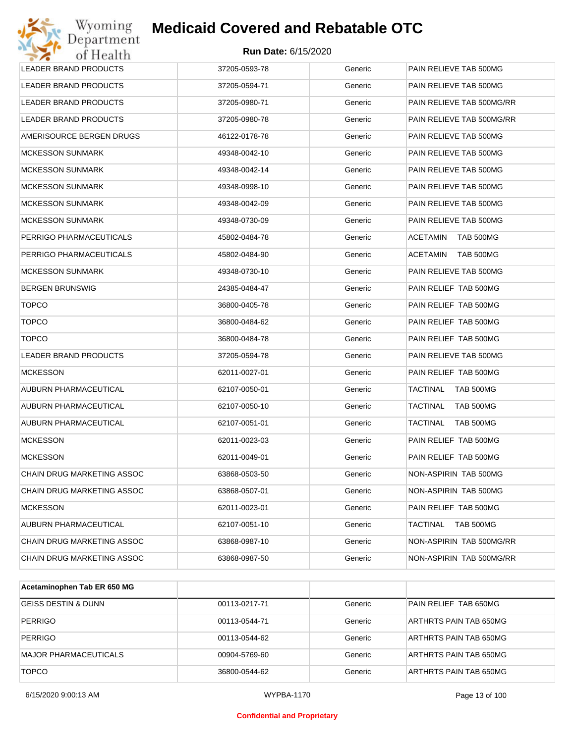| Wyoming<br>Department             | <b>Medicaid Covered and Rebatable OTC</b> |         |                              |
|-----------------------------------|-------------------------------------------|---------|------------------------------|
| of Health                         | <b>Run Date: 6/15/2020</b>                |         |                              |
| <b>LEADER BRAND PRODUCTS</b>      | 37205-0593-78                             | Generic | PAIN RELIEVE TAB 500MG       |
| LEADER BRAND PRODUCTS             | 37205-0594-71                             | Generic | PAIN RELIEVE TAB 500MG       |
| LEADER BRAND PRODUCTS             | 37205-0980-71                             | Generic | PAIN RELIEVE TAB 500MG/RR    |
| LEADER BRAND PRODUCTS             | 37205-0980-78                             | Generic | PAIN RELIEVE TAB 500MG/RR    |
| AMERISOURCE BERGEN DRUGS          | 46122-0178-78                             | Generic | PAIN RELIEVE TAB 500MG       |
| <b>MCKESSON SUNMARK</b>           | 49348-0042-10                             | Generic | PAIN RELIEVE TAB 500MG       |
| <b>MCKESSON SUNMARK</b>           | 49348-0042-14                             | Generic | PAIN RELIEVE TAB 500MG       |
| <b>MCKESSON SUNMARK</b>           | 49348-0998-10                             | Generic | PAIN RELIEVE TAB 500MG       |
| <b>MCKESSON SUNMARK</b>           | 49348-0042-09                             | Generic | PAIN RELIEVE TAB 500MG       |
| <b>MCKESSON SUNMARK</b>           | 49348-0730-09                             | Generic | PAIN RELIEVE TAB 500MG       |
| PERRIGO PHARMACEUTICALS           | 45802-0484-78                             | Generic | <b>ACETAMIN</b><br>TAB 500MG |
| PERRIGO PHARMACEUTICALS           | 45802-0484-90                             | Generic | <b>ACETAMIN</b><br>TAB 500MG |
| <b>MCKESSON SUNMARK</b>           | 49348-0730-10                             | Generic | PAIN RELIEVE TAB 500MG       |
| <b>BERGEN BRUNSWIG</b>            | 24385-0484-47                             | Generic | PAIN RELIEF TAB 500MG        |
| <b>TOPCO</b>                      | 36800-0405-78                             | Generic | PAIN RELIEF TAB 500MG        |
| <b>TOPCO</b>                      | 36800-0484-62                             | Generic | PAIN RELIEF TAB 500MG        |
| <b>TOPCO</b>                      | 36800-0484-78                             | Generic | PAIN RELIEF TAB 500MG        |
| <b>LEADER BRAND PRODUCTS</b>      | 37205-0594-78                             | Generic | PAIN RELIEVE TAB 500MG       |
| <b>MCKESSON</b>                   | 62011-0027-01                             | Generic | PAIN RELIEF TAB 500MG        |
| AUBURN PHARMACEUTICAL             | 62107-0050-01                             | Generic | <b>TACTINAL</b><br>TAB 500MG |
| AUBURN PHARMACEUTICAL             | 62107-0050-10                             | Generic | <b>TACTINAL</b><br>TAB 500MG |
| AUBURN PHARMACEUTICAL             | 62107-0051-01                             | Generic | TACTINAL<br>TAB 500MG        |
| <b>MCKESSON</b>                   | 62011-0023-03                             | Generic | PAIN RELIEF TAB 500MG        |
| MCKESSON                          | 62011-0049-01                             | Generic | PAIN RELIEF TAB 500MG        |
| CHAIN DRUG MARKETING ASSOC        | 63868-0503-50                             | Generic | NON-ASPIRIN TAB 500MG        |
| CHAIN DRUG MARKETING ASSOC        | 63868-0507-01                             | Generic | NON-ASPIRIN TAB 500MG        |
| MCKESSON                          | 62011-0023-01                             | Generic | PAIN RELIEF TAB 500MG        |
| AUBURN PHARMACEUTICAL             | 62107-0051-10                             | Generic | TACTINAL<br>TAB 500MG        |
| <b>CHAIN DRUG MARKETING ASSOC</b> | 63868-0987-10                             | Generic | NON-ASPIRIN TAB 500MG/RR     |
| CHAIN DRUG MARKETING ASSOC        | 63868-0987-50                             | Generic | NON-ASPIRIN TAB 500MG/RR     |

| Acetaminophen Tab ER 650 MG    |               |         |                        |
|--------------------------------|---------------|---------|------------------------|
| <b>GEISS DESTIN &amp; DUNN</b> | 00113-0217-71 | Generic | PAIN RELIEF TAB 650MG  |
| <b>PERRIGO</b>                 | 00113-0544-71 | Generic | ARTHRTS PAIN TAB 650MG |
| <b>PERRIGO</b>                 | 00113-0544-62 | Generic | ARTHRTS PAIN TAB 650MG |
| <b>MAJOR PHARMACEUTICALS</b>   | 00904-5769-60 | Generic | ARTHRTS PAIN TAB 650MG |
| <b>TOPCO</b>                   | 36800-0544-62 | Generic | ARTHRTS PAIN TAB 650MG |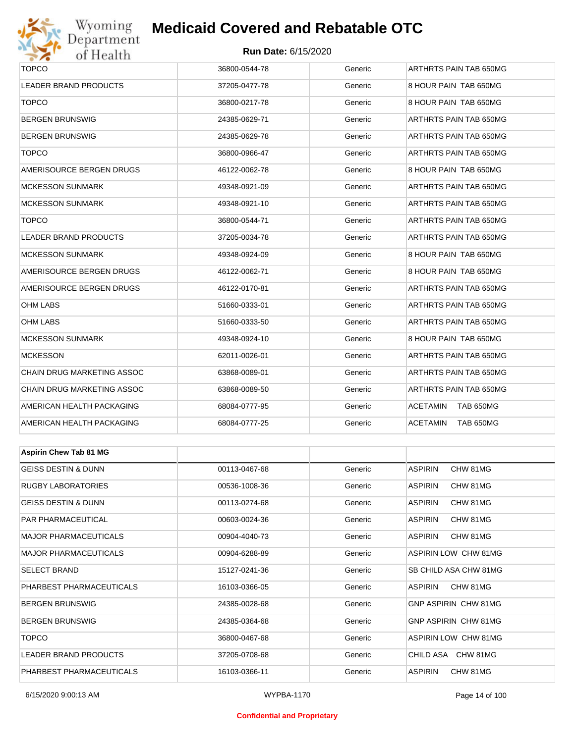

#### **Run Date:** 6/15/2020

| $\bullet$ $\bullet$<br>or rregium |               |         |                              |  |  |
|-----------------------------------|---------------|---------|------------------------------|--|--|
| <b>TOPCO</b>                      | 36800-0544-78 | Generic | ARTHRTS PAIN TAB 650MG       |  |  |
| LEADER BRAND PRODUCTS             | 37205-0477-78 | Generic | 8 HOUR PAIN TAB 650MG        |  |  |
| <b>TOPCO</b>                      | 36800-0217-78 | Generic | 8 HOUR PAIN TAB 650MG        |  |  |
| BERGEN BRUNSWIG                   | 24385-0629-71 | Generic | ARTHRTS PAIN TAB 650MG       |  |  |
| BERGEN BRUNSWIG                   | 24385-0629-78 | Generic | ARTHRTS PAIN TAB 650MG       |  |  |
| <b>TOPCO</b>                      | 36800-0966-47 | Generic | ARTHRTS PAIN TAB 650MG       |  |  |
| AMERISOURCE BERGEN DRUGS          | 46122-0062-78 | Generic | 8 HOUR PAIN TAB 650MG        |  |  |
| <b>MCKESSON SUNMARK</b>           | 49348-0921-09 | Generic | ARTHRTS PAIN TAB 650MG       |  |  |
| <b>MCKESSON SUNMARK</b>           | 49348-0921-10 | Generic | ARTHRTS PAIN TAB 650MG       |  |  |
| <b>TOPCO</b>                      | 36800-0544-71 | Generic | ARTHRTS PAIN TAB 650MG       |  |  |
| LEADER BRAND PRODUCTS             | 37205-0034-78 | Generic | ARTHRTS PAIN TAB 650MG       |  |  |
| <b>MCKESSON SUNMARK</b>           | 49348-0924-09 | Generic | 8 HOUR PAIN TAB 650MG        |  |  |
| AMERISOURCE BERGEN DRUGS          | 46122-0062-71 | Generic | 8 HOUR PAIN TAB 650MG        |  |  |
| AMERISOURCE BERGEN DRUGS          | 46122-0170-81 | Generic | ARTHRTS PAIN TAB 650MG       |  |  |
| OHM LABS                          | 51660-0333-01 | Generic | ARTHRTS PAIN TAB 650MG       |  |  |
| OHM LABS                          | 51660-0333-50 | Generic | ARTHRTS PAIN TAB 650MG       |  |  |
| <b>MCKESSON SUNMARK</b>           | 49348-0924-10 | Generic | 8 HOUR PAIN TAB 650MG        |  |  |
| <b>MCKESSON</b>                   | 62011-0026-01 | Generic | ARTHRTS PAIN TAB 650MG       |  |  |
| CHAIN DRUG MARKETING ASSOC        | 63868-0089-01 | Generic | ARTHRTS PAIN TAB 650MG       |  |  |
| CHAIN DRUG MARKETING ASSOC        | 63868-0089-50 | Generic | ARTHRTS PAIN TAB 650MG       |  |  |
| AMERICAN HEALTH PACKAGING         | 68084-0777-95 | Generic | <b>ACETAMIN</b><br>TAB 650MG |  |  |
| AMERICAN HEALTH PACKAGING         | 68084-0777-25 | Generic | <b>ACETAMIN</b><br>TAB 650MG |  |  |
|                                   |               |         |                              |  |  |
| <b>Aspirin Chew Tab 81 MG</b>     |               |         |                              |  |  |
| <b>GEISS DESTIN &amp; DUNN</b>    | 00113-0467-68 | Generic | CHW 81MG<br><b>ASPIRIN</b>   |  |  |
| <b>RUGBY LABORATORIES</b>         | 00536-1008-36 | Generic | <b>ASPIRIN</b><br>CHW 81MG   |  |  |
| GEISS DESTIN & DUNN               | 00113-0274-68 | Generic | <b>ASPIRIN</b><br>CHW 81MG   |  |  |
| PAR PHARMACEUTICAL                | 00603-0024-36 | Generic | <b>ASPIRIN</b><br>CHW 81MG   |  |  |
| <b>MAJOR PHARMACEUTICALS</b>      | 00904-4040-73 | Generic | <b>ASPIRIN</b><br>CHW 81MG   |  |  |
| MAJOR PHARMACEUTICALS             | 00904-6288-89 | Generic | ASPIRIN LOW CHW 81MG         |  |  |
| SELECT BRAND                      | 15127-0241-36 | Generic | SB CHILD ASA CHW 81MG        |  |  |
| PHARBEST PHARMACEUTICALS          | 16103-0366-05 | Generic | <b>ASPIRIN</b><br>CHW 81MG   |  |  |
| BERGEN BRUNSWIG                   | 24385-0028-68 | Generic | <b>GNP ASPIRIN CHW 81MG</b>  |  |  |
| <b>BERGEN BRUNSWIG</b>            | 24385-0364-68 | Generic | <b>GNP ASPIRIN CHW 81MG</b>  |  |  |
| <b>TOPCO</b>                      | 36800-0467-68 | Generic | ASPIRIN LOW CHW 81MG         |  |  |

LEADER BRAND PRODUCTS 37205-0708-68 Generic CHILD ASA CHW 81MG PHARBEST PHARMACEUTICALS 16103-0366-11 Generic ASPIRIN CHW 81MG

#### **Confidential and Proprietary**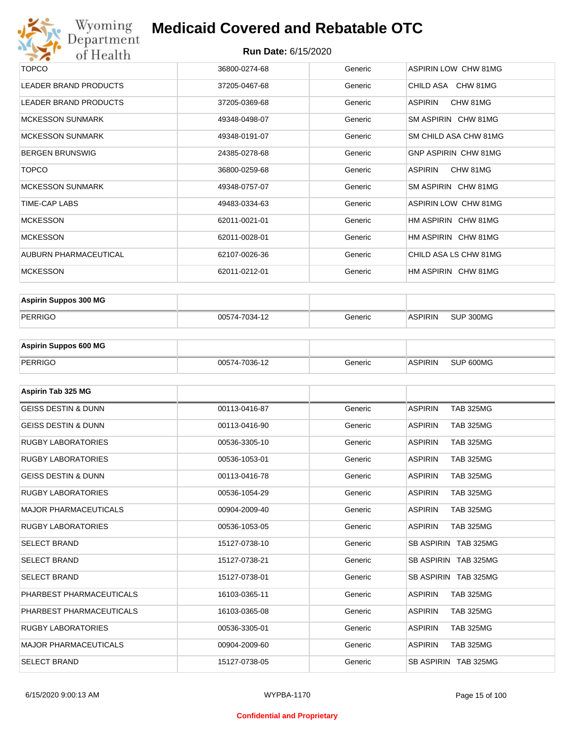

| <b>TOPCO</b>                 | 36800-0274-68 | Generic | <b>ASPIRIN LOW CHW 81MG</b> |
|------------------------------|---------------|---------|-----------------------------|
| LEADER BRAND PRODUCTS        | 37205-0467-68 | Generic | CHILD ASA CHW 81MG          |
| LEADER BRAND PRODUCTS        | 37205-0369-68 | Generic | CHW 81MG<br>ASPIRIN         |
| <b>MCKESSON SUNMARK</b>      | 49348-0498-07 | Generic | SM ASPIRIN CHW 81MG         |
| <b>MCKESSON SUNMARK</b>      | 49348-0191-07 | Generic | SM CHILD ASA CHW 81MG       |
| <b>BERGEN BRUNSWIG</b>       | 24385-0278-68 | Generic | <b>GNP ASPIRIN CHW 81MG</b> |
| <b>TOPCO</b>                 | 36800-0259-68 | Generic | ASPIRIN<br>CHW 81MG         |
| <b>MCKESSON SUNMARK</b>      | 49348-0757-07 | Generic | SM ASPIRIN CHW 81MG         |
| TIME-CAP LABS                | 49483-0334-63 | Generic | ASPIRIN LOW CHW 81MG        |
| <b>MCKESSON</b>              | 62011-0021-01 | Generic | HM ASPIRIN CHW 81MG         |
| <b>MCKESSON</b>              | 62011-0028-01 | Generic | HM ASPIRIN CHW 81MG         |
| <b>AUBURN PHARMACEUTICAL</b> | 62107-0026-36 | Generic | CHILD ASA LS CHW 81MG       |
| <b>MCKESSON</b>              | 62011-0212-01 | Generic | HM ASPIRIN CHW 81MG         |
|                              |               |         |                             |

| <b>Aspirin Suppos 300 MG</b> |               |         |                |           |
|------------------------------|---------------|---------|----------------|-----------|
| PERRIGO                      | 00574-7034-12 | Generic | <b>ASPIRIN</b> | SUP 300MG |

| <b>Aspirin Suppos 600 MG</b> |               |         |                |           |
|------------------------------|---------------|---------|----------------|-----------|
| PERRIGO                      | 00574-7036-12 | Generic | <b>ASPIRIN</b> | SUP 600MG |

| Aspirin Tab 325 MG             |               |         |                                    |
|--------------------------------|---------------|---------|------------------------------------|
| <b>GEISS DESTIN &amp; DUNN</b> | 00113-0416-87 | Generic | <b>ASPIRIN</b><br><b>TAB 325MG</b> |
| <b>GEISS DESTIN &amp; DUNN</b> | 00113-0416-90 | Generic | <b>ASPIRIN</b><br><b>TAB 325MG</b> |
| <b>RUGBY LABORATORIES</b>      | 00536-3305-10 | Generic | <b>ASPIRIN</b><br><b>TAB 325MG</b> |
| <b>RUGBY LABORATORIES</b>      | 00536-1053-01 | Generic | <b>TAB 325MG</b><br><b>ASPIRIN</b> |
| <b>GEISS DESTIN &amp; DUNN</b> | 00113-0416-78 | Generic | <b>ASPIRIN</b><br><b>TAB 325MG</b> |
| <b>RUGBY LABORATORIES</b>      | 00536-1054-29 | Generic | <b>ASPIRIN</b><br><b>TAB 325MG</b> |
| <b>MAJOR PHARMACEUTICALS</b>   | 00904-2009-40 | Generic | <b>ASPIRIN</b><br><b>TAB 325MG</b> |
| <b>RUGBY LABORATORIES</b>      | 00536-1053-05 | Generic | <b>TAB 325MG</b><br><b>ASPIRIN</b> |
| <b>SELECT BRAND</b>            | 15127-0738-10 | Generic | SB ASPIRIN TAB 325MG               |
| <b>SELECT BRAND</b>            | 15127-0738-21 | Generic | SB ASPIRIN TAB 325MG               |
| <b>SELECT BRAND</b>            | 15127-0738-01 | Generic | SB ASPIRIN TAB 325MG               |
| PHARBEST PHARMACEUTICALS       | 16103-0365-11 | Generic | <b>ASPIRIN</b><br><b>TAB 325MG</b> |
| PHARBEST PHARMACEUTICALS       | 16103-0365-08 | Generic | <b>ASPIRIN</b><br><b>TAB 325MG</b> |
| <b>RUGBY LABORATORIES</b>      | 00536-3305-01 | Generic | <b>ASPIRIN</b><br><b>TAB 325MG</b> |
| <b>MAJOR PHARMACEUTICALS</b>   | 00904-2009-60 | Generic | <b>ASPIRIN</b><br><b>TAB 325MG</b> |
| <b>SELECT BRAND</b>            | 15127-0738-05 | Generic | SB ASPIRIN TAB 325MG               |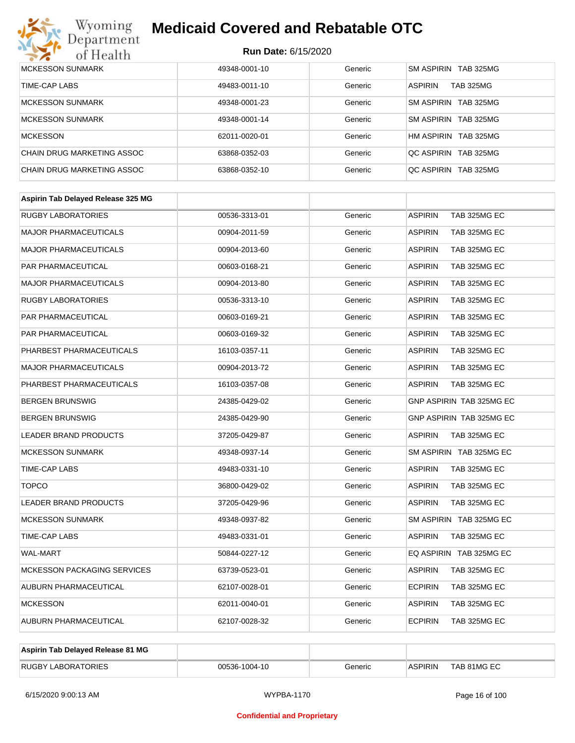# Wyoming<br>Department<br>of Health

## **Medicaid Covered and Rebatable OTC**

| <b>MCKESSON SUNMARK</b>    | 49348-0001-10 | Generic | SM ASPIRIN TAB 325MG               |
|----------------------------|---------------|---------|------------------------------------|
| TIME-CAP LABS              | 49483-0011-10 | Generic | <b>ASPIRIN</b><br><b>TAB 325MG</b> |
| MCKESSON SUNMARK           | 49348-0001-23 | Generic | SM ASPIRIN TAB 325MG               |
| MCKESSON SUNMARK           | 49348-0001-14 | Generic | SM ASPIRIN TAB 325MG               |
| <b>MCKESSON</b>            | 62011-0020-01 | Generic | HM ASPIRIN TAB 325MG               |
| CHAIN DRUG MARKETING ASSOC | 63868-0352-03 | Generic | OC ASPIRIN TAB 325MG               |
| CHAIN DRUG MARKETING ASSOC | 63868-0352-10 | Generic | OC ASPIRIN TAB 325MG               |

| Aspirin Tab Delayed Release 325 MG |               |         |                                       |
|------------------------------------|---------------|---------|---------------------------------------|
| <b>RUGBY LABORATORIES</b>          | 00536-3313-01 | Generic | <b>ASPIRIN</b><br>TAB 325MG EC        |
| <b>MAJOR PHARMACEUTICALS</b>       | 00904-2011-59 | Generic | <b>ASPIRIN</b><br>TAB 325MG EC        |
| <b>MAJOR PHARMACEUTICALS</b>       | 00904-2013-60 | Generic | TAB 325MG EC<br><b>ASPIRIN</b>        |
| <b>PAR PHARMACEUTICAL</b>          | 00603-0168-21 | Generic | <b>ASPIRIN</b><br>TAB 325MG EC        |
| <b>MAJOR PHARMACEUTICALS</b>       | 00904-2013-80 | Generic | <b>ASPIRIN</b><br>TAB 325MG EC        |
| <b>RUGBY LABORATORIES</b>          | 00536-3313-10 | Generic | TAB 325MG EC<br><b>ASPIRIN</b>        |
| <b>PAR PHARMACEUTICAL</b>          | 00603-0169-21 | Generic | <b>ASPIRIN</b><br>TAB 325MG EC        |
| PAR PHARMACEUTICAL                 | 00603-0169-32 | Generic | <b>ASPIRIN</b><br>TAB 325MG EC        |
| PHARBEST PHARMACEUTICALS           | 16103-0357-11 | Generic | <b>ASPIRIN</b><br>TAB 325MG EC        |
| <b>MAJOR PHARMACEUTICALS</b>       | 00904-2013-72 | Generic | TAB 325MG EC<br><b>ASPIRIN</b>        |
| PHARBEST PHARMACEUTICALS           | 16103-0357-08 | Generic | <b>ASPIRIN</b><br><b>TAB 325MG EC</b> |
| <b>BERGEN BRUNSWIG</b>             | 24385-0429-02 | Generic | GNP ASPIRIN TAB 325MG EC              |
| <b>BERGEN BRUNSWIG</b>             | 24385-0429-90 | Generic | <b>GNP ASPIRIN TAB 325MG EC</b>       |
| <b>LEADER BRAND PRODUCTS</b>       | 37205-0429-87 | Generic | <b>ASPIRIN</b><br>TAB 325MG EC        |
| <b>MCKESSON SUNMARK</b>            | 49348-0937-14 | Generic | SM ASPIRIN TAB 325MG EC               |
| <b>TIME-CAP LABS</b>               | 49483-0331-10 | Generic | <b>ASPIRIN</b><br>TAB 325MG EC        |
| <b>TOPCO</b>                       | 36800-0429-02 | Generic | <b>ASPIRIN</b><br>TAB 325MG EC        |
| <b>LEADER BRAND PRODUCTS</b>       | 37205-0429-96 | Generic | <b>TAB 325MG EC</b><br><b>ASPIRIN</b> |
| <b>MCKESSON SUNMARK</b>            | 49348-0937-82 | Generic | SM ASPIRIN TAB 325MG EC               |
| <b>TIME-CAP LABS</b>               | 49483-0331-01 | Generic | <b>ASPIRIN</b><br>TAB 325MG EC        |
| <b>WAL-MART</b>                    | 50844-0227-12 | Generic | EQ ASPIRIN TAB 325MG EC               |
| <b>MCKESSON PACKAGING SERVICES</b> | 63739-0523-01 | Generic | <b>ASPIRIN</b><br>TAB 325MG EC        |
| AUBURN PHARMACEUTICAL              | 62107-0028-01 | Generic | <b>ECPIRIN</b><br>TAB 325MG EC        |
| <b>MCKESSON</b>                    | 62011-0040-01 | Generic | <b>ASPIRIN</b><br>TAB 325MG EC        |
| <b>AUBURN PHARMACEUTICAL</b>       | 62107-0028-32 | Generic | <b>ECPIRIN</b><br>TAB 325MG EC        |

| Aspirin Tab Delayed Release 81 MG |               |         |                |             |
|-----------------------------------|---------------|---------|----------------|-------------|
| <b>RUGBY LABORATORIES</b>         | 00536-1004-10 | Generic | <b>ASPIRIN</b> | TAB 81MG EC |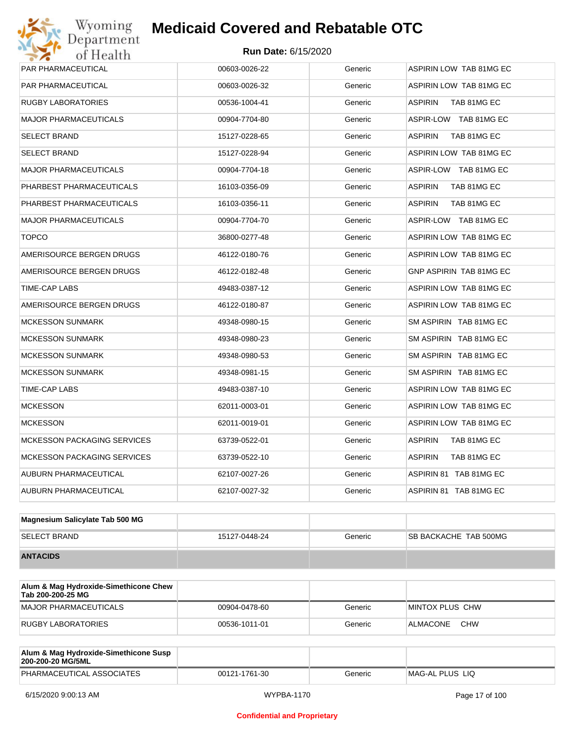| Wyoming<br>Department                   | <b>Medicaid Covered and Rebatable OTC</b> |         |                                |  |  |  |
|-----------------------------------------|-------------------------------------------|---------|--------------------------------|--|--|--|
| <b>Run Date: 6/15/2020</b><br>of Health |                                           |         |                                |  |  |  |
| PAR PHARMACEUTICAL                      | 00603-0026-22                             | Generic | ASPIRIN LOW TAB 81MG EC        |  |  |  |
| PAR PHARMACEUTICAL                      | 00603-0026-32                             | Generic | ASPIRIN LOW TAB 81MG EC        |  |  |  |
| RUGBY LABORATORIES                      | 00536-1004-41                             | Generic | ASPIRIN<br>TAB 81MG EC         |  |  |  |
| MAJOR PHARMACEUTICALS                   | 00904-7704-80                             | Generic | ASPIR-LOW TAB 81MG EC          |  |  |  |
| SELECT BRAND                            | 15127-0228-65                             | Generic | <b>ASPIRIN</b><br>TAB 81MG EC  |  |  |  |
| SELECT BRAND                            | 15127-0228-94                             | Generic | ASPIRIN LOW TAB 81MG EC        |  |  |  |
| MAJOR PHARMACEUTICALS                   | 00904-7704-18                             | Generic | ASPIR-LOW TAB 81MG EC          |  |  |  |
| PHARBEST PHARMACEUTICALS                | 16103-0356-09                             | Generic | <b>ASPIRIN</b><br>TAB 81MG EC  |  |  |  |
| PHARBEST PHARMACEUTICALS                | 16103-0356-11                             | Generic | <b>ASPIRIN</b><br>TAB 81MG EC  |  |  |  |
| <b>MAJOR PHARMACEUTICALS</b>            | 00904-7704-70                             | Generic | ASPIR-LOW TAB 81MG EC          |  |  |  |
| <b>TOPCO</b>                            | 36800-0277-48                             | Generic | ASPIRIN LOW TAB 81MG EC        |  |  |  |
| AMERISOURCE BERGEN DRUGS                | 46122-0180-76                             | Generic | ASPIRIN LOW TAB 81MG EC        |  |  |  |
| AMERISOURCE BERGEN DRUGS                | 46122-0182-48                             | Generic | <b>GNP ASPIRIN TAB 81MG EC</b> |  |  |  |
| TIME-CAP LABS                           | 49483-0387-12                             | Generic | ASPIRIN LOW TAB 81MG EC        |  |  |  |
| AMERISOURCE BERGEN DRUGS                | 46122-0180-87                             | Generic | ASPIRIN LOW TAB 81MG EC        |  |  |  |
| MCKESSON SUNMARK                        | 49348-0980-15                             | Generic | SM ASPIRIN TAB 81MG EC         |  |  |  |
| <b>MCKESSON SUNMARK</b>                 | 49348-0980-23                             | Generic | SM ASPIRIN TAB 81MG EC         |  |  |  |
| MCKESSON SUNMARK                        | 49348-0980-53                             | Generic | SM ASPIRIN TAB 81MG EC         |  |  |  |
| <b>MCKESSON SUNMARK</b>                 | 49348-0981-15                             | Generic | SM ASPIRIN TAB 81MG EC         |  |  |  |
| TIME-CAP LABS                           | 49483-0387-10                             | Generic | ASPIRIN LOW TAB 81MG EC        |  |  |  |
| <b>MCKESSON</b>                         | 62011-0003-01                             | Generic | ASPIRIN LOW TAB 81MG EC        |  |  |  |
| <b>MCKESSON</b>                         | 62011-0019-01                             | Generic | ASPIRIN LOW TAB 81MG EC        |  |  |  |
| MCKESSON PACKAGING SERVICES             | 63739-0522-01                             | Generic | ASPIRIN<br>TAB 81MG EC         |  |  |  |
| <b>MCKESSON PACKAGING SERVICES</b>      | 63739-0522-10                             | Generic | <b>ASPIRIN</b><br>TAB 81MG EC  |  |  |  |
| AUBURN PHARMACEUTICAL                   | 62107-0027-26                             | Generic | ASPIRIN 81 TAB 81MG EC         |  |  |  |
| AUBURN PHARMACEUTICAL                   | 62107-0027-32                             | Generic | ASPIRIN 81 TAB 81MG EC         |  |  |  |

| Magnesium Salicylate Tab 500 MG |               |         |                               |
|---------------------------------|---------------|---------|-------------------------------|
| <b>SELECT BRAND</b>             | 15127-0448-24 | Generic | <b>ISB BACKACHE TAB 500MG</b> |
| <b>ANTACIDS</b>                 |               |         |                               |

| Alum & Mag Hydroxide-Simethicone Chew<br>Tab 200-200-25 MG |               |         |                        |
|------------------------------------------------------------|---------------|---------|------------------------|
| MAJOR PHARMACEUTICALS                                      | 00904-0478-60 | Generic | <b>MINTOX PLUS CHW</b> |
| RUGBY LABORATORIES                                         | 00536-1011-01 | Generic | <b>CHW</b><br>ALMACONE |

| Alum & Mag Hydroxide-Simethicone Susp<br>200-200-20 MG/5ML |               |         |                  |
|------------------------------------------------------------|---------------|---------|------------------|
| PHARMACEUTICAL ASSOCIATES                                  | 00121-1761-30 | Generic | IMAG-AL PLUS LIO |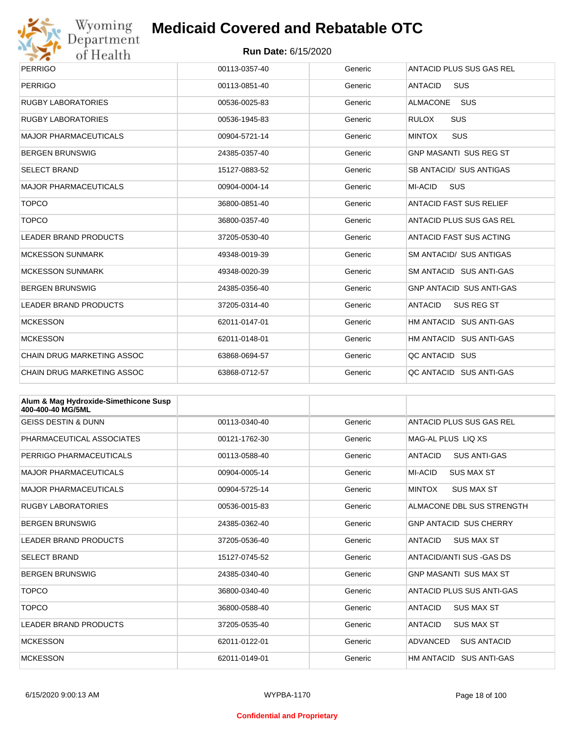

# Wyoming<br>Department<br>of Health

## **Medicaid Covered and Rebatable OTC**

| <b>PERRIGO</b>                    | 00113-0357-40 | Generic | ANTACID PLUS SUS GAS REL            |
|-----------------------------------|---------------|---------|-------------------------------------|
| <b>PERRIGO</b>                    | 00113-0851-40 | Generic | <b>ANTACID</b><br><b>SUS</b>        |
| <b>RUGBY LABORATORIES</b>         | 00536-0025-83 | Generic | <b>SUS</b><br><b>ALMACONE</b>       |
| <b>RUGBY LABORATORIES</b>         | 00536-1945-83 | Generic | <b>RULOX</b><br><b>SUS</b>          |
| <b>MAJOR PHARMACEUTICALS</b>      | 00904-5721-14 | Generic | <b>SUS</b><br><b>MINTOX</b>         |
| <b>BERGEN BRUNSWIG</b>            | 24385-0357-40 | Generic | <b>GNP MASANTI SUS REG ST</b>       |
| <b>SELECT BRAND</b>               | 15127-0883-52 | Generic | SB ANTACID/ SUS ANTIGAS             |
| <b>MAJOR PHARMACEUTICALS</b>      | 00904-0004-14 | Generic | <b>SUS</b><br>MI-ACID               |
| <b>TOPCO</b>                      | 36800-0851-40 | Generic | <b>ANTACID FAST SUS RELIEF</b>      |
| <b>TOPCO</b>                      | 36800-0357-40 | Generic | ANTACID PLUS SUS GAS REL            |
| <b>LEADER BRAND PRODUCTS</b>      | 37205-0530-40 | Generic | <b>ANTACID FAST SUS ACTING</b>      |
| <b>MCKESSON SUNMARK</b>           | 49348-0019-39 | Generic | SM ANTACID/ SUS ANTIGAS             |
| <b>MCKESSON SUNMARK</b>           | 49348-0020-39 | Generic | SM ANTACID SUS ANTI-GAS             |
| <b>BERGEN BRUNSWIG</b>            | 24385-0356-40 | Generic | <b>GNP ANTACID SUS ANTI-GAS</b>     |
| <b>LEADER BRAND PRODUCTS</b>      | 37205-0314-40 | Generic | <b>ANTACID</b><br><b>SUS REG ST</b> |
| <b>MCKESSON</b>                   | 62011-0147-01 | Generic | HM ANTACID SUS ANTI-GAS             |
| <b>MCKESSON</b>                   | 62011-0148-01 | Generic | HM ANTACID SUS ANTI-GAS             |
| <b>CHAIN DRUG MARKETING ASSOC</b> | 63868-0694-57 | Generic | QC ANTACID SUS                      |
| <b>CHAIN DRUG MARKETING ASSOC</b> | 63868-0712-57 | Generic | QC ANTACID SUS ANTI-GAS             |

| Alum & Mag Hydroxide-Simethicone Susp<br>400-400-40 MG/5ML |               |         |                                       |
|------------------------------------------------------------|---------------|---------|---------------------------------------|
| <b>GEISS DESTIN &amp; DUNN</b>                             | 00113-0340-40 | Generic | ANTACID PLUS SUS GAS REL              |
| PHARMACEUTICAL ASSOCIATES                                  | 00121-1762-30 | Generic | MAG-AL PLUS LIQ XS                    |
| PERRIGO PHARMACEUTICALS                                    | 00113-0588-40 | Generic | <b>ANTACID</b><br><b>SUS ANTI-GAS</b> |
| <b>MAJOR PHARMACEUTICALS</b>                               | 00904-0005-14 | Generic | MI-ACID<br><b>SUS MAX ST</b>          |
| <b>MAJOR PHARMACEUTICALS</b>                               | 00904-5725-14 | Generic | <b>MINTOX</b><br><b>SUS MAX ST</b>    |
| <b>RUGBY LABORATORIES</b>                                  | 00536-0015-83 | Generic | ALMACONE DBL SUS STRENGTH             |
| <b>BERGEN BRUNSWIG</b>                                     | 24385-0362-40 | Generic | <b>GNP ANTACID SUS CHERRY</b>         |
| <b>LEADER BRAND PRODUCTS</b>                               | 37205-0536-40 | Generic | <b>SUS MAX ST</b><br><b>ANTACID</b>   |
| <b>SELECT BRAND</b>                                        | 15127-0745-52 | Generic | ANTACID/ANTI SUS - GAS DS             |
| <b>BERGEN BRUNSWIG</b>                                     | 24385-0340-40 | Generic | <b>GNP MASANTI SUS MAX ST</b>         |
| <b>TOPCO</b>                                               | 36800-0340-40 | Generic | ANTACID PLUS SUS ANTI-GAS             |
| <b>TOPCO</b>                                               | 36800-0588-40 | Generic | <b>SUS MAX ST</b><br><b>ANTACID</b>   |
| <b>LEADER BRAND PRODUCTS</b>                               | 37205-0535-40 | Generic | <b>ANTACID</b><br><b>SUS MAX ST</b>   |
| <b>MCKESSON</b>                                            | 62011-0122-01 | Generic | ADVANCED<br><b>SUS ANTACID</b>        |
| <b>MCKESSON</b>                                            | 62011-0149-01 | Generic | HM ANTACID SUS ANTI-GAS               |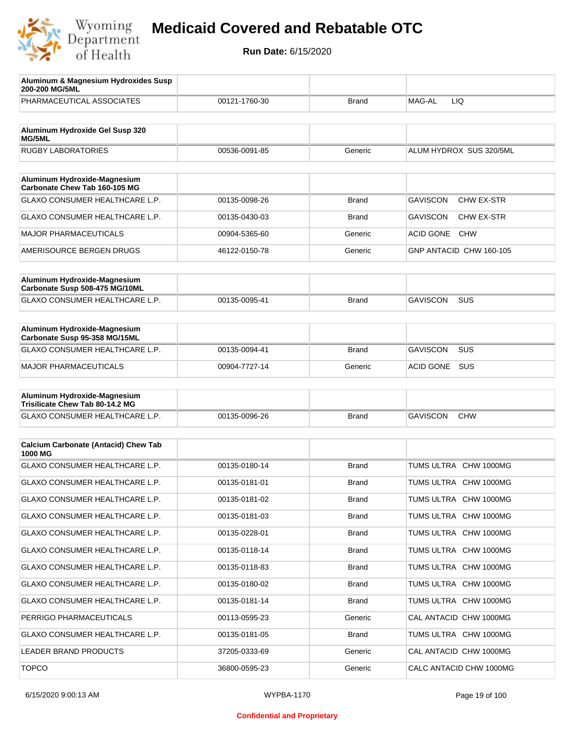

| Aluminum & Magnesium Hydroxides Susp<br>200-200 MG/5ML          |               |              |                                      |
|-----------------------------------------------------------------|---------------|--------------|--------------------------------------|
| PHARMACEUTICAL ASSOCIATES                                       | 00121-1760-30 | <b>Brand</b> | MAG-AL<br>LIQ                        |
| Aluminum Hydroxide Gel Susp 320                                 |               |              |                                      |
| MG/5ML                                                          |               |              |                                      |
| <b>RUGBY LABORATORIES</b>                                       | 00536-0091-85 | Generic      | ALUM HYDROX SUS 320/5ML              |
| Aluminum Hydroxide-Magnesium                                    |               |              |                                      |
| Carbonate Chew Tab 160-105 MG                                   |               |              |                                      |
| <b>GLAXO CONSUMER HEALTHCARE L.P.</b>                           | 00135-0098-26 | <b>Brand</b> | CHW EX-STR<br><b>GAVISCON</b>        |
| <b>GLAXO CONSUMER HEALTHCARE L.P.</b>                           | 00135-0430-03 | <b>Brand</b> | <b>GAVISCON</b><br><b>CHW EX-STR</b> |
| <b>MAJOR PHARMACEUTICALS</b>                                    | 00904-5365-60 | Generic      | <b>ACID GONE</b><br><b>CHW</b>       |
| AMERISOURCE BERGEN DRUGS                                        | 46122-0150-78 | Generic      | GNP ANTACID CHW 160-105              |
|                                                                 |               |              |                                      |
| Aluminum Hydroxide-Magnesium<br>Carbonate Susp 508-475 MG/10ML  |               |              |                                      |
| <b>GLAXO CONSUMER HEALTHCARE L.P.</b>                           | 00135-0095-41 | <b>Brand</b> | <b>SUS</b><br><b>GAVISCON</b>        |
|                                                                 |               |              |                                      |
| Aluminum Hydroxide-Magnesium<br>Carbonate Susp 95-358 MG/15ML   |               |              |                                      |
| GLAXO CONSUMER HEALTHCARE L.P.                                  | 00135-0094-41 | <b>Brand</b> | <b>GAVISCON</b><br>SUS               |
| <b>MAJOR PHARMACEUTICALS</b>                                    | 00904-7727-14 | Generic      | <b>SUS</b><br>ACID GONE              |
|                                                                 |               |              |                                      |
| Aluminum Hydroxide-Magnesium<br>Trisilicate Chew Tab 80-14.2 MG |               |              |                                      |
| GLAXO CONSUMER HEALTHCARE L.P.                                  | 00135-0096-26 | <b>Brand</b> | <b>GAVISCON</b><br><b>CHW</b>        |
|                                                                 |               |              |                                      |
| <b>Calcium Carbonate (Antacid) Chew Tab</b><br>1000 MG          |               |              |                                      |
| GLAXO CONSUMER HEALTHCARE L.P.                                  | 00135-0180-14 | <b>Brand</b> | TUMS ULTRA<br><b>CHW 1000MG</b>      |
| GLAXO CONSUMER HEALTHCARE L.P.                                  | 00135-0181-01 | <b>Brand</b> | TUMS ULTRA CHW 1000MG                |
| GLAXO CONSUMER HEALTHCARE L.P.                                  | 00135-0181-02 | <b>Brand</b> | TUMS ULTRA CHW 1000MG                |
| GLAXO CONSUMER HEALTHCARE L.P.                                  | 00135-0181-03 | <b>Brand</b> | TUMS ULTRA CHW 1000MG                |
| GLAXO CONSUMER HEALTHCARE L.P.                                  | 00135-0228-01 | <b>Brand</b> | TUMS ULTRA CHW 1000MG                |
| GLAXO CONSUMER HEALTHCARE L.P.                                  | 00135-0118-14 | <b>Brand</b> | TUMS ULTRA CHW 1000MG                |
| GLAXO CONSUMER HEALTHCARE L.P.                                  | 00135-0118-83 | <b>Brand</b> | TUMS ULTRA CHW 1000MG                |
| GLAXO CONSUMER HEALTHCARE L.P.                                  | 00135-0180-02 | <b>Brand</b> | TUMS ULTRA CHW 1000MG                |
| GLAXO CONSUMER HEALTHCARE L.P.                                  | 00135-0181-14 | <b>Brand</b> | TUMS ULTRA CHW 1000MG                |
| PERRIGO PHARMACEUTICALS                                         | 00113-0595-23 | Generic      | CAL ANTACID CHW 1000MG               |
| GLAXO CONSUMER HEALTHCARE L.P.                                  | 00135-0181-05 | <b>Brand</b> | TUMS ULTRA CHW 1000MG                |
| LEADER BRAND PRODUCTS                                           | 37205-0333-69 | Generic      | CAL ANTACID CHW 1000MG               |
| <b>TOPCO</b>                                                    | 36800-0595-23 | Generic      | CALC ANTACID CHW 1000MG              |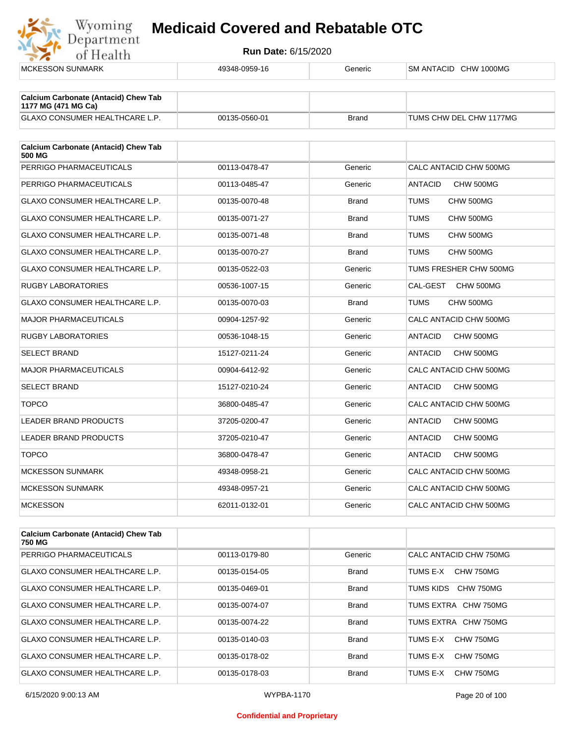

| <b>MCKESSON SUNMARK</b>                                            | 49348-0959-16 | Generic      | SM ANTACID CHW 1000MG       |
|--------------------------------------------------------------------|---------------|--------------|-----------------------------|
|                                                                    |               |              |                             |
| <b>Calcium Carbonate (Antacid) Chew Tab</b><br>1177 MG (471 MG Ca) |               |              |                             |
| GLAXO CONSUMER HEALTHCARE L.P.                                     | 00135-0560-01 | <b>Brand</b> | TUMS CHW DEL CHW 1177MG     |
|                                                                    |               |              |                             |
| <b>Calcium Carbonate (Antacid) Chew Tab</b><br>500 MG              |               |              |                             |
| PERRIGO PHARMACEUTICALS                                            | 00113-0478-47 | Generic      | CALC ANTACID CHW 500MG      |
| PERRIGO PHARMACEUTICALS                                            | 00113-0485-47 | Generic      | <b>ANTACID</b><br>CHW 500MG |
| <b>GLAXO CONSUMER HEALTHCARE L.P.</b>                              | 00135-0070-48 | <b>Brand</b> | <b>TUMS</b><br>CHW 500MG    |
| GLAXO CONSUMER HEALTHCARE L.P.                                     | 00135-0071-27 | <b>Brand</b> | CHW 500MG<br>TUMS           |
| <b>GLAXO CONSUMER HEALTHCARE L.P.</b>                              | 00135-0071-48 | <b>Brand</b> | <b>TUMS</b><br>CHW 500MG    |
| GLAXO CONSUMER HEALTHCARE L.P.                                     | 00135-0070-27 | <b>Brand</b> | <b>TUMS</b><br>CHW 500MG    |
| GLAXO CONSUMER HEALTHCARE L.P.                                     | 00135-0522-03 | Generic      | TUMS FRESHER CHW 500MG      |
| <b>RUGBY LABORATORIES</b>                                          | 00536-1007-15 | Generic      | CAL-GEST<br>CHW 500MG       |
| GLAXO CONSUMER HEALTHCARE L.P.                                     | 00135-0070-03 | <b>Brand</b> | TUMS<br>CHW 500MG           |
| <b>MAJOR PHARMACEUTICALS</b>                                       | 00904-1257-92 | Generic      | CALC ANTACID CHW 500MG      |
| <b>RUGBY LABORATORIES</b>                                          | 00536-1048-15 | Generic      | <b>ANTACID</b><br>CHW 500MG |
| <b>SELECT BRAND</b>                                                | 15127-0211-24 | Generic      | <b>ANTACID</b><br>CHW 500MG |
| <b>MAJOR PHARMACEUTICALS</b>                                       | 00904-6412-92 | Generic      | CALC ANTACID CHW 500MG      |
| <b>SELECT BRAND</b>                                                | 15127-0210-24 | Generic      | <b>ANTACID</b><br>CHW 500MG |
| <b>TOPCO</b>                                                       | 36800-0485-47 | Generic      | CALC ANTACID CHW 500MG      |
| <b>LEADER BRAND PRODUCTS</b>                                       | 37205-0200-47 | Generic      | <b>ANTACID</b><br>CHW 500MG |
| LEADER BRAND PRODUCTS                                              | 37205-0210-47 | Generic      | <b>ANTACID</b><br>CHW 500MG |
| <b>TOPCO</b>                                                       | 36800-0478-47 | Generic      | <b>ANTACID</b><br>CHW 500MG |
| <b>MCKESSON SUNMARK</b>                                            | 49348-0958-21 | Generic      | CALC ANTACID CHW 500MG      |
| <b>MCKESSON SUNMARK</b>                                            | 49348-0957-21 | Generic      | CALC ANTACID CHW 500MG      |
| <b>MCKESSON</b>                                                    | 62011-0132-01 | Generic      | CALC ANTACID CHW 500MG      |
|                                                                    |               |              |                             |
| <b>Calcium Carbonate (Antacid) Chew Tab</b><br>750 MG              |               |              |                             |

| 750 MG                                |               |              |                        |
|---------------------------------------|---------------|--------------|------------------------|
| PERRIGO PHARMACEUTICALS               | 00113-0179-80 | Generic      | CALC ANTACID CHW 750MG |
| GLAXO CONSUMER HEALTHCARE L.P.        | 00135-0154-05 | <b>Brand</b> | CHW 750MG<br>TUMS E-X  |
| GLAXO CONSUMER HEALTHCARE L.P.        | 00135-0469-01 | <b>Brand</b> | CHW 750MG<br>TUMS KIDS |
| GLAXO CONSUMER HEALTHCARE L.P.        | 00135-0074-07 | <b>Brand</b> | TUMS EXTRA CHW 750MG   |
| <b>GLAXO CONSUMER HEALTHCARE L.P.</b> | 00135-0074-22 | <b>Brand</b> | TUMS EXTRA CHW 750MG   |
| GLAXO CONSUMER HEALTHCARE L.P.        | 00135-0140-03 | <b>Brand</b> | CHW 750MG<br>TUMS E-X  |
| <b>GLAXO CONSUMER HEALTHCARE L.P.</b> | 00135-0178-02 | <b>Brand</b> | CHW 750MG<br>TUMS E-X  |
| GLAXO CONSUMER HEALTHCARE L.P.        | 00135-0178-03 | <b>Brand</b> | CHW 750MG<br>TUMS E-X  |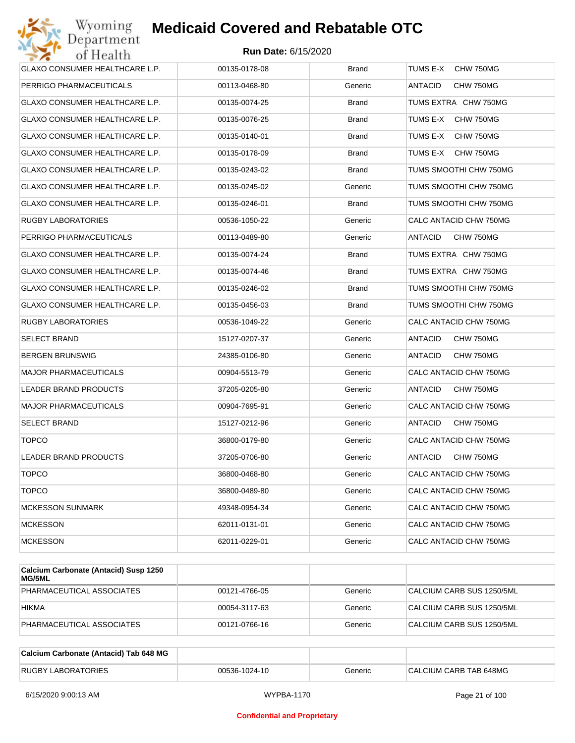

| GLAXO CONSUMER HEALTHCARE L.P.        | 00135-0178-08 | <b>Brand</b> | TUMS E-X<br>CHW 750MG       |
|---------------------------------------|---------------|--------------|-----------------------------|
| PERRIGO PHARMACEUTICALS               | 00113-0468-80 | Generic      | ANTACID<br>CHW 750MG        |
| GLAXO CONSUMER HEALTHCARE L.P.        | 00135-0074-25 | <b>Brand</b> | TUMS EXTRA CHW 750MG        |
| <b>GLAXO CONSUMER HEALTHCARE L.P.</b> | 00135-0076-25 | <b>Brand</b> | TUMS E-X<br>CHW 750MG       |
| GLAXO CONSUMER HEALTHCARE L.P.        | 00135-0140-01 | <b>Brand</b> | TUMS E-X<br>CHW 750MG       |
| GLAXO CONSUMER HEALTHCARE L.P.        | 00135-0178-09 | <b>Brand</b> | TUMS E-X<br>CHW 750MG       |
| GLAXO CONSUMER HEALTHCARE L.P.        | 00135-0243-02 | <b>Brand</b> | TUMS SMOOTHI CHW 750MG      |
| GLAXO CONSUMER HEALTHCARE L.P.        | 00135-0245-02 | Generic      | TUMS SMOOTHI CHW 750MG      |
| GLAXO CONSUMER HEALTHCARE L.P.        | 00135-0246-01 | <b>Brand</b> | TUMS SMOOTHI CHW 750MG      |
| RUGBY LABORATORIES                    | 00536-1050-22 | Generic      | CALC ANTACID CHW 750MG      |
| PERRIGO PHARMACEUTICALS               | 00113-0489-80 | Generic      | ANTACID<br>CHW 750MG        |
| GLAXO CONSUMER HEALTHCARE L.P.        | 00135-0074-24 | <b>Brand</b> | TUMS EXTRA CHW 750MG        |
| GLAXO CONSUMER HEALTHCARE L.P.        | 00135-0074-46 | <b>Brand</b> | TUMS EXTRA CHW 750MG        |
| GLAXO CONSUMER HEALTHCARE L.P.        | 00135-0246-02 | <b>Brand</b> | TUMS SMOOTHI CHW 750MG      |
| GLAXO CONSUMER HEALTHCARE L.P.        | 00135-0456-03 | <b>Brand</b> | TUMS SMOOTHI CHW 750MG      |
| RUGBY LABORATORIES                    | 00536-1049-22 | Generic      | CALC ANTACID CHW 750MG      |
| SELECT BRAND                          | 15127-0207-37 | Generic      | ANTACID<br>CHW 750MG        |
| <b>BERGEN BRUNSWIG</b>                | 24385-0106-80 | Generic      | ANTACID<br>CHW 750MG        |
| <b>MAJOR PHARMACEUTICALS</b>          | 00904-5513-79 | Generic      | CALC ANTACID CHW 750MG      |
| LEADER BRAND PRODUCTS                 | 37205-0205-80 | Generic      | ANTACID<br>CHW 750MG        |
| <b>MAJOR PHARMACEUTICALS</b>          | 00904-7695-91 | Generic      | CALC ANTACID CHW 750MG      |
| SELECT BRAND                          | 15127-0212-96 | Generic      | ANTACID<br>CHW 750MG        |
| <b>TOPCO</b>                          | 36800-0179-80 | Generic      | CALC ANTACID CHW 750MG      |
| <b>LEADER BRAND PRODUCTS</b>          | 37205-0706-80 | Generic      | <b>ANTACID</b><br>CHW 750MG |
| <b>TOPCO</b>                          | 36800-0468-80 | Generic      | CALC ANTACID CHW 750MG      |
| <b>TOPCO</b>                          | 36800-0489-80 | Generic      | CALC ANTACID CHW 750MG      |
| <b>MCKESSON SUNMARK</b>               | 49348-0954-34 | Generic      | CALC ANTACID CHW 750MG      |
| <b>MCKESSON</b>                       | 62011-0131-01 | Generic      | CALC ANTACID CHW 750MG      |
| <b>MCKESSON</b>                       | 62011-0229-01 | Generic      | CALC ANTACID CHW 750MG      |

| Calcium Carbonate (Antacid) Susp 1250<br>MG/5ML |               |         |                           |
|-------------------------------------------------|---------------|---------|---------------------------|
| PHARMACEUTICAL ASSOCIATES                       | 00121-4766-05 | Generic | CALCIUM CARB SUS 1250/5ML |
| <b>HIKMA</b>                                    | 00054-3117-63 | Generic | CALCIUM CARB SUS 1250/5ML |
| PHARMACEUTICAL ASSOCIATES                       | 00121-0766-16 | Generic | CALCIUM CARB SUS 1250/5ML |

| Calcium Carbonate (Antacid) Tab 648 MG |               |         |                        |
|----------------------------------------|---------------|---------|------------------------|
| <b>RUGBY LABORATORIES</b>              | 00536-1024-10 | Generic | CALCIUM CARB TAB 648MG |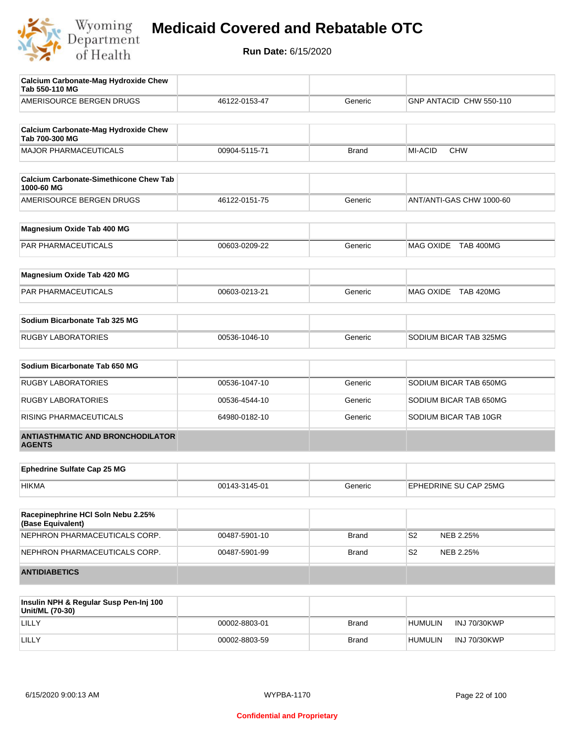

| <b>Calcium Carbonate-Mag Hydroxide Chew</b><br>Tab 550-110 MG                      |               |              |                             |
|------------------------------------------------------------------------------------|---------------|--------------|-----------------------------|
| AMERISOURCE BERGEN DRUGS                                                           | 46122-0153-47 | Generic      | GNP ANTACID CHW 550-110     |
| <b>Calcium Carbonate-Mag Hydroxide Chew</b><br>Tab 700-300 MG                      |               |              |                             |
| <b>MAJOR PHARMACEUTICALS</b>                                                       | 00904-5115-71 | <b>Brand</b> | MI-ACID<br><b>CHW</b>       |
| <b>Calcium Carbonate-Simethicone Chew Tab</b><br>1000-60 MG                        |               |              |                             |
| AMERISOURCE BERGEN DRUGS                                                           | 46122-0151-75 | Generic      | ANT/ANTI-GAS CHW 1000-60    |
| Magnesium Oxide Tab 400 MG                                                         |               |              |                             |
| PAR PHARMACEUTICALS                                                                | 00603-0209-22 | Generic      | MAG OXIDE TAB 400MG         |
| Magnesium Oxide Tab 420 MG                                                         |               |              |                             |
| PAR PHARMACEUTICALS                                                                | 00603-0213-21 | Generic      | MAG OXIDE TAB 420MG         |
| Sodium Bicarbonate Tab 325 MG                                                      |               |              |                             |
| <b>RUGBY LABORATORIES</b>                                                          | 00536-1046-10 | Generic      | SODIUM BICAR TAB 325MG      |
| Sodium Bicarbonate Tab 650 MG                                                      |               |              |                             |
| <b>RUGBY LABORATORIES</b>                                                          | 00536-1047-10 | Generic      | SODIUM BICAR TAB 650MG      |
| <b>RUGBY LABORATORIES</b>                                                          | 00536-4544-10 | Generic      | SODIUM BICAR TAB 650MG      |
| RISING PHARMACEUTICALS                                                             | 64980-0182-10 | Generic      | SODIUM BICAR TAB 10GR       |
| <b>ANTIASTHMATIC AND BRONCHODILATOR</b><br><b>AGENTS</b>                           |               |              |                             |
| <b>Ephedrine Sulfate Cap 25 MG</b>                                                 |               |              |                             |
| <b>HIKMA</b>                                                                       | 00143-3145-01 | Generic      | EPHEDRINE SU CAP 25MG       |
| Racepinephrine HCI Soln Nebu 2.25%<br>(Base Equivalent)                            |               |              |                             |
| NEPHRON PHARMACEUTICALS CORP.                                                      | 00487-5901-10 | Brand        | S <sub>2</sub><br>NEB 2.25% |
| NEPHRON PHARMACEUTICALS CORP.                                                      | 00487-5901-99 | Brand        | S <sub>2</sub><br>NEB 2.25% |
| <b>ANTIDIABETICS</b>                                                               |               |              |                             |
| Insulin NPH & Regular Susp Pen-Inj 100<br>11 <sub>2</sub> 11 <sub>1</sub> 111/7020 |               |              |                             |

| Insulin NPH & Regular Susp Pen-Inj 100<br>Unit/ML (70-30) |               |              |                |                     |
|-----------------------------------------------------------|---------------|--------------|----------------|---------------------|
| LILLY                                                     | 00002-8803-01 | <b>Brand</b> | <b>HUMULIN</b> | INJ 70/30KWP        |
| LILLY                                                     | 00002-8803-59 | <b>Brand</b> | 'humulin       | <b>INJ 70/30KWP</b> |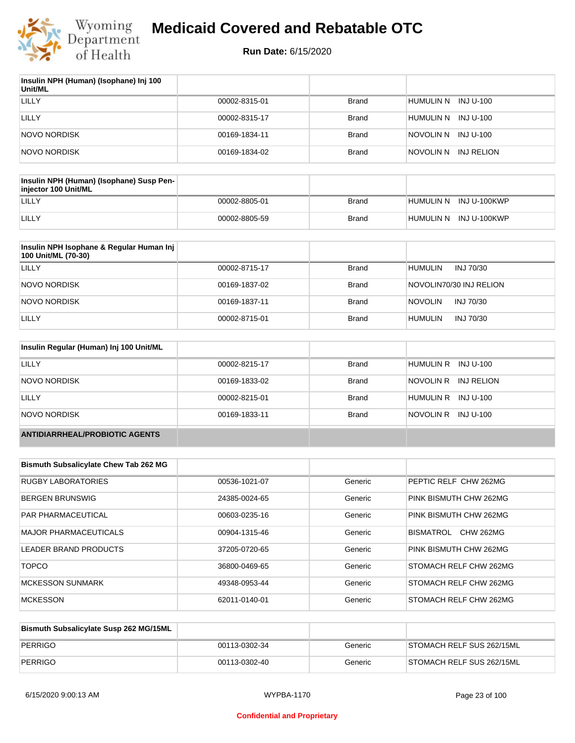

| Insulin NPH (Human) (Isophane) Inj 100<br>Unit/ML |               |              |                         |
|---------------------------------------------------|---------------|--------------|-------------------------|
| LILLY                                             | 00002-8315-01 | <b>Brand</b> | HUMULIN N<br>INJ U-100  |
| LILLY                                             | 00002-8315-17 | <b>Brand</b> | HUMULIN N<br>INJ U-100  |
| NOVO NORDISK                                      | 00169-1834-11 | <b>Brand</b> | NOVOLIN N INJ U-100     |
| NOVO NORDISK                                      | 00169-1834-02 | <b>Brand</b> | NOVOLIN N<br>INJ RELION |

| Insulin NPH (Human) (Isophane) Susp Pen-<br>injector 100 Unit/ML |               |              |                        |
|------------------------------------------------------------------|---------------|--------------|------------------------|
| LILLY                                                            | 00002-8805-01 | Brand        | HUMULIN N INJ U-100KWP |
| LILLY                                                            | 00002-8805-59 | <b>Brand</b> | HUMULIN N INJ U-100KWP |

| Insulin NPH Isophane & Regular Human Inj<br>100 Unit/ML (70-30) |               |              |                             |
|-----------------------------------------------------------------|---------------|--------------|-----------------------------|
| LILLY                                                           | 00002-8715-17 | <b>Brand</b> | <b>HUMULIN</b><br>INJ 70/30 |
| <b>NOVO NORDISK</b>                                             | 00169-1837-02 | <b>Brand</b> | NOVOLIN70/30 INJ RELION     |
| NOVO NORDISK                                                    | 00169-1837-11 | <b>Brand</b> | INJ 70/30<br><b>NOVOLIN</b> |
| LILLY                                                           | 00002-8715-01 | <b>Brand</b> | <b>HUMULIN</b><br>INJ 70/30 |

| Insulin Regular (Human) Inj 100 Unit/ML |               |              |                         |
|-----------------------------------------|---------------|--------------|-------------------------|
| LILLY                                   | 00002-8215-17 | <b>Brand</b> | HUMULIN R INJ U-100     |
| NOVO NORDISK                            | 00169-1833-02 | <b>Brand</b> | NOVOLIN R<br>INJ RELION |
| <b>LILLY</b>                            | 00002-8215-01 | <b>Brand</b> | HUMULIN R INJ U-100     |
| <b>NOVO NORDISK</b>                     | 00169-1833-11 | <b>Brand</b> | NOVOLIN R<br>INJ U-100  |
| <b>ANTIDIARRHEAL/PROBIOTIC AGENTS</b>   |               |              |                         |

| <b>Bismuth Subsalicylate Chew Tab 262 MG</b> |               |         |                               |
|----------------------------------------------|---------------|---------|-------------------------------|
| <b>RUGBY LABORATORIES</b>                    | 00536-1021-07 | Generic | PEPTIC RELF CHW 262MG         |
| <b>BERGEN BRUNSWIG</b>                       | 24385-0024-65 | Generic | PINK BISMUTH CHW 262MG        |
| <b>PAR PHARMACEUTICAL</b>                    | 00603-0235-16 | Generic | PINK BISMUTH CHW 262MG        |
| <b>MAJOR PHARMACEUTICALS</b>                 | 00904-1315-46 | Generic | BISMATROL<br><b>CHW 262MG</b> |
| LEADER BRAND PRODUCTS                        | 37205-0720-65 | Generic | PINK BISMUTH CHW 262MG        |
| <b>TOPCO</b>                                 | 36800-0469-65 | Generic | STOMACH RELF CHW 262MG        |
| <b>MCKESSON SUNMARK</b>                      | 49348-0953-44 | Generic | STOMACH RELF CHW 262MG        |
| <b>MCKESSON</b>                              | 62011-0140-01 | Generic | STOMACH RELF CHW 262MG        |

| Bismuth Subsalicylate Susp 262 MG/15ML |               |         |                           |
|----------------------------------------|---------------|---------|---------------------------|
| PERRIGO                                | 00113-0302-34 | Generic | STOMACH RELF SUS 262/15ML |
| PERRIGO                                | 00113-0302-40 | Generic | STOMACH RELF SUS 262/15ML |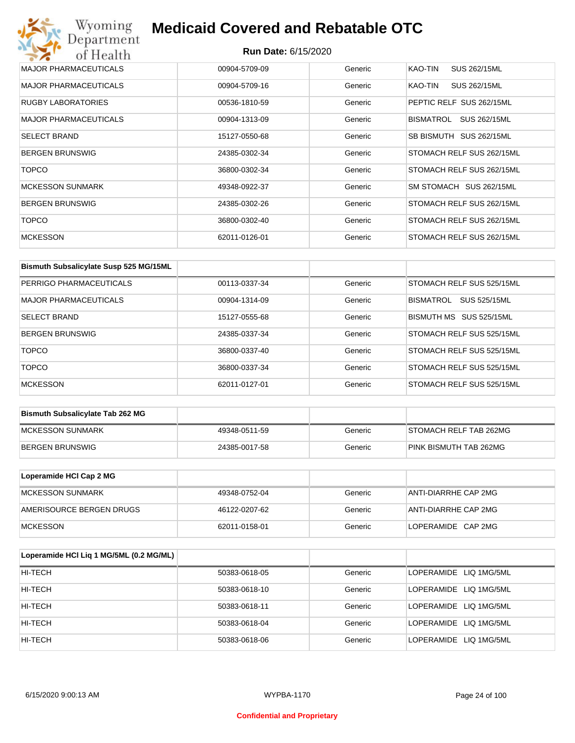## Wyoming<br>Department<br>of Health **Medicaid Covered and Rebatable OTC**

| <b>MAJOR PHARMACEUTICALS</b> | 00904-5709-09 | Generic | KAO-TIN<br>SUS 262/15ML   |
|------------------------------|---------------|---------|---------------------------|
| <b>MAJOR PHARMACEUTICALS</b> | 00904-5709-16 | Generic | SUS 262/15ML<br>KAO-TIN   |
| <b>RUGBY LABORATORIES</b>    | 00536-1810-59 | Generic | PEPTIC RELF SUS 262/15ML  |
| <b>MAJOR PHARMACEUTICALS</b> | 00904-1313-09 | Generic | BISMATROL<br>SUS 262/15ML |
| <b>SELECT BRAND</b>          | 15127-0550-68 | Generic | SB BISMUTH SUS 262/15ML   |
| <b>BERGEN BRUNSWIG</b>       | 24385-0302-34 | Generic | STOMACH RELF SUS 262/15ML |
| <b>TOPCO</b>                 | 36800-0302-34 | Generic | STOMACH RELF SUS 262/15ML |
| <b>MCKESSON SUNMARK</b>      | 49348-0922-37 | Generic | SM STOMACH SUS 262/15ML   |
| <b>BERGEN BRUNSWIG</b>       | 24385-0302-26 | Generic | STOMACH RELF SUS 262/15ML |
| <b>TOPCO</b>                 | 36800-0302-40 | Generic | STOMACH RELF SUS 262/15ML |
| <b>MCKESSON</b>              | 62011-0126-01 | Generic | STOMACH RELF SUS 262/15ML |

| Bismuth Subsalicylate Susp 525 MG/15ML |               |         |                           |
|----------------------------------------|---------------|---------|---------------------------|
| PERRIGO PHARMACEUTICALS                | 00113-0337-34 | Generic | STOMACH RELF SUS 525/15ML |
| MAJOR PHARMACEUTICALS                  | 00904-1314-09 | Generic | SUS 525/15ML<br>BISMATROL |
| <b>SELECT BRAND</b>                    | 15127-0555-68 | Generic | BISMUTH MS SUS 525/15ML   |
| <b>BERGEN BRUNSWIG</b>                 | 24385-0337-34 | Generic | STOMACH RELF SUS 525/15ML |
| <b>TOPCO</b>                           | 36800-0337-40 | Generic | STOMACH RELF SUS 525/15ML |
| <b>TOPCO</b>                           | 36800-0337-34 | Generic | STOMACH RELF SUS 525/15ML |
| <b>MCKESSON</b>                        | 62011-0127-01 | Generic | STOMACH RELF SUS 525/15ML |

| <b>Bismuth Subsalicylate Tab 262 MG</b> |               |         |                        |
|-----------------------------------------|---------------|---------|------------------------|
| <b>IMCKESSON SUNMARK</b>                | 49348-0511-59 | Generic | STOMACH RELF TAB 262MG |
| <b>BERGEN BRUNSWIG</b>                  | 24385-0017-58 | Generic | PINK BISMUTH TAB 262MG |

| Loperamide HCI Cap 2 MG  |               |         |                      |
|--------------------------|---------------|---------|----------------------|
| IMCKESSON SUNMARK        | 49348-0752-04 | Generic | ANTI-DIARRHE CAP 2MG |
| AMERISOURCE BERGEN DRUGS | 46122-0207-62 | Generic | ANTI-DIARRHE CAP 2MG |
| <b>IMCKESSON</b>         | 62011-0158-01 | Generic | LOPERAMIDE CAP 2MG   |

| Loperamide HCI Liq 1 MG/5ML (0.2 MG/ML) |               |         |                        |
|-----------------------------------------|---------------|---------|------------------------|
| HI-TECH                                 | 50383-0618-05 | Generic | LOPERAMIDE LIQ 1MG/5ML |
| HI-TECH                                 | 50383-0618-10 | Generic | LOPERAMIDE LIQ 1MG/5ML |
| HI-TECH                                 | 50383-0618-11 | Generic | LOPERAMIDE LIQ 1MG/5ML |
| HI-TECH                                 | 50383-0618-04 | Generic | LOPERAMIDE LIQ 1MG/5ML |
| HI-TECH                                 | 50383-0618-06 | Generic | LOPERAMIDE LIQ 1MG/5ML |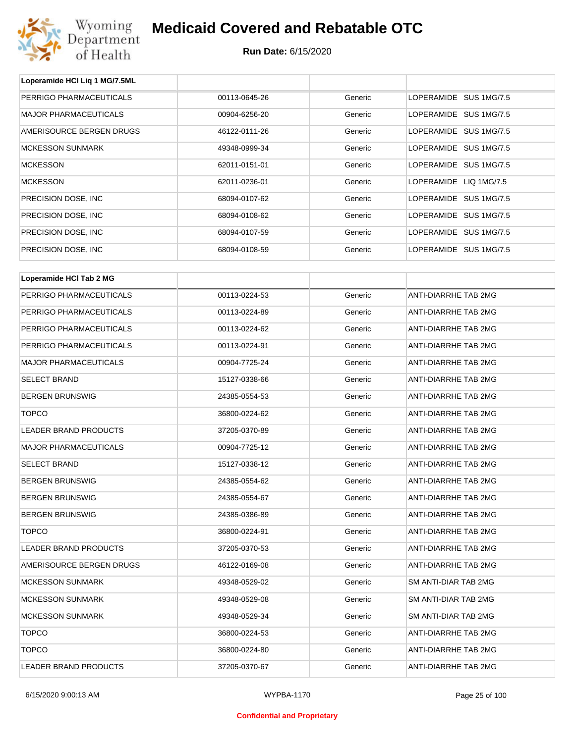

**Loperamide HCl Liq 1 MG/7.5ML**

## **Medicaid Covered and Rebatable OTC**

| PERRIGO PHARMACEUTICALS      | 00113-0645-26 | Generic | LOPERAMIDE SUS 1MG/7.5      |  |  |
|------------------------------|---------------|---------|-----------------------------|--|--|
| <b>MAJOR PHARMACEUTICALS</b> | 00904-6256-20 | Generic | LOPERAMIDE SUS 1MG/7.5      |  |  |
| AMERISOURCE BERGEN DRUGS     | 46122-0111-26 | Generic | LOPERAMIDE SUS 1MG/7.5      |  |  |
| <b>MCKESSON SUNMARK</b>      | 49348-0999-34 | Generic | LOPERAMIDE SUS 1MG/7.5      |  |  |
| <b>MCKESSON</b>              | 62011-0151-01 | Generic | LOPERAMIDE SUS 1MG/7.5      |  |  |
| <b>MCKESSON</b>              | 62011-0236-01 | Generic | LOPERAMIDE LIQ 1MG/7.5      |  |  |
| PRECISION DOSE, INC.         | 68094-0107-62 | Generic | LOPERAMIDE SUS 1MG/7.5      |  |  |
| PRECISION DOSE, INC.         | 68094-0108-62 | Generic | LOPERAMIDE SUS 1MG/7.5      |  |  |
| PRECISION DOSE, INC.         | 68094-0107-59 | Generic | LOPERAMIDE SUS 1MG/7.5      |  |  |
| PRECISION DOSE, INC.         | 68094-0108-59 | Generic | LOPERAMIDE SUS 1MG/7.5      |  |  |
| Loperamide HCI Tab 2 MG      |               |         |                             |  |  |
|                              |               |         |                             |  |  |
| PERRIGO PHARMACEUTICALS      | 00113-0224-53 | Generic | <b>ANTI-DIARRHE TAB 2MG</b> |  |  |
| PERRIGO PHARMACEUTICALS      | 00113-0224-89 | Generic | ANTI-DIARRHE TAB 2MG        |  |  |
| PERRIGO PHARMACEUTICALS      | 00113-0224-62 | Generic | ANTI-DIARRHE TAB 2MG        |  |  |
| PERRIGO PHARMACEUTICALS      | 00113-0224-91 | Generic | ANTI-DIARRHE TAB 2MG        |  |  |
| <b>MAJOR PHARMACEUTICALS</b> | 00904-7725-24 | Generic | ANTI-DIARRHE TAB 2MG        |  |  |
| <b>SELECT BRAND</b>          | 15127-0338-66 | Generic | ANTI-DIARRHE TAB 2MG        |  |  |
| <b>BERGEN BRUNSWIG</b>       | 24385-0554-53 | Generic | ANTI-DIARRHE TAB 2MG        |  |  |
| <b>TOPCO</b>                 | 36800-0224-62 | Generic | ANTI-DIARRHE TAB 2MG        |  |  |
| LEADER BRAND PRODUCTS        | 37205-0370-89 | Generic | ANTI-DIARRHE TAB 2MG        |  |  |
| <b>MAJOR PHARMACEUTICALS</b> | 00904-7725-12 | Generic | ANTI-DIARRHE TAB 2MG        |  |  |
| <b>SELECT BRAND</b>          | 15127-0338-12 | Generic | ANTI-DIARRHE TAB 2MG        |  |  |
| <b>BERGEN BRUNSWIG</b>       | 24385-0554-62 | Generic | ANTI-DIARRHE TAB 2MG        |  |  |
| <b>BERGEN BRUNSWIG</b>       | 24385-0554-67 | Generic | ANTI-DIARRHE TAB 2MG        |  |  |
| <b>BERGEN BRUNSWIG</b>       | 24385-0386-89 | Generic | ANTI-DIARRHE TAB 2MG        |  |  |
| <b>TOPCO</b>                 | 36800-0224-91 | Generic | <b>ANTI-DIARRHE TAB 2MG</b> |  |  |
| LEADER BRAND PRODUCTS        | 37205-0370-53 | Generic | ANTI-DIARRHE TAB 2MG        |  |  |
| AMERISOURCE BERGEN DRUGS     | 46122-0169-08 | Generic | ANTI-DIARRHE TAB 2MG        |  |  |
| <b>MCKESSON SUNMARK</b>      | 49348-0529-02 | Generic | SM ANTI-DIAR TAB 2MG        |  |  |
| <b>MCKESSON SUNMARK</b>      | 49348-0529-08 | Generic | SM ANTI-DIAR TAB 2MG        |  |  |
| <b>MCKESSON SUNMARK</b>      | 49348-0529-34 | Generic | SM ANTI-DIAR TAB 2MG        |  |  |
| <b>TOPCO</b>                 | 36800-0224-53 | Generic | ANTI-DIARRHE TAB 2MG        |  |  |
| <b>TOPCO</b>                 | 36800-0224-80 | Generic | ANTI-DIARRHE TAB 2MG        |  |  |
| LEADER BRAND PRODUCTS        | 37205-0370-67 | Generic | ANTI-DIARRHE TAB 2MG        |  |  |
|                              |               |         |                             |  |  |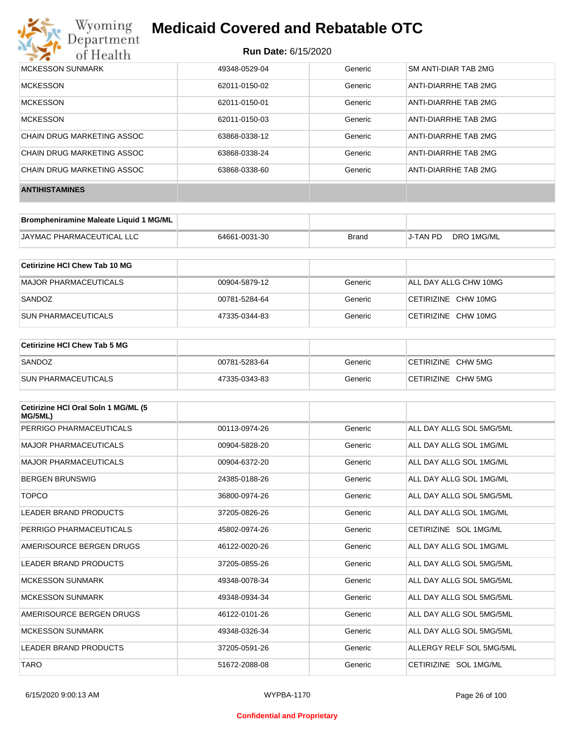

#### **Run Date:** 6/15/2020

| MCKESSON SUNMARK           | 49348-0529-04 | Generic | SM ANTI-DIAR TAB 2MG |
|----------------------------|---------------|---------|----------------------|
| <b>MCKESSON</b>            | 62011-0150-02 | Generic | ANTI-DIARRHE TAB 2MG |
| <b>MCKESSON</b>            | 62011-0150-01 | Generic | ANTI-DIARRHE TAB 2MG |
| <b>MCKESSON</b>            | 62011-0150-03 | Generic | ANTI-DIARRHE TAB 2MG |
| CHAIN DRUG MARKETING ASSOC | 63868-0338-12 | Generic | ANTI-DIARRHE TAB 2MG |
| CHAIN DRUG MARKETING ASSOC | 63868-0338-24 | Generic | ANTI-DIARRHE TAB 2MG |
| CHAIN DRUG MARKETING ASSOC | 63868-0338-60 | Generic | ANTI-DIARRHE TAB 2MG |
| <b>ANTIHISTAMINES</b>      |               |         |                      |

| Brompheniramine Maleate Liquid 1 MG/ML |               |       |          |            |
|----------------------------------------|---------------|-------|----------|------------|
| JAYMAC PHARMACEUTICAL LLC              | 64661-0031-30 | Brand | J-TAN PD | DRO 1MG/ML |

| Cetirizine HCI Chew Tab 10 MG |               |         |                       |
|-------------------------------|---------------|---------|-----------------------|
| MAJOR PHARMACEUTICALS         | 00904-5879-12 | Generic | ALL DAY ALLG CHW 10MG |
| SANDOZ                        | 00781-5284-64 | Generic | CETIRIZINE CHW 10MG   |
| <b>SUN PHARMACEUTICALS</b>    | 47335-0344-83 | Generic | CETIRIZINE CHW 10MG   |

| ∣Cetirizine HCl Chew Tab 5 MG |               |         |                    |
|-------------------------------|---------------|---------|--------------------|
| SANDOZ                        | 00781-5283-64 | Generic | CETIRIZINE CHW 5MG |
| <b>SUN PHARMACEUTICALS</b>    | 47335-0343-83 | Generic | CETIRIZINE CHW 5MG |

| Cetirizine HCI Oral Soln 1 MG/ML (5<br>MG/5ML) |               |         |                          |
|------------------------------------------------|---------------|---------|--------------------------|
| PERRIGO PHARMACEUTICALS                        | 00113-0974-26 | Generic | ALL DAY ALLG SOL 5MG/5ML |
| <b>MAJOR PHARMACEUTICALS</b>                   | 00904-5828-20 | Generic | ALL DAY ALLG SOL 1MG/ML  |
| <b>MAJOR PHARMACEUTICALS</b>                   | 00904-6372-20 | Generic | ALL DAY ALLG SOL 1MG/ML  |
| <b>BERGEN BRUNSWIG</b>                         | 24385-0188-26 | Generic | ALL DAY ALLG SOL 1MG/ML  |
| <b>TOPCO</b>                                   | 36800-0974-26 | Generic | ALL DAY ALLG SOL 5MG/5ML |
| <b>LEADER BRAND PRODUCTS</b>                   | 37205-0826-26 | Generic | ALL DAY ALLG SOL 1MG/ML  |
| PERRIGO PHARMACEUTICALS                        | 45802-0974-26 | Generic | CETIRIZINE SOL 1MG/ML    |
| AMERISOURCE BERGEN DRUGS                       | 46122-0020-26 | Generic | ALL DAY ALLG SOL 1MG/ML  |
| <b>LEADER BRAND PRODUCTS</b>                   | 37205-0855-26 | Generic | ALL DAY ALLG SOL 5MG/5ML |
| <b>MCKESSON SUNMARK</b>                        | 49348-0078-34 | Generic | ALL DAY ALLG SOL 5MG/5ML |
| <b>MCKESSON SUNMARK</b>                        | 49348-0934-34 | Generic | ALL DAY ALLG SOL 5MG/5ML |
| AMERISOURCE BERGEN DRUGS                       | 46122-0101-26 | Generic | ALL DAY ALLG SOL 5MG/5ML |
| <b>MCKESSON SUNMARK</b>                        | 49348-0326-34 | Generic | ALL DAY ALLG SOL 5MG/5ML |
| <b>LEADER BRAND PRODUCTS</b>                   | 37205-0591-26 | Generic | ALLERGY RELF SOL 5MG/5ML |
| <b>TARO</b>                                    | 51672-2088-08 | Generic | CETIRIZINE SOL 1MG/ML    |

#### **Confidential and Proprietary**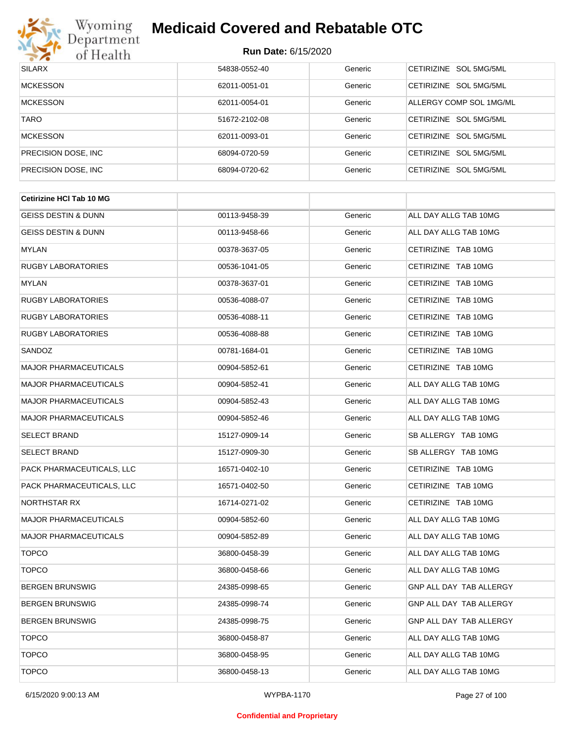

| <b>SILARX</b>        | 54838-0552-40 | Generic | CETIRIZINE SOL 5MG/5ML  |
|----------------------|---------------|---------|-------------------------|
| <b>MCKESSON</b>      | 62011-0051-01 | Generic | CETIRIZINE SOL 5MG/5ML  |
| <b>MCKESSON</b>      | 62011-0054-01 | Generic | ALLERGY COMP SOL 1MG/ML |
| <b>TARO</b>          | 51672-2102-08 | Generic | CETIRIZINE SOL 5MG/5ML  |
| <b>MCKESSON</b>      | 62011-0093-01 | Generic | CETIRIZINE SOL 5MG/5ML  |
| PRECISION DOSE, INC. | 68094-0720-59 | Generic | CETIRIZINE SOL 5MG/5ML  |
| PRECISION DOSE, INC. | 68094-0720-62 | Generic | CETIRIZINE SOL 5MG/5ML  |

| <b>Cetirizine HCI Tab 10 MG</b> |               |         |                         |  |
|---------------------------------|---------------|---------|-------------------------|--|
| <b>GEISS DESTIN &amp; DUNN</b>  | 00113-9458-39 | Generic | ALL DAY ALLG TAB 10MG   |  |
| <b>GEISS DESTIN &amp; DUNN</b>  | 00113-9458-66 | Generic | ALL DAY ALLG TAB 10MG   |  |
| MYLAN                           | 00378-3637-05 | Generic | CETIRIZINE TAB 10MG     |  |
| <b>RUGBY LABORATORIES</b>       | 00536-1041-05 | Generic | CETIRIZINE TAB 10MG     |  |
| MYLAN                           | 00378-3637-01 | Generic | CETIRIZINE TAB 10MG     |  |
| <b>RUGBY LABORATORIES</b>       | 00536-4088-07 | Generic | CETIRIZINE TAB 10MG     |  |
| <b>RUGBY LABORATORIES</b>       | 00536-4088-11 | Generic | CETIRIZINE TAB 10MG     |  |
| <b>RUGBY LABORATORIES</b>       | 00536-4088-88 | Generic | CETIRIZINE TAB 10MG     |  |
| SANDOZ                          | 00781-1684-01 | Generic | CETIRIZINE TAB 10MG     |  |
| <b>MAJOR PHARMACEUTICALS</b>    | 00904-5852-61 | Generic | CETIRIZINE TAB 10MG     |  |
| <b>MAJOR PHARMACEUTICALS</b>    | 00904-5852-41 | Generic | ALL DAY ALLG TAB 10MG   |  |
| <b>MAJOR PHARMACEUTICALS</b>    | 00904-5852-43 | Generic | ALL DAY ALLG TAB 10MG   |  |
| <b>MAJOR PHARMACEUTICALS</b>    | 00904-5852-46 | Generic | ALL DAY ALLG TAB 10MG   |  |
| <b>SELECT BRAND</b>             | 15127-0909-14 | Generic | SB ALLERGY TAB 10MG     |  |
| <b>SELECT BRAND</b>             | 15127-0909-30 | Generic | SB ALLERGY TAB 10MG     |  |
| PACK PHARMACEUTICALS, LLC       | 16571-0402-10 | Generic | CETIRIZINE TAB 10MG     |  |
| PACK PHARMACEUTICALS, LLC       | 16571-0402-50 | Generic | CETIRIZINE TAB 10MG     |  |
| NORTHSTAR RX                    | 16714-0271-02 | Generic | CETIRIZINE TAB 10MG     |  |
| <b>MAJOR PHARMACEUTICALS</b>    | 00904-5852-60 | Generic | ALL DAY ALLG TAB 10MG   |  |
| <b>MAJOR PHARMACEUTICALS</b>    | 00904-5852-89 | Generic | ALL DAY ALLG TAB 10MG   |  |
| <b>TOPCO</b>                    | 36800-0458-39 | Generic | ALL DAY ALLG TAB 10MG   |  |
| <b>TOPCO</b>                    | 36800-0458-66 | Generic | ALL DAY ALLG TAB 10MG   |  |
| <b>BERGEN BRUNSWIG</b>          | 24385-0998-65 | Generic | GNP ALL DAY TAB ALLERGY |  |
| <b>BERGEN BRUNSWIG</b>          | 24385-0998-74 | Generic | GNP ALL DAY TAB ALLERGY |  |
| <b>BERGEN BRUNSWIG</b>          | 24385-0998-75 | Generic | GNP ALL DAY TAB ALLERGY |  |
| <b>TOPCO</b>                    | 36800-0458-87 | Generic | ALL DAY ALLG TAB 10MG   |  |
| <b>TOPCO</b>                    | 36800-0458-95 | Generic | ALL DAY ALLG TAB 10MG   |  |
| <b>TOPCO</b>                    | 36800-0458-13 | Generic | ALL DAY ALLG TAB 10MG   |  |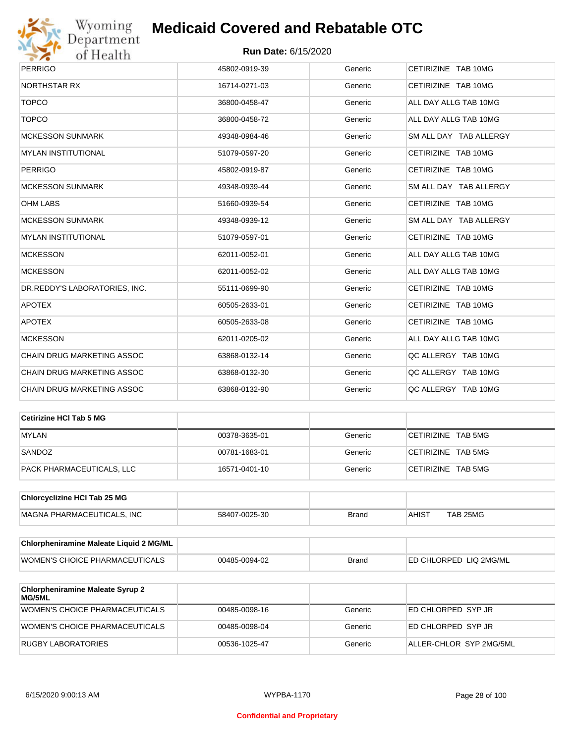

| <b>PERRIGO</b>                | 45802-0919-39 | Generic | CETIRIZINE TAB 10MG    |
|-------------------------------|---------------|---------|------------------------|
| <b>NORTHSTAR RX</b>           | 16714-0271-03 | Generic | CETIRIZINE TAB 10MG    |
| <b>TOPCO</b>                  | 36800-0458-47 | Generic | ALL DAY ALLG TAB 10MG  |
| <b>TOPCO</b>                  | 36800-0458-72 | Generic | ALL DAY ALLG TAB 10MG  |
| <b>MCKESSON SUNMARK</b>       | 49348-0984-46 | Generic | SM ALL DAY TAB ALLERGY |
| <b>MYLAN INSTITUTIONAL</b>    | 51079-0597-20 | Generic | CETIRIZINE TAB 10MG    |
| <b>PERRIGO</b>                | 45802-0919-87 | Generic | CETIRIZINE TAB 10MG    |
| <b>MCKESSON SUNMARK</b>       | 49348-0939-44 | Generic | SM ALL DAY TAB ALLERGY |
| <b>OHM LABS</b>               | 51660-0939-54 | Generic | CETIRIZINE TAB 10MG    |
| <b>MCKESSON SUNMARK</b>       | 49348-0939-12 | Generic | SM ALL DAY TAB ALLERGY |
| <b>MYLAN INSTITUTIONAL</b>    | 51079-0597-01 | Generic | CETIRIZINE TAB 10MG    |
| <b>MCKESSON</b>               | 62011-0052-01 | Generic | ALL DAY ALLG TAB 10MG  |
| <b>MCKESSON</b>               | 62011-0052-02 | Generic | ALL DAY ALLG TAB 10MG  |
| DR.REDDY'S LABORATORIES, INC. | 55111-0699-90 | Generic | CETIRIZINE TAB 10MG    |
| <b>APOTEX</b>                 | 60505-2633-01 | Generic | CETIRIZINE TAB 10MG    |
| <b>APOTEX</b>                 | 60505-2633-08 | Generic | CETIRIZINE TAB 10MG    |
| <b>MCKESSON</b>               | 62011-0205-02 | Generic | ALL DAY ALLG TAB 10MG  |
| CHAIN DRUG MARKETING ASSOC    | 63868-0132-14 | Generic | QC ALLERGY TAB 10MG    |
| CHAIN DRUG MARKETING ASSOC    | 63868-0132-30 | Generic | QC ALLERGY TAB 10MG    |
| CHAIN DRUG MARKETING ASSOC    | 63868-0132-90 | Generic | OC ALLERGY TAB 10MG    |

| Cetirizine HCI Tab 5 MG   |               |         |                    |
|---------------------------|---------------|---------|--------------------|
| <b>MYLAN</b>              | 00378-3635-01 | Generic | CETIRIZINE TAB 5MG |
| SANDOZ                    | 00781-1683-01 | Generic | CETIRIZINE TAB 5MG |
| PACK PHARMACEUTICALS, LLC | 16571-0401-10 | Generic | CETIRIZINE TAB 5MG |

| <b>Chlorcyclizine HCI Tab 25 MG</b> |               |       |              |          |
|-------------------------------------|---------------|-------|--------------|----------|
| <b>MAGNA PHARMACEUTICALS. INC</b>   | 58407-0025-30 | Brand | <b>AHIST</b> | TAB 25MG |

| <b>Chlorpheniramine Maleate Liquid 2 MG/ML</b> |               |              |                                |
|------------------------------------------------|---------------|--------------|--------------------------------|
| WOMEN'S CHOICE PHARMACEUTICALS                 | 00485-0094-02 | <b>Brand</b> | <b>IED CHLORPED LIQ 2MG/ML</b> |

| <b>Chlorpheniramine Maleate Syrup 2</b><br>MG/5ML |               |         |                         |
|---------------------------------------------------|---------------|---------|-------------------------|
| WOMEN'S CHOICE PHARMACEUTICALS                    | 00485-0098-16 | Generic | ED CHLORPED SYP JR      |
| WOMEN'S CHOICE PHARMACEUTICALS                    | 00485-0098-04 | Generic | ED CHLORPED SYP JR      |
| RUGBY LABORATORIES                                | 00536-1025-47 | Generic | ALLER-CHLOR SYP 2MG/5ML |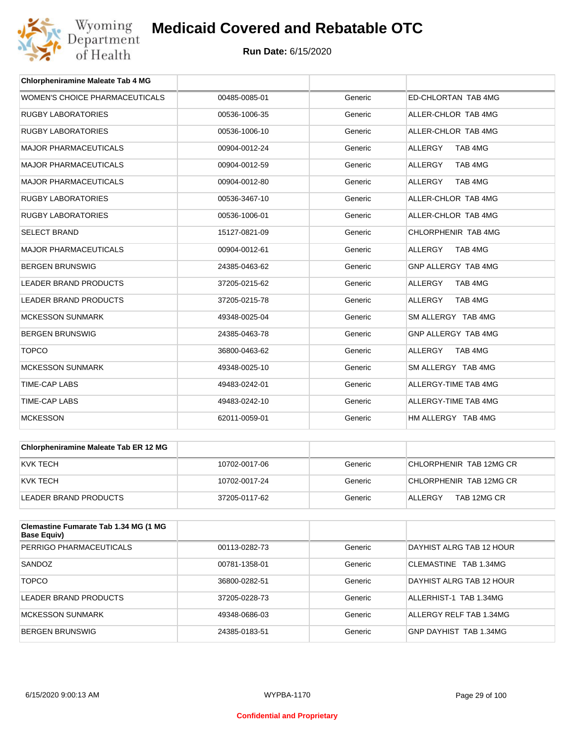

| <b>Chlorpheniramine Maleate Tab 4 MG</b> |               |         |                            |
|------------------------------------------|---------------|---------|----------------------------|
| WOMEN'S CHOICE PHARMACEUTICALS           | 00485-0085-01 | Generic | <b>ED-CHLORTAN TAB 4MG</b> |
| <b>RUGBY LABORATORIES</b>                | 00536-1006-35 | Generic | ALLER-CHLOR TAB 4MG        |
| <b>RUGBY LABORATORIES</b>                | 00536-1006-10 | Generic | ALLER-CHLOR TAB 4MG        |
| <b>MAJOR PHARMACEUTICALS</b>             | 00904-0012-24 | Generic | <b>ALLERGY</b><br>TAB 4MG  |
| <b>MAJOR PHARMACEUTICALS</b>             | 00904-0012-59 | Generic | TAB 4MG<br><b>ALLERGY</b>  |
| <b>MAJOR PHARMACEUTICALS</b>             | 00904-0012-80 | Generic | <b>ALLERGY</b><br>TAB 4MG  |
| <b>RUGBY LABORATORIES</b>                | 00536-3467-10 | Generic | ALLER-CHLOR TAB 4MG        |
| <b>RUGBY LABORATORIES</b>                | 00536-1006-01 | Generic | ALLER-CHLOR TAB 4MG        |
| <b>SELECT BRAND</b>                      | 15127-0821-09 | Generic | CHLORPHENIR TAB 4MG        |
| <b>MAJOR PHARMACEUTICALS</b>             | 00904-0012-61 | Generic | <b>ALLERGY</b><br>TAB 4MG  |
| <b>BERGEN BRUNSWIG</b>                   | 24385-0463-62 | Generic | GNP ALLERGY TAB 4MG        |
| <b>LEADER BRAND PRODUCTS</b>             | 37205-0215-62 | Generic | <b>ALLERGY</b><br>TAB 4MG  |
| <b>LEADER BRAND PRODUCTS</b>             | 37205-0215-78 | Generic | <b>ALLERGY</b><br>TAB 4MG  |
| <b>MCKESSON SUNMARK</b>                  | 49348-0025-04 | Generic | SM ALLERGY TAB 4MG         |
| <b>BERGEN BRUNSWIG</b>                   | 24385-0463-78 | Generic | GNP ALLERGY TAB 4MG        |
| <b>TOPCO</b>                             | 36800-0463-62 | Generic | <b>ALLERGY</b><br>TAB 4MG  |
| <b>MCKESSON SUNMARK</b>                  | 49348-0025-10 | Generic | SM ALLERGY TAB 4MG         |
| <b>TIME-CAP LABS</b>                     | 49483-0242-01 | Generic | ALLERGY-TIME TAB 4MG       |
| <b>TIME-CAP LABS</b>                     | 49483-0242-10 | Generic | ALLERGY-TIME TAB 4MG       |
| <b>MCKESSON</b>                          | 62011-0059-01 | Generic | HM ALLERGY TAB 4MG         |

| <b>Chlorpheniramine Maleate Tab ER 12 MG</b> |               |         |                         |
|----------------------------------------------|---------------|---------|-------------------------|
| KVK TECH                                     | 10702-0017-06 | Generic | CHLORPHENIR TAB 12MG CR |
| KVK TECH                                     | 10702-0017-24 | Generic | CHLORPHENIR TAB 12MG CR |
| LEADER BRAND PRODUCTS                        | 37205-0117-62 | Generic | TAB 12MG CR<br>ALLERGY  |

| Clemastine Fumarate Tab 1.34 MG (1 MG<br>Base Equiv) |               |         |                          |
|------------------------------------------------------|---------------|---------|--------------------------|
| PERRIGO PHARMACEUTICALS                              | 00113-0282-73 | Generic | DAYHIST ALRG TAB 12 HOUR |
| SANDOZ                                               | 00781-1358-01 | Generic | CLEMASTINE TAB 1.34MG    |
| <b>TOPCO</b>                                         | 36800-0282-51 | Generic | DAYHIST ALRG TAB 12 HOUR |
| LEADER BRAND PRODUCTS                                | 37205-0228-73 | Generic | ALLERHIST-1 TAB 1.34MG   |
| <b>MCKESSON SUNMARK</b>                              | 49348-0686-03 | Generic | ALLERGY RELF TAB 1.34MG  |
| BERGEN BRUNSWIG                                      | 24385-0183-51 | Generic | GNP DAYHIST TAB 1.34MG   |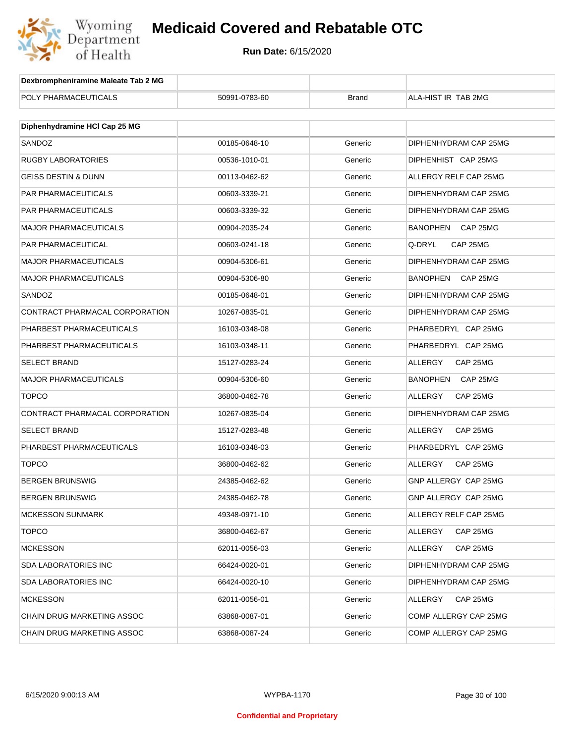

| Dexbrompheniramine Maleate Tab 2 MG |               |              |                       |
|-------------------------------------|---------------|--------------|-----------------------|
| POLY PHARMACEUTICALS                | 50991-0783-60 | <b>Brand</b> | ALA-HIST IR TAB 2MG   |
|                                     |               |              |                       |
| Diphenhydramine HCI Cap 25 MG       |               |              |                       |
| SANDOZ                              | 00185-0648-10 | Generic      | DIPHENHYDRAM CAP 25MG |
| RUGBY LABORATORIES                  | 00536-1010-01 | Generic      | DIPHENHIST CAP 25MG   |
| <b>GEISS DESTIN &amp; DUNN</b>      | 00113-0462-62 | Generic      | ALLERGY RELF CAP 25MG |
| PAR PHARMACEUTICALS                 | 00603-3339-21 | Generic      | DIPHENHYDRAM CAP 25MG |
| PAR PHARMACEUTICALS                 | 00603-3339-32 | Generic      | DIPHENHYDRAM CAP 25MG |
| MAJOR PHARMACEUTICALS               | 00904-2035-24 | Generic      | BANOPHEN<br>CAP 25MG  |
| PAR PHARMACEUTICAL                  | 00603-0241-18 | Generic      | Q-DRYL<br>CAP 25MG    |
| MAJOR PHARMACEUTICALS               | 00904-5306-61 | Generic      | DIPHENHYDRAM CAP 25MG |
| MAJOR PHARMACEUTICALS               | 00904-5306-80 | Generic      | BANOPHEN<br>CAP 25MG  |
| SANDOZ                              | 00185-0648-01 | Generic      | DIPHENHYDRAM CAP 25MG |
| CONTRACT PHARMACAL CORPORATION      | 10267-0835-01 | Generic      | DIPHENHYDRAM CAP 25MG |
| PHARBEST PHARMACEUTICALS            | 16103-0348-08 | Generic      | PHARBEDRYL CAP 25MG   |
| PHARBEST PHARMACEUTICALS            | 16103-0348-11 | Generic      | PHARBEDRYL CAP 25MG   |
| <b>SELECT BRAND</b>                 | 15127-0283-24 | Generic      | ALLERGY<br>CAP 25MG   |
| MAJOR PHARMACEUTICALS               | 00904-5306-60 | Generic      | BANOPHEN<br>CAP 25MG  |
| <b>TOPCO</b>                        | 36800-0462-78 | Generic      | ALLERGY<br>CAP 25MG   |
| CONTRACT PHARMACAL CORPORATION      | 10267-0835-04 | Generic      | DIPHENHYDRAM CAP 25MG |
| SELECT BRAND                        | 15127-0283-48 | Generic      | ALLERGY<br>CAP 25MG   |
| PHARBEST PHARMACEUTICALS            | 16103-0348-03 | Generic      | PHARBEDRYL CAP 25MG   |
| <b>TOPCO</b>                        | 36800-0462-62 | Generic      | ALLERGY<br>CAP 25MG   |
| BERGEN BRUNSWIG                     | 24385-0462-62 | Generic      | GNP ALLERGY CAP 25MG  |
| BERGEN BRUNSWIG                     | 24385-0462-78 | Generic      | GNP ALLERGY CAP 25MG  |
| <b>MCKESSON SUNMARK</b>             | 49348-0971-10 | Generic      | ALLERGY RELF CAP 25MG |
| <b>TOPCO</b>                        | 36800-0462-67 | Generic      | CAP 25MG<br>ALLERGY   |
| <b>MCKESSON</b>                     | 62011-0056-03 | Generic      | CAP 25MG<br>ALLERGY   |
| SDA LABORATORIES INC                | 66424-0020-01 | Generic      | DIPHENHYDRAM CAP 25MG |
| SDA LABORATORIES INC                | 66424-0020-10 | Generic      | DIPHENHYDRAM CAP 25MG |
| <b>MCKESSON</b>                     | 62011-0056-01 | Generic      | CAP 25MG<br>ALLERGY   |
| CHAIN DRUG MARKETING ASSOC          | 63868-0087-01 | Generic      | COMP ALLERGY CAP 25MG |
| CHAIN DRUG MARKETING ASSOC          | 63868-0087-24 | Generic      | COMP ALLERGY CAP 25MG |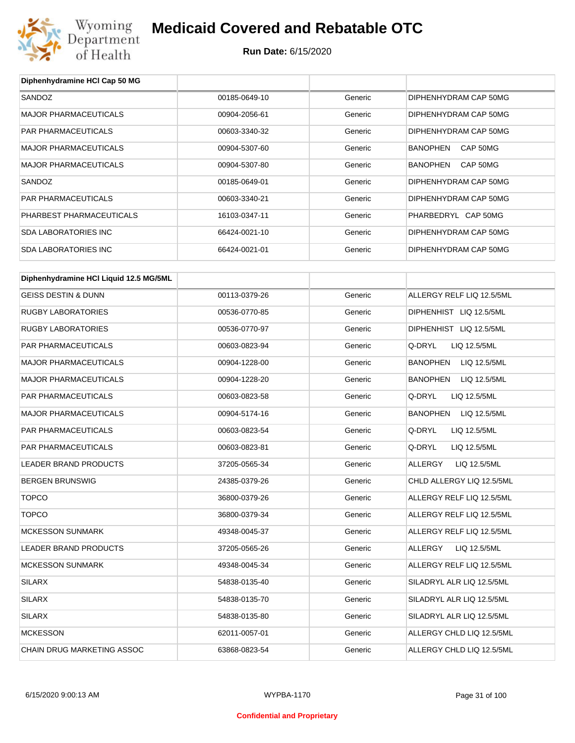

**Diphenhydramine HCl Cap 50 MG**

## **Medicaid Covered and Rebatable OTC**

| SANDOZ                                 | 00185-0649-10 | Generic | DIPHENHYDRAM CAP 50MG     |
|----------------------------------------|---------------|---------|---------------------------|
| MAJOR PHARMACEUTICALS                  | 00904-2056-61 | Generic | DIPHENHYDRAM CAP 50MG     |
| PAR PHARMACEUTICALS                    | 00603-3340-32 | Generic | DIPHENHYDRAM CAP 50MG     |
| MAJOR PHARMACEUTICALS                  | 00904-5307-60 | Generic | CAP 50MG<br>BANOPHEN      |
| <b>MAJOR PHARMACEUTICALS</b>           | 00904-5307-80 | Generic | BANOPHEN<br>CAP 50MG      |
| SANDOZ                                 | 00185-0649-01 | Generic | DIPHENHYDRAM CAP 50MG     |
| PAR PHARMACEUTICALS                    | 00603-3340-21 | Generic | DIPHENHYDRAM CAP 50MG     |
| PHARBEST PHARMACEUTICALS               | 16103-0347-11 | Generic | PHARBEDRYL CAP 50MG       |
| <b>SDA LABORATORIES INC</b>            | 66424-0021-10 | Generic | DIPHENHYDRAM CAP 50MG     |
| <b>SDA LABORATORIES INC</b>            | 66424-0021-01 | Generic | DIPHENHYDRAM CAP 50MG     |
| Diphenhydramine HCI Liquid 12.5 MG/5ML |               |         |                           |
| <b>GEISS DESTIN &amp; DUNN</b>         | 00113-0379-26 | Generic | ALLERGY RELF LIQ 12.5/5ML |
| <b>RUGBY LABORATORIES</b>              | 00536-0770-85 | Generic | DIPHENHIST LIQ 12.5/5ML   |
| <b>RUGBY LABORATORIES</b>              | 00536-0770-97 | Generic | DIPHENHIST LIQ 12.5/5ML   |
| PAR PHARMACEUTICALS                    | 00603-0823-94 | Generic | Q-DRYL<br>LIQ 12.5/5ML    |
| <b>MAJOR PHARMACEUTICALS</b>           | 00904-1228-00 | Generic | BANOPHEN<br>LIQ 12.5/5ML  |
| <b>MAJOR PHARMACEUTICALS</b>           | 00904-1228-20 | Generic | BANOPHEN<br>LIQ 12.5/5ML  |
| PAR PHARMACEUTICALS                    | 00603-0823-58 | Generic | Q-DRYL<br>LIQ 12.5/5ML    |
| <b>MAJOR PHARMACEUTICALS</b>           | 00904-5174-16 | Generic | BANOPHEN<br>LIQ 12.5/5ML  |
| PAR PHARMACEUTICALS                    | 00603-0823-54 | Generic | Q-DRYL<br>LIQ 12.5/5ML    |
| PAR PHARMACEUTICALS                    | 00603-0823-81 | Generic | Q-DRYL<br>LIQ 12.5/5ML    |
| LEADER BRAND PRODUCTS                  | 37205-0565-34 | Generic | ALLERGY<br>LIQ 12.5/5ML   |
| <b>BERGEN BRUNSWIG</b>                 | 24385-0379-26 | Generic | CHLD ALLERGY LIQ 12.5/5ML |
| <b>TOPCO</b>                           | 36800-0379-26 | Generic | ALLERGY RELF LIQ 12.5/5ML |
| <b>TOPCO</b>                           | 36800-0379-34 | Generic | ALLERGY RELF LIQ 12.5/5ML |
| <b>MCKESSON SUNMARK</b>                | 49348-0045-37 | Generic | ALLERGY RELF LIQ 12.5/5ML |
| LEADER BRAND PRODUCTS                  | 37205-0565-26 | Generic | LIQ 12.5/5ML<br>ALLERGY   |
| <b>MCKESSON SUNMARK</b>                | 49348-0045-34 | Generic | ALLERGY RELF LIQ 12.5/5ML |
| <b>SILARX</b>                          | 54838-0135-40 | Generic | SILADRYL ALR LIQ 12.5/5ML |
| <b>SILARX</b>                          | 54838-0135-70 | Generic | SILADRYL ALR LIQ 12.5/5ML |
| <b>SILARX</b>                          | 54838-0135-80 | Generic | SILADRYL ALR LIQ 12.5/5ML |
| <b>MCKESSON</b>                        | 62011-0057-01 | Generic | ALLERGY CHLD LIQ 12.5/5ML |
| CHAIN DRUG MARKETING ASSOC             | 63868-0823-54 | Generic | ALLERGY CHLD LIQ 12.5/5ML |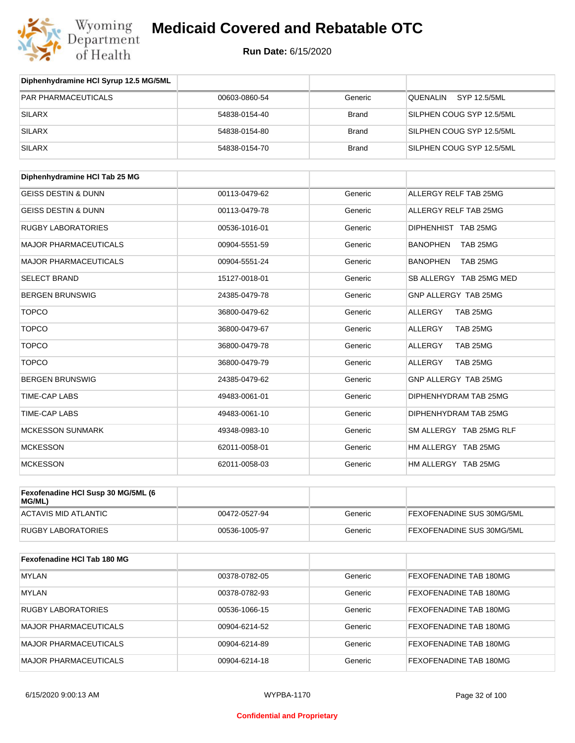

| Diphenhydramine HCI Syrup 12.5 MG/5ML |               |              |                             |
|---------------------------------------|---------------|--------------|-----------------------------|
| <b>PAR PHARMACEUTICALS</b>            | 00603-0860-54 | Generic      | SYP 12.5/5ML<br>QUENALIN    |
| <b>SILARX</b>                         | 54838-0154-40 | <b>Brand</b> | SILPHEN COUG SYP 12.5/5ML   |
| <b>SILARX</b>                         | 54838-0154-80 | <b>Brand</b> | SILPHEN COUG SYP 12.5/5ML   |
| <b>SILARX</b>                         | 54838-0154-70 | <b>Brand</b> | SILPHEN COUG SYP 12.5/5ML   |
| Diphenhydramine HCI Tab 25 MG         |               |              |                             |
| <b>GEISS DESTIN &amp; DUNN</b>        | 00113-0479-62 | Generic      | ALLERGY RELF TAB 25MG       |
| <b>GEISS DESTIN &amp; DUNN</b>        | 00113-0479-78 | Generic      | ALLERGY RELF TAB 25MG       |
| <b>RUGBY LABORATORIES</b>             | 00536-1016-01 | Generic      | DIPHENHIST TAB 25MG         |
| <b>MAJOR PHARMACEUTICALS</b>          | 00904-5551-59 | Generic      | <b>BANOPHEN</b><br>TAB 25MG |
| <b>MAJOR PHARMACEUTICALS</b>          | 00904-5551-24 | Generic      | <b>BANOPHEN</b><br>TAB 25MG |
| <b>SELECT BRAND</b>                   | 15127-0018-01 | Generic      | SB ALLERGY TAB 25MG MED     |
| <b>BERGEN BRUNSWIG</b>                | 24385-0479-78 | Generic      | GNP ALLERGY TAB 25MG        |
| <b>TOPCO</b>                          | 36800-0479-62 | Generic      | TAB 25MG<br><b>ALLERGY</b>  |
| <b>TOPCO</b>                          | 36800-0479-67 | Generic      | TAB 25MG<br><b>ALLERGY</b>  |
| <b>TOPCO</b>                          | 36800-0479-78 | Generic      | TAB 25MG<br>ALLERGY         |
| <b>TOPCO</b>                          | 36800-0479-79 | Generic      | TAB 25MG<br>ALLERGY         |
| <b>BERGEN BRUNSWIG</b>                | 24385-0479-62 | Generic      | GNP ALLERGY TAB 25MG        |
| TIME-CAP LABS                         | 49483-0061-01 | Generic      | DIPHENHYDRAM TAB 25MG       |
| <b>TIME-CAP LABS</b>                  | 49483-0061-10 | Generic      | DIPHENHYDRAM TAB 25MG       |
| <b>MCKESSON SUNMARK</b>               | 49348-0983-10 | Generic      | SM ALLERGY TAB 25MG RLF     |
| <b>MCKESSON</b>                       | 62011-0058-01 | Generic      | HM ALLERGY TAB 25MG         |
| <b>MCKESSON</b>                       | 62011-0058-03 | Generic      | HM ALLERGY TAB 25MG         |
| Fexofenadine HCI Susp 30 MG/5ML (6    |               |              |                             |
| MG/ML)<br><b>ACTAVIS MID ATLANTIC</b> | 00472-0527-94 | Generic      | FEXOFENADINE SUS 30MG/5ML   |
| <b>RUGBY LABORATORIES</b>             | 00536-1005-97 | Generic      | FEXOFENADINE SUS 30MG/5ML   |
|                                       |               |              |                             |
| Fexofenadine HCI Tab 180 MG           |               |              |                             |
| <b>MYLAN</b>                          | 00378-0782-05 | Generic      | FEXOFENADINE TAB 180MG      |
| <b>MYLAN</b>                          | 00378-0782-93 | Generic      | FEXOFENADINE TAB 180MG      |
| <b>RUGBY LABORATORIES</b>             | 00536-1066-15 | Generic      | FEXOFENADINE TAB 180MG      |
| <b>MAJOR PHARMACEUTICALS</b>          | 00904-6214-52 | Generic      | FEXOFENADINE TAB 180MG      |
| <b>MAJOR PHARMACEUTICALS</b>          | 00904-6214-89 | Generic      | FEXOFENADINE TAB 180MG      |
| <b>MAJOR PHARMACEUTICALS</b>          | 00904-6214-18 | Generic      | FEXOFENADINE TAB 180MG      |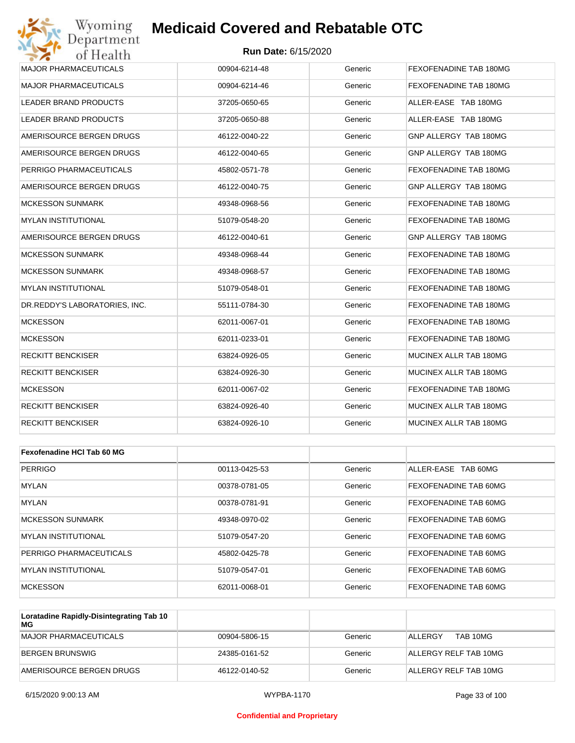#### **Run Date:** 6/15/2020

| Wyoming<br>Department                   | <b>Medicaid Covered and Rebatable OTC</b> |         |                              |  |  |
|-----------------------------------------|-------------------------------------------|---------|------------------------------|--|--|
| <b>Run Date: 6/15/2020</b><br>of Health |                                           |         |                              |  |  |
| <b>MAJOR PHARMACEUTICALS</b>            | 00904-6214-48                             | Generic | FEXOFENADINE TAB 180MG       |  |  |
| <b>MAJOR PHARMACEUTICALS</b>            | 00904-6214-46                             | Generic | FEXOFENADINE TAB 180MG       |  |  |
| <b>LEADER BRAND PRODUCTS</b>            | 37205-0650-65                             | Generic | ALLER-EASE TAB 180MG         |  |  |
| <b>LEADER BRAND PRODUCTS</b>            | 37205-0650-88                             | Generic | ALLER-EASE TAB 180MG         |  |  |
| AMERISOURCE BERGEN DRUGS                | 46122-0040-22                             | Generic | GNP ALLERGY TAB 180MG        |  |  |
| AMERISOURCE BERGEN DRUGS                | 46122-0040-65                             | Generic | GNP ALLERGY TAB 180MG        |  |  |
| PERRIGO PHARMACEUTICALS                 | 45802-0571-78                             | Generic | FEXOFENADINE TAB 180MG       |  |  |
| AMERISOURCE BERGEN DRUGS                | 46122-0040-75                             | Generic | GNP ALLERGY TAB 180MG        |  |  |
| <b>MCKESSON SUNMARK</b>                 | 49348-0968-56                             | Generic | FEXOFENADINE TAB 180MG       |  |  |
| <b>MYLAN INSTITUTIONAL</b>              | 51079-0548-20                             | Generic | FEXOFENADINE TAB 180MG       |  |  |
| AMERISOURCE BERGEN DRUGS                | 46122-0040-61                             | Generic | GNP ALLERGY TAB 180MG        |  |  |
| <b>MCKESSON SUNMARK</b>                 | 49348-0968-44                             | Generic | FEXOFENADINE TAB 180MG       |  |  |
| <b>MCKESSON SUNMARK</b>                 | 49348-0968-57                             | Generic | FEXOFENADINE TAB 180MG       |  |  |
| <b>MYLAN INSTITUTIONAL</b>              | 51079-0548-01                             | Generic | FEXOFENADINE TAB 180MG       |  |  |
| DR.REDDY'S LABORATORIES, INC.           | 55111-0784-30                             | Generic | FEXOFENADINE TAB 180MG       |  |  |
| <b>MCKESSON</b>                         | 62011-0067-01                             | Generic | FEXOFENADINE TAB 180MG       |  |  |
| <b>MCKESSON</b>                         | 62011-0233-01                             | Generic | FEXOFENADINE TAB 180MG       |  |  |
| <b>RECKITT BENCKISER</b>                | 63824-0926-05                             | Generic | MUCINEX ALLR TAB 180MG       |  |  |
| RECKITT BENCKISER                       | 63824-0926-30                             | Generic | MUCINEX ALLR TAB 180MG       |  |  |
| <b>MCKESSON</b>                         | 62011-0067-02                             | Generic | FEXOFENADINE TAB 180MG       |  |  |
| RECKITT BENCKISER                       | 63824-0926-40                             | Generic | MUCINEX ALLR TAB 180MG       |  |  |
| <b>RECKITT BENCKISER</b>                | 63824-0926-10                             | Generic | MUCINEX ALLR TAB 180MG       |  |  |
|                                         |                                           |         |                              |  |  |
| <b>Fexofenadine HCI Tab 60 MG</b>       |                                           |         |                              |  |  |
| <b>PERRIGO</b>                          | 00113-0425-53                             | Generic | ALLER-EASE TAB 60MG          |  |  |
| MYLAN                                   | 00378-0781-05                             | Generic | <b>FEXOFENADINE TAB 60MG</b> |  |  |

| $1.11$ LAI                     | <u>uuaro-uro i-ua</u> | <b>UCHCIL</b> | I LAVI LIJADIIJE TAD UVIJIJ |
|--------------------------------|-----------------------|---------------|-----------------------------|
| MYLAN                          | 00378-0781-91         | Generic       | FEXOFENADINE TAB 60MG       |
| MCKESSON SUNMARK               | 49348-0970-02         | Generic       | FEXOFENADINE TAB 60MG       |
| <b>MYLAN INSTITUTIONAL</b>     | 51079-0547-20         | Generic       | FEXOFENADINE TAB 60MG       |
| <b>PERRIGO PHARMACEUTICALS</b> | 45802-0425-78         | Generic       | FEXOFENADINE TAB 60MG       |
| MYLAN INSTITUTIONAL            | 51079-0547-01         | Generic       | FEXOFENADINE TAB 60MG       |
| <b>MCKESSON</b>                | 62011-0068-01         | Generic       | FEXOFENADINE TAB 60MG       |

| Loratadine Rapidly-Disintegrating Tab 10<br>MG |               |         |                       |
|------------------------------------------------|---------------|---------|-----------------------|
| MAJOR PHARMACEUTICALS                          | 00904-5806-15 | Generic | TAB 10MG<br>ALLERGY   |
| BERGEN BRUNSWIG                                | 24385-0161-52 | Generic | ALLERGY RELF TAB 10MG |
| AMERISOURCE BERGEN DRUGS                       | 46122-0140-52 | Generic | ALLERGY RELF TAB 10MG |

#### **Confidential and Proprietary**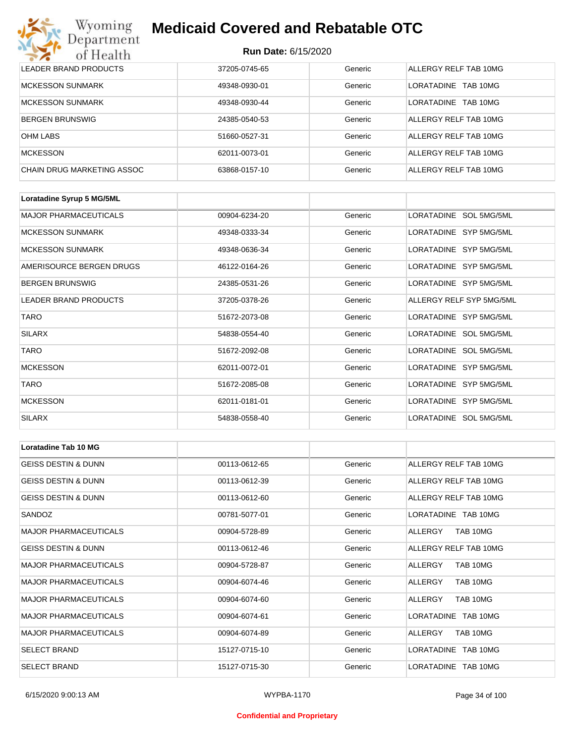# Wyoming<br>Department<br>of Health

## **Medicaid Covered and Rebatable OTC**

| LEADER BRAND PRODUCTS      | 37205-0745-65 | Generic | ALLERGY RELF TAB 10MG |
|----------------------------|---------------|---------|-----------------------|
| MCKESSON SUNMARK           | 49348-0930-01 | Generic | LORATADINE TAB 10MG   |
| MCKESSON SUNMARK           | 49348-0930-44 | Generic | LORATADINE TAB 10MG   |
| <b>BERGEN BRUNSWIG</b>     | 24385-0540-53 | Generic | ALLERGY RELF TAB 10MG |
| OHM LABS                   | 51660-0527-31 | Generic | ALLERGY RELF TAB 10MG |
| <b>MCKESSON</b>            | 62011-0073-01 | Generic | ALLERGY RELF TAB 10MG |
| CHAIN DRUG MARKETING ASSOC | 63868-0157-10 | Generic | ALLERGY RELF TAB 10MG |

| Loratadine Syrup 5 MG/5ML    |               |         |                          |
|------------------------------|---------------|---------|--------------------------|
| <b>MAJOR PHARMACEUTICALS</b> | 00904-6234-20 | Generic | LORATADINE SOL 5MG/5ML   |
| <b>MCKESSON SUNMARK</b>      | 49348-0333-34 | Generic | LORATADINE SYP 5MG/5ML   |
| <b>MCKESSON SUNMARK</b>      | 49348-0636-34 | Generic | LORATADINE SYP 5MG/5ML   |
| AMERISOURCE BERGEN DRUGS     | 46122-0164-26 | Generic | LORATADINE SYP 5MG/5ML   |
| <b>BERGEN BRUNSWIG</b>       | 24385-0531-26 | Generic | LORATADINE SYP 5MG/5ML   |
| <b>LEADER BRAND PRODUCTS</b> | 37205-0378-26 | Generic | ALLERGY RELF SYP 5MG/5ML |
| <b>TARO</b>                  | 51672-2073-08 | Generic | LORATADINE SYP 5MG/5ML   |
| <b>SILARX</b>                | 54838-0554-40 | Generic | LORATADINE SOL 5MG/5ML   |
| <b>TARO</b>                  | 51672-2092-08 | Generic | LORATADINE SOL 5MG/5ML   |
| <b>MCKESSON</b>              | 62011-0072-01 | Generic | LORATADINE SYP 5MG/5ML   |
| <b>TARO</b>                  | 51672-2085-08 | Generic | LORATADINE SYP 5MG/5ML   |
| <b>MCKESSON</b>              | 62011-0181-01 | Generic | LORATADINE SYP 5MG/5ML   |
| <b>SILARX</b>                | 54838-0558-40 | Generic | LORATADINE SOL 5MG/5ML   |

| <b>Loratadine Tab 10 MG</b>    |               |         |                               |
|--------------------------------|---------------|---------|-------------------------------|
| <b>GEISS DESTIN &amp; DUNN</b> | 00113-0612-65 | Generic | ALLERGY RELF TAB 10MG         |
| <b>GEISS DESTIN &amp; DUNN</b> | 00113-0612-39 | Generic | ALLERGY RELF TAB 10MG         |
| <b>GEISS DESTIN &amp; DUNN</b> | 00113-0612-60 | Generic | ALLERGY RELF TAB 10MG         |
| SANDOZ                         | 00781-5077-01 | Generic | LORATADINE TAB 10MG           |
| <b>MAJOR PHARMACEUTICALS</b>   | 00904-5728-89 | Generic | TAB 10MG<br>ALLERGY           |
| <b>GEISS DESTIN &amp; DUNN</b> | 00113-0612-46 | Generic | ALLERGY RELF TAB 10MG         |
| <b>MAJOR PHARMACEUTICALS</b>   | 00904-5728-87 | Generic | ALLERGY<br>TAB 10MG           |
| <b>MAJOR PHARMACEUTICALS</b>   | 00904-6074-46 | Generic | TAB 10MG<br>ALLERGY           |
| <b>MAJOR PHARMACEUTICALS</b>   | 00904-6074-60 | Generic | TAB 10MG<br>ALLERGY           |
| <b>MAJOR PHARMACEUTICALS</b>   | 00904-6074-61 | Generic | LORATADINE TAB 10MG           |
| <b>MAJOR PHARMACEUTICALS</b>   | 00904-6074-89 | Generic | TAB 10MG<br>ALLERGY           |
| <b>SELECT BRAND</b>            | 15127-0715-10 | Generic | LORATADINE TAB 10MG           |
| <b>SELECT BRAND</b>            | 15127-0715-30 | Generic | <b>LORATADINE</b><br>TAB 10MG |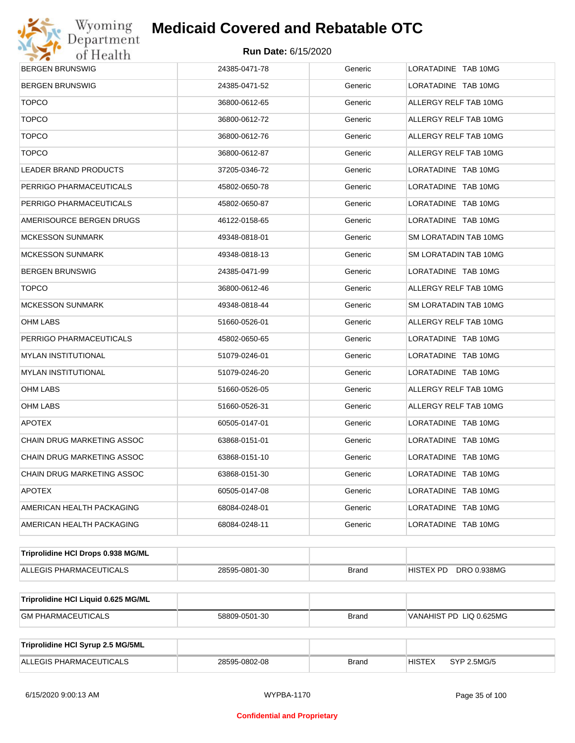

| <b>BERGEN BRUNSWIG</b>              | 24385-0471-78 | Generic      | LORATADINE TAB 10MG          |  |  |
|-------------------------------------|---------------|--------------|------------------------------|--|--|
| BERGEN BRUNSWIG                     | 24385-0471-52 | Generic      | LORATADINE TAB 10MG          |  |  |
| <b>TOPCO</b>                        | 36800-0612-65 | Generic      | ALLERGY RELF TAB 10MG        |  |  |
| <b>TOPCO</b>                        | 36800-0612-72 | Generic      | ALLERGY RELF TAB 10MG        |  |  |
| <b>TOPCO</b>                        | 36800-0612-76 | Generic      | ALLERGY RELF TAB 10MG        |  |  |
| <b>TOPCO</b>                        | 36800-0612-87 | Generic      | ALLERGY RELF TAB 10MG        |  |  |
| LEADER BRAND PRODUCTS               | 37205-0346-72 | Generic      | LORATADINE TAB 10MG          |  |  |
| PERRIGO PHARMACEUTICALS             | 45802-0650-78 | Generic      | LORATADINE TAB 10MG          |  |  |
| PERRIGO PHARMACEUTICALS             | 45802-0650-87 | Generic      | LORATADINE TAB 10MG          |  |  |
| AMERISOURCE BERGEN DRUGS            | 46122-0158-65 | Generic      | LORATADINE TAB 10MG          |  |  |
| MCKESSON SUNMARK                    | 49348-0818-01 | Generic      | SM LORATADIN TAB 10MG        |  |  |
| MCKESSON SUNMARK                    | 49348-0818-13 | Generic      | SM LORATADIN TAB 10MG        |  |  |
| BERGEN BRUNSWIG                     | 24385-0471-99 | Generic      | LORATADINE TAB 10MG          |  |  |
| <b>TOPCO</b>                        | 36800-0612-46 | Generic      | ALLERGY RELF TAB 10MG        |  |  |
| <b>MCKESSON SUNMARK</b>             | 49348-0818-44 | Generic      | SM LORATADIN TAB 10MG        |  |  |
| OHM LABS                            | 51660-0526-01 | Generic      | ALLERGY RELF TAB 10MG        |  |  |
| PERRIGO PHARMACEUTICALS             | 45802-0650-65 | Generic      | LORATADINE TAB 10MG          |  |  |
| MYLAN INSTITUTIONAL                 | 51079-0246-01 | Generic      | LORATADINE TAB 10MG          |  |  |
| MYLAN INSTITUTIONAL                 | 51079-0246-20 | Generic      | LORATADINE TAB 10MG          |  |  |
| OHM LABS                            | 51660-0526-05 | Generic      | ALLERGY RELF TAB 10MG        |  |  |
| OHM LABS                            | 51660-0526-31 | Generic      | ALLERGY RELF TAB 10MG        |  |  |
| <b>APOTEX</b>                       | 60505-0147-01 | Generic      | LORATADINE TAB 10MG          |  |  |
| CHAIN DRUG MARKETING ASSOC          | 63868-0151-01 | Generic      | LORATADINE TAB 10MG          |  |  |
| CHAIN DRUG MARKETING ASSOC          | 63868-0151-10 | Generic      | LORATADINE TAB 10MG          |  |  |
| CHAIN DRUG MARKETING ASSOC          | 63868-0151-30 | Generic      | LORATADINE TAB 10MG          |  |  |
| <b>APOTEX</b>                       | 60505-0147-08 | Generic      | LORATADINE TAB 10MG          |  |  |
| AMERICAN HEALTH PACKAGING           | 68084-0248-01 | Generic      | LORATADINE TAB 10MG          |  |  |
| AMERICAN HEALTH PACKAGING           | 68084-0248-11 | Generic      | LORATADINE TAB 10MG          |  |  |
| Triprolidine HCI Drops 0.938 MG/ML  |               |              |                              |  |  |
| ALLEGIS PHARMACEUTICALS             | 28595-0801-30 | <b>Brand</b> | DRO 0.938MG<br>HISTEX PD     |  |  |
| Triprolidine HCI Liquid 0.625 MG/ML |               |              |                              |  |  |
| <b>GM PHARMACEUTICALS</b>           | 58809-0501-30 | <b>Brand</b> | VANAHIST PD LIQ 0.625MG      |  |  |
|                                     |               |              |                              |  |  |
| Triprolidine HCI Syrup 2.5 MG/5ML   |               |              |                              |  |  |
| ALLEGIS PHARMACEUTICALS             | 28595-0802-08 | <b>Brand</b> | <b>HISTEX</b><br>SYP 2.5MG/5 |  |  |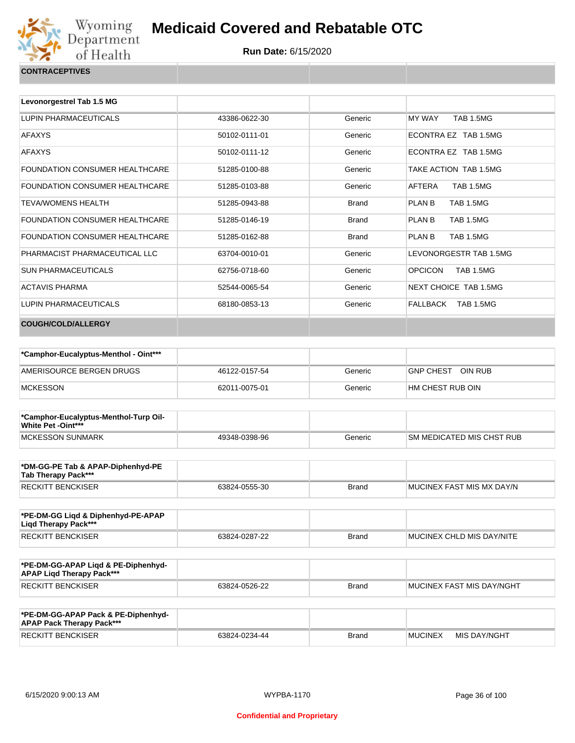

| Levonorgestrel Tab 1.5 MG      |               |              |                                    |
|--------------------------------|---------------|--------------|------------------------------------|
| LUPIN PHARMACEUTICALS          | 43386-0622-30 | Generic      | MY WAY<br><b>TAB 1.5MG</b>         |
| <b>AFAXYS</b>                  | 50102-0111-01 | Generic      | ECONTRA EZ TAB 1.5MG               |
| <b>AFAXYS</b>                  | 50102-0111-12 | Generic      | FCONTRA FZ TAB 1.5MG               |
| FOUNDATION CONSUMER HEALTHCARE | 51285-0100-88 | Generic      | TAKE ACTION TAB 1.5MG              |
| FOUNDATION CONSUMER HEALTHCARE | 51285-0103-88 | Generic      | AFTERA<br><b>TAB 1.5MG</b>         |
| <b>TEVA/WOMENS HEALTH</b>      | 51285-0943-88 | <b>Brand</b> | PLAN B<br><b>TAB 1.5MG</b>         |
| FOUNDATION CONSUMER HEALTHCARE | 51285-0146-19 | <b>Brand</b> | PLAN B<br><b>TAB 1.5MG</b>         |
| FOUNDATION CONSUMER HEALTHCARE | 51285-0162-88 | <b>Brand</b> | PLAN B<br><b>TAB 1.5MG</b>         |
| PHARMACIST PHARMACEUTICAL LLC  | 63704-0010-01 | Generic      | LEVONORGESTR TAB 1.5MG             |
| <b>SUN PHARMACEUTICALS</b>     | 62756-0718-60 | Generic      | <b>OPCICON</b><br><b>TAB 1.5MG</b> |
| <b>ACTAVIS PHARMA</b>          | 52544-0065-54 | Generic      | NEXT CHOICE TAB 1.5MG              |
| <b>LUPIN PHARMACEUTICALS</b>   | 68180-0853-13 | Generic      | FALLBACK<br>TAB 1.5MG              |
| <b>COUGH/COLD/ALLERGY</b>      |               |              |                                    |

| *Camphor-Eucalyptus-Menthol - Oint*** |               |         |                   |
|---------------------------------------|---------------|---------|-------------------|
| AMERISOURCE BERGEN DRUGS              | 46122-0157-54 | Generic | GNP CHEST OIN RUB |
| <b>IMCKESSON</b>                      | 62011-0075-01 | Generic | HM CHEST RUB OIN  |

| *Camphor-Eucalyptus-Menthol-Turp Oil-<br><b>White Pet -Oint***</b> |               |         |                                   |
|--------------------------------------------------------------------|---------------|---------|-----------------------------------|
| MCKESSON SUNMARK                                                   | 49348-0398-96 | Generic | <b>ISM MEDICATED MIS CHST RUB</b> |

| *DM-GG-PE Tab & APAP-Diphenhyd-PE<br>Tab Therapy Pack*** |               |       |                           |
|----------------------------------------------------------|---------------|-------|---------------------------|
| <b>RECKITT BENCKISER</b>                                 | 63824-0555-30 | Brand | MUCINEX FAST MIS MX DAY/N |

| *PE-DM-GG Ligd & Diphenhyd-PE-APAP<br>Ligd Therapy Pack*** |               |       |                           |
|------------------------------------------------------------|---------------|-------|---------------------------|
| RECKITT BENCKISER                                          | 63824-0287-22 | Brand | MUCINEX CHLD MIS DAY/NITE |

| *PE-DM-GG-APAP Ligd & PE-Diphenhyd-<br><b>APAP Ligd Therapy Pack***</b> |               |       |                             |
|-------------------------------------------------------------------------|---------------|-------|-----------------------------|
| RECKITT BENCKISER                                                       | 63824-0526-22 | Brand | I MUCINEX FAST MIS DAY/NGHT |

| *PE-DM-GG-APAP Pack & PE-Diphenhyd-<br><b>APAP Pack Therapy Pack***</b> |               |              |                |              |
|-------------------------------------------------------------------------|---------------|--------------|----------------|--------------|
| <b>RECKITT BENCKISER</b>                                                | 63824-0234-44 | <b>Brand</b> | <b>MUCINEX</b> | MIS DAY/NGHT |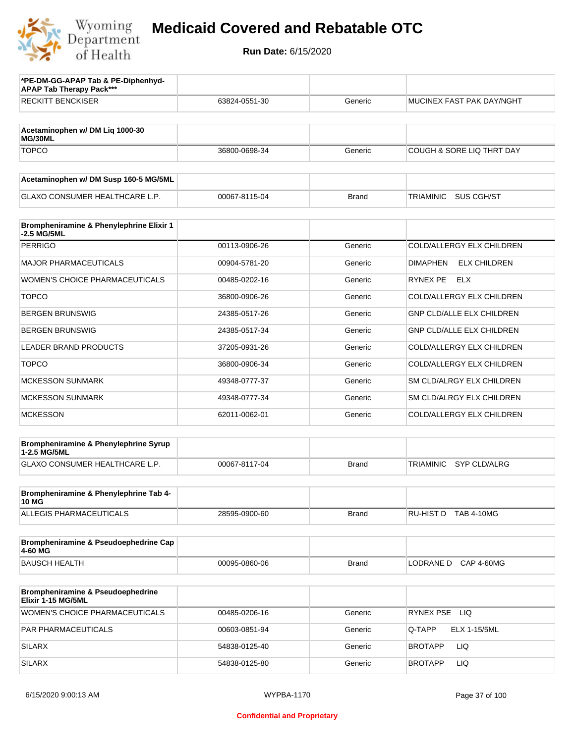

| *PE-DM-GG-APAP Tab & PE-Diphenhyd-<br><b>APAP Tab Therapy Pack***</b> |               |              |                                         |
|-----------------------------------------------------------------------|---------------|--------------|-----------------------------------------|
| <b>RECKITT BENCKISER</b>                                              | 63824-0551-30 | Generic      | MUCINEX FAST PAK DAY/NGHT               |
| Acetaminophen w/ DM Liq 1000-30<br>MG/30ML                            |               |              |                                         |
| <b>TOPCO</b>                                                          | 36800-0698-34 | Generic      | <b>COUGH &amp; SORE LIQ THRT DAY</b>    |
| Acetaminophen w/ DM Susp 160-5 MG/5ML                                 |               |              |                                         |
| <b>GLAXO CONSUMER HEALTHCARE L.P.</b>                                 | 00067-8115-04 | <b>Brand</b> | TRIAMINIC<br>SUS CGH/ST                 |
| Brompheniramine & Phenylephrine Elixir 1<br>-2.5 MG/5ML               |               |              |                                         |
| <b>PERRIGO</b>                                                        | 00113-0906-26 | Generic      | COLD/ALLERGY ELX CHILDREN               |
| <b>MAJOR PHARMACEUTICALS</b>                                          | 00904-5781-20 | Generic      | <b>ELX CHILDREN</b><br><b>DIMAPHEN</b>  |
| WOMEN'S CHOICE PHARMACEUTICALS                                        | 00485-0202-16 | Generic      | RYNEX PE<br><b>ELX</b>                  |
| <b>TOPCO</b>                                                          | 36800-0906-26 | Generic      | COLD/ALLERGY ELX CHILDREN               |
| <b>BERGEN BRUNSWIG</b>                                                | 24385-0517-26 | Generic      | <b>GNP CLD/ALLE ELX CHILDREN</b>        |
| <b>BERGEN BRUNSWIG</b>                                                | 24385-0517-34 | Generic      | <b>GNP CLD/ALLE ELX CHILDREN</b>        |
| <b>LEADER BRAND PRODUCTS</b>                                          | 37205-0931-26 | Generic      | COLD/ALLERGY ELX CHILDREN               |
| <b>TOPCO</b>                                                          | 36800-0906-34 | Generic      | COLD/ALLERGY ELX CHILDREN               |
| <b>MCKESSON SUNMARK</b>                                               | 49348-0777-37 | Generic      | SM CLD/ALRGY ELX CHILDREN               |
| <b>MCKESSON SUNMARK</b>                                               | 49348-0777-34 | Generic      | SM CLD/ALRGY ELX CHILDREN               |
| <b>MCKESSON</b>                                                       | 62011-0062-01 | Generic      | COLD/ALLERGY ELX CHILDREN               |
| Brompheniramine & Phenylephrine Syrup<br>1-2.5 MG/5ML                 |               |              |                                         |
| GLAXO CONSUMER HEALTHCARE L.P.                                        | 00067-8117-04 | <b>Brand</b> | <b>TRIAMINIC</b><br><b>SYP CLD/ALRG</b> |
| Brompheniramine & Phenylephrine Tab 4-<br><b>10 MG</b>                |               |              |                                         |
| ALLEGIS PHARMACEUTICALS                                               | 28595-0900-60 | <b>Brand</b> | RU-HIST D TAB 4-10MG                    |
| Brompheniramine & Pseudoephedrine Cap<br>4-60 MG                      |               |              |                                         |
| <b>BAUSCH HEALTH</b>                                                  | 00095-0860-06 | <b>Brand</b> | LODRANE D CAP 4-60MG                    |
| Brompheniramine & Pseudoephedrine<br>Elixir 1-15 MG/5ML               |               |              |                                         |
| <b>WOMEN'S CHOICE PHARMACEUTICALS</b>                                 | 00485-0206-16 | Generic      | RYNEX PSE LIQ                           |
| PAR PHARMACEUTICALS                                                   | 00603-0851-94 | Generic      | Q-TAPP<br>ELX 1-15/5ML                  |
| <b>SILARX</b>                                                         | 54838-0125-40 | Generic      | LIQ<br>BROTAPP                          |
| <b>SILARX</b>                                                         | 54838-0125-80 | Generic      | LIQ<br>BROTAPP                          |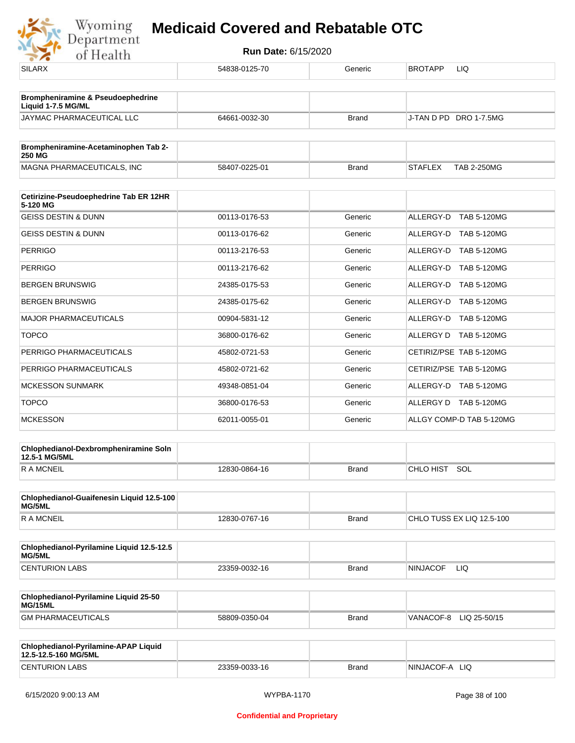

| .                                                            |               |              |                                      |
|--------------------------------------------------------------|---------------|--------------|--------------------------------------|
| <b>SILARX</b>                                                | 54838-0125-70 | Generic      | <b>BROTAPP</b><br>LIQ                |
| Brompheniramine & Pseudoephedrine<br>Liquid 1-7.5 MG/ML      |               |              |                                      |
| JAYMAC PHARMACEUTICAL LLC                                    | 64661-0032-30 | <b>Brand</b> | J-TAN D PD DRO 1-7.5MG               |
| Brompheniramine-Acetaminophen Tab 2-<br>250 MG               |               |              |                                      |
| MAGNA PHARMACEUTICALS, INC                                   | 58407-0225-01 | <b>Brand</b> | <b>TAB 2-250MG</b><br><b>STAFLEX</b> |
| Cetirizine-Pseudoephedrine Tab ER 12HR                       |               |              |                                      |
| 5-120 MG<br><b>GEISS DESTIN &amp; DUNN</b>                   | 00113-0176-53 | Generic      | ALLERGY-D TAB 5-120MG                |
| <b>GEISS DESTIN &amp; DUNN</b>                               | 00113-0176-62 | Generic      | ALLERGY-D TAB 5-120MG                |
| <b>PERRIGO</b>                                               | 00113-2176-53 | Generic      | ALLERGY-D TAB 5-120MG                |
| <b>PERRIGO</b>                                               | 00113-2176-62 | Generic      | ALLERGY-D TAB 5-120MG                |
| <b>BERGEN BRUNSWIG</b>                                       | 24385-0175-53 | Generic      | ALLERGY-D TAB 5-120MG                |
| <b>BERGEN BRUNSWIG</b>                                       | 24385-0175-62 | Generic      | ALLERGY-D TAB 5-120MG                |
| <b>MAJOR PHARMACEUTICALS</b>                                 | 00904-5831-12 | Generic      | ALLERGY-D TAB 5-120MG                |
| <b>TOPCO</b>                                                 | 36800-0176-62 | Generic      | ALLERGY D TAB 5-120MG                |
| PERRIGO PHARMACEUTICALS                                      | 45802-0721-53 | Generic      | CETIRIZ/PSE TAB 5-120MG              |
| PERRIGO PHARMACEUTICALS                                      | 45802-0721-62 | Generic      | CETIRIZ/PSE TAB 5-120MG              |
| <b>MCKESSON SUNMARK</b>                                      | 49348-0851-04 | Generic      | ALLERGY-D TAB 5-120MG                |
| <b>TOPCO</b>                                                 | 36800-0176-53 | Generic      | ALLERGY D TAB 5-120MG                |
| <b>MCKESSON</b>                                              | 62011-0055-01 | Generic      | ALLGY COMP-D TAB 5-120MG             |
|                                                              |               |              |                                      |
| Chlophedianol-Dexbrompheniramine Soln<br>12.5-1 MG/5ML       |               |              |                                      |
| <b>RAMCNEIL</b>                                              | 12830-0864-16 | <b>Brand</b> | CHLO HIST SOL                        |
| Chlophedianol-Guaifenesin Liquid 12.5-100<br>MG/5ML          |               |              |                                      |
| <b>RAMCNEIL</b>                                              | 12830-0767-16 | <b>Brand</b> | CHLO TUSS EX LIQ 12.5-100            |
| Chlophedianol-Pyrilamine Liquid 12.5-12.5<br>MG/5ML          |               |              |                                      |
| <b>CENTURION LABS</b>                                        | 23359-0032-16 | <b>Brand</b> | <b>NINJACOF</b><br>LIQ               |
| Chlophedianol-Pyrilamine Liquid 25-50<br>MG/15ML             |               |              |                                      |
| <b>GM PHARMACEUTICALS</b>                                    | 58809-0350-04 | <b>Brand</b> | VANACOF-8 LIQ 25-50/15               |
| Chlophedianol-Pyrilamine-APAP Liquid<br>12.5-12.5-160 MG/5ML |               |              |                                      |
| <b>CENTURION LABS</b>                                        | 23359-0033-16 | <b>Brand</b> | NINJACOF-A LIQ                       |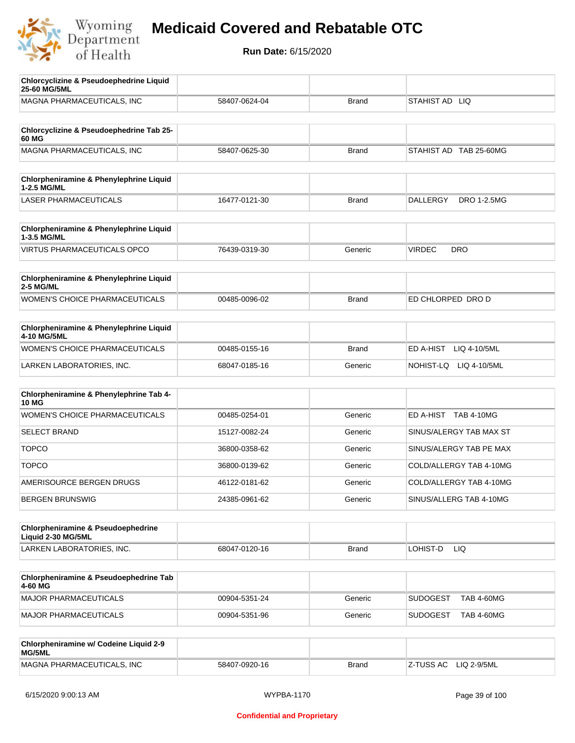

| <b>Chlorcyclizine &amp; Pseudoephedrine Liquid</b><br>25-60 MG/5ML  |               |              |                                       |
|---------------------------------------------------------------------|---------------|--------------|---------------------------------------|
| MAGNA PHARMACEUTICALS, INC                                          | 58407-0624-04 | <b>Brand</b> | STAHIST AD LIQ                        |
| Chlorcyclizine & Pseudoephedrine Tab 25-<br>60 MG                   |               |              |                                       |
| MAGNA PHARMACEUTICALS, INC                                          | 58407-0625-30 | <b>Brand</b> | STAHIST AD TAB 25-60MG                |
| Chlorpheniramine & Phenylephrine Liquid<br>1-2.5 MG/ML              |               |              |                                       |
| <b>LASER PHARMACEUTICALS</b>                                        | 16477-0121-30 | <b>Brand</b> | <b>DALLERGY</b><br><b>DRO 1-2.5MG</b> |
| Chlorpheniramine & Phenylephrine Liquid<br>1-3.5 MG/ML              |               |              |                                       |
| <b>VIRTUS PHARMACEUTICALS OPCO</b>                                  | 76439-0319-30 | Generic      | <b>VIRDEC</b><br><b>DRO</b>           |
| Chlorpheniramine & Phenylephrine Liquid<br>2-5 MG/ML                |               |              |                                       |
| <b>WOMEN'S CHOICE PHARMACEUTICALS</b>                               | 00485-0096-02 | <b>Brand</b> | ED CHLORPED DRO D                     |
| <b>Chlorpheniramine &amp; Phenylephrine Liquid</b><br>4-10 MG/5ML   |               |              |                                       |
| WOMEN'S CHOICE PHARMACEUTICALS                                      | 00485-0155-16 | <b>Brand</b> | ED A-HIST<br>LIQ 4-10/5ML             |
| LARKEN LABORATORIES, INC.                                           | 68047-0185-16 | Generic      | NOHIST-LQ LIQ 4-10/5ML                |
| Chlorpheniramine & Phenylephrine Tab 4-<br><b>10 MG</b>             |               |              |                                       |
| <b>WOMEN'S CHOICE PHARMACEUTICALS</b>                               | 00485-0254-01 | Generic      | ED A-HIST TAB 4-10MG                  |
| <b>SELECT BRAND</b>                                                 | 15127-0082-24 | Generic      | SINUS/ALERGY TAB MAX ST               |
| <b>TOPCO</b>                                                        | 36800-0358-62 | Generic      | SINUS/ALERGY TAB PE MAX               |
| <b>TOPCO</b>                                                        | 36800-0139-62 | Generic      | COLD/ALLERGY TAB 4-10MG               |
| AMERISOURCE BERGEN DRUGS                                            | 46122-0181-62 | Generic      | COLD/ALLERGY TAB 4-10MG               |
| <b>BERGEN BRUNSWIG</b>                                              | 24385-0961-62 | Generic      | SINUS/ALLERG TAB 4-10MG               |
| <b>Chlorpheniramine &amp; Pseudoephedrine</b><br>Liquid 2-30 MG/5ML |               |              |                                       |
| LARKEN LABORATORIES, INC.                                           | 68047-0120-16 | <b>Brand</b> | LOHIST-D<br>LIQ                       |
| Chlorpheniramine & Pseudoephedrine Tab<br>4-60 MG                   |               |              |                                       |
| <b>MAJOR PHARMACEUTICALS</b>                                        | 00904-5351-24 | Generic      | <b>SUDOGEST</b><br><b>TAB 4-60MG</b>  |
| <b>MAJOR PHARMACEUTICALS</b>                                        | 00904-5351-96 | Generic      | <b>SUDOGEST</b><br><b>TAB 4-60MG</b>  |
| Chlorpheniramine w/ Codeine Liquid 2-9<br>MG/5ML                    |               |              |                                       |
| MAGNA PHARMACEUTICALS, INC                                          | 58407-0920-16 | <b>Brand</b> | Z-TUSS AC<br>LIQ 2-9/5ML              |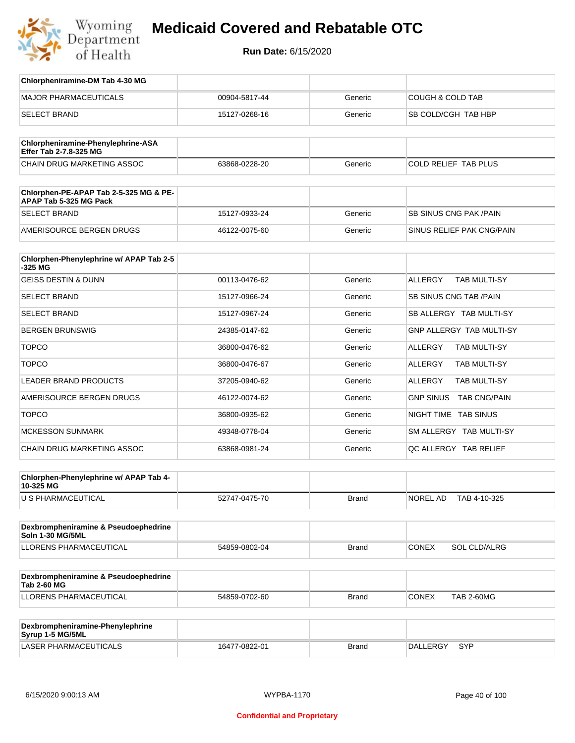

# **Medicaid Covered and Rebatable OTC**

**Run Date:** 6/15/2020

| Chlorpheniramine-DM Tab 4-30 MG                                  |               |              |                                       |
|------------------------------------------------------------------|---------------|--------------|---------------------------------------|
| <b>MAJOR PHARMACEUTICALS</b>                                     | 00904-5817-44 | Generic      | <b>COUGH &amp; COLD TAB</b>           |
| <b>SELECT BRAND</b>                                              | 15127-0268-16 | Generic      | SB COLD/CGH TAB HBP                   |
|                                                                  |               |              |                                       |
| Chlorpheniramine-Phenylephrine-ASA<br>Effer Tab 2-7.8-325 MG     |               |              |                                       |
| CHAIN DRUG MARKETING ASSOC                                       | 63868-0228-20 | Generic      | COLD RELIEF TAB PLUS                  |
| Chlorphen-PE-APAP Tab 2-5-325 MG & PE-<br>APAP Tab 5-325 MG Pack |               |              |                                       |
| <b>SELECT BRAND</b>                                              | 15127-0933-24 | Generic      | SB SINUS CNG PAK / PAIN               |
| AMERISOURCE BERGEN DRUGS                                         | 46122-0075-60 | Generic      | SINUS RELIEF PAK CNG/PAIN             |
| Chlorphen-Phenylephrine w/ APAP Tab 2-5<br>$-325$ MG             |               |              |                                       |
| <b>GEISS DESTIN &amp; DUNN</b>                                   | 00113-0476-62 | Generic      | <b>ALLERGY</b><br><b>TAB MULTI-SY</b> |
| <b>SELECT BRAND</b>                                              | 15127-0966-24 | Generic      | SB SINUS CNG TAB / PAIN               |
| <b>SELECT BRAND</b>                                              | 15127-0967-24 | Generic      | SB ALLERGY TAB MULTI-SY               |
| <b>BERGEN BRUNSWIG</b>                                           | 24385-0147-62 | Generic      | <b>GNP ALLERGY TAB MULTI-SY</b>       |
| <b>TOPCO</b>                                                     | 36800-0476-62 | Generic      | <b>ALLERGY</b><br>TAB MULTI-SY        |
| <b>TOPCO</b>                                                     | 36800-0476-67 | Generic      | ALLERGY<br>TAB MULTI-SY               |
| <b>LEADER BRAND PRODUCTS</b>                                     | 37205-0940-62 | Generic      | <b>ALLERGY</b><br>TAB MULTI-SY        |
| AMERISOURCE BERGEN DRUGS                                         | 46122-0074-62 | Generic      | GNP SINUS TAB CNG/PAIN                |
| <b>TOPCO</b>                                                     | 36800-0935-62 | Generic      | NIGHT TIME TAB SINUS                  |
| <b>MCKESSON SUNMARK</b>                                          | 49348-0778-04 | Generic      | SM ALLERGY TAB MULTI-SY               |
| CHAIN DRUG MARKETING ASSOC                                       | 63868-0981-24 | Generic      | QC ALLERGY TAB RELIEF                 |
| Chlorphen-Phenylephrine w/ APAP Tab 4-<br>10-325 MG              |               |              |                                       |
| U S PHARMACEUTICAL                                               | 52747-0475-70 | <b>Brand</b> | NOREL AD<br>TAB 4-10-325              |
|                                                                  |               |              |                                       |
| Dexbrompheniramine & Pseudoephedrine<br>Soln 1-30 MG/5ML         |               |              |                                       |
| LLORENS PHARMACEUTICAL                                           | 54859-0802-04 | <b>Brand</b> | <b>CONEX</b><br><b>SOL CLD/ALRG</b>   |
| Dexbrompheniramine & Pseudoephedrine<br><b>Tab 2-60 MG</b>       |               |              |                                       |
| <b>LLORENS PHARMACEUTICAL</b>                                    | 54859-0702-60 | <b>Brand</b> | CONEX<br><b>TAB 2-60MG</b>            |
|                                                                  |               |              |                                       |
| Dexbrompheniramine-Phenylephrine<br>Syrup 1-5 MG/5ML             |               |              |                                       |
| <b>LASER PHARMACEUTICALS</b>                                     | 16477-0822-01 | <b>Brand</b> | DALLERGY<br>SYP                       |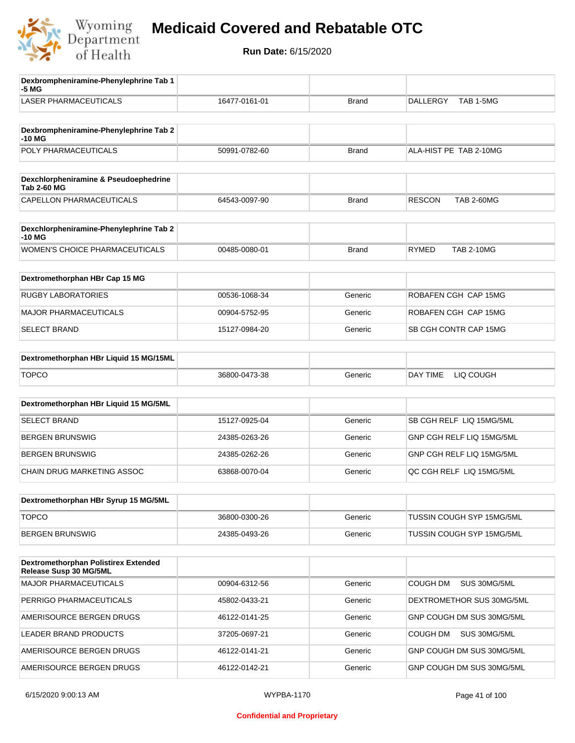

| Dexbrompheniramine-Phenylephrine Tab 1<br>-5 MG                |               |              |                                    |
|----------------------------------------------------------------|---------------|--------------|------------------------------------|
| <b>LASER PHARMACEUTICALS</b>                                   | 16477-0161-01 | <b>Brand</b> | TAB 1-5MG<br>DALLERGY              |
| Dexbrompheniramine-Phenylephrine Tab 2<br>-10 MG               |               |              |                                    |
| POLY PHARMACEUTICALS                                           | 50991-0782-60 | <b>Brand</b> | ALA-HIST PE TAB 2-10MG             |
| Dexchlorpheniramine & Pseudoephedrine<br><b>Tab 2-60 MG</b>    |               |              |                                    |
| CAPELLON PHARMACEUTICALS                                       | 64543-0097-90 | <b>Brand</b> | <b>RESCON</b><br><b>TAB 2-60MG</b> |
| Dexchlorpheniramine-Phenylephrine Tab 2<br>-10 MG              |               |              |                                    |
| <b>WOMEN'S CHOICE PHARMACEUTICALS</b>                          | 00485-0080-01 | <b>Brand</b> | <b>RYMED</b><br><b>TAB 2-10MG</b>  |
| Dextromethorphan HBr Cap 15 MG                                 |               |              |                                    |
| <b>RUGBY LABORATORIES</b>                                      | 00536-1068-34 | Generic      | ROBAFEN CGH CAP 15MG               |
| <b>MAJOR PHARMACEUTICALS</b>                                   | 00904-5752-95 | Generic      | ROBAFEN CGH CAP 15MG               |
| <b>SELECT BRAND</b>                                            | 15127-0984-20 | Generic      | SB CGH CONTR CAP 15MG              |
| Dextromethorphan HBr Liquid 15 MG/15ML                         |               |              |                                    |
| <b>TOPCO</b>                                                   | 36800-0473-38 | Generic      | DAY TIME<br>LIQ COUGH              |
| Dextromethorphan HBr Liquid 15 MG/5ML                          |               |              |                                    |
| <b>SELECT BRAND</b>                                            | 15127-0925-04 | Generic      | SB CGH RELF LIQ 15MG/5ML           |
| <b>BERGEN BRUNSWIG</b>                                         | 24385-0263-26 | Generic      | GNP CGH RELF LIQ 15MG/5ML          |
| <b>BERGEN BRUNSWIG</b>                                         | 24385-0262-26 | Generic      | GNP CGH RELF LIQ 15MG/5ML          |
| CHAIN DRUG MARKETING ASSOC                                     | 63868-0070-04 | Generic      | QC CGH RELF LIQ 15MG/5ML           |
| Dextromethorphan HBr Syrup 15 MG/5ML                           |               |              |                                    |
| <b>TOPCO</b>                                                   | 36800-0300-26 | Generic      | TUSSIN COUGH SYP 15MG/5ML          |
| <b>BERGEN BRUNSWIG</b>                                         | 24385-0493-26 | Generic      | TUSSIN COUGH SYP 15MG/5ML          |
| Dextromethorphan Polistirex Extended<br>Release Susp 30 MG/5ML |               |              |                                    |
| <b>MAJOR PHARMACEUTICALS</b>                                   | 00904-6312-56 | Generic      | COUGH DM<br>SUS 30MG/5ML           |
| PERRIGO PHARMACEUTICALS                                        | 45802-0433-21 | Generic      | DEXTROMETHOR SUS 30MG/5ML          |
| AMERISOURCE BERGEN DRUGS                                       | 46122-0141-25 | Generic      | GNP COUGH DM SUS 30MG/5ML          |
| LEADER BRAND PRODUCTS                                          | 37205-0697-21 | Generic      | COUGH DM<br>SUS 30MG/5ML           |
| AMERISOURCE BERGEN DRUGS                                       | 46122-0141-21 | Generic      | GNP COUGH DM SUS 30MG/5ML          |
| AMERISOURCE BERGEN DRUGS                                       | 46122-0142-21 | Generic      | GNP COUGH DM SUS 30MG/5ML          |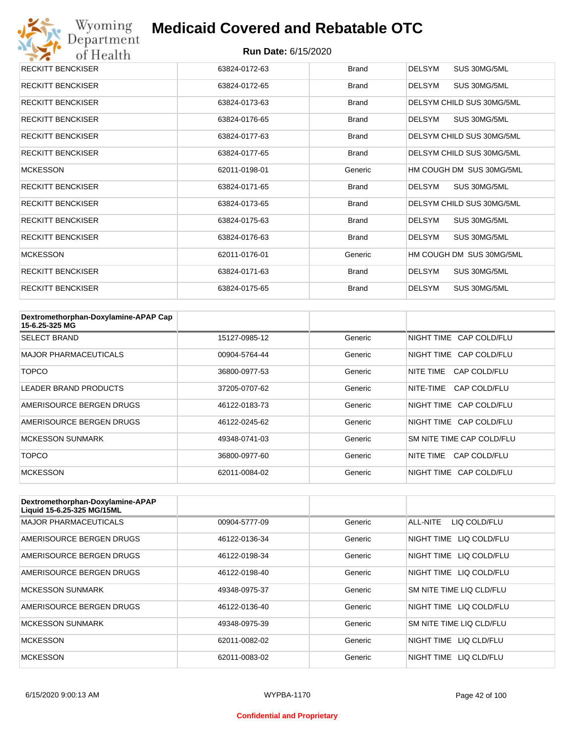

| <b>RECKITT BENCKISER</b> | 63824-0172-63 | <b>Brand</b> | <b>DELSYM</b><br>SUS 30MG/5ML |
|--------------------------|---------------|--------------|-------------------------------|
| <b>RECKITT BENCKISER</b> | 63824-0172-65 | <b>Brand</b> | <b>DELSYM</b><br>SUS 30MG/5ML |
| <b>RECKITT BENCKISER</b> | 63824-0173-63 | <b>Brand</b> | DELSYM CHILD SUS 30MG/5ML     |
| <b>RECKITT BENCKISER</b> | 63824-0176-65 | <b>Brand</b> | <b>DELSYM</b><br>SUS 30MG/5ML |
| <b>RECKITT BENCKISER</b> | 63824-0177-63 | <b>Brand</b> | DELSYM CHILD SUS 30MG/5ML     |
| <b>RECKITT BENCKISER</b> | 63824-0177-65 | <b>Brand</b> | DELSYM CHILD SUS 30MG/5ML     |
| <b>MCKESSON</b>          | 62011-0198-01 | Generic      | HM COUGH DM SUS 30MG/5ML      |
| <b>RECKITT BENCKISER</b> | 63824-0171-65 | <b>Brand</b> | <b>DELSYM</b><br>SUS 30MG/5ML |
| <b>RECKITT BENCKISER</b> | 63824-0173-65 | <b>Brand</b> | DELSYM CHILD SUS 30MG/5ML     |
| <b>RECKITT BENCKISER</b> | 63824-0175-63 | <b>Brand</b> | <b>DELSYM</b><br>SUS 30MG/5ML |
| <b>RECKITT BENCKISER</b> | 63824-0176-63 | <b>Brand</b> | <b>DELSYM</b><br>SUS 30MG/5ML |
| <b>MCKESSON</b>          | 62011-0176-01 | Generic      | HM COUGH DM SUS 30MG/5ML      |
| <b>RECKITT BENCKISER</b> | 63824-0171-63 | <b>Brand</b> | <b>DELSYM</b><br>SUS 30MG/5ML |
| <b>RECKITT BENCKISER</b> | 63824-0175-65 | <b>Brand</b> | <b>DELSYM</b><br>SUS 30MG/5ML |

| Dextromethorphan-Doxylamine-APAP Cap<br>15-6.25-325 MG |               |         |                           |
|--------------------------------------------------------|---------------|---------|---------------------------|
| <b>SELECT BRAND</b>                                    | 15127-0985-12 | Generic | NIGHT TIME CAP COLD/FLU   |
| <b>MAJOR PHARMACEUTICALS</b>                           | 00904-5764-44 | Generic | NIGHT TIME CAP COLD/FLU   |
| <b>TOPCO</b>                                           | 36800-0977-53 | Generic | CAP COLD/FLU<br>NITE TIME |
| LEADER BRAND PRODUCTS                                  | 37205-0707-62 | Generic | NITE-TIME<br>CAP COLD/FLU |
| AMERISOURCE BERGEN DRUGS                               | 46122-0183-73 | Generic | NIGHT TIME CAP COLD/FLU   |
| AMERISOURCE BERGEN DRUGS                               | 46122-0245-62 | Generic | NIGHT TIME CAP COLD/FLU   |
| <b>MCKESSON SUNMARK</b>                                | 49348-0741-03 | Generic | SM NITE TIME CAP COLD/FLU |
| <b>TOPCO</b>                                           | 36800-0977-60 | Generic | NITE TIME<br>CAP COLD/FLU |
| <b>MCKESSON</b>                                        | 62011-0084-02 | Generic | NIGHT TIME CAP COLD/FLU   |

| Dextromethorphan-Doxylamine-APAP<br>Liquid 15-6.25-325 MG/15ML |               |         |                            |
|----------------------------------------------------------------|---------------|---------|----------------------------|
| <b>MAJOR PHARMACEUTICALS</b>                                   | 00904-5777-09 | Generic | LIQ COLD/FLU<br>ALL-NITE   |
| AMERISOURCE BERGEN DRUGS                                       | 46122-0136-34 | Generic | NIGHT TIME<br>LIQ COLD/FLU |
| AMERISOURCE BERGEN DRUGS                                       | 46122-0198-34 | Generic | NIGHT TIME<br>LIQ COLD/FLU |
| AMERISOURCE BERGEN DRUGS                                       | 46122-0198-40 | Generic | NIGHT TIME<br>LIQ COLD/FLU |
| <b>MCKESSON SUNMARK</b>                                        | 49348-0975-37 | Generic | SM NITE TIME LIQ CLD/FLU   |
| AMERISOURCE BERGEN DRUGS                                       | 46122-0136-40 | Generic | NIGHT TIME<br>LIQ COLD/FLU |
| <b>MCKESSON SUNMARK</b>                                        | 49348-0975-39 | Generic | SM NITE TIME LIQ CLD/FLU   |
| <b>MCKESSON</b>                                                | 62011-0082-02 | Generic | LIQ CLD/FLU<br>NIGHT TIME  |
| <b>MCKESSON</b>                                                | 62011-0083-02 | Generic | NIGHT TIME<br>LIQ CLD/FLU  |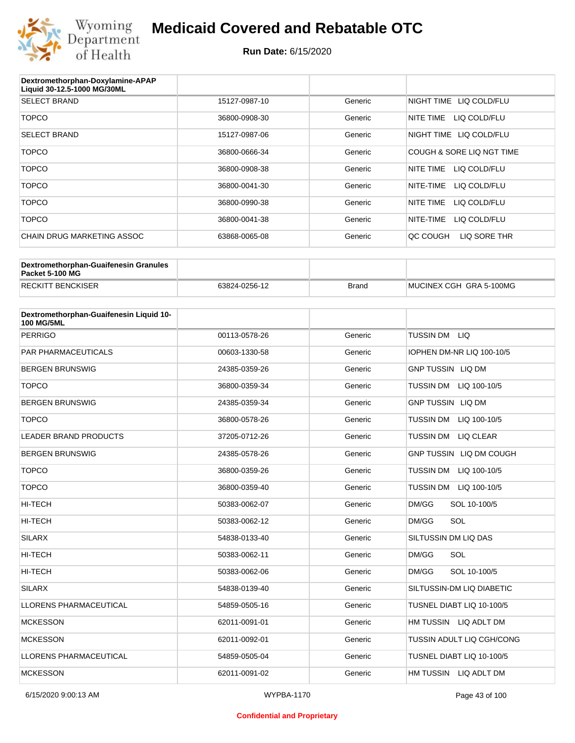

| Dextromethorphan-Doxylamine-APAP<br>Liquid 30-12.5-1000 MG/30ML |               |         |                            |
|-----------------------------------------------------------------|---------------|---------|----------------------------|
| <b>SELECT BRAND</b>                                             | 15127-0987-10 | Generic | NIGHT TIME<br>LIQ COLD/FLU |
| <b>TOPCO</b>                                                    | 36800-0908-30 | Generic | NITE TIME<br>LIQ COLD/FLU  |
| <b>SELECT BRAND</b>                                             | 15127-0987-06 | Generic | NIGHT TIME<br>LIQ COLD/FLU |
| <b>TOPCO</b>                                                    | 36800-0666-34 | Generic | COUGH & SORE LIQ NGT TIME  |
| <b>TOPCO</b>                                                    | 36800-0908-38 | Generic | NITE TIME<br>LIQ COLD/FLU  |
| <b>TOPCO</b>                                                    | 36800-0041-30 | Generic | LIQ COLD/FLU<br>NITE-TIME  |
| <b>TOPCO</b>                                                    | 36800-0990-38 | Generic | NITE TIME<br>LIQ COLD/FLU  |
| <b>TOPCO</b>                                                    | 36800-0041-38 | Generic | NITE-TIME<br>LIQ COLD/FLU  |
| CHAIN DRUG MARKETING ASSOC                                      | 63868-0065-08 | Generic | LIQ SORE THR<br>QC COUGH   |

| Dextromethorphan-Guaifenesin Granules<br>Packet 5-100 MG |               |              |                         |
|----------------------------------------------------------|---------------|--------------|-------------------------|
| <b>RECKITT BENCKISER</b>                                 | 63824-0256-12 | <b>Brand</b> | MUCINEX CGH GRA 5-100MG |

| Dextromethorphan-Guaifenesin Liquid 10-<br><b>100 MG/5ML</b> |               |         |                                  |
|--------------------------------------------------------------|---------------|---------|----------------------------------|
| <b>PERRIGO</b>                                               | 00113-0578-26 | Generic | TUSSIN DM LIQ                    |
| <b>PAR PHARMACEUTICALS</b>                                   | 00603-1330-58 | Generic | IOPHEN DM-NR LIQ 100-10/5        |
| <b>BERGEN BRUNSWIG</b>                                       | 24385-0359-26 | Generic | <b>GNP TUSSIN LIQ DM</b>         |
| <b>TOPCO</b>                                                 | 36800-0359-34 | Generic | <b>TUSSIN DM</b><br>LIQ 100-10/5 |
| <b>BERGEN BRUNSWIG</b>                                       | 24385-0359-34 | Generic | <b>GNP TUSSIN LIQ DM</b>         |
| <b>TOPCO</b>                                                 | 36800-0578-26 | Generic | <b>TUSSIN DM</b><br>LIQ 100-10/5 |
| <b>LEADER BRAND PRODUCTS</b>                                 | 37205-0712-26 | Generic | <b>TUSSIN DM</b><br>LIQ CLEAR    |
| <b>BERGEN BRUNSWIG</b>                                       | 24385-0578-26 | Generic | GNP TUSSIN LIQ DM COUGH          |
| <b>TOPCO</b>                                                 | 36800-0359-26 | Generic | <b>TUSSIN DM</b><br>LIQ 100-10/5 |
| <b>TOPCO</b>                                                 | 36800-0359-40 | Generic | TUSSIN DM<br>LIQ 100-10/5        |
| <b>HI-TECH</b>                                               | 50383-0062-07 | Generic | DM/GG<br>SOL 10-100/5            |
| <b>HI-TECH</b>                                               | 50383-0062-12 | Generic | SOL<br>DM/GG                     |
| <b>SILARX</b>                                                | 54838-0133-40 | Generic | SILTUSSIN DM LIQ DAS             |
| <b>HI-TECH</b>                                               | 50383-0062-11 | Generic | SOL<br>DM/GG                     |
| HI-TECH                                                      | 50383-0062-06 | Generic | DM/GG<br>SOL 10-100/5            |
| <b>SILARX</b>                                                | 54838-0139-40 | Generic | SILTUSSIN-DM LIQ DIABETIC        |
| <b>LLORENS PHARMACEUTICAL</b>                                | 54859-0505-16 | Generic | TUSNEL DIABT LIQ 10-100/5        |
| <b>MCKESSON</b>                                              | 62011-0091-01 | Generic | HM TUSSIN LIQ ADLT DM            |
| <b>MCKESSON</b>                                              | 62011-0092-01 | Generic | TUSSIN ADULT LIQ CGH/CONG        |
| <b>LLORENS PHARMACEUTICAL</b>                                | 54859-0505-04 | Generic | TUSNEL DIABT LIQ 10-100/5        |
| <b>MCKESSON</b>                                              | 62011-0091-02 | Generic | HM TUSSIN LIQ ADLT DM            |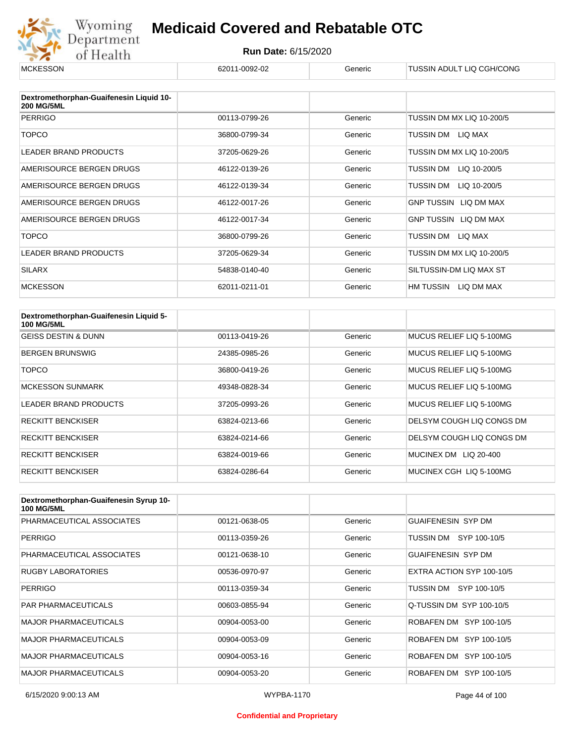

#### **Run Date:** 6/15/2020

| <b>MCKESSON</b>                                              | 62011-0092-02 | Generic | TUSSIN ADULT LIQ CGH/CONG |
|--------------------------------------------------------------|---------------|---------|---------------------------|
|                                                              |               |         |                           |
| Dextromethorphan-Guaifenesin Liquid 10-<br><b>200 MG/5ML</b> |               |         |                           |
| <b>PERRIGO</b>                                               | 00113-0799-26 | Generic | TUSSIN DM MX LIQ 10-200/5 |
| <b>TOPCO</b>                                                 | 36800-0799-34 | Generic | LIQ MAX<br>TUSSIN DM      |
| LEADER BRAND PRODUCTS                                        | 37205-0629-26 | Generic | TUSSIN DM MX LIQ 10-200/5 |
| AMERISOURCE BERGEN DRUGS                                     | 46122-0139-26 | Generic | TUSSIN DM<br>LIQ 10-200/5 |
| AMERISOURCE BERGEN DRUGS                                     | 46122-0139-34 | Generic | TUSSIN DM<br>LIQ 10-200/5 |
| AMERISOURCE BERGEN DRUGS                                     | 46122-0017-26 | Generic | GNP TUSSIN LIQ DM MAX     |
| AMERISOURCE BERGEN DRUGS                                     | 46122-0017-34 | Generic | GNP TUSSIN LIQ DM MAX     |
| <b>TOPCO</b>                                                 | 36800-0799-26 | Generic | TUSSIN DM<br>LIQ MAX      |
| <b>LEADER BRAND PRODUCTS</b>                                 | 37205-0629-34 | Generic | TUSSIN DM MX LIQ 10-200/5 |
| <b>SILARX</b>                                                | 54838-0140-40 | Generic | SILTUSSIN-DM LIQ MAX ST   |
| <b>MCKESSON</b>                                              | 62011-0211-01 | Generic | HM TUSSIN<br>LIQ DM MAX   |

| Dextromethorphan-Guaifenesin Liquid 5-<br><b>100 MG/5ML</b> |               |         |                                 |
|-------------------------------------------------------------|---------------|---------|---------------------------------|
| <b>GEISS DESTIN &amp; DUNN</b>                              | 00113-0419-26 | Generic | MUCUS RELIEF LIO 5-100MG        |
| <b>BERGEN BRUNSWIG</b>                                      | 24385-0985-26 | Generic | MUCUS RELIEF LIQ 5-100MG        |
| TOPCO                                                       | 36800-0419-26 | Generic | MUCUS RELIEF LIQ 5-100MG        |
| <b>MCKESSON SUNMARK</b>                                     | 49348-0828-34 | Generic | MUCUS RELIEF LIQ 5-100MG        |
| <b>LEADER BRAND PRODUCTS</b>                                | 37205-0993-26 | Generic | MUCUS RELIEF LIO 5-100MG        |
| <b>RECKITT BENCKISER</b>                                    | 63824-0213-66 | Generic | DELSYM COUGH LIQ CONGS DM       |
| <b>RECKITT BENCKISER</b>                                    | 63824-0214-66 | Generic | DELSYM COUGH LIQ CONGS DM       |
| <b>RECKITT BENCKISER</b>                                    | 63824-0019-66 | Generic | LIQ 20-400<br><b>MUCINEX DM</b> |
| <b>RECKITT BENCKISER</b>                                    | 63824-0286-64 | Generic | MUCINEX CGH LIQ 5-100MG         |

| Dextromethorphan-Guaifenesin Syrup 10-<br><b>100 MG/5ML</b> |               |         |                           |
|-------------------------------------------------------------|---------------|---------|---------------------------|
| PHARMACEUTICAL ASSOCIATES                                   | 00121-0638-05 | Generic | <b>GUAIFENESIN SYP DM</b> |
| <b>PERRIGO</b>                                              | 00113-0359-26 | Generic | TUSSIN DM SYP 100-10/5    |
| PHARMACEUTICAL ASSOCIATES                                   | 00121-0638-10 | Generic | <b>GUAIFENESIN SYP DM</b> |
| <b>RUGBY LABORATORIES</b>                                   | 00536-0970-97 | Generic | EXTRA ACTION SYP 100-10/5 |
| <b>PERRIGO</b>                                              | 00113-0359-34 | Generic | TUSSIN DM SYP 100-10/5    |
| <b>PAR PHARMACEUTICALS</b>                                  | 00603-0855-94 | Generic | Q-TUSSIN DM SYP 100-10/5  |
| <b>MAJOR PHARMACEUTICALS</b>                                | 00904-0053-00 | Generic | ROBAFEN DM SYP 100-10/5   |
| <b>MAJOR PHARMACEUTICALS</b>                                | 00904-0053-09 | Generic | ROBAFEN DM SYP 100-10/5   |
| <b>MAJOR PHARMACEUTICALS</b>                                | 00904-0053-16 | Generic | ROBAFEN DM SYP 100-10/5   |
| <b>MAJOR PHARMACEUTICALS</b>                                | 00904-0053-20 | Generic | ROBAFEN DM SYP 100-10/5   |

#### **Confidential and Proprietary**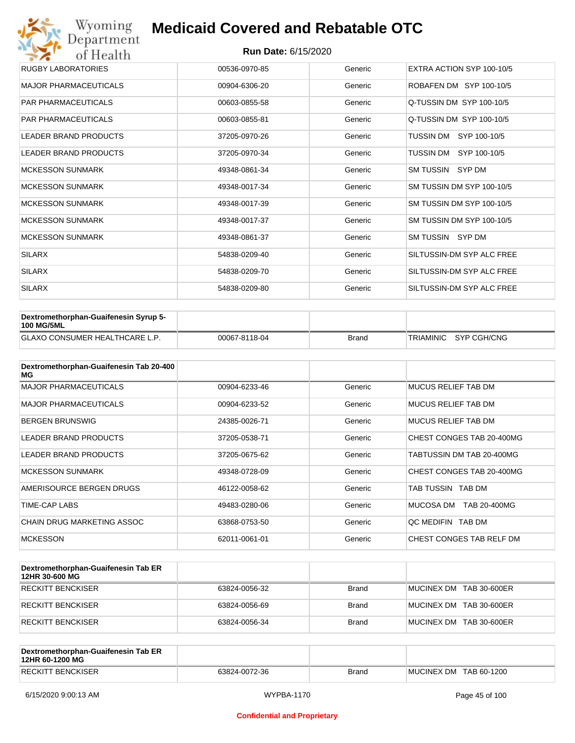| Wyoming<br>Department        | <b>Medicaid Covered and Rebatable OTC</b> |         |                           |  |  |  |
|------------------------------|-------------------------------------------|---------|---------------------------|--|--|--|
| of Health                    | <b>Run Date: 6/15/2020</b>                |         |                           |  |  |  |
| <b>RUGBY LABORATORIES</b>    | 00536-0970-85                             | Generic | EXTRA ACTION SYP 100-10/5 |  |  |  |
| <b>MAJOR PHARMACEUTICALS</b> | 00904-6306-20                             | Generic | ROBAFEN DM SYP 100-10/5   |  |  |  |
| <b>PAR PHARMACEUTICALS</b>   | 00603-0855-58                             | Generic | Q-TUSSIN DM SYP 100-10/5  |  |  |  |
| <b>PAR PHARMACEUTICALS</b>   | 00603-0855-81                             | Generic | Q-TUSSIN DM SYP 100-10/5  |  |  |  |
| <b>LEADER BRAND PRODUCTS</b> | 37205-0970-26                             | Generic | SYP 100-10/5<br>TUSSIN DM |  |  |  |
| <b>LEADER BRAND PRODUCTS</b> | 37205-0970-34                             | Generic | TUSSIN DM<br>SYP 100-10/5 |  |  |  |
| <b>MCKESSON SUNMARK</b>      | 49348-0861-34                             | Generic | SM TUSSIN SYP DM          |  |  |  |
| <b>MCKESSON SUNMARK</b>      | 49348-0017-34                             | Generic | SM TUSSIN DM SYP 100-10/5 |  |  |  |
| <b>MCKESSON SUNMARK</b>      | 49348-0017-39                             | Generic | SM TUSSIN DM SYP 100-10/5 |  |  |  |
| <b>MCKESSON SUNMARK</b>      | 49348-0017-37                             | Generic | SM TUSSIN DM SYP 100-10/5 |  |  |  |
| <b>MCKESSON SUNMARK</b>      | 49348-0861-37                             | Generic | SM TUSSIN SYP DM          |  |  |  |
| <b>SILARX</b>                | 54838-0209-40                             | Generic | SILTUSSIN-DM SYP ALC FREE |  |  |  |
| <b>SILARX</b>                | 54838-0209-70                             | Generic | SILTUSSIN-DM SYP ALC FREE |  |  |  |
| <b>SILARX</b>                | 54838-0209-80                             | Generic | SILTUSSIN-DM SYP ALC FREE |  |  |  |

| Dextromethorphan-Guaifenesin Syrup 5-<br><b>100 MG/5ML</b> |               |       |                       |
|------------------------------------------------------------|---------------|-------|-----------------------|
| <b>GLAXO CONSUMER HEALTHCARE L.P.</b>                      | 00067-8118-04 | Brand | TRIAMINIC SYP CGH/CNG |

| Dextromethorphan-Guaifenesin Tab 20-400<br>MG |               |         |                            |
|-----------------------------------------------|---------------|---------|----------------------------|
| <b>MAJOR PHARMACEUTICALS</b>                  | 00904-6233-46 | Generic | <b>MUCUS RELIEF TAB DM</b> |
| <b>MAJOR PHARMACEUTICALS</b>                  | 00904-6233-52 | Generic | <b>MUCUS RELIEF TAB DM</b> |
| <b>BERGEN BRUNSWIG</b>                        | 24385-0026-71 | Generic | <b>MUCUS RELIEF TAB DM</b> |
| LEADER BRAND PRODUCTS                         | 37205-0538-71 | Generic | CHEST CONGES TAB 20-400MG  |
| <b>LEADER BRAND PRODUCTS</b>                  | 37205-0675-62 | Generic | TABTUSSIN DM TAB 20-400MG  |
| <b>MCKESSON SUNMARK</b>                       | 49348-0728-09 | Generic | CHEST CONGES TAB 20-400MG  |
| AMERISOURCE BERGEN DRUGS                      | 46122-0058-62 | Generic | TAB TUSSIN TAB DM          |
| TIME-CAP LABS                                 | 49483-0280-06 | Generic | MUCOSA DM<br>TAB 20-400MG  |
| CHAIN DRUG MARKETING ASSOC                    | 63868-0753-50 | Generic | OC MEDIFIN TAB DM          |
| <b>MCKESSON</b>                               | 62011-0061-01 | Generic | CHEST CONGES TAB RELF DM   |

| Dextromethorphan-Guaifenesin Tab ER<br>12HR 30-600 MG |               |              |                         |
|-------------------------------------------------------|---------------|--------------|-------------------------|
| RECKITT BENCKISER                                     | 63824-0056-32 | Brand        | MUCINEX DM TAB 30-600ER |
| RECKITT BENCKISER                                     | 63824-0056-69 | <b>Brand</b> | MUCINEX DM TAB 30-600ER |
| RECKITT BENCKISER                                     | 63824-0056-34 | <b>Brand</b> | MUCINEX DM TAB 30-600ER |

| Dextromethorphan-Guaifenesin Tab ER<br>12HR 60-1200 MG |               |       |                        |
|--------------------------------------------------------|---------------|-------|------------------------|
| <b>RECKITT BENCKISER</b>                               | 63824-0072-36 | Brand | MUCINEX DM TAB 60-1200 |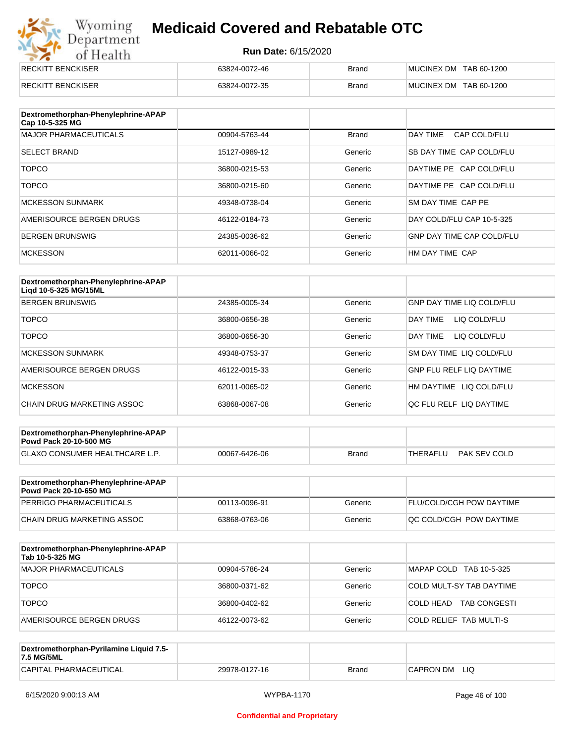# Wyoming<br>Department<br>of Health

## **Medicaid Covered and Rebatable OTC**

| <b>RECKITT BENCKISER</b> | 63824-0072-46 | <b>Brand</b> | MUCINEX DM TAB 60-1200 |
|--------------------------|---------------|--------------|------------------------|
| <b>RECKITT BENCKISER</b> | 63824-0072-35 | <b>Brand</b> | MUCINEX DM TAB 60-1200 |

| Dextromethorphan-Phenylephrine-APAP<br>Cap 10-5-325 MG |               |              |                                  |
|--------------------------------------------------------|---------------|--------------|----------------------------------|
| <b>MAJOR PHARMACEUTICALS</b>                           | 00904-5763-44 | <b>Brand</b> | DAY TIME<br>CAP COLD/FLU         |
| <b>SELECT BRAND</b>                                    | 15127-0989-12 | Generic      | SB DAY TIME CAP COLD/FLU         |
| <b>TOPCO</b>                                           | 36800-0215-53 | Generic      | DAYTIME PE CAP COLD/FLU          |
| <b>TOPCO</b>                                           | 36800-0215-60 | Generic      | DAYTIME PE CAP COLD/FLU          |
| <b>MCKESSON SUNMARK</b>                                | 49348-0738-04 | Generic      | SM DAY TIME CAP PE               |
| AMERISOURCE BERGEN DRUGS                               | 46122-0184-73 | Generic      | DAY COLD/FLU CAP 10-5-325        |
| <b>BERGEN BRUNSWIG</b>                                 | 24385-0036-62 | Generic      | <b>GNP DAY TIME CAP COLD/FLU</b> |
| <b>MCKESSON</b>                                        | 62011-0066-02 | Generic      | HM DAY TIME CAP                  |

| Dextromethorphan-Phenylephrine-APAP<br>Ligd 10-5-325 MG/15ML |               |         |                                  |
|--------------------------------------------------------------|---------------|---------|----------------------------------|
| <b>BERGEN BRUNSWIG</b>                                       | 24385-0005-34 | Generic | <b>GNP DAY TIME LIQ COLD/FLU</b> |
| <b>TOPCO</b>                                                 | 36800-0656-38 | Generic | LIQ COLD/FLU<br>DAY TIME         |
| <b>TOPCO</b>                                                 | 36800-0656-30 | Generic | DAY TIME<br>LIQ COLD/FLU         |
| <b>MCKESSON SUNMARK</b>                                      | 49348-0753-37 | Generic | SM DAY TIME LIQ COLD/FLU         |
| AMERISOURCE BERGEN DRUGS                                     | 46122-0015-33 | Generic | <b>GNP FLU RELF LIQ DAYTIME</b>  |
| <b>MCKESSON</b>                                              | 62011-0065-02 | Generic | HM DAYTIME LIQ COLD/FLU          |
| CHAIN DRUG MARKETING ASSOC                                   | 63868-0067-08 | Generic | OC FLU RELF LIO DAYTIME          |

| Dextromethorphan-Phenylephrine-APAP<br><b>Powd Pack 20-10-500 MG</b> |               |              |          |              |
|----------------------------------------------------------------------|---------------|--------------|----------|--------------|
| <b>GLAXO CONSUMER HEALTHCARE L.P.</b>                                | 00067-6426-06 | <b>Brand</b> | THERAFLU | PAK SEV COLD |
|                                                                      |               |              |          |              |

| Dextromethorphan-Phenylephrine-APAP<br><b>Powd Pack 20-10-650 MG</b> |               |         |                                 |
|----------------------------------------------------------------------|---------------|---------|---------------------------------|
| PERRIGO PHARMACEUTICALS                                              | 00113-0096-91 | Generic | <b>FLU/COLD/CGH POW DAYTIME</b> |
| CHAIN DRUG MARKETING ASSOC                                           | 63868-0763-06 | Generic | <b>OC COLD/CGH POW DAYTIME</b>  |

| Dextromethorphan-Phenylephrine-APAP<br>Tab 10-5-325 MG |               |         |                                  |
|--------------------------------------------------------|---------------|---------|----------------------------------|
| <b>MAJOR PHARMACEUTICALS</b>                           | 00904-5786-24 | Generic | MAPAP COLD TAB 10-5-325          |
| <b>TOPCO</b>                                           | 36800-0371-62 | Generic | COLD MULT-SY TAB DAYTIME         |
| <b>TOPCO</b>                                           | 36800-0402-62 | Generic | COLD HEAD<br><b>TAB CONGESTI</b> |
| AMERISOURCE BERGEN DRUGS                               | 46122-0073-62 | Generic | <b>COLD RELIEF TAB MULTI-S</b>   |

| Dextromethorphan-Pyrilamine Liquid 7.5-<br>7.5 MG/5ML |               |       |                  |
|-------------------------------------------------------|---------------|-------|------------------|
| CAPITAL PHARMACEUTICAL                                | 29978-0127-16 | Brand | LIQ<br>CAPRON DM |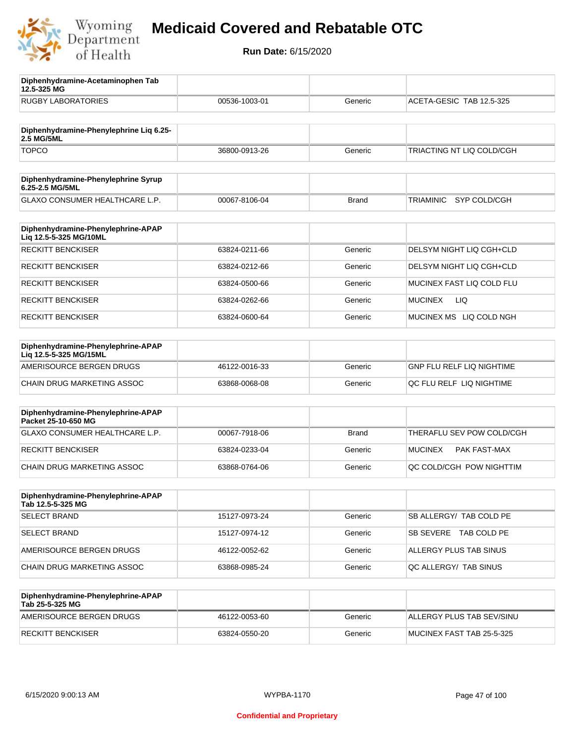

**12.5-325 MG**

**Diphenhydramine-Acetaminophen Tab** 

# **Medicaid Covered and Rebatable OTC**

| <b>RUGBY LABORATORIES</b>                                    | 00536-1003-01 | Generic      | ACETA-GESIC TAB 12.5-325              |
|--------------------------------------------------------------|---------------|--------------|---------------------------------------|
|                                                              |               |              |                                       |
| Diphenhydramine-Phenylephrine Lig 6.25-<br>2.5 MG/5ML        |               |              |                                       |
| <b>TOPCO</b>                                                 | 36800-0913-26 | Generic      | TRIACTING NT LIQ COLD/CGH             |
| Diphenhydramine-Phenylephrine Syrup<br>6.25-2.5 MG/5ML       |               |              |                                       |
| GLAXO CONSUMER HEALTHCARE L.P.                               | 00067-8106-04 | Brand        | <b>TRIAMINIC</b><br>SYP COLD/CGH      |
| Diphenhydramine-Phenylephrine-APAP<br>Liq 12.5-5-325 MG/10ML |               |              |                                       |
| <b>RECKITT BENCKISER</b>                                     | 63824-0211-66 | Generic      | DELSYM NIGHT LIQ CGH+CLD              |
| <b>RECKITT BENCKISER</b>                                     | 63824-0212-66 | Generic      | DELSYM NIGHT LIQ CGH+CLD              |
| <b>RECKITT BENCKISER</b>                                     | 63824-0500-66 | Generic      | MUCINEX FAST LIQ COLD FLU             |
| <b>RECKITT BENCKISER</b>                                     | 63824-0262-66 | Generic      | <b>MUCINEX</b><br>LIQ                 |
| <b>RECKITT BENCKISER</b>                                     | 63824-0600-64 | Generic      | MUCINEX MS LIQ COLD NGH               |
| Diphenhydramine-Phenylephrine-APAP<br>Liq 12.5-5-325 MG/15ML |               |              |                                       |
| AMERISOURCE BERGEN DRUGS                                     | 46122-0016-33 | Generic      | <b>GNP FLU RELF LIQ NIGHTIME</b>      |
| CHAIN DRUG MARKETING ASSOC                                   | 63868-0068-08 | Generic      | QC FLU RELF LIQ NIGHTIME              |
| Diphenhydramine-Phenylephrine-APAP<br>Packet 25-10-650 MG    |               |              |                                       |
| <b>GLAXO CONSUMER HEALTHCARE L.P.</b>                        | 00067-7918-06 | <b>Brand</b> | THERAFLU SEV POW COLD/CGH             |
| <b>RECKITT BENCKISER</b>                                     | 63824-0233-04 | Generic      | <b>MUCINEX</b><br><b>PAK FAST-MAX</b> |
| <b>CHAIN DRUG MARKETING ASSOC</b>                            | 63868-0764-06 | Generic      | QC COLD/CGH POW NIGHTTIM              |
| Diphenhydramine-Phenylephrine-APAP<br>Tab 12.5-5-325 MG      |               |              |                                       |
| <b>SELECT BRAND</b>                                          | 15127-0973-24 | Generic      | SB ALLERGY/ TAB COLD PE               |
| <b>SELECT BRAND</b>                                          | 15127-0974-12 | Generic      | SB SEVERE TAB COLD PE                 |
| AMERISOURCE BERGEN DRUGS                                     | 46122-0052-62 | Generic      | ALLERGY PLUS TAB SINUS                |
| CHAIN DRUG MARKETING ASSOC                                   | 63868-0985-24 | Generic      | QC ALLERGY/ TAB SINUS                 |
| Diphenhydramine-Phenylephrine-APAP<br>Tab 25-5-325 MG        |               |              |                                       |
| AMERISOURCE BERGEN DRUGS                                     | 46122-0053-60 | Generic      | ALLERGY PLUS TAB SEV/SINU             |
| <b>RECKITT BENCKISER</b>                                     | 63824-0550-20 | Generic      | MUCINEX FAST TAB 25-5-325             |
|                                                              |               |              |                                       |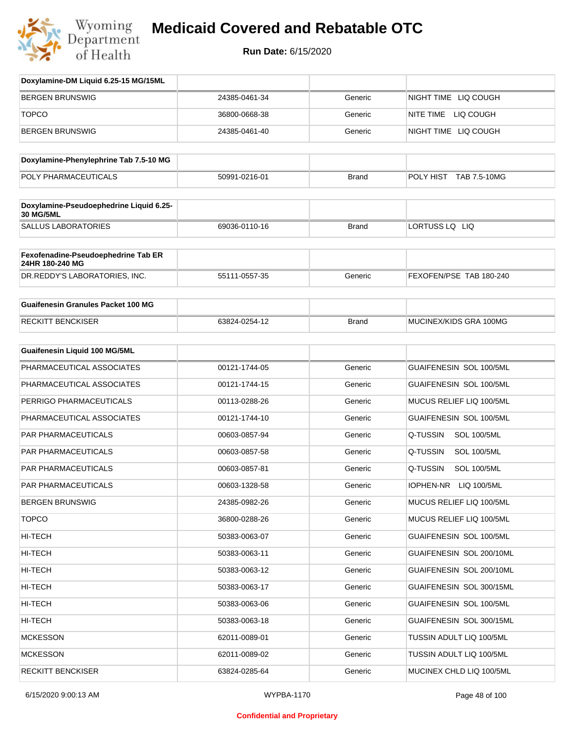

| Doxylamine-DM Liquid 6.25-15 MG/15ML                        |               |              |                                 |
|-------------------------------------------------------------|---------------|--------------|---------------------------------|
| <b>BERGEN BRUNSWIG</b>                                      | 24385-0461-34 | Generic      | NIGHT TIME LIQ COUGH            |
| <b>TOPCO</b>                                                | 36800-0668-38 | Generic      | NITE TIME LIQ COUGH             |
| <b>BERGEN BRUNSWIG</b>                                      | 24385-0461-40 | Generic      | NIGHT TIME LIQ COUGH            |
| Doxylamine-Phenylephrine Tab 7.5-10 MG                      |               |              |                                 |
| POLY PHARMACEUTICALS                                        | 50991-0216-01 | <b>Brand</b> | POLY HIST TAB 7.5-10MG          |
|                                                             |               |              |                                 |
| Doxylamine-Pseudoephedrine Liquid 6.25-<br><b>30 MG/5ML</b> |               |              |                                 |
| <b>SALLUS LABORATORIES</b>                                  | 69036-0110-16 | <b>Brand</b> | LORTUSS LQ LIQ                  |
| Fexofenadine-Pseudoephedrine Tab ER<br>24HR 180-240 MG      |               |              |                                 |
| DR.REDDY'S LABORATORIES, INC.                               | 55111-0557-35 | Generic      | FEXOFEN/PSE TAB 180-240         |
| <b>Guaifenesin Granules Packet 100 MG</b>                   |               |              |                                 |
| <b>RECKITT BENCKISER</b>                                    | 63824-0254-12 | <b>Brand</b> | MUCINEX/KIDS GRA 100MG          |
| Guaifenesin Liquid 100 MG/5ML                               |               |              |                                 |
| PHARMACEUTICAL ASSOCIATES                                   | 00121-1744-05 | Generic      | GUAIFENESIN SOL 100/5ML         |
| PHARMACEUTICAL ASSOCIATES                                   | 00121-1744-15 | Generic      | GUAIFENESIN SOL 100/5ML         |
| PERRIGO PHARMACEUTICALS                                     | 00113-0288-26 | Generic      | MUCUS RELIEF LIQ 100/5ML        |
| PHARMACEUTICAL ASSOCIATES                                   | 00121-1744-10 | Generic      | GUAIFENESIN SOL 100/5ML         |
| PAR PHARMACEUTICALS                                         | 00603-0857-94 | Generic      | Q-TUSSIN<br><b>SOL 100/5ML</b>  |
| PAR PHARMACEUTICALS                                         | 00603-0857-58 | Generic      | Q-TUSSIN<br><b>SOL 100/5ML</b>  |
| PAR PHARMACEUTICALS                                         | 00603-0857-81 | Generic      | Q-TUSSIN<br><b>SOL 100/5ML</b>  |
| PAR PHARMACEUTICALS                                         | 00603-1328-58 | Generic      | <b>IOPHEN-NR</b><br>LIQ 100/5ML |
| <b>BERGEN BRUNSWIG</b>                                      | 24385-0982-26 | Generic      | MUCUS RELIEF LIQ 100/5ML        |
| <b>TOPCO</b>                                                | 36800-0288-26 | Generic      | MUCUS RELIEF LIQ 100/5ML        |
| HI-TECH                                                     | 50383-0063-07 | Generic      | GUAIFENESIN SOL 100/5ML         |
| HI-TECH                                                     | 50383-0063-11 | Generic      | GUAIFENESIN SOL 200/10ML        |
| HI-TECH                                                     | 50383-0063-12 | Generic      | GUAIFENESIN SOL 200/10ML        |
| HI-TECH                                                     | 50383-0063-17 | Generic      | GUAIFENESIN SOL 300/15ML        |
| HI-TECH                                                     | 50383-0063-06 | Generic      | GUAIFENESIN SOL 100/5ML         |
| HI-TECH                                                     | 50383-0063-18 | Generic      | GUAIFENESIN SOL 300/15ML        |
| <b>MCKESSON</b>                                             | 62011-0089-01 | Generic      | TUSSIN ADULT LIQ 100/5ML        |
| <b>MCKESSON</b>                                             | 62011-0089-02 | Generic      | TUSSIN ADULT LIQ 100/5ML        |
| <b>RECKITT BENCKISER</b>                                    | 63824-0285-64 | Generic      | MUCINEX CHLD LIQ 100/5ML        |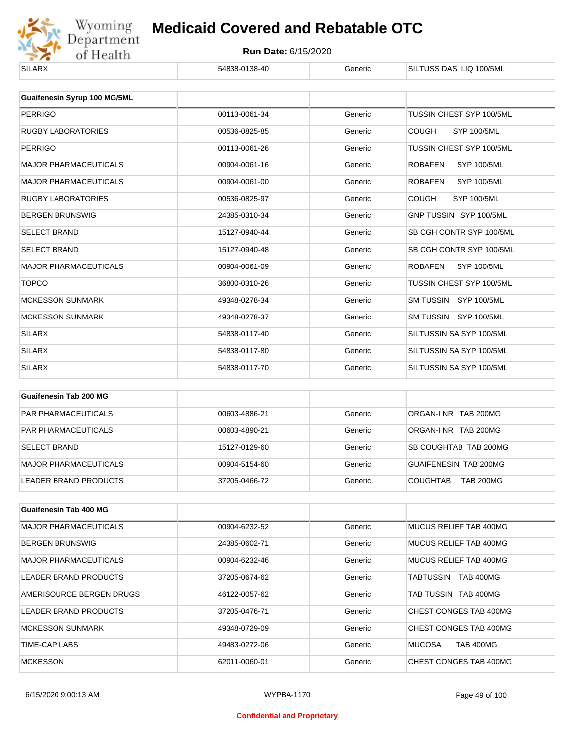

| <b>SILARX</b>                 | 54838-0138-40 | Generic | SILTUSS DAS LIQ 100/5ML              |
|-------------------------------|---------------|---------|--------------------------------------|
|                               |               |         |                                      |
| Guaifenesin Syrup 100 MG/5ML  |               |         |                                      |
| <b>PERRIGO</b>                | 00113-0061-34 | Generic | TUSSIN CHEST SYP 100/5ML             |
| <b>RUGBY LABORATORIES</b>     | 00536-0825-85 | Generic | <b>SYP 100/5ML</b><br><b>COUGH</b>   |
| <b>PERRIGO</b>                | 00113-0061-26 | Generic | TUSSIN CHEST SYP 100/5ML             |
| <b>MAJOR PHARMACEUTICALS</b>  | 00904-0061-16 | Generic | <b>ROBAFEN</b><br><b>SYP 100/5ML</b> |
| <b>MAJOR PHARMACEUTICALS</b>  | 00904-0061-00 | Generic | <b>ROBAFEN</b><br><b>SYP 100/5ML</b> |
| <b>RUGBY LABORATORIES</b>     | 00536-0825-97 | Generic | <b>COUGH</b><br><b>SYP 100/5ML</b>   |
| <b>BERGEN BRUNSWIG</b>        | 24385-0310-34 | Generic | GNP TUSSIN SYP 100/5ML               |
| <b>SELECT BRAND</b>           | 15127-0940-44 | Generic | SB CGH CONTR SYP 100/5ML             |
| <b>SELECT BRAND</b>           | 15127-0940-48 | Generic | SB CGH CONTR SYP 100/5ML             |
| <b>MAJOR PHARMACEUTICALS</b>  | 00904-0061-09 | Generic | <b>ROBAFEN</b><br><b>SYP 100/5ML</b> |
| <b>TOPCO</b>                  | 36800-0310-26 | Generic | TUSSIN CHEST SYP 100/5ML             |
| <b>MCKESSON SUNMARK</b>       | 49348-0278-34 | Generic | SM TUSSIN SYP 100/5ML                |
| <b>MCKESSON SUNMARK</b>       | 49348-0278-37 | Generic | SM TUSSIN SYP 100/5ML                |
| <b>SILARX</b>                 | 54838-0117-40 | Generic | SILTUSSIN SA SYP 100/5ML             |
| <b>SILARX</b>                 | 54838-0117-80 | Generic | SILTUSSIN SA SYP 100/5ML             |
| <b>SILARX</b>                 | 54838-0117-70 | Generic | SILTUSSIN SA SYP 100/5ML             |
|                               |               |         |                                      |
| <b>Guaifenesin Tab 200 MG</b> |               |         |                                      |

| <b>GUALLELIESIII TAU ZUU MG</b> |               |         |                                     |
|---------------------------------|---------------|---------|-------------------------------------|
| <b>PAR PHARMACEUTICALS</b>      | 00603-4886-21 | Generic | ORGAN-INR TAB 200MG                 |
| PAR PHARMACEUTICALS             | 00603-4890-21 | Generic | ORGAN-INR TAB 200MG                 |
| <b>SELECT BRAND</b>             | 15127-0129-60 | Generic | SB COUGHTAB TAB 200MG               |
| MAJOR PHARMACEUTICALS           | 00904-5154-60 | Generic | <b>GUAIFENESIN TAB 200MG</b>        |
| LEADER BRAND PRODUCTS           | 37205-0466-72 | Generic | <b>TAB 200MG</b><br><b>COUGHTAB</b> |

| Guaifenesin Tab 400 MG       |               |         |                                   |
|------------------------------|---------------|---------|-----------------------------------|
| <b>MAJOR PHARMACEUTICALS</b> | 00904-6232-52 | Generic | MUCUS RELIEF TAB 400MG            |
| <b>BERGEN BRUNSWIG</b>       | 24385-0602-71 | Generic | MUCUS RELIEF TAB 400MG            |
| <b>MAJOR PHARMACEUTICALS</b> | 00904-6232-46 | Generic | MUCUS RELIEF TAB 400MG            |
| LEADER BRAND PRODUCTS        | 37205-0674-62 | Generic | <b>TAB 400MG</b><br>TABTUSSIN     |
| AMERISOURCE BERGEN DRUGS     | 46122-0057-62 | Generic | TAB TUSSIN TAB 400MG              |
| <b>LEADER BRAND PRODUCTS</b> | 37205-0476-71 | Generic | CHEST CONGES TAB 400MG            |
| <b>MCKESSON SUNMARK</b>      | 49348-0729-09 | Generic | CHEST CONGES TAB 400MG            |
| TIME-CAP LABS                | 49483-0272-06 | Generic | <b>MUCOSA</b><br><b>TAB 400MG</b> |
| <b>MCKESSON</b>              | 62011-0060-01 | Generic | CHEST CONGES TAB 400MG            |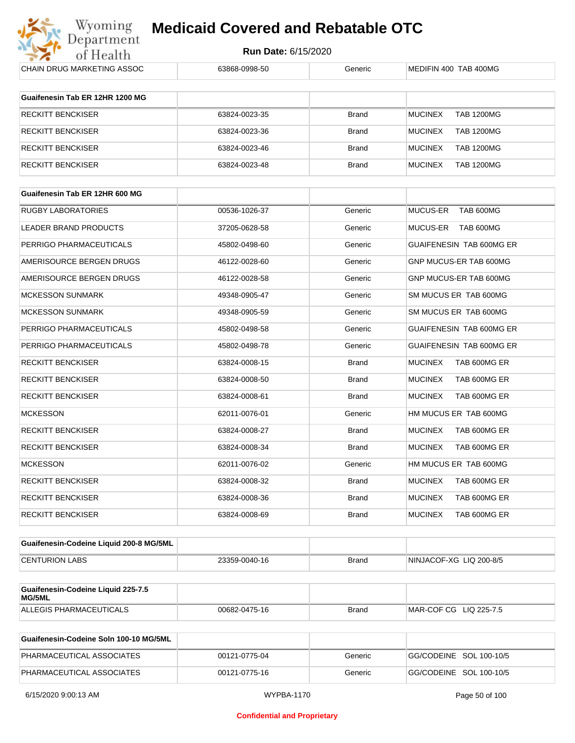

| <b>CHAIN DRUG MARKETING ASSOC</b>            | 63868-0998-50 | Generic      | MEDIFIN 400 TAB 400MG               |
|----------------------------------------------|---------------|--------------|-------------------------------------|
| Guaifenesin Tab ER 12HR 1200 MG              |               |              |                                     |
| RECKITT BENCKISER                            | 63824-0023-35 | <b>Brand</b> | <b>TAB 1200MG</b><br><b>MUCINEX</b> |
| RECKITT BENCKISER                            | 63824-0023-36 | <b>Brand</b> | <b>MUCINEX</b><br><b>TAB 1200MG</b> |
| <b>RECKITT BENCKISER</b>                     | 63824-0023-46 | <b>Brand</b> | <b>MUCINEX</b><br><b>TAB 1200MG</b> |
| RECKITT BENCKISER                            | 63824-0023-48 | <b>Brand</b> | <b>MUCINEX</b><br><b>TAB 1200MG</b> |
| Guaifenesin Tab ER 12HR 600 MG               |               |              |                                     |
|                                              |               |              |                                     |
| <b>RUGBY LABORATORIES</b>                    | 00536-1026-37 | Generic      | MUCUS-ER TAB 600MG                  |
| LEADER BRAND PRODUCTS                        | 37205-0628-58 | Generic      | MUCUS-ER TAB 600MG                  |
| PERRIGO PHARMACEUTICALS                      | 45802-0498-60 | Generic      | GUAIFENESIN TAB 600MG ER            |
| AMERISOURCE BERGEN DRUGS                     | 46122-0028-60 | Generic      | GNP MUCUS-ER TAB 600MG              |
| AMERISOURCE BERGEN DRUGS                     | 46122-0028-58 | Generic      | GNP MUCUS-ER TAB 600MG              |
| <b>MCKESSON SUNMARK</b>                      | 49348-0905-47 | Generic      | SM MUCUS ER TAB 600MG               |
| <b>MCKESSON SUNMARK</b>                      | 49348-0905-59 | Generic      | SM MUCUS ER TAB 600MG               |
| PERRIGO PHARMACEUTICALS                      | 45802-0498-58 | Generic      | GUAIFENESIN TAB 600MG ER            |
| PERRIGO PHARMACEUTICALS                      | 45802-0498-78 | Generic      | GUAIFENESIN TAB 600MG ER            |
| RECKITT BENCKISER                            | 63824-0008-15 | <b>Brand</b> | <b>MUCINEX</b><br>TAB 600MG ER      |
| RECKITT BENCKISER                            | 63824-0008-50 | <b>Brand</b> | <b>MUCINEX</b><br>TAB 600MG ER      |
| <b>RECKITT BENCKISER</b>                     | 63824-0008-61 | <b>Brand</b> | <b>MUCINEX</b><br>TAB 600MG ER      |
| MCKESSON                                     | 62011-0076-01 | Generic      | HM MUCUS ER TAB 600MG               |
| <b>RECKITT BENCKISER</b>                     | 63824-0008-27 | <b>Brand</b> | <b>MUCINEX</b><br>TAB 600MG ER      |
| RECKITT BENCKISER                            | 63824-0008-34 | <b>Brand</b> | <b>MUCINEX</b><br>TAB 600MG ER      |
| <b>MCKESSON</b>                              | 62011-0076-02 | Generic      | HM MUCUS ER TAB 600MG               |
| RECKITT BENCKISER                            | 63824-0008-32 | <b>Brand</b> | <b>MUCINEX</b><br>TAB 600MG ER      |
| <b>RECKITT BENCKISER</b>                     | 63824-0008-36 | <b>Brand</b> | <b>MUCINEX</b><br>TAB 600MG ER      |
| <b>RECKITT BENCKISER</b>                     | 63824-0008-69 | <b>Brand</b> | <b>MUCINEX</b><br>TAB 600MG ER      |
| Guaifenesin-Codeine Liquid 200-8 MG/5ML      |               |              |                                     |
| <b>CENTURION LABS</b>                        | 23359-0040-16 | <b>Brand</b> | NINJACOF-XG LIQ 200-8/5             |
|                                              |               |              |                                     |
| Guaifenesin-Codeine Liquid 225-7.5<br>MG/5ML |               |              |                                     |
| ALLEGIS PHARMACEUTICALS                      | 00682-0475-16 | <b>Brand</b> | MAR-COF CG LIQ 225-7.5              |
|                                              |               |              |                                     |

| Guaifenesin-Codeine Soln 100-10 MG/5ML |               |         |                         |
|----------------------------------------|---------------|---------|-------------------------|
| PHARMACEUTICAL ASSOCIATES              | 00121-0775-04 | Generic | GG/CODEINE SOL 100-10/5 |
| PHARMACEUTICAL ASSOCIATES              | 00121-0775-16 | Generic | GG/CODEINE SOL 100-10/5 |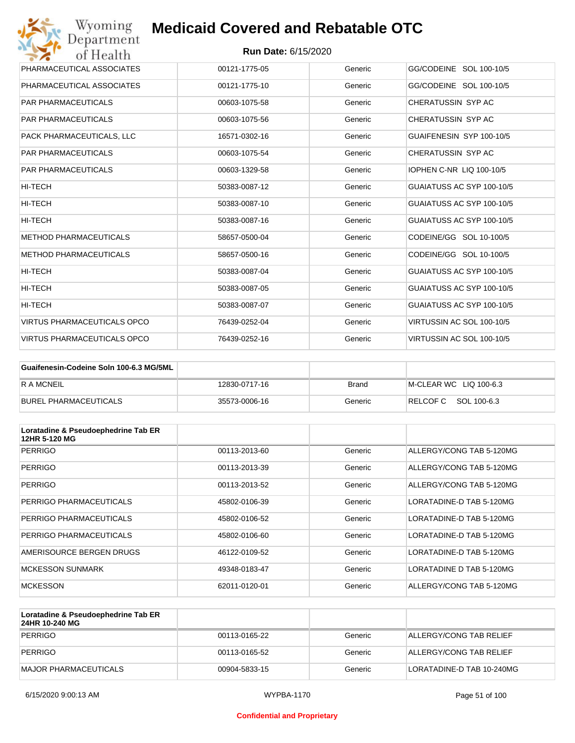

| Wyoming<br><b>Medicaid Covered and Rebatable OTC</b><br>Department |                            |         |                           |  |
|--------------------------------------------------------------------|----------------------------|---------|---------------------------|--|
| of Health                                                          | <b>Run Date: 6/15/2020</b> |         |                           |  |
| PHARMACEUTICAL ASSOCIATES                                          | 00121-1775-05              | Generic | GG/CODEINE SOL 100-10/5   |  |
| PHARMACEUTICAL ASSOCIATES                                          | 00121-1775-10              | Generic | GG/CODEINE SOL 100-10/5   |  |
| <b>PAR PHARMACEUTICALS</b>                                         | 00603-1075-58              | Generic | CHERATUSSIN SYP AC        |  |
| <b>PAR PHARMACEUTICALS</b>                                         | 00603-1075-56              | Generic | CHERATUSSIN SYP AC        |  |
| PACK PHARMACEUTICALS, LLC                                          | 16571-0302-16              | Generic | GUAIFENESIN SYP 100-10/5  |  |
| <b>PAR PHARMACEUTICALS</b>                                         | 00603-1075-54              | Generic | CHERATUSSIN SYP AC        |  |
| <b>PAR PHARMACEUTICALS</b>                                         | 00603-1329-58              | Generic | IOPHEN C-NR LIQ 100-10/5  |  |
| HI-TECH                                                            | 50383-0087-12              | Generic | GUAIATUSS AC SYP 100-10/5 |  |
| HI-TECH                                                            | 50383-0087-10              | Generic | GUAIATUSS AC SYP 100-10/5 |  |
| HI-TECH                                                            | 50383-0087-16              | Generic | GUAIATUSS AC SYP 100-10/5 |  |
| <b>METHOD PHARMACEUTICALS</b>                                      | 58657-0500-04              | Generic | CODEINE/GG SOL 10-100/5   |  |
| <b>METHOD PHARMACEUTICALS</b>                                      | 58657-0500-16              | Generic | CODEINE/GG SOL 10-100/5   |  |
| HI-TECH                                                            | 50383-0087-04              | Generic | GUAIATUSS AC SYP 100-10/5 |  |
| HI-TECH                                                            | 50383-0087-05              | Generic | GUAIATUSS AC SYP 100-10/5 |  |
| HI-TECH                                                            | 50383-0087-07              | Generic | GUAIATUSS AC SYP 100-10/5 |  |
| VIRTUS PHARMACEUTICALS OPCO                                        | 76439-0252-04              | Generic | VIRTUSSIN AC SOL 100-10/5 |  |
| <b>VIRTUS PHARMACEUTICALS OPCO</b>                                 | 76439-0252-16              | Generic | VIRTUSSIN AC SOL 100-10/5 |  |

| Guaifenesin-Codeine Soln 100-6.3 MG/5ML |               |         |                        |
|-----------------------------------------|---------------|---------|------------------------|
| R A MCNEIL                              | 12830-0717-16 | Brand   | M-CLEAR WC LIQ 100-6.3 |
| BUREL PHARMACEUTICALS                   | 35573-0006-16 | Generic | RELCOFC SOL 100-6.3    |

| Loratadine & Pseudoephedrine Tab ER<br>12HR 5-120 MG |               |         |                          |
|------------------------------------------------------|---------------|---------|--------------------------|
| <b>PERRIGO</b>                                       | 00113-2013-60 | Generic | ALLERGY/CONG TAB 5-120MG |
| <b>PERRIGO</b>                                       | 00113-2013-39 | Generic | ALLERGY/CONG TAB 5-120MG |
| <b>PERRIGO</b>                                       | 00113-2013-52 | Generic | ALLERGY/CONG TAB 5-120MG |
| PERRIGO PHARMACEUTICALS                              | 45802-0106-39 | Generic | LORATADINE-D TAB 5-120MG |
| PERRIGO PHARMACEUTICALS                              | 45802-0106-52 | Generic | LORATADINE-D TAB 5-120MG |
| PERRIGO PHARMACEUTICALS                              | 45802-0106-60 | Generic | LORATADINE-D TAB 5-120MG |
| AMERISOURCE BERGEN DRUGS                             | 46122-0109-52 | Generic | LORATADINE-D TAB 5-120MG |
| <b>MCKESSON SUNMARK</b>                              | 49348-0183-47 | Generic | LORATADINE D TAB 5-120MG |
| <b>MCKESSON</b>                                      | 62011-0120-01 | Generic | ALLERGY/CONG TAB 5-120MG |

| Loratadine & Pseudoephedrine Tab ER<br>24HR 10-240 MG |               |         |                           |
|-------------------------------------------------------|---------------|---------|---------------------------|
| PERRIGO                                               | 00113-0165-22 | Generic | ALLERGY/CONG TAB RELIEF   |
| PERRIGO                                               | 00113-0165-52 | Generic | ALLERGY/CONG TAB RELIEF   |
| MAJOR PHARMACEUTICALS                                 | 00904-5833-15 | Generic | LORATADINE-D TAB 10-240MG |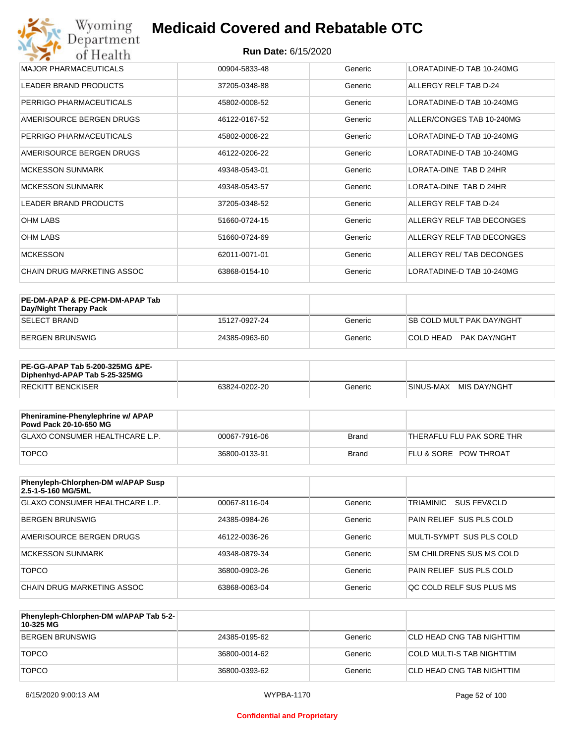| Wyoming<br><b>Medicaid Covered and Rebatable OTC</b> |                                          |         |                               |  |  |  |
|------------------------------------------------------|------------------------------------------|---------|-------------------------------|--|--|--|
| of Health                                            | Department<br><b>Run Date: 6/15/2020</b> |         |                               |  |  |  |
| <b>MAJOR PHARMACEUTICALS</b>                         | 00904-5833-48                            | Generic | LORATADINE-D TAB 10-240MG     |  |  |  |
| <b>LEADER BRAND PRODUCTS</b>                         | 37205-0348-88                            | Generic | ALLERGY RELF TAB D-24         |  |  |  |
| PERRIGO PHARMACEUTICALS                              | 45802-0008-52                            | Generic | LORATADINE-D TAB 10-240MG     |  |  |  |
| AMERISOURCE BERGEN DRUGS                             | 46122-0167-52                            | Generic | ALLER/CONGES TAB 10-240MG     |  |  |  |
| PERRIGO PHARMACEUTICALS                              | 45802-0008-22                            | Generic | LORATADINE-D TAB 10-240MG     |  |  |  |
| AMERISOURCE BERGEN DRUGS                             | 46122-0206-22                            | Generic | LORATADINE-D TAB 10-240MG     |  |  |  |
| <b>MCKESSON SUNMARK</b>                              | 49348-0543-01                            | Generic | LORATA-DINE TAB D 24HR        |  |  |  |
| <b>MCKESSON SUNMARK</b>                              | 49348-0543-57                            | Generic | <b>LORATA-DINE TAB D 24HR</b> |  |  |  |
| <b>LEADER BRAND PRODUCTS</b>                         | 37205-0348-52                            | Generic | ALLERGY RELF TAB D-24         |  |  |  |
| <b>OHM LABS</b>                                      | 51660-0724-15                            | Generic | ALLERGY RELF TAB DECONGES     |  |  |  |
| <b>OHM LABS</b>                                      | 51660-0724-69                            | Generic | ALLERGY RELF TAB DECONGES     |  |  |  |
| <b>MCKESSON</b>                                      | 62011-0071-01                            | Generic | ALLERGY REL/ TAB DECONGES     |  |  |  |
| CHAIN DRUG MARKETING ASSOC                           | 63868-0154-10                            | Generic | LORATADINE-D TAB 10-240MG     |  |  |  |

| PE-DM-APAP & PE-CPM-DM-APAP Tab<br>Day/Night Therapy Pack |               |         |                                  |
|-----------------------------------------------------------|---------------|---------|----------------------------------|
| ISELECT BRAND                                             | 15127-0927-24 | Generic | <b>SB COLD MULT PAK DAY/NGHT</b> |
| BERGEN BRUNSWIG                                           | 24385-0963-60 | Generic | COLD HEAD PAK DAY/NGHT           |

| <b>PE-GG-APAP Tab 5-200-325MG &amp;PE-</b><br>Diphenhyd-APAP Tab 5-25-325MG |               |         |                           |
|-----------------------------------------------------------------------------|---------------|---------|---------------------------|
| <b>RECKITT BENCKISER</b>                                                    | 63824-0202-20 | Generic | MIS DAY/NGHT<br>SINUS-MAX |

| Pheniramine-Phenylephrine w/ APAP<br>Powd Pack 20-10-650 MG |               |              |                                  |
|-------------------------------------------------------------|---------------|--------------|----------------------------------|
| GLAXO CONSUMER HEALTHCARE L.P.                              | 00067-7916-06 | Brand        | THERAFLU FLU PAK SORE THR        |
| <b>TOPCO</b>                                                | 36800-0133-91 | <b>Brand</b> | <b>FLU &amp; SORE POW THROAT</b> |

| Phenyleph-Chlorphen-DM w/APAP Susp<br>2.5-1-5-160 MG/5ML |               |         |                          |
|----------------------------------------------------------|---------------|---------|--------------------------|
| GLAXO CONSUMER HEALTHCARE L.P.                           | 00067-8116-04 | Generic | TRIAMINIC<br>SUS FEV&CLD |
| <b>BERGEN BRUNSWIG</b>                                   | 24385-0984-26 | Generic | PAIN RELIEF SUS PLS COLD |
| AMERISOURCE BERGEN DRUGS                                 | 46122-0036-26 | Generic | MULTI-SYMPT SUS PLS COLD |
| MCKESSON SUNMARK                                         | 49348-0879-34 | Generic | SM CHILDRENS SUS MS COLD |
| <b>TOPCO</b>                                             | 36800-0903-26 | Generic | PAIN RELIEF SUS PLS COLD |
| CHAIN DRUG MARKETING ASSOC                               | 63868-0063-04 | Generic | OC COLD RELF SUS PLUS MS |

| Phenyleph-Chlorphen-DM w/APAP Tab 5-2-<br>10-325 MG |               |         |                           |
|-----------------------------------------------------|---------------|---------|---------------------------|
| <b>BERGEN BRUNSWIG</b>                              | 24385-0195-62 | Generic | CLD HEAD CNG TAB NIGHTTIM |
| <b>TOPCO</b>                                        | 36800-0014-62 | Generic | COLD MULTI-S TAB NIGHTTIM |
| <b>TOPCO</b>                                        | 36800-0393-62 | Generic | CLD HEAD CNG TAB NIGHTTIM |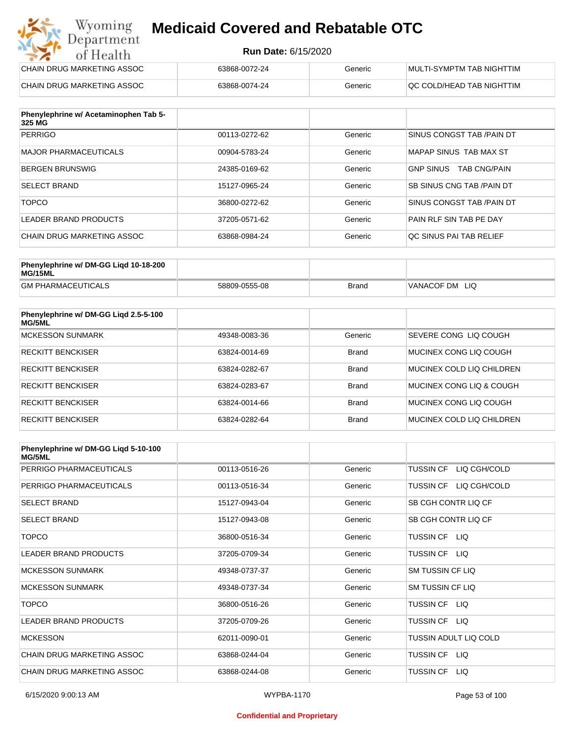#### **Run Date:** 6/15/2020

| Wyoming<br><b>Medicaid Covered and Rebatable OTC</b><br>Department |                            |         |                           |  |
|--------------------------------------------------------------------|----------------------------|---------|---------------------------|--|
| of Health                                                          | <b>Run Date: 6/15/2020</b> |         |                           |  |
| CHAIN DRUG MARKETING ASSOC                                         | 63868-0072-24              | Generic | MULTI-SYMPTM TAB NIGHTTIM |  |
| CHAIN DRUG MARKETING ASSOC                                         | 63868-0074-24              | Generic | QC COLD/HEAD TAB NIGHTTIM |  |

| Phenylephrine w/ Acetaminophen Tab 5-<br>325 MG |               |         |                                         |
|-------------------------------------------------|---------------|---------|-----------------------------------------|
| PERRIGO                                         | 00113-0272-62 | Generic | SINUS CONGST TAB /PAIN DT               |
| <b>MAJOR PHARMACEUTICALS</b>                    | 00904-5783-24 | Generic | MAPAP SINUS TAB MAX ST                  |
| <b>BERGEN BRUNSWIG</b>                          | 24385-0169-62 | Generic | <b>GNP SINUS</b><br><b>TAB CNG/PAIN</b> |
| <b>SELECT BRAND</b>                             | 15127-0965-24 | Generic | <b>SB SINUS CNG TAB /PAIN DT</b>        |
| <b>TOPCO</b>                                    | 36800-0272-62 | Generic | SINUS CONGST TAB /PAIN DT               |
| LEADER BRAND PRODUCTS                           | 37205-0571-62 | Generic | PAIN RLF SIN TAB PE DAY                 |
| CHAIN DRUG MARKETING ASSOC                      | 63868-0984-24 | Generic | OC SINUS PAI TAB RELIEF                 |

| Phenylephrine w/ DM-GG Ligd 10-18-200<br>MG/15ML |               |              |                   |
|--------------------------------------------------|---------------|--------------|-------------------|
| <b>GM PHARMACEUTICALS</b>                        | 58809-0555-08 | <b>Brand</b> | VANACOF DM<br>LIQ |

| Phenylephrine w/ DM-GG Liqd 2.5-5-100<br>MG/5ML |               |              |                           |
|-------------------------------------------------|---------------|--------------|---------------------------|
| <b>MCKESSON SUNMARK</b>                         | 49348-0083-36 | Generic      | SEVERE CONG LIQ COUGH     |
| <b>RECKITT BENCKISER</b>                        | 63824-0014-69 | <b>Brand</b> | MUCINEX CONG LIO COUGH    |
| <b>RECKITT BENCKISER</b>                        | 63824-0282-67 | <b>Brand</b> | MUCINEX COLD LIQ CHILDREN |
| <b>RECKITT BENCKISER</b>                        | 63824-0283-67 | <b>Brand</b> | MUCINEX CONG LIO & COUGH  |
| <b>RECKITT BENCKISER</b>                        | 63824-0014-66 | <b>Brand</b> | MUCINEX CONG LIO COUGH    |
| <b>RECKITT BENCKISER</b>                        | 63824-0282-64 | <b>Brand</b> | MUCINEX COLD LIQ CHILDREN |

| Phenylephrine w/ DM-GG Liqd 5-10-100<br><b>MG/5ML</b> |               |         |                              |
|-------------------------------------------------------|---------------|---------|------------------------------|
| PERRIGO PHARMACEUTICALS                               | 00113-0516-26 | Generic | TUSSIN CF LIQ CGH/COLD       |
| PERRIGO PHARMACEUTICALS                               | 00113-0516-34 | Generic | LIQ CGH/COLD<br>TUSSIN CF    |
| <b>SELECT BRAND</b>                                   | 15127-0943-04 | Generic | SB CGH CONTR LIQ CF          |
| <b>SELECT BRAND</b>                                   | 15127-0943-08 | Generic | SB CGH CONTR LIQ CF          |
| <b>TOPCO</b>                                          | 36800-0516-34 | Generic | TUSSIN CF LIQ                |
| <b>LEADER BRAND PRODUCTS</b>                          | 37205-0709-34 | Generic | <b>TUSSIN CF</b><br>LIQ.     |
| <b>MCKESSON SUNMARK</b>                               | 49348-0737-37 | Generic | <b>SM TUSSIN CF LIQ</b>      |
| <b>MCKESSON SUNMARK</b>                               | 49348-0737-34 | Generic | <b>SM TUSSIN CF LIQ</b>      |
| <b>TOPCO</b>                                          | 36800-0516-26 | Generic | TUSSIN CF LIQ                |
| <b>LEADER BRAND PRODUCTS</b>                          | 37205-0709-26 | Generic | <b>TUSSIN CF</b><br>LIQ.     |
| <b>MCKESSON</b>                                       | 62011-0090-01 | Generic | <b>TUSSIN ADULT LIQ COLD</b> |
| CHAIN DRUG MARKETING ASSOC                            | 63868-0244-04 | Generic | <b>TUSSIN CF</b><br>LIQ.     |
| CHAIN DRUG MARKETING ASSOC                            | 63868-0244-08 | Generic | <b>TUSSIN CF</b><br>LIQ.     |

#### **Confidential and Proprietary**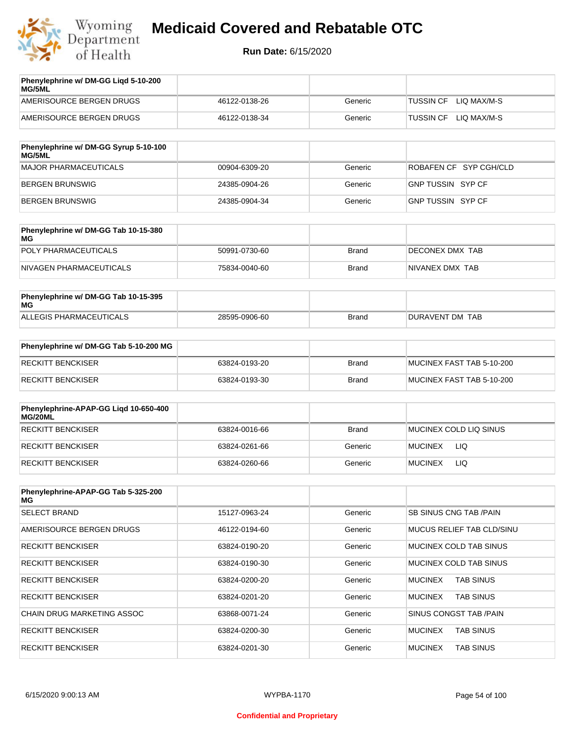

| Phenylephrine w/ DM-GG Ligd 5-10-200<br>MG/5ML |               |         |                                 |
|------------------------------------------------|---------------|---------|---------------------------------|
| AMERISOURCE BERGEN DRUGS                       | 46122-0138-26 | Generic | LIO MAX/M-S<br><b>TUSSIN CF</b> |
| AMERISOURCE BERGEN DRUGS                       | 46122-0138-34 | Generic | LIO MAX/M-S<br>TUSSIN CF        |
|                                                |               |         |                                 |

| Phenylephrine w/ DM-GG Syrup 5-10-100<br>MG/5ML |               |         |                          |
|-------------------------------------------------|---------------|---------|--------------------------|
| MAJOR PHARMACEUTICALS                           | 00904-6309-20 | Generic | ROBAFEN CF SYP CGH/CLD   |
| BERGEN BRUNSWIG                                 | 24385-0904-26 | Generic | <b>GNP TUSSIN SYP CF</b> |
| BERGEN BRUNSWIG                                 | 24385-0904-34 | Generic | GNP TUSSIN SYP CF        |

| Phenylephrine w/ DM-GG Tab 10-15-380<br>MG |               |       |                 |
|--------------------------------------------|---------------|-------|-----------------|
| POLY PHARMACEUTICALS                       | 50991-0730-60 | Brand | DECONEX DMX TAB |
| NIVAGEN PHARMACEUTICALS                    | 75834-0040-60 | Brand | NIVANEX DMX TAB |

| Phenylephrine w/ DM-GG Tab 10-15-395<br>MG |               |       |                 |
|--------------------------------------------|---------------|-------|-----------------|
| ALLEGIS PHARMACEUTICALS                    | 28595-0906-60 | Brand | DURAVENT DM TAB |

| Phenylephrine w/ DM-GG Tab 5-10-200 MG |               |       |                           |
|----------------------------------------|---------------|-------|---------------------------|
| RECKITT BENCKISER                      | 63824-0193-20 | Brand | MUCINEX FAST TAB 5-10-200 |
| RECKITT BENCKISER                      | 63824-0193-30 | Brand | MUCINEX FAST TAB 5-10-200 |

| Phenylephrine-APAP-GG Ligd 10-650-400<br>MG/20ML |               |              |                              |
|--------------------------------------------------|---------------|--------------|------------------------------|
| <b>RECKITT BENCKISER</b>                         | 63824-0016-66 | <b>Brand</b> | MUCINEX COLD LIQ SINUS       |
| <b>RECKITT BENCKISER</b>                         | 63824-0261-66 | Generic      | <b>LIQ</b><br><b>MUCINEX</b> |
| RECKITT BENCKISER                                | 63824-0260-66 | Generic      | <b>LIQ</b><br><b>MUCINEX</b> |

| Phenylephrine-APAP-GG Tab 5-325-200<br>MG |               |         |                                    |
|-------------------------------------------|---------------|---------|------------------------------------|
| <b>SELECT BRAND</b>                       | 15127-0963-24 | Generic | <b>SB SINUS CNG TAB /PAIN</b>      |
| AMERISOURCE BERGEN DRUGS                  | 46122-0194-60 | Generic | <b>MUCUS RELIEF TAB CLD/SINU</b>   |
| <b>RECKITT BENCKISER</b>                  | 63824-0190-20 | Generic | MUCINEX COLD TAB SINUS             |
| <b>RECKITT BENCKISER</b>                  | 63824-0190-30 | Generic | MUCINEX COLD TAB SINUS             |
| <b>RECKITT BENCKISER</b>                  | 63824-0200-20 | Generic | <b>TAB SINUS</b><br><b>MUCINEX</b> |
| <b>RECKITT BENCKISER</b>                  | 63824-0201-20 | Generic | <b>MUCINEX</b><br><b>TAB SINUS</b> |
| CHAIN DRUG MARKETING ASSOC                | 63868-0071-24 | Generic | SINUS CONGST TAB /PAIN             |
| <b>RECKITT BENCKISER</b>                  | 63824-0200-30 | Generic | <b>MUCINEX</b><br><b>TAB SINUS</b> |
| <b>RECKITT BENCKISER</b>                  | 63824-0201-30 | Generic | <b>MUCINEX</b><br><b>TAB SINUS</b> |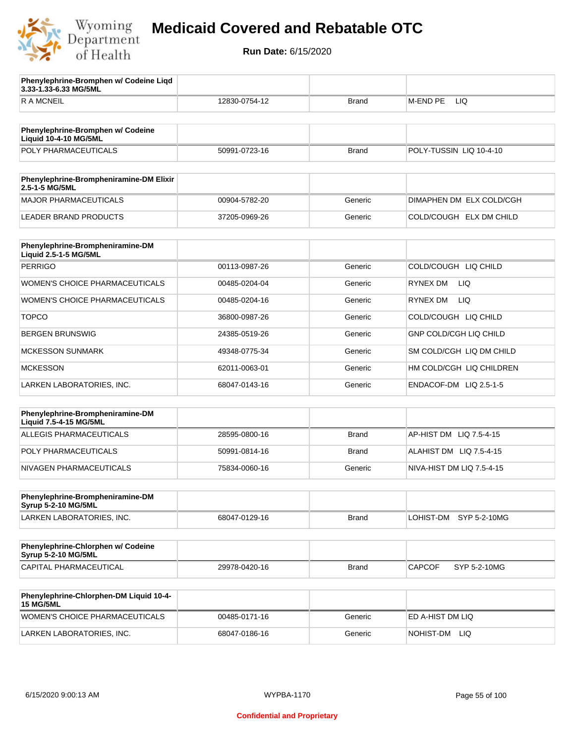

**3.33-1.33-6.33 MG/5ML**

**Phenylephrine-Bromphen w/ Codeine Liqd** 

# **Medicaid Covered and Rebatable OTC**

| <b>RAMCNEIL</b>                                                   | 12830-0754-12 | Brand        | M-END PE<br>LIQ               |
|-------------------------------------------------------------------|---------------|--------------|-------------------------------|
|                                                                   |               |              |                               |
| Phenylephrine-Bromphen w/ Codeine<br><b>Liquid 10-4-10 MG/5ML</b> |               |              |                               |
| POLY PHARMACEUTICALS                                              | 50991-0723-16 | <b>Brand</b> | POLY-TUSSIN LIQ 10-4-10       |
| Phenylephrine-Brompheniramine-DM Elixir<br>2.5-1-5 MG/5ML         |               |              |                               |
| <b>MAJOR PHARMACEUTICALS</b>                                      | 00904-5782-20 | Generic      | DIMAPHEN DM ELX COLD/CGH      |
| <b>LEADER BRAND PRODUCTS</b>                                      | 37205-0969-26 | Generic      | COLD/COUGH ELX DM CHILD       |
|                                                                   |               |              |                               |
| Phenylephrine-Brompheniramine-DM<br>Liquid 2.5-1-5 MG/5ML         |               |              |                               |
| <b>PERRIGO</b>                                                    | 00113-0987-26 | Generic      | COLD/COUGH LIQ CHILD          |
| WOMEN'S CHOICE PHARMACEUTICALS                                    | 00485-0204-04 | Generic      | RYNEX DM<br>LIQ.              |
| WOMEN'S CHOICE PHARMACEUTICALS                                    | 00485-0204-16 | Generic      | <b>LIQ</b><br><b>RYNEX DM</b> |
| <b>TOPCO</b>                                                      | 36800-0987-26 | Generic      | COLD/COUGH LIQ CHILD          |
| <b>BERGEN BRUNSWIG</b>                                            | 24385-0519-26 | Generic      | <b>GNP COLD/CGH LIQ CHILD</b> |
| <b>MCKESSON SUNMARK</b>                                           | 49348-0775-34 | Generic      | SM COLD/CGH LIQ DM CHILD      |
| <b>MCKESSON</b>                                                   | 62011-0063-01 | Generic      | HM COLD/CGH LIQ CHILDREN      |
| LARKEN LABORATORIES, INC.                                         | 68047-0143-16 | Generic      | ENDACOF-DM LIQ 2.5-1-5        |
|                                                                   |               |              |                               |
| Phenylephrine-Brompheniramine-DM<br>Liquid 7.5-4-15 MG/5ML        |               |              |                               |
| <b>ALLEGIS PHARMACEUTICALS</b>                                    | 28595-0800-16 | <b>Brand</b> | AP-HIST DM LIQ 7.5-4-15       |
| POLY PHARMACEUTICALS                                              | 50991-0814-16 | Brand        | ALAHIST DM LIQ 7.5-4-15       |
| NIVAGEN PHARMACEUTICALS                                           | 75834-0060-16 | Generic      | NIVA-HIST DM LIQ 7.5-4-15     |
| Phenylephrine-Brompheniramine-DM                                  |               |              |                               |
| <b>Syrup 5-2-10 MG/5ML</b>                                        |               |              |                               |
| LARKEN LABORATORIES, INC.                                         | 68047-0129-16 | <b>Brand</b> | LOHIST-DM<br>SYP 5-2-10MG     |
| Phenylephrine-Chlorphen w/ Codeine<br><b>Syrup 5-2-10 MG/5ML</b>  |               |              |                               |
| CAPITAL PHARMACEUTICAL                                            | 29978-0420-16 | <b>Brand</b> | <b>CAPCOF</b><br>SYP 5-2-10MG |
|                                                                   |               |              |                               |
| Phenylephrine-Chlorphen-DM Liquid 10-4-<br><b>15 MG/5ML</b>       |               |              |                               |
| WOMEN'S CHOICE PHARMACEUTICALS                                    | 00485-0171-16 | Generic      | ED A-HIST DM LIQ              |
| LARKEN LABORATORIES, INC.                                         | 68047-0186-16 | Generic      | NOHIST-DM LIQ                 |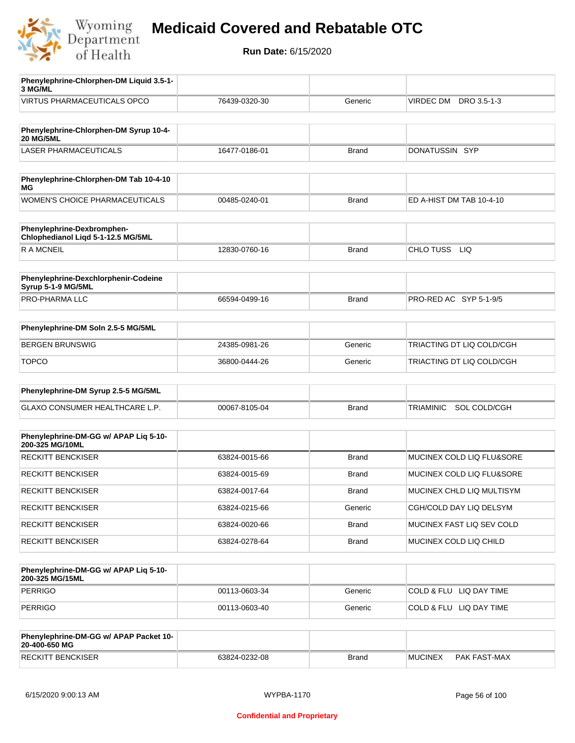

**Run Date:** 6/15/2020

| Phenylephrine-Chlorphen-DM Liquid 3.5-1-<br>3 MG/ML              |               |              |                           |
|------------------------------------------------------------------|---------------|--------------|---------------------------|
| VIRTUS PHARMACEUTICALS OPCO                                      | 76439-0320-30 | Generic      | VIRDEC DM<br>DRO 3.5-1-3  |
|                                                                  |               |              |                           |
| Phenylephrine-Chlorphen-DM Syrup 10-4-<br><b>20 MG/5ML</b>       |               |              |                           |
| <b>LASER PHARMACEUTICALS</b>                                     | 16477-0186-01 | <b>Brand</b> | DONATUSSIN SYP            |
|                                                                  |               |              |                           |
| Phenylephrine-Chlorphen-DM Tab 10-4-10<br><b>MG</b>              |               |              |                           |
| <b>WOMEN'S CHOICE PHARMACEUTICALS</b>                            | 00485-0240-01 | <b>Brand</b> | ED A-HIST DM TAB 10-4-10  |
| Phenylephrine-Dexbromphen-<br>Chlophedianol Liqd 5-1-12.5 MG/5ML |               |              |                           |
| <b>RAMCNEIL</b>                                                  | 12830-0760-16 | <b>Brand</b> | CHLO TUSS<br><b>LIQ</b>   |
|                                                                  |               |              |                           |
| Phenylephrine-Dexchlorphenir-Codeine<br>Syrup 5-1-9 MG/5ML       |               |              |                           |
| <b>PRO-PHARMA LLC</b>                                            | 66594-0499-16 | <b>Brand</b> | PRO-RED AC SYP 5-1-9/5    |
| Phenylephrine-DM Soln 2.5-5 MG/5ML                               |               |              |                           |
|                                                                  |               |              |                           |
| <b>BERGEN BRUNSWIG</b>                                           | 24385-0981-26 | Generic      | TRIACTING DT LIQ COLD/CGH |
| <b>TOPCO</b>                                                     | 36800-0444-26 | Generic      | TRIACTING DT LIQ COLD/CGH |
| Phenylephrine-DM Syrup 2.5-5 MG/5ML                              |               |              |                           |
| GLAXO CONSUMER HEALTHCARE L.P.                                   | 00067-8105-04 | <b>Brand</b> | TRIAMINIC SOL COLD/CGH    |
|                                                                  |               |              |                           |
| Phenylephrine-DM-GG w/ APAP Liq 5-10-<br>200-325 MG/10ML         |               |              |                           |
| <b>RECKITT BENCKISER</b>                                         | 63824-0015-66 | <b>Brand</b> | MUCINEX COLD LIQ FLU&SORE |
| <b>RECKITT BENCKISER</b>                                         | 63824-0015-69 | Brand        | MUCINEX COLD LIQ FLU&SORE |
| <b>RECKITT BENCKISER</b>                                         | 63824-0017-64 | Brand        | MUCINEX CHLD LIQ MULTISYM |
| <b>RECKITT BENCKISER</b>                                         | 63824-0215-66 | Generic      | CGH/COLD DAY LIQ DELSYM   |
| <b>RECKITT BENCKISER</b>                                         | 63824-0020-66 | <b>Brand</b> | MUCINEX FAST LIQ SEV COLD |
| <b>RECKITT BENCKISER</b>                                         | 63824-0278-64 | <b>Brand</b> | MUCINEX COLD LIQ CHILD    |
|                                                                  |               |              |                           |
| Phenylephrine-DM-GG w/ APAP Liq 5-10-<br>200-325 MG/15ML         |               |              |                           |
| <b>PERRIGO</b>                                                   | 00113-0603-34 | Generic      | COLD & FLU LIQ DAY TIME   |
| <b>PERRIGO</b>                                                   | 00113-0603-40 | Generic      | COLD & FLU LIQ DAY TIME   |
|                                                                  |               |              |                           |
| Phenylephrine-DM-GG w/ APAP Packet 10-<br>20-400-650 MG          |               |              |                           |

RECKITT BENCKISER 63824-0232-08 Brand MUCINEX PAK FAST-MAX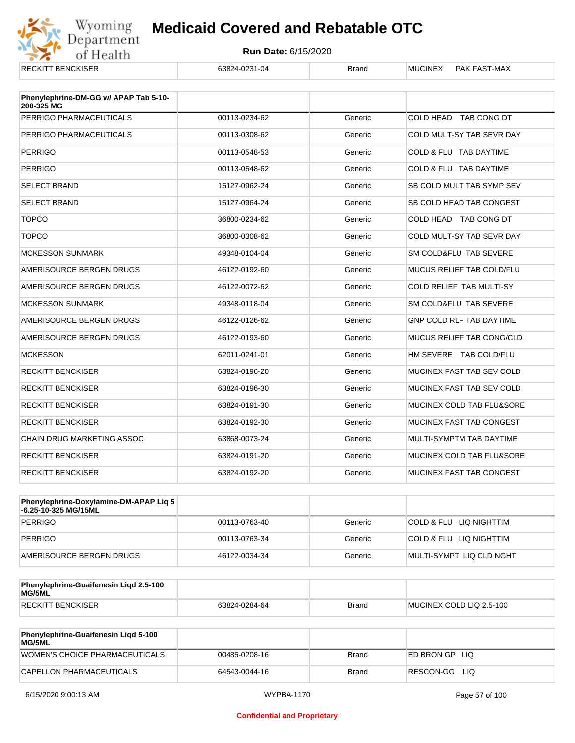

| <b>RECKITT BENCKISER</b>              | 63824-0231-04 | <b>Brand</b> | <b>MUCINEX</b><br>PAK FAST-MAX  |
|---------------------------------------|---------------|--------------|---------------------------------|
| Phenylephrine-DM-GG w/ APAP Tab 5-10- |               |              |                                 |
| 200-325 MG                            |               |              |                                 |
| PERRIGO PHARMACEUTICALS               | 00113-0234-62 | Generic      | COLD HEAD TAB CONG DT           |
| PERRIGO PHARMACEUTICALS               | 00113-0308-62 | Generic      | COLD MULT-SY TAB SEVR DAY       |
| <b>PERRIGO</b>                        | 00113-0548-53 | Generic      | COLD & FLU TAB DAYTIME          |
| <b>PERRIGO</b>                        | 00113-0548-62 | Generic      | COLD & FLU TAB DAYTIME          |
| <b>SELECT BRAND</b>                   | 15127-0962-24 | Generic      | SB COLD MULT TAB SYMP SEV       |
| <b>SELECT BRAND</b>                   | 15127-0964-24 | Generic      | SB COLD HEAD TAB CONGEST        |
| <b>TOPCO</b>                          | 36800-0234-62 | Generic      | COLD HEAD TAB CONG DT           |
| <b>TOPCO</b>                          | 36800-0308-62 | Generic      | COLD MULT-SY TAB SEVR DAY       |
| <b>MCKESSON SUNMARK</b>               | 49348-0104-04 | Generic      | SM COLD&FLU TAB SEVERE          |
| AMERISOURCE BERGEN DRUGS              | 46122-0192-60 | Generic      | MUCUS RELIEF TAB COLD/FLU       |
| AMERISOURCE BERGEN DRUGS              | 46122-0072-62 | Generic      | COLD RELIEF TAB MULTI-SY        |
| <b>MCKESSON SUNMARK</b>               | 49348-0118-04 | Generic      | SM COLD&FLU TAB SEVERE          |
| AMERISOURCE BERGEN DRUGS              | 46122-0126-62 | Generic      | <b>GNP COLD RLF TAB DAYTIME</b> |
| AMERISOURCE BERGEN DRUGS              | 46122-0193-60 | Generic      | MUCUS RELIEF TAB CONG/CLD       |
| <b>MCKESSON</b>                       | 62011-0241-01 | Generic      | HM SEVERE TAB COLD/FLU          |
| <b>RECKITT BENCKISER</b>              | 63824-0196-20 | Generic      | MUCINEX FAST TAB SEV COLD       |
| <b>RECKITT BENCKISER</b>              | 63824-0196-30 | Generic      | MUCINEX FAST TAB SEV COLD       |
| <b>RECKITT BENCKISER</b>              | 63824-0191-30 | Generic      | MUCINEX COLD TAB FLU&SORE       |
| <b>RECKITT BENCKISER</b>              | 63824-0192-30 | Generic      | MUCINEX FAST TAB CONGEST        |
| <b>CHAIN DRUG MARKETING ASSOC</b>     | 63868-0073-24 | Generic      | MULTI-SYMPTM TAB DAYTIME        |
| <b>RECKITT BENCKISER</b>              | 63824-0191-20 | Generic      | MUCINEX COLD TAB FLU&SORE       |
| <b>RECKITT BENCKISER</b>              | 63824-0192-20 | Generic      | MUCINEX FAST TAB CONGEST        |

| <b>Phenylephrine-Doxylamine-DM-APAP Lig 5</b><br>-6.25-10-325 MG/15ML |               |         |                          |
|-----------------------------------------------------------------------|---------------|---------|--------------------------|
| PERRIGO                                                               | 00113-0763-40 | Generic | COLD & FLU LIQ NIGHTTIM  |
| PERRIGO                                                               | 00113-0763-34 | Generic | COLD & FLU LIQ NIGHTTIM  |
| AMERISOURCE BERGEN DRUGS                                              | 46122-0034-34 | Generic | MULTI-SYMPT LIQ CLD NGHT |

| Phenylephrine-Guaifenesin Ligd 2.5-100<br>MG/5ML |               |              |                          |
|--------------------------------------------------|---------------|--------------|--------------------------|
| <b>RECKITT BENCKISER</b>                         | 63824-0284-64 | <b>Brand</b> | MUCINEX COLD LIQ 2.5-100 |

| <b>Phenylephrine-Guaifenesin Ligd 5-100</b><br><b>MG/5ML</b> |               |       |                  |
|--------------------------------------------------------------|---------------|-------|------------------|
| WOMEN'S CHOICE PHARMACEUTICALS                               | 00485-0208-16 | Brand | ED BRON GPLIO    |
| CAPELLON PHARMACEUTICALS                                     | 64543-0044-16 | Brand | RESCON-GG<br>LIQ |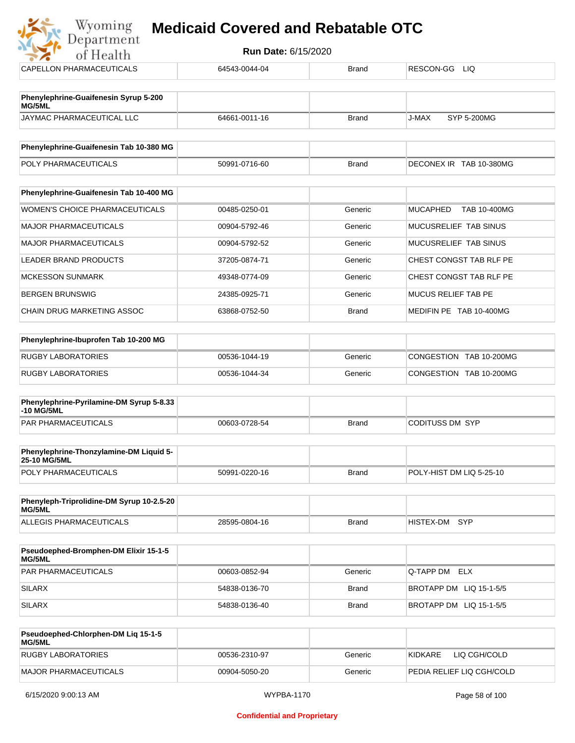| Wyoming<br><b>Medicaid Covered and Rebatable OTC</b><br>Department |                            |              |                                 |  |  |
|--------------------------------------------------------------------|----------------------------|--------------|---------------------------------|--|--|
| of Health                                                          | <b>Run Date: 6/15/2020</b> |              |                                 |  |  |
| CAPELLON PHARMACEUTICALS                                           | 64543-0044-04              | <b>Brand</b> | RESCON-GG LIQ                   |  |  |
| Phenylephrine-Guaifenesin Syrup 5-200<br>MG/5ML                    |                            |              |                                 |  |  |
| JAYMAC PHARMACEUTICAL LLC                                          | 64661-0011-16              | <b>Brand</b> | J-MAX<br>SYP 5-200MG            |  |  |
| Phenylephrine-Guaifenesin Tab 10-380 MG                            |                            |              |                                 |  |  |
| POLY PHARMACEUTICALS                                               | 50991-0716-60              | <b>Brand</b> | DECONEX IR TAB 10-380MG         |  |  |
| Phenylephrine-Guaifenesin Tab 10-400 MG                            |                            |              |                                 |  |  |
| <b>WOMEN'S CHOICE PHARMACEUTICALS</b>                              | 00485-0250-01              | Generic      | <b>MUCAPHED</b><br>TAB 10-400MG |  |  |
| <b>MAJOR PHARMACEUTICALS</b>                                       | 00904-5792-46              | Generic      | MUCUSRELIEF TAB SINUS           |  |  |
| MAJOR PHARMACEUTICALS                                              | 00904-5792-52              | Generic      | MUCUSRELIEF TAB SINUS           |  |  |
| <b>LEADER BRAND PRODUCTS</b>                                       | 37205-0874-71              | Generic      | CHEST CONGST TAB RLF PE         |  |  |
| <b>MCKESSON SUNMARK</b>                                            | 49348-0774-09              | Generic      | CHEST CONGST TAB RLF PE         |  |  |
| <b>BERGEN BRUNSWIG</b>                                             | 24385-0925-71              | Generic      | MUCUS RELIEF TAB PE             |  |  |
| CHAIN DRUG MARKETING ASSOC                                         | 63868-0752-50              | <b>Brand</b> | MEDIFIN PE TAB 10-400MG         |  |  |
| Phenylephrine-Ibuprofen Tab 10-200 MG                              |                            |              |                                 |  |  |
| <b>RUGBY LABORATORIES</b>                                          | 00536-1044-19              | Generic      | CONGESTION TAB 10-200MG         |  |  |
| <b>RUGBY LABORATORIES</b>                                          | 00536-1044-34              | Generic      | CONGESTION TAB 10-200MG         |  |  |
| Phenylephrine-Pyrilamine-DM Syrup 5-8.33<br>-10 MG/5ML             |                            |              |                                 |  |  |
| PAR PHARMACEUTICALS                                                | 00603-0728-54              | <b>Brand</b> | <b>CODITUSS DM SYP</b>          |  |  |
| Phenylephrine-Thonzylamine-DM Liquid 5-<br>25-10 MG/5ML            |                            |              |                                 |  |  |
| POLY PHARMACEUTICALS                                               | 50991-0220-16              | <b>Brand</b> | POLY-HIST DM LIQ 5-25-10        |  |  |

| Phenyleph-Triprolidine-DM Syrup 10-2.5-20<br>MG/5ML |               |       |           |       |
|-----------------------------------------------------|---------------|-------|-----------|-------|
| ALLEGIS PHARMACEUTICALS                             | 28595-0804-16 | Brand | HISTEX-DM | – SYP |

| <b>Pseudoephed-Bromphen-DM Elixir 15-1-5</b><br>MG/5ML |               |         |                         |
|--------------------------------------------------------|---------------|---------|-------------------------|
| <b>PAR PHARMACEUTICALS</b>                             | 00603-0852-94 | Generic | Q-TAPP DM ELX           |
| SILARX                                                 | 54838-0136-70 | Brand   | BROTAPP DM LIQ 15-1-5/5 |
| SILARX                                                 | 54838-0136-40 | Brand   | BROTAPP DM LIQ 15-1-5/5 |

| <b>Pseudoephed-Chlorphen-DM Lig 15-1-5</b><br>MG/5ML |               |         |                           |
|------------------------------------------------------|---------------|---------|---------------------------|
| RUGBY LABORATORIES                                   | 00536-2310-97 | Generic | LIO CGH/COLD<br>KIDKARE   |
| MAJOR PHARMACEUTICALS                                | 00904-5050-20 | Generic | PEDIA RELIEF LIQ CGH/COLD |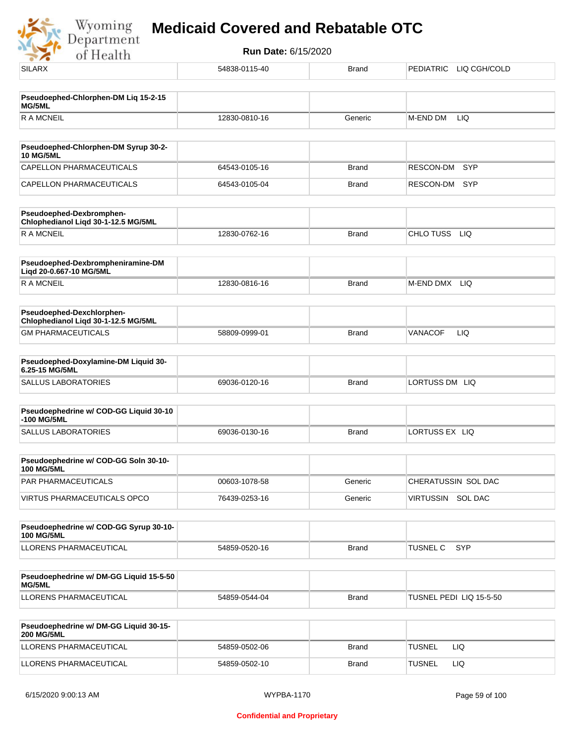Wyoming<br>Department<br>of Health

| .                                                                |               |              |                               |
|------------------------------------------------------------------|---------------|--------------|-------------------------------|
| <b>SILARX</b>                                                    | 54838-0115-40 | <b>Brand</b> | PEDIATRIC LIQ CGH/COLD        |
| Pseudoephed-Chlorphen-DM Liq 15-2-15                             |               |              |                               |
| MG/5ML                                                           |               |              |                               |
| <b>RAMCNEIL</b>                                                  | 12830-0810-16 | Generic      | LIQ<br>M-END DM               |
| Pseudoephed-Chlorphen-DM Syrup 30-2-                             |               |              |                               |
| <b>10 MG/5ML</b>                                                 |               |              |                               |
| CAPELLON PHARMACEUTICALS                                         | 64543-0105-16 | <b>Brand</b> | SYP<br><b>RESCON-DM</b>       |
| CAPELLON PHARMACEUTICALS                                         | 64543-0105-04 | <b>Brand</b> | RESCON-DM<br><b>SYP</b>       |
| Pseudoephed-Dexbromphen-<br>Chlophedianol Liqd 30-1-12.5 MG/5ML  |               |              |                               |
| <b>RAMCNEIL</b>                                                  | 12830-0762-16 | <b>Brand</b> | CHLO TUSS LIQ                 |
| Pseudoephed-Dexbrompheniramine-DM<br>Liqd 20-0.667-10 MG/5ML     |               |              |                               |
| <b>RAMCNEIL</b>                                                  | 12830-0816-16 | <b>Brand</b> | M-END DMX LIQ                 |
| Pseudoephed-Dexchlorphen-<br>Chlophedianol Liqd 30-1-12.5 MG/5ML |               |              |                               |
| <b>GM PHARMACEUTICALS</b>                                        | 58809-0999-01 | <b>Brand</b> | LIQ<br><b>VANACOF</b>         |
| Pseudoephed-Doxylamine-DM Liquid 30-                             |               |              |                               |
| 6.25-15 MG/5ML                                                   |               |              |                               |
| <b>SALLUS LABORATORIES</b>                                       | 69036-0120-16 | <b>Brand</b> | LORTUSS DM LIQ                |
| Pseudoephedrine w/ COD-GG Liquid 30-10<br>-100 MG/5ML            |               |              |                               |
| <b>SALLUS LABORATORIES</b>                                       | 69036-0130-16 | <b>Brand</b> | LORTUSS EX LIQ                |
| Pseudoephedrine w/ COD-GG Soln 30-10-                            |               |              |                               |
| <b>100 MG/5ML</b><br>PAR PHARMACEUTICALS                         | 00603-1078-58 | Generic      | CHERATUSSIN SOL DAC           |
| VIRTUS PHARMACEUTICALS OPCO                                      | 76439-0253-16 | Generic      | VIRTUSSIN SOL DAC             |
|                                                                  |               |              |                               |
| Pseudoephedrine w/ COD-GG Syrup 30-10-<br><b>100 MG/5ML</b>      |               |              |                               |
| <b>LLORENS PHARMACEUTICAL</b>                                    | 54859-0520-16 | <b>Brand</b> | <b>SYP</b><br><b>TUSNEL C</b> |
| Pseudoephedrine w/ DM-GG Liquid 15-5-50<br>MG/5ML                |               |              |                               |
| LLORENS PHARMACEUTICAL                                           | 54859-0544-04 | <b>Brand</b> | TUSNEL PEDI LIQ 15-5-50       |
| Pseudoephedrine w/ DM-GG Liquid 30-15-<br><b>200 MG/5ML</b>      |               |              |                               |
| LLORENS PHARMACEUTICAL                                           | 54859-0502-06 | <b>Brand</b> | <b>TUSNEL</b><br>LIQ.         |
| LLORENS PHARMACEUTICAL                                           | 54859-0502-10 | <b>Brand</b> | <b>TUSNEL</b><br><b>LIQ</b>   |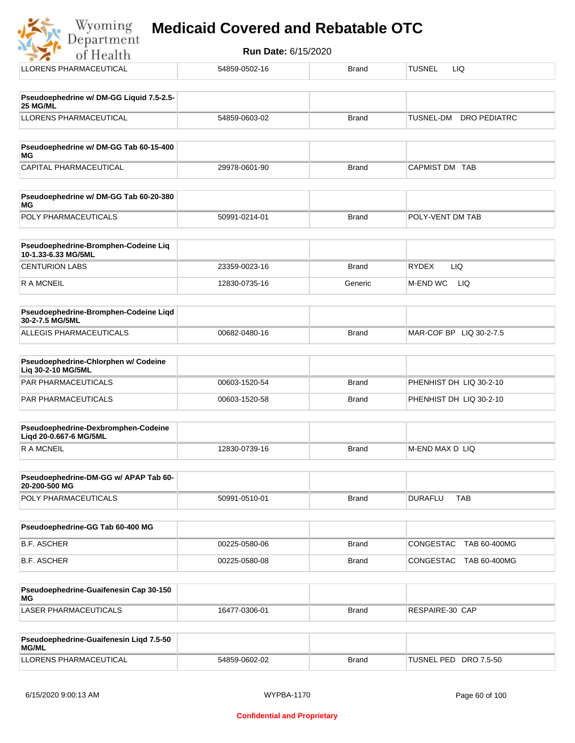#### Wyoming **Medicaid Covered and Rebatable OTC**Department

**Run Date:** 6/15/2020 of Health LLORENS PHARMACEUTICAL 54859-0502-16 Brand TUSNEL LIQ **Pseudoephedrine w/ DM-GG Liquid 7.5-2.5- 25 MG/ML** LLORENS PHARMACEUTICAL 54859-0603-02 Brand TUSNEL-DM DRO PEDIATRC **Pseudoephedrine w/ DM-GG Tab 60-15-400 MG** CAPITAL PHARMACEUTICAL 29978-0601-90 Brand CAPMIST DM TAB **Pseudoephedrine w/ DM-GG Tab 60-20-380 MG** POLY PHARMACEUTICALS 50991-0214-01 Brand POLY-VENT DM TAB **Pseudoephedrine-Bromphen-Codeine Liq 10-1.33-6.33 MG/5ML** CENTURION LABS 23359-0023-16 Brand RYDEX LIQ R A MCNEIL **12830-0735-16** Generic M-END WC LIQ

| <b>Pseudoephedrine-Bromphen-Codeine Ligd</b><br>30-2-7.5 MG/5ML |               |       |                           |
|-----------------------------------------------------------------|---------------|-------|---------------------------|
| ALLEGIS PHARMACEUTICALS                                         | 00682-0480-16 | Brand | $MAR-COF BP$ LIQ 30-2-7.5 |

| <b>Pseudoephedrine-Chlorphen w/ Codeine</b><br>Lig 30-2-10 MG/5ML |               |              |                         |
|-------------------------------------------------------------------|---------------|--------------|-------------------------|
| PAR PHARMACEUTICALS                                               | 00603-1520-54 | Brand        | PHENHIST DH LIQ 30-2-10 |
| PAR PHARMACEUTICALS                                               | 00603-1520-58 | <b>Brand</b> | PHENHIST DH LIQ 30-2-10 |

| Pseudoephedrine-Dexbromphen-Codeine<br>Ligd 20-0.667-6 MG/5ML |               |       |                  |
|---------------------------------------------------------------|---------------|-------|------------------|
| R A MCNEIL                                                    | 12830-0739-16 | Brand | IM-END MAX D LIQ |

| <b>Pseudoephedrine-DM-GG w/ APAP Tab 60-</b><br>20-200-500 MG |               |       |         |     |
|---------------------------------------------------------------|---------------|-------|---------|-----|
| <b>POLY PHARMACEUTICALS</b>                                   | 50991-0510-01 | Brand | DURAFLL | TAB |

| Pseudoephedrine-GG Tab 60-400 MG |               |       |                                  |
|----------------------------------|---------------|-------|----------------------------------|
| B.F. ASCHER                      | 00225-0580-06 | Brand | CONGESTAC<br>TAB 60-400MG        |
| B.F. ASCHER                      | 00225-0580-08 | Brand | <b>CONGESTAC</b><br>TAB 60-400MG |

| Pseudoephedrine-Guaifenesin Cap 30-150<br>MG |               |       |                 |
|----------------------------------------------|---------------|-------|-----------------|
| LASER PHARMACEUTICALS                        | 16477-0306-01 | Brand | RESPAIRE-30 CAP |

| Pseudoephedrine-Guaifenesin Ligd 7.5-50<br><b>MG/ML</b> |               |       |                       |
|---------------------------------------------------------|---------------|-------|-----------------------|
| LLORENS PHARMACEUTICAL                                  | 54859-0602-02 | Brand | TUSNEL PED DRO 7.5-50 |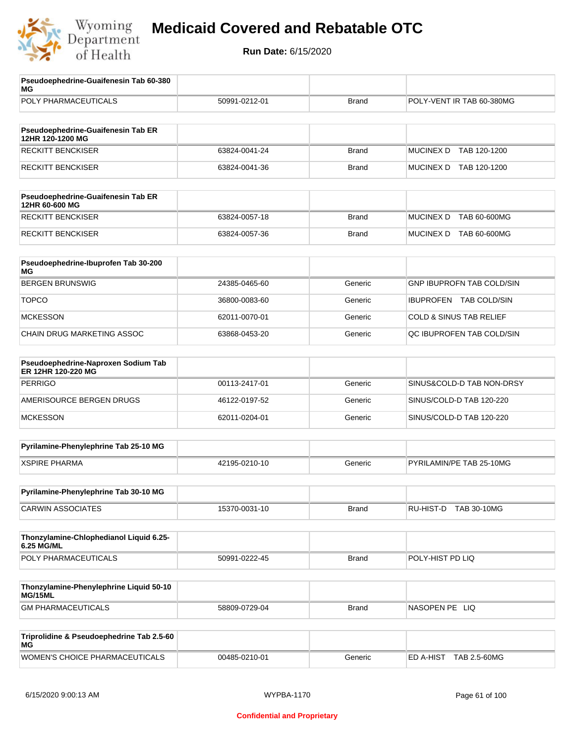

| Pseudoephedrine-Guaifenesin Tab 60-380<br>MG              |               |              |                                    |
|-----------------------------------------------------------|---------------|--------------|------------------------------------|
| POLY PHARMACEUTICALS                                      | 50991-0212-01 | <b>Brand</b> | POLY-VENT IR TAB 60-380MG          |
| Pseudoephedrine-Guaifenesin Tab ER                        |               |              |                                    |
| 12HR 120-1200 MG                                          |               |              |                                    |
| <b>RECKITT BENCKISER</b>                                  | 63824-0041-24 | <b>Brand</b> | <b>MUCINEX D</b><br>TAB 120-1200   |
| <b>RECKITT BENCKISER</b>                                  | 63824-0041-36 | <b>Brand</b> | MUCINEX D TAB 120-1200             |
| Pseudoephedrine-Guaifenesin Tab ER<br>12HR 60-600 MG      |               |              |                                    |
| <b>RECKITT BENCKISER</b>                                  | 63824-0057-18 | <b>Brand</b> | <b>MUCINEX D</b><br>TAB 60-600MG   |
| <b>RECKITT BENCKISER</b>                                  | 63824-0057-36 | <b>Brand</b> | MUCINEX D TAB 60-600MG             |
| Pseudoephedrine-Ibuprofen Tab 30-200<br>МG                |               |              |                                    |
| <b>BERGEN BRUNSWIG</b>                                    | 24385-0465-60 | Generic      | GNP IBUPROFN TAB COLD/SIN          |
| <b>TOPCO</b>                                              | 36800-0083-60 | Generic      | IBUPROFEN TAB COLD/SIN             |
| <b>MCKESSON</b>                                           | 62011-0070-01 | Generic      | <b>COLD &amp; SINUS TAB RELIEF</b> |
| CHAIN DRUG MARKETING ASSOC                                | 63868-0453-20 | Generic      | QC IBUPROFEN TAB COLD/SIN          |
| Pseudoephedrine-Naproxen Sodium Tab<br>ER 12HR 120-220 MG |               |              |                                    |
| <b>PERRIGO</b>                                            | 00113-2417-01 | Generic      | SINUS&COLD-D TAB NON-DRSY          |
| AMERISOURCE BERGEN DRUGS                                  | 46122-0197-52 | Generic      | SINUS/COLD-D TAB 120-220           |
| <b>MCKESSON</b>                                           | 62011-0204-01 | Generic      | SINUS/COLD-D TAB 120-220           |
| Pyrilamine-Phenylephrine Tab 25-10 MG                     |               |              |                                    |
| <b>XSPIRE PHARMA</b>                                      | 42195-0210-10 | Generic      | PYRILAMIN/PE TAB 25-10MG           |
| Pyrilamine-Phenylephrine Tab 30-10 MG                     |               |              |                                    |
| <b>CARWIN ASSOCIATES</b>                                  | 15370-0031-10 | <b>Brand</b> | RU-HIST-D TAB 30-10MG              |
| Thonzylamine-Chlophedianol Liquid 6.25-<br>6.25 MG/ML     |               |              |                                    |
| POLY PHARMACEUTICALS                                      | 50991-0222-45 | <b>Brand</b> | POLY-HIST PD LIQ                   |
|                                                           |               |              |                                    |
| Thonzylamine-Phenylephrine Liquid 50-10<br>MG/15ML        |               |              |                                    |
| <b>GM PHARMACEUTICALS</b>                                 | 58809-0729-04 | <b>Brand</b> | NASOPEN PE LIQ                     |
| Triprolidine & Pseudoephedrine Tab 2.5-60<br>МG           |               |              |                                    |
| WOMEN'S CHOICE PHARMACEUTICALS                            | 00485-0210-01 | Generic      | ED A-HIST TAB 2.5-60MG             |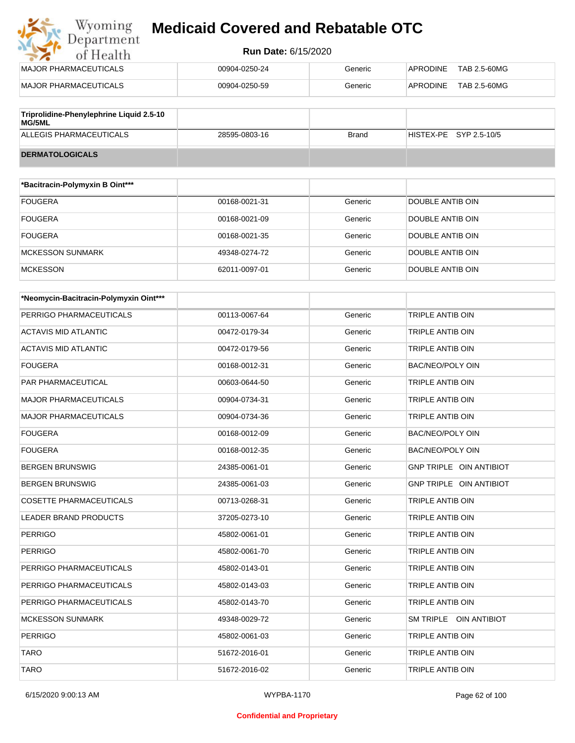#### **Run Date:** 6/15/2020

| Wyoming                                                   | <b>Medicaid Covered and Rebatable OTC</b> |         |                 |              |
|-----------------------------------------------------------|-------------------------------------------|---------|-----------------|--------------|
| Department<br>of Health                                   | <b>Run Date: 6/15/2020</b>                |         |                 |              |
| MAJOR PHARMACEUTICALS                                     | 00904-0250-24                             | Generic | <b>APRODINE</b> | TAB 2.5-60MG |
| MAJOR PHARMACEUTICALS                                     | 00904-0250-59                             | Generic | <b>APRODINE</b> | TAB 2.5-60MG |
| Triprolidine-Phenylephrine Liquid 2.5-10<br><b>MG/5ML</b> |                                           |         |                 |              |

ALLEGIS PHARMACEUTICALS 28595-0803-16 Brand HISTEX-PE SYP 2.5-10/5

| <b>DERMATOLOGICALS</b> |  |
|------------------------|--|

| *Bacitracin-Polymyxin B Oint*** |               |         |                  |
|---------------------------------|---------------|---------|------------------|
| <b>FOUGERA</b>                  | 00168-0021-31 | Generic | DOUBLE ANTIB OIN |
| <b>FOUGERA</b>                  | 00168-0021-09 | Generic | DOUBLE ANTIB OIN |
| <b>FOUGERA</b>                  | 00168-0021-35 | Generic | DOUBLE ANTIB OIN |
| <b>MCKESSON SUNMARK</b>         | 49348-0274-72 | Generic | DOUBLE ANTIB OIN |
| <b>MCKESSON</b>                 | 62011-0097-01 | Generic | DOUBLE ANTIB OIN |

| *Neomycin-Bacitracin-Polymyxin Oint*** |               |         |                         |
|----------------------------------------|---------------|---------|-------------------------|
| PERRIGO PHARMACEUTICALS                | 00113-0067-64 | Generic | <b>TRIPLE ANTIB OIN</b> |
| <b>ACTAVIS MID ATLANTIC</b>            | 00472-0179-34 | Generic | <b>TRIPLE ANTIB OIN</b> |
| <b>ACTAVIS MID ATLANTIC</b>            | 00472-0179-56 | Generic | TRIPLE ANTIB OIN        |
| <b>FOUGERA</b>                         | 00168-0012-31 | Generic | BAC/NEO/POLY OIN        |
| PAR PHARMACEUTICAL                     | 00603-0644-50 | Generic | <b>TRIPLE ANTIB OIN</b> |
| <b>MAJOR PHARMACEUTICALS</b>           | 00904-0734-31 | Generic | TRIPLE ANTIB OIN        |
| <b>MAJOR PHARMACEUTICALS</b>           | 00904-0734-36 | Generic | <b>TRIPLE ANTIB OIN</b> |
| <b>FOUGERA</b>                         | 00168-0012-09 | Generic | BAC/NEO/POLY OIN        |
| <b>FOUGERA</b>                         | 00168-0012-35 | Generic | BAC/NEO/POLY OIN        |
| <b>BERGEN BRUNSWIG</b>                 | 24385-0061-01 | Generic | GNP TRIPLE OIN ANTIBIOT |
| <b>BERGEN BRUNSWIG</b>                 | 24385-0061-03 | Generic | GNP TRIPLE OIN ANTIBIOT |
| <b>COSETTE PHARMACEUTICALS</b>         | 00713-0268-31 | Generic | <b>TRIPLE ANTIB OIN</b> |
| <b>LEADER BRAND PRODUCTS</b>           | 37205-0273-10 | Generic | <b>TRIPLE ANTIB OIN</b> |
| <b>PERRIGO</b>                         | 45802-0061-01 | Generic | TRIPLE ANTIB OIN        |
| <b>PERRIGO</b>                         | 45802-0061-70 | Generic | <b>TRIPLE ANTIB OIN</b> |
| PERRIGO PHARMACEUTICALS                | 45802-0143-01 | Generic | <b>TRIPLE ANTIB OIN</b> |
| PERRIGO PHARMACEUTICALS                | 45802-0143-03 | Generic | TRIPLE ANTIB OIN        |
| PERRIGO PHARMACEUTICALS                | 45802-0143-70 | Generic | <b>TRIPLE ANTIB OIN</b> |
| <b>MCKESSON SUNMARK</b>                | 49348-0029-72 | Generic | SM TRIPLE OIN ANTIBIOT  |
| <b>PERRIGO</b>                         | 45802-0061-03 | Generic | TRIPLE ANTIB OIN        |
| <b>TARO</b>                            | 51672-2016-01 | Generic | TRIPLE ANTIB OIN        |
| <b>TARO</b>                            | 51672-2016-02 | Generic | <b>TRIPLE ANTIB OIN</b> |

#### **Confidential and Proprietary**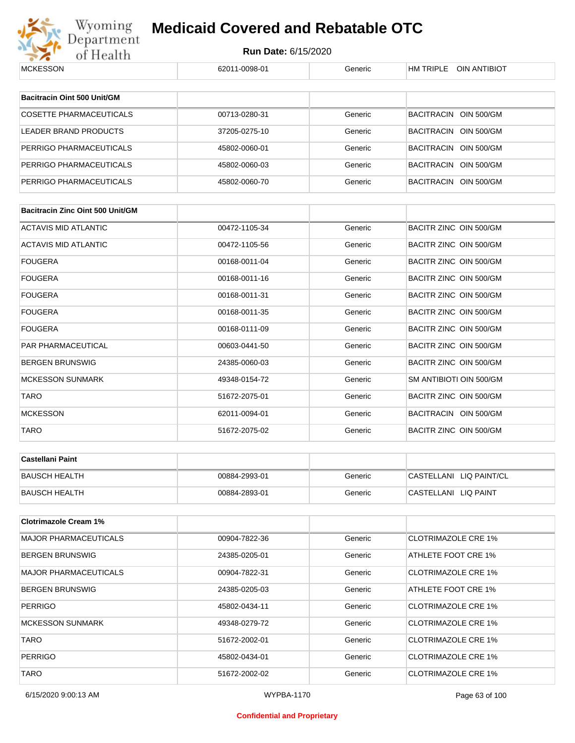

| <b>MCKESSON</b>                         | 62011-0098-01 | Generic | HM TRIPLE OIN ANTIBIOT     |
|-----------------------------------------|---------------|---------|----------------------------|
|                                         |               |         |                            |
| Bacitracin Oint 500 Unit/GM             |               |         |                            |
| <b>COSETTE PHARMACEUTICALS</b>          | 00713-0280-31 | Generic | BACITRACIN OIN 500/GM      |
| <b>LEADER BRAND PRODUCTS</b>            | 37205-0275-10 | Generic | BACITRACIN OIN 500/GM      |
| PERRIGO PHARMACEUTICALS                 | 45802-0060-01 | Generic | BACITRACIN OIN 500/GM      |
| PERRIGO PHARMACEUTICALS                 | 45802-0060-03 | Generic | BACITRACIN OIN 500/GM      |
| PERRIGO PHARMACEUTICALS                 | 45802-0060-70 | Generic | BACITRACIN OIN 500/GM      |
|                                         |               |         |                            |
| <b>Bacitracin Zinc Oint 500 Unit/GM</b> |               |         |                            |
| <b>ACTAVIS MID ATLANTIC</b>             | 00472-1105-34 | Generic | BACITR ZINC OIN 500/GM     |
| ACTAVIS MID ATLANTIC                    | 00472-1105-56 | Generic | BACITR ZINC OIN 500/GM     |
| <b>FOUGERA</b>                          | 00168-0011-04 | Generic | BACITR ZINC OIN 500/GM     |
| <b>FOUGERA</b>                          | 00168-0011-16 | Generic | BACITR ZINC OIN 500/GM     |
| <b>FOUGERA</b>                          | 00168-0011-31 | Generic | BACITR ZINC OIN 500/GM     |
| <b>FOUGERA</b>                          | 00168-0011-35 | Generic | BACITR ZINC OIN 500/GM     |
| <b>FOUGERA</b>                          | 00168-0111-09 | Generic | BACITR ZINC OIN 500/GM     |
| PAR PHARMACEUTICAL                      | 00603-0441-50 | Generic | BACITR ZINC OIN 500/GM     |
| <b>BERGEN BRUNSWIG</b>                  | 24385-0060-03 | Generic | BACITR ZINC OIN 500/GM     |
| <b>MCKESSON SUNMARK</b>                 | 49348-0154-72 | Generic | SM ANTIBIOTI OIN 500/GM    |
| <b>TARO</b>                             | 51672-2075-01 | Generic | BACITR ZINC OIN 500/GM     |
| <b>MCKESSON</b>                         | 62011-0094-01 | Generic | BACITRACIN OIN 500/GM      |
| <b>TARO</b>                             | 51672-2075-02 | Generic | BACITR ZINC OIN 500/GM     |
|                                         |               |         |                            |
| <b>Castellani Paint</b>                 |               |         |                            |
| <b>BAUSCH HEALTH</b>                    | 00884-2993-01 | Generic | CASTELLANI LIQ PAINT/CL    |
| <b>BAUSCH HEALTH</b>                    | 00884-2893-01 | Generic | CASTELLANI LIQ PAINT       |
| <b>Clotrimazole Cream 1%</b>            |               |         |                            |
| <b>MAJOR PHARMACEUTICALS</b>            | 00904-7822-36 | Generic | <b>CLOTRIMAZOLE CRE 1%</b> |
| <b>BERGEN BRUNSWIG</b>                  |               |         | ATHLETE FOOT CRE 1%        |
|                                         | 24385-0205-01 | Generic |                            |
| <b>MAJOR PHARMACEUTICALS</b>            | 00904-7822-31 | Generic | <b>CLOTRIMAZOLE CRE 1%</b> |
| <b>BERGEN BRUNSWIG</b>                  | 24385-0205-03 | Generic | ATHLETE FOOT CRE 1%        |
| <b>PERRIGO</b>                          | 45802-0434-11 | Generic | <b>CLOTRIMAZOLE CRE 1%</b> |
| <b>MCKESSON SUNMARK</b>                 | 49348-0279-72 | Generic | <b>CLOTRIMAZOLE CRE 1%</b> |
| <b>TARO</b>                             | 51672-2002-01 | Generic | <b>CLOTRIMAZOLE CRE 1%</b> |
| <b>PERRIGO</b>                          | 45802-0434-01 | Generic | <b>CLOTRIMAZOLE CRE 1%</b> |
| <b>TARO</b>                             | 51672-2002-02 | Generic | <b>CLOTRIMAZOLE CRE 1%</b> |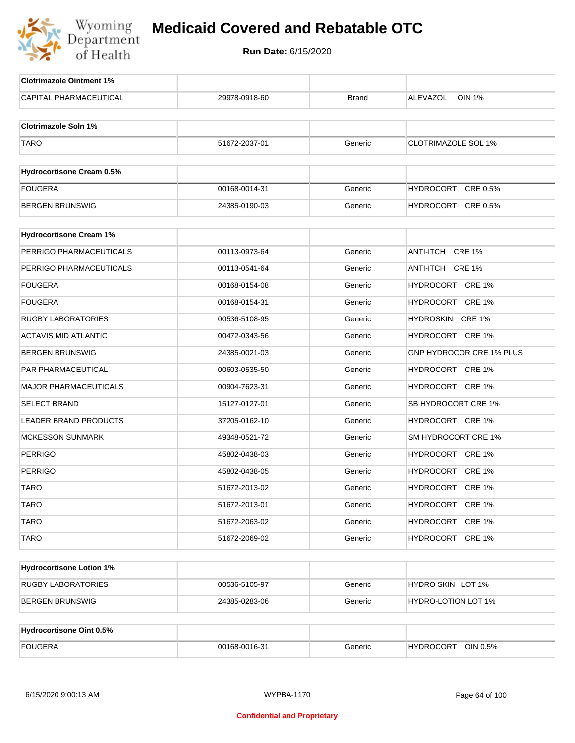

| CAPITAL PHARMACEUTICAL<br><b>OIN 1%</b><br>29978-0918-60<br>ALEVAZOL<br><b>Brand</b><br><b>Clotrimazole Soln 1%</b><br><b>TARO</b><br>51672-2037-01<br><b>CLOTRIMAZOLE SOL 1%</b><br>Generic<br><b>Hydrocortisone Cream 0.5%</b><br><b>FOUGERA</b><br>HYDROCORT CRE 0.5%<br>00168-0014-31<br>Generic |
|------------------------------------------------------------------------------------------------------------------------------------------------------------------------------------------------------------------------------------------------------------------------------------------------------|
|                                                                                                                                                                                                                                                                                                      |
|                                                                                                                                                                                                                                                                                                      |
|                                                                                                                                                                                                                                                                                                      |
|                                                                                                                                                                                                                                                                                                      |
|                                                                                                                                                                                                                                                                                                      |
|                                                                                                                                                                                                                                                                                                      |
|                                                                                                                                                                                                                                                                                                      |
| <b>BERGEN BRUNSWIG</b><br>HYDROCORT CRE 0.5%<br>24385-0190-03<br>Generic                                                                                                                                                                                                                             |
| <b>Hydrocortisone Cream 1%</b>                                                                                                                                                                                                                                                                       |
| PERRIGO PHARMACEUTICALS<br>ANTI-ITCH CRE 1%<br>00113-0973-64<br>Generic                                                                                                                                                                                                                              |
| PERRIGO PHARMACEUTICALS<br>00113-0541-64<br>ANTI-ITCH CRE 1%<br>Generic                                                                                                                                                                                                                              |
| <b>FOUGERA</b><br>00168-0154-08<br>Generic<br>HYDROCORT CRE 1%                                                                                                                                                                                                                                       |
| <b>FOUGERA</b><br>HYDROCORT CRE 1%<br>00168-0154-31<br>Generic                                                                                                                                                                                                                                       |
| <b>RUGBY LABORATORIES</b><br>00536-5108-95<br>Generic<br>HYDROSKIN<br><b>CRE 1%</b>                                                                                                                                                                                                                  |
| <b>ACTAVIS MID ATLANTIC</b><br>00472-0343-56<br>HYDROCORT CRE 1%<br>Generic                                                                                                                                                                                                                          |
| <b>BERGEN BRUNSWIG</b><br>24385-0021-03<br>Generic<br>GNP HYDROCOR CRE 1% PLUS                                                                                                                                                                                                                       |
| PAR PHARMACEUTICAL<br>HYDROCORT CRE 1%<br>00603-0535-50<br>Generic                                                                                                                                                                                                                                   |
| <b>MAJOR PHARMACEUTICALS</b><br>00904-7623-31<br>Generic<br>HYDROCORT CRE 1%                                                                                                                                                                                                                         |
| <b>SELECT BRAND</b><br>SB HYDROCORT CRE 1%<br>15127-0127-01<br>Generic                                                                                                                                                                                                                               |
| LEADER BRAND PRODUCTS<br>37205-0162-10<br>Generic<br>HYDROCORT CRE 1%                                                                                                                                                                                                                                |
| <b>MCKESSON SUNMARK</b><br>SM HYDROCORT CRE 1%<br>49348-0521-72<br>Generic                                                                                                                                                                                                                           |
| <b>PERRIGO</b><br>45802-0438-03<br>Generic<br>HYDROCORT CRE 1%                                                                                                                                                                                                                                       |
| <b>PERRIGO</b><br>HYDROCORT CRE 1%<br>45802-0438-05<br>Generic                                                                                                                                                                                                                                       |
| <b>TARO</b><br>51672-2013-02<br>HYDROCORT CRE 1%<br>Generic                                                                                                                                                                                                                                          |
| <b>TARO</b><br>51672-2013-01<br>Generic<br>HYDROCORT CRE 1%                                                                                                                                                                                                                                          |
| <b>TARO</b><br>51672-2063-02<br>Generic<br>HYDROCORT CRE 1%                                                                                                                                                                                                                                          |
| <b>TARO</b><br>51672-2069-02<br>Generic<br>HYDROCORT CRE 1%                                                                                                                                                                                                                                          |
|                                                                                                                                                                                                                                                                                                      |
| <b>Hydrocortisone Lotion 1%</b>                                                                                                                                                                                                                                                                      |
| <b>RUGBY LABORATORIES</b><br>HYDRO SKIN LOT 1%<br>00536-5105-97<br>Generic                                                                                                                                                                                                                           |
| <b>BERGEN BRUNSWIG</b><br>HYDRO-LOTION LOT 1%<br>24385-0283-06<br>Generic                                                                                                                                                                                                                            |
| <b>Hydrocortisone Oint 0.5%</b>                                                                                                                                                                                                                                                                      |
| <b>FOUGERA</b><br>00168-0016-31<br>Generic<br>HYDROCORT OIN 0.5%                                                                                                                                                                                                                                     |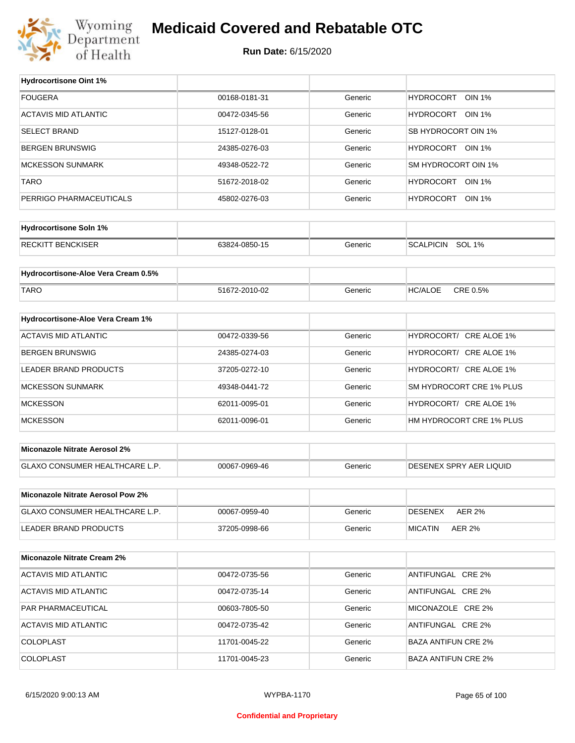

## **Medicaid Covered and Rebatable OTC**

**Run Date:** 6/15/2020

 $\top$ 

| <b>Hydrocortisone Oint 1%</b>        |               |         |                                   |
|--------------------------------------|---------------|---------|-----------------------------------|
| <b>FOUGERA</b>                       | 00168-0181-31 | Generic | <b>HYDROCORT</b><br><b>OIN 1%</b> |
| <b>ACTAVIS MID ATLANTIC</b>          | 00472-0345-56 | Generic | HYDROCORT OIN 1%                  |
| <b>SELECT BRAND</b>                  | 15127-0128-01 | Generic | SB HYDROCORT OIN 1%               |
| <b>BERGEN BRUNSWIG</b>               | 24385-0276-03 | Generic | HYDROCORT OIN 1%                  |
| <b>MCKESSON SUNMARK</b>              | 49348-0522-72 | Generic | SM HYDROCORT OIN 1%               |
| <b>TARO</b>                          | 51672-2018-02 | Generic | HYDROCORT OIN 1%                  |
| PERRIGO PHARMACEUTICALS              | 45802-0276-03 | Generic | HYDROCORT OIN 1%                  |
|                                      |               |         |                                   |
| <b>Hydrocortisone Soln 1%</b>        |               |         |                                   |
| <b>RECKITT BENCKISER</b>             | 63824-0850-15 | Generic | SCALPICIN SOL 1%                  |
| Hydrocortisone-Aloe Vera Cream 0.5%  |               |         |                                   |
|                                      |               |         |                                   |
| <b>TARO</b>                          | 51672-2010-02 | Generic | CRE 0.5%<br><b>HC/ALOE</b>        |
| Hydrocortisone-Aloe Vera Cream 1%    |               |         |                                   |
| <b>ACTAVIS MID ATLANTIC</b>          | 00472-0339-56 | Generic | HYDROCORT/ CRE ALOE 1%            |
| <b>BERGEN BRUNSWIG</b>               | 24385-0274-03 | Generic | HYDROCORT/ CRE ALOE 1%            |
| LEADER BRAND PRODUCTS                | 37205-0272-10 | Generic | HYDROCORT/ CRE ALOE 1%            |
| <b>MCKESSON SUNMARK</b>              | 49348-0441-72 | Generic | SM HYDROCORT CRE 1% PLUS          |
| <b>MCKESSON</b>                      | 62011-0095-01 | Generic | HYDROCORT/ CRE ALOE 1%            |
| <b>MCKESSON</b>                      | 62011-0096-01 | Generic | HM HYDROCORT CRE 1% PLUS          |
|                                      |               |         |                                   |
| <b>Miconazole Nitrate Aerosol 2%</b> |               |         |                                   |
| GLAXO CONSUMER HEALTHCARE L.P.       | 00067-0969-46 | Generic | <b>DESENEX SPRY AER LIQUID</b>    |
|                                      |               |         |                                   |
| Miconazole Nitrate Aerosol Pow 2%    |               |         |                                   |
| GLAXO CONSUMER HEALTHCARE L.P.       | 00067-0959-40 | Generic | <b>DESENEX</b><br><b>AER 2%</b>   |
| LEADER BRAND PRODUCTS                | 37205-0998-66 | Generic | <b>MICATIN</b><br><b>AER 2%</b>   |
| <b>Miconazole Nitrate Cream 2%</b>   |               |         |                                   |
|                                      |               |         |                                   |
| <b>ACTAVIS MID ATLANTIC</b>          | 00472-0735-56 | Generic | ANTIFUNGAL CRE 2%                 |
| ACTAVIS MID ATLANTIC                 | 00472-0735-14 | Generic | ANTIFUNGAL CRE 2%                 |
| PAR PHARMACEUTICAL                   | 00603-7805-50 | Generic | MICONAZOLE CRE 2%                 |
| ACTAVIS MID ATLANTIC                 | 00472-0735-42 | Generic | ANTIFUNGAL CRE 2%                 |
| COLOPLAST                            | 11701-0045-22 | Generic | <b>BAZA ANTIFUN CRE 2%</b>        |
| COLOPLAST                            | 11701-0045-23 | Generic | <b>BAZA ANTIFUN CRE 2%</b>        |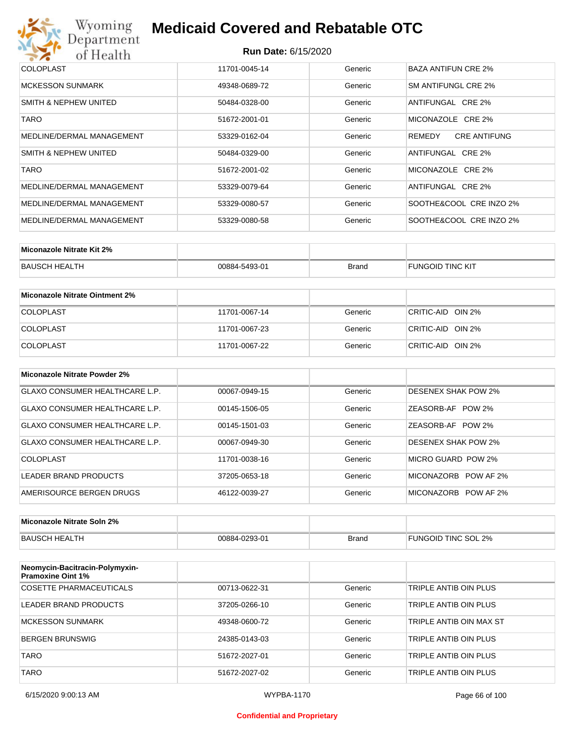# Wyoming<br>Department<br>of Health

# **Medicaid Covered and Rebatable OTC**

| COLOPLAST                 | 11701-0045-14 | Generic | BAZA ANTIFUN CRE 2%           |
|---------------------------|---------------|---------|-------------------------------|
| <b>MCKESSON SUNMARK</b>   | 49348-0689-72 | Generic | SM ANTIFUNGL CRE 2%           |
| SMITH & NEPHEW UNITED     | 50484-0328-00 | Generic | ANTIFUNGAL CRE 2%             |
| <b>TARO</b>               | 51672-2001-01 | Generic | MICONAZOLE CRE 2%             |
| MEDLINE/DERMAL MANAGEMENT | 53329-0162-04 | Generic | <b>CRE ANTIFUNG</b><br>REMEDY |
| SMITH & NEPHEW UNITED     | 50484-0329-00 | Generic | ANTIFUNGAL CRE 2%             |
| <b>TARO</b>               | 51672-2001-02 | Generic | MICONAZOLE CRE 2%             |
| MEDLINE/DERMAL MANAGEMENT | 53329-0079-64 | Generic | ANTIFUNGAL CRE 2%             |
| MEDLINE/DERMAL MANAGEMENT | 53329-0080-57 | Generic | SOOTHE&COOL CRE INZO 2%       |
| MEDLINE/DERMAL MANAGEMENT | 53329-0080-58 | Generic | SOOTHE&COOL CRE INZO 2%       |

| Miconazole Nitrate Kit 2% |               |              |                         |
|---------------------------|---------------|--------------|-------------------------|
| BAUSCH HEALTH             | 00884-5493-01 | <b>Brand</b> | <b>FUNGOID TINC KIT</b> |

| Miconazole Nitrate Ointment 2% |               |         |                   |
|--------------------------------|---------------|---------|-------------------|
| <b>COLOPLAST</b>               | 11701-0067-14 | Generic | CRITIC-AID OIN 2% |
| <b>COLOPLAST</b>               | 11701-0067-23 | Generic | CRITIC-AID OIN 2% |
| <b>COLOPLAST</b>               | 11701-0067-22 | Generic | CRITIC-AID OIN 2% |

| Miconazole Nitrate Powder 2%          |               |         |                            |
|---------------------------------------|---------------|---------|----------------------------|
| GLAXO CONSUMER HEALTHCARE L.P.        | 00067-0949-15 | Generic | <b>DESENEX SHAK POW 2%</b> |
| <b>GLAXO CONSUMER HEALTHCARE L.P.</b> | 00145-1506-05 | Generic | ZEASORB-AF POW 2%          |
| GLAXO CONSUMER HEALTHCARE L.P.        | 00145-1501-03 | Generic | ZEASORB-AF POW 2%          |
| GLAXO CONSUMER HEALTHCARE L.P.        | 00067-0949-30 | Generic | <b>DESENEX SHAK POW 2%</b> |
| COLOPLAST                             | 11701-0038-16 | Generic | MICRO GUARD POW 2%         |
| LEADER BRAND PRODUCTS                 | 37205-0653-18 | Generic | MICONAZORB<br>POW AF 2%    |
| AMERISOURCE BERGEN DRUGS              | 46122-0039-27 | Generic | MICONAZORB POW AF 2%       |

| Miconazole Nitrate Soln 2% |               |       |                     |
|----------------------------|---------------|-------|---------------------|
| BAUSCH HEALTH              | 00884-0293-01 | Brand | FUNGOID TINC SOL 2% |

| Neomycin-Bacitracin-Polymyxin-<br><b>Pramoxine Oint 1%</b> |               |         |                         |
|------------------------------------------------------------|---------------|---------|-------------------------|
| COSETTE PHARMACEUTICALS                                    | 00713-0622-31 | Generic | TRIPLE ANTIB OIN PLUS   |
| LEADER BRAND PRODUCTS                                      | 37205-0266-10 | Generic | TRIPLE ANTIB OIN PLUS   |
| <b>MCKESSON SUNMARK</b>                                    | 49348-0600-72 | Generic | TRIPLE ANTIB OIN MAX ST |
| <b>BERGEN BRUNSWIG</b>                                     | 24385-0143-03 | Generic | TRIPLE ANTIB OIN PLUS   |
| <b>TARO</b>                                                | 51672-2027-01 | Generic | TRIPLE ANTIB OIN PLUS   |
| TARO                                                       | 51672-2027-02 | Generic | TRIPLE ANTIB OIN PLUS   |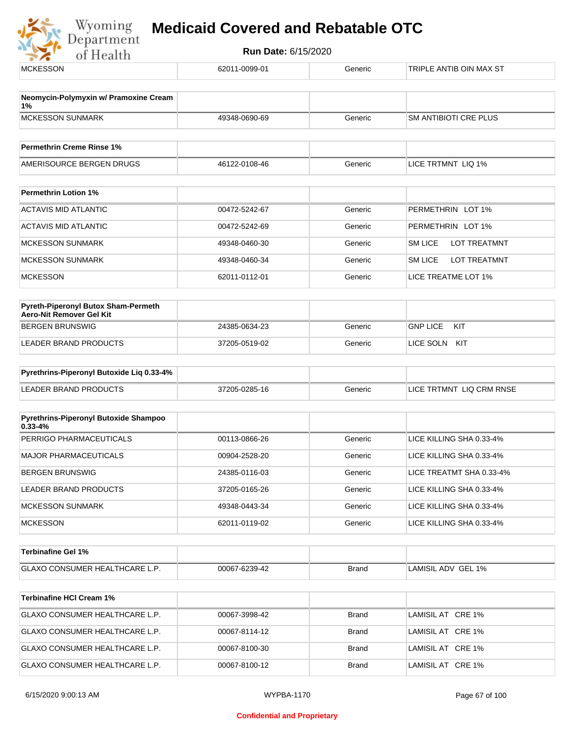

| <b>MCKESSON</b>                                                 | 62011-0099-01 | Generic      | TRIPLE ANTIB OIN MAX ST        |  |
|-----------------------------------------------------------------|---------------|--------------|--------------------------------|--|
| Neomycin-Polymyxin w/ Pramoxine Cream                           |               |              |                                |  |
| 1%<br><b>MCKESSON SUNMARK</b>                                   | 49348-0690-69 | Generic      | SM ANTIBIOTI CRE PLUS          |  |
|                                                                 |               |              |                                |  |
| <b>Permethrin Creme Rinse 1%</b>                                |               |              |                                |  |
| AMERISOURCE BERGEN DRUGS                                        | 46122-0108-46 | Generic      | LICE TRTMNT LIQ 1%             |  |
| <b>Permethrin Lotion 1%</b>                                     |               |              |                                |  |
| <b>ACTAVIS MID ATLANTIC</b>                                     | 00472-5242-67 | Generic      | PERMETHRIN LOT 1%              |  |
| <b>ACTAVIS MID ATLANTIC</b>                                     | 00472-5242-69 | Generic      | PERMETHRIN LOT 1%              |  |
| <b>MCKESSON SUNMARK</b>                                         | 49348-0460-30 | Generic      | <b>SM LICE</b><br>LOT TREATMNT |  |
| <b>MCKESSON SUNMARK</b>                                         | 49348-0460-34 | Generic      | <b>SM LICE</b><br>LOT TREATMNT |  |
| <b>MCKESSON</b>                                                 | 62011-0112-01 | Generic      | LICE TREATME LOT 1%            |  |
|                                                                 |               |              |                                |  |
| Pyreth-Piperonyl Butox Sham-Permeth<br>Aero-Nit Remover Gel Kit |               |              |                                |  |
| <b>BERGEN BRUNSWIG</b>                                          | 24385-0634-23 | Generic      | <b>GNP LICE</b><br>KIT         |  |
| LEADER BRAND PRODUCTS                                           | 37205-0519-02 | Generic      | LICE SOLN KIT                  |  |
| Pyrethrins-Piperonyl Butoxide Liq 0.33-4%                       |               |              |                                |  |
| <b>LEADER BRAND PRODUCTS</b>                                    | 37205-0285-16 | Generic      | LICE TRTMNT LIQ CRM RNSE       |  |
| Pyrethrins-Piperonyl Butoxide Shampoo                           |               |              |                                |  |
| $0.33 - 4%$<br>PERRIGO PHARMACEUTICALS                          | 00113-0866-26 | Generic      | LICE KILLING SHA 0.33-4%       |  |
| <b>MAJOR PHARMACEUTICALS</b>                                    |               | Generic      | LICE KILLING SHA 0.33-4%       |  |
| <b>BERGEN BRUNSWIG</b>                                          | 00904-2528-20 |              |                                |  |
|                                                                 | 24385-0116-03 | Generic      | LICE TREATMT SHA 0.33-4%       |  |
| LEADER BRAND PRODUCTS                                           | 37205-0165-26 | Generic      | LICE KILLING SHA 0.33-4%       |  |
| <b>MCKESSON SUNMARK</b>                                         | 49348-0443-34 | Generic      | LICE KILLING SHA 0.33-4%       |  |
| <b>MCKESSON</b>                                                 | 62011-0119-02 | Generic      | LICE KILLING SHA 0.33-4%       |  |
| <b>Terbinafine Gel 1%</b>                                       |               |              |                                |  |
| GLAXO CONSUMER HEALTHCARE L.P.                                  | 00067-6239-42 | <b>Brand</b> | LAMISIL ADV GEL 1%             |  |
| <b>Terbinafine HCI Cream 1%</b>                                 |               |              |                                |  |
| GLAXO CONSUMER HEALTHCARE L.P.                                  | 00067-3998-42 | <b>Brand</b> | LAMISIL AT CRE 1%              |  |
| GLAXO CONSUMER HEALTHCARE L.P.                                  | 00067-8114-12 | <b>Brand</b> | LAMISIL AT CRE 1%              |  |
| GLAXO CONSUMER HEALTHCARE L.P.                                  | 00067-8100-30 | <b>Brand</b> | LAMISIL AT CRE 1%              |  |
| GLAXO CONSUMER HEALTHCARE L.P.                                  | 00067-8100-12 | <b>Brand</b> | LAMISIL AT CRE 1%              |  |
|                                                                 |               |              |                                |  |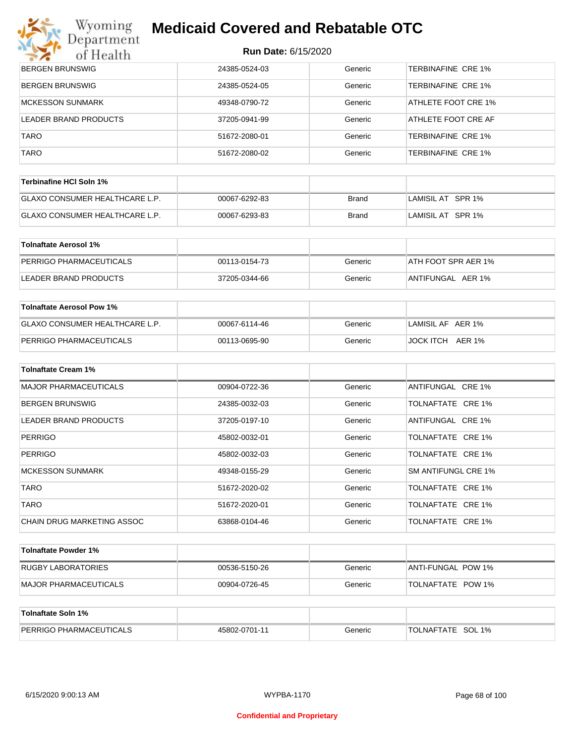# Wyoming<br>Department

# **Medicaid Covered and Rebatable OTC**

| マズ<br>of Health                       | NUIL DALG. OF I JIZUZU |              |                           |
|---------------------------------------|------------------------|--------------|---------------------------|
| BERGEN BRUNSWIG                       | 24385-0524-03          | Generic      | <b>TERBINAFINE CRE 1%</b> |
| <b>BERGEN BRUNSWIG</b>                | 24385-0524-05          | Generic      | TERBINAFINE CRE 1%        |
| <b>MCKESSON SUNMARK</b>               | 49348-0790-72          | Generic      | ATHLETE FOOT CRE 1%       |
| LEADER BRAND PRODUCTS                 | 37205-0941-99          | Generic      | ATHLETE FOOT CRE AF       |
| <b>TARO</b>                           | 51672-2080-01          | Generic      | TERBINAFINE CRE 1%        |
| TARO                                  | 51672-2080-02          | Generic      | TERBINAFINE CRE 1%        |
|                                       |                        |              |                           |
| Terbinafine HCI Soln 1%               |                        |              |                           |
| GLAXO CONSUMER HEALTHCARE L.P.        | 00067-6292-83          | <b>Brand</b> | LAMISIL AT SPR 1%         |
| GLAXO CONSUMER HEALTHCARE L.P.        | 00067-6293-83          | <b>Brand</b> | LAMISIL AT SPR 1%         |
| <b>Tolnaftate Aerosol 1%</b>          |                        |              |                           |
| PERRIGO PHARMACEUTICALS               | 00113-0154-73          | Generic      | ATH FOOT SPR AER 1%       |
| LEADER BRAND PRODUCTS                 | 37205-0344-66          | Generic      | ANTIFUNGAL AER 1%         |
|                                       |                        |              |                           |
| <b>Tolnaftate Aerosol Pow 1%</b>      |                        |              |                           |
| <b>GLAXO CONSUMER HEALTHCARE L.P.</b> | 00067-6114-46          | Generic      | LAMISIL AF AER 1%         |
| PERRIGO PHARMACEUTICALS               | 00113-0695-90          | Generic      | JOCK ITCH AER 1%          |
| <b>Tolnaftate Cream 1%</b>            |                        |              |                           |
|                                       |                        |              |                           |
| <b>MAJOR PHARMACEUTICALS</b>          | 00904-0722-36          | Generic      | ANTIFUNGAL CRE 1%         |
| BERGEN BRUNSWIG                       | 24385-0032-03          | Generic      | TOLNAFTATE CRE 1%         |
| LEADER BRAND PRODUCTS                 | 37205-0197-10          | Generic      | ANTIFUNGAL CRE 1%         |
| <b>PERRIGO</b>                        | 45802-0032-01          | Generic      | TOLNAFTATE CRE 1%         |
| <b>PERRIGO</b>                        | 45802-0032-03          | Generic      | TOLNAFTATE CRE 1%         |
| <b>MCKESSON SUNMARK</b>               | 49348-0155-29          | Generic      | SM ANTIFUNGL CRE 1%       |
| <b>TARO</b>                           | 51672-2020-02          | Generic      | TOLNAFTATE CRE 1%         |
| <b>TARO</b>                           | 51672-2020-01          | Generic      | TOLNAFTATE CRE 1%         |
| CHAIN DRUG MARKETING ASSOC            | 63868-0104-46          | Generic      | TOLNAFTATE CRE 1%         |
| <b>Tolnaftate Powder 1%</b>           |                        |              |                           |
| <b>RUGBY LABORATORIES</b>             | 00536-5150-26          | Generic      | ANTI-FUNGAL POW 1%        |
| <b>MAJOR PHARMACEUTICALS</b>          | 00904-0726-45          | Generic      | TOLNAFTATE POW 1%         |
|                                       |                        |              |                           |
| <b>Tolnaftate Soln 1%</b>             |                        |              |                           |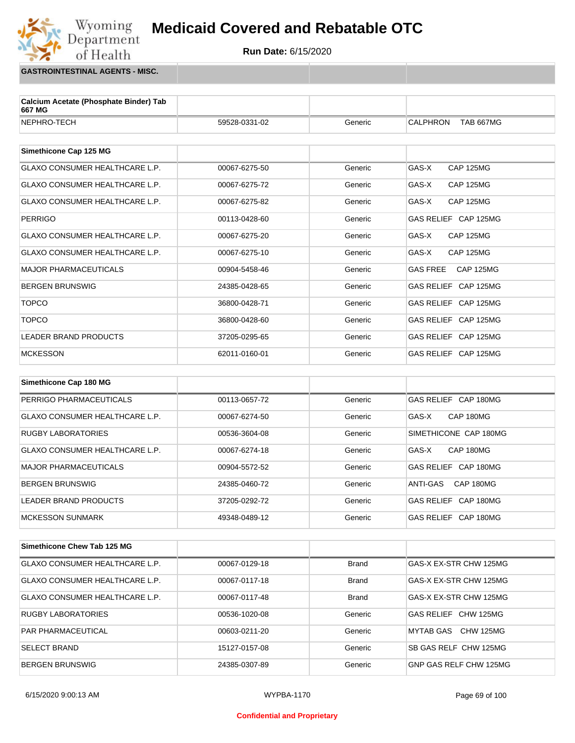**Run Date:** 6/15/2020

**GASTROINTESTINAL AGENTS - MISC.**

Wyoming<br>Department

of Health

| Calcium Acetate (Phosphate Binder) Tab<br>667 MG |               |         |                              |
|--------------------------------------------------|---------------|---------|------------------------------|
| NEPHRO-TECH                                      | 59528-0331-02 | Generic | CALPHRON<br><b>TAB 667MG</b> |
| Simethicone Cap 125 MG                           |               |         |                              |
| GLAXO CONSUMER HEALTHCARE L.P.                   | 00067-6275-50 | Generic | GAS-X<br><b>CAP 125MG</b>    |
| <b>GLAXO CONSUMER HEALTHCARE L.P.</b>            | 00067-6275-72 | Generic | GAS-X<br><b>CAP 125MG</b>    |
| <b>GLAXO CONSUMER HEALTHCARE L.P.</b>            | 00067-6275-82 | Generic | GAS-X<br>CAP 125MG           |
| <b>PERRIGO</b>                                   | 00113-0428-60 | Generic | GAS RELIEF CAP 125MG         |
| GLAXO CONSUMER HEALTHCARE L.P.                   | 00067-6275-20 | Generic | <b>CAP 125MG</b><br>GAS-X    |
| GLAXO CONSUMER HEALTHCARE L.P.                   | 00067-6275-10 | Generic | GAS-X<br><b>CAP 125MG</b>    |
| <b>MAJOR PHARMACEUTICALS</b>                     | 00904-5458-46 | Generic | <b>CAP 125MG</b><br>GAS FREE |
| <b>BERGEN BRUNSWIG</b>                           | 24385-0428-65 | Generic | GAS RELIEF CAP 125MG         |
| <b>TOPCO</b>                                     | 36800-0428-71 | Generic | GAS RELIEF CAP 125MG         |
| <b>TOPCO</b>                                     | 36800-0428-60 | Generic | GAS RELIEF CAP 125MG         |
| <b>LEADER BRAND PRODUCTS</b>                     | 37205-0295-65 | Generic | GAS RELIEF CAP 125MG         |
| <b>MCKESSON</b>                                  | 62011-0160-01 | Generic | GAS RELIEF CAP 125MG         |
|                                                  |               |         |                              |
| Simethicone Cap 180 MG                           |               |         |                              |
| PERRIGO PHARMACEUTICALS                          | 00113-0657-72 | Generic | GAS RELIEF CAP 180MG         |
| <b>GLAXO CONSUMER HEALTHCARE L.P.</b>            | 00067-6274-50 | Generic | GAS-X<br>CAP 180MG           |
| <b>RUGBY LABORATORIES</b>                        | 00536-3604-08 | Generic | SIMETHICONE CAP 180MG        |
| <b>GLAXO CONSUMER HEALTHCARE L.P.</b>            | 00067-6274-18 | Generic | CAP 180MG<br>GAS-X           |
| <b>MAJOR PHARMACEUTICALS</b>                     | 00904-5572-52 | Generic | GAS RELIEF CAP 180MG         |
| <b>BERGEN BRUNSWIG</b>                           | 24385-0460-72 | Generic | ANTI-GAS<br>CAP 180MG        |
| <b>LEADER BRAND PRODUCTS</b>                     | 37205-0292-72 | Generic | GAS RELIEF CAP 180MG         |
| <b>MCKESSON SUNMARK</b>                          | 49348-0489-12 | Generic | GAS RELIEF CAP 180MG         |
|                                                  |               |         |                              |

| Simethicone Chew Tab 125 MG           |               |              |                        |
|---------------------------------------|---------------|--------------|------------------------|
| <b>GLAXO CONSUMER HEALTHCARE L.P.</b> | 00067-0129-18 | <b>Brand</b> | GAS-X EX-STR CHW 125MG |
| GLAXO CONSUMER HEALTHCARE L.P.        | 00067-0117-18 | <b>Brand</b> | GAS-X EX-STR CHW 125MG |
| <b>GLAXO CONSUMER HEALTHCARE L.P.</b> | 00067-0117-48 | <b>Brand</b> | GAS-X EX-STR CHW 125MG |
| <b>RUGBY LABORATORIES</b>             | 00536-1020-08 | Generic      | GAS RELIEF CHW 125MG   |
| <b>PAR PHARMACEUTICAL</b>             | 00603-0211-20 | Generic      | MYTAB GAS CHW 125MG    |
| <b>SELECT BRAND</b>                   | 15127-0157-08 | Generic      | SB GAS RELF CHW 125MG  |
| <b>BERGEN BRUNSWIG</b>                | 24385-0307-89 | Generic      | GNP GAS RELF CHW 125MG |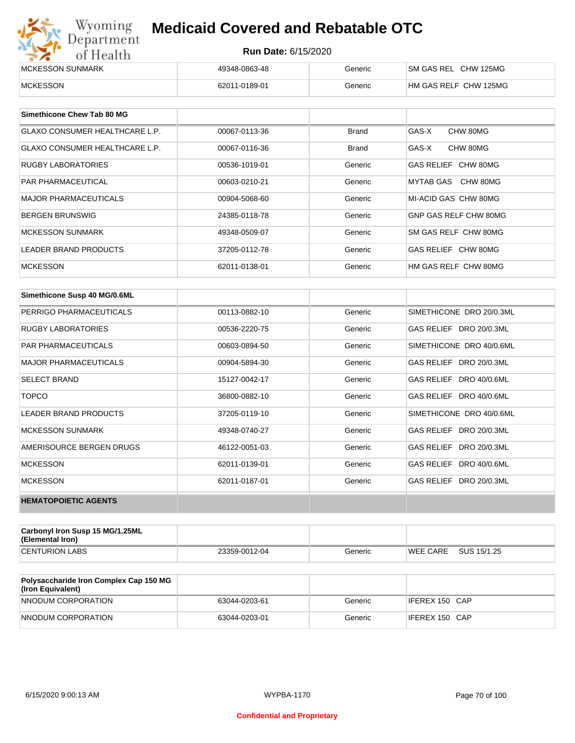| Wyoming<br>Department | <b>Medicaid Covered and Rebatable OTC</b> |         |                       |  |  |
|-----------------------|-------------------------------------------|---------|-----------------------|--|--|
| of Health             | <b>Run Date: 6/15/2020</b>                |         |                       |  |  |
| MCKESSON SUNMARK      | 49348-0863-48                             | Generic | SM GAS REL CHW 125MG  |  |  |
| <b>MCKESSON</b>       | 62011-0189-01                             | Generic | HM GAS RELF CHW 125MG |  |  |

| Simethicone Chew Tab 80 MG            |               |         |                       |
|---------------------------------------|---------------|---------|-----------------------|
| <b>GLAXO CONSUMER HEALTHCARE L.P.</b> | 00067-0113-36 | Brand   | GAS-X<br>CHW 80MG     |
| GLAXO CONSUMER HEALTHCARE L.P.        | 00067-0116-36 | Brand   | GAS-X<br>CHW 80MG     |
| <b>RUGBY LABORATORIES</b>             | 00536-1019-01 | Generic | GAS RELIEF CHW 80MG   |
| <b>PAR PHARMACEUTICAL</b>             | 00603-0210-21 | Generic | MYTAB GAS CHW 80MG    |
| <b>MAJOR PHARMACEUTICALS</b>          | 00904-5068-60 | Generic | MI-ACID GAS CHW 80MG  |
| <b>BERGEN BRUNSWIG</b>                | 24385-0118-78 | Generic | GNP GAS RELF CHW 80MG |
| <b>MCKESSON SUNMARK</b>               | 49348-0509-07 | Generic | SM GAS RELF CHW 80MG  |
| LEADER BRAND PRODUCTS                 | 37205-0112-78 | Generic | GAS RELIEF CHW 80MG   |
| <b>MCKESSON</b>                       | 62011-0138-01 | Generic | HM GAS RELF CHW 80MG  |

| Simethicone Susp 40 MG/0.6ML |               |         |                          |
|------------------------------|---------------|---------|--------------------------|
| PERRIGO PHARMACEUTICALS      | 00113-0882-10 | Generic | SIMETHICONE DRO 20/0.3ML |
| <b>RUGBY LABORATORIES</b>    | 00536-2220-75 | Generic | GAS RELIEF DRO 20/0.3ML  |
| <b>PAR PHARMACEUTICALS</b>   | 00603-0894-50 | Generic | SIMETHICONE DRO 40/0.6ML |
| <b>MAJOR PHARMACEUTICALS</b> | 00904-5894-30 | Generic | GAS RELIEF DRO 20/0.3ML  |
| <b>SELECT BRAND</b>          | 15127-0042-17 | Generic | GAS RELIEF DRO 40/0.6ML  |
| <b>TOPCO</b>                 | 36800-0882-10 | Generic | GAS RELIEF DRO 40/0.6ML  |
| <b>LEADER BRAND PRODUCTS</b> | 37205-0119-10 | Generic | SIMETHICONE DRO 40/0.6ML |
| <b>MCKESSON SUNMARK</b>      | 49348-0740-27 | Generic | GAS RELIEF DRO 20/0.3ML  |
| AMERISOURCE BERGEN DRUGS     | 46122-0051-03 | Generic | GAS RELIEF DRO 20/0.3ML  |
| <b>MCKESSON</b>              | 62011-0139-01 | Generic | GAS RELIEF DRO 40/0.6ML  |
| <b>MCKESSON</b>              | 62011-0187-01 | Generic | GAS RELIEF DRO 20/0.3ML  |
| <b>HEMATOPOIETIC AGENTS</b>  |               |         |                          |

| Carbonyl Iron Susp 15 MG/1.25ML<br>(Elemental Iron) |               |         |                 |             |
|-----------------------------------------------------|---------------|---------|-----------------|-------------|
| <b>CENTURION LABS</b>                               | 23359-0012-04 | Generic | <b>WEE CARE</b> | SUS 15/1.25 |

| <b>Polysaccharide Iron Complex Cap 150 MG</b><br>(Iron Equivalent) |               |         |                |
|--------------------------------------------------------------------|---------------|---------|----------------|
| NNODUM CORPORATION                                                 | 63044-0203-61 | Generic | IFEREX 150 CAP |
| NNODUM CORPORATION                                                 | 63044-0203-01 | Generic | IFEREX 150 CAP |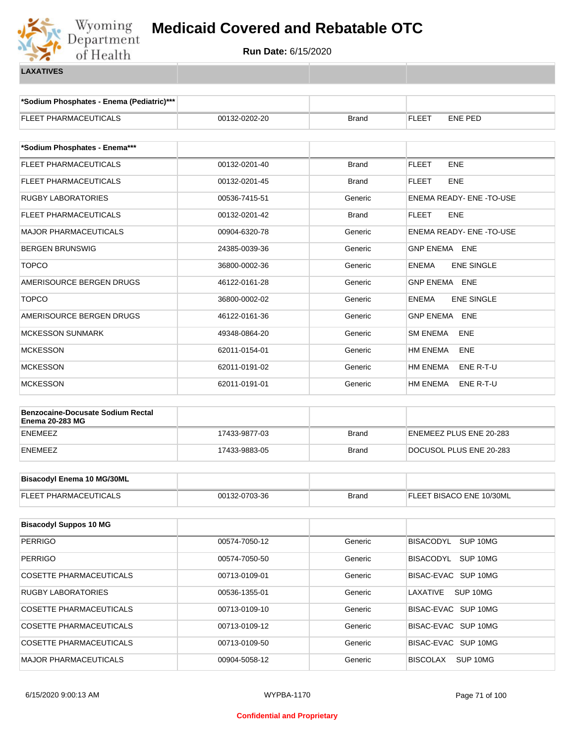

**\*Sodium Phosphates - Enema (Pediatric)\*\*\***

| FLEET PHARMACEUTICALS                                              | 00132-0202-20 | <b>Brand</b> | <b>FLEET</b><br>ENE PED           |
|--------------------------------------------------------------------|---------------|--------------|-----------------------------------|
|                                                                    |               |              |                                   |
| *Sodium Phosphates - Enema***                                      |               |              |                                   |
| FLEET PHARMACEUTICALS                                              | 00132-0201-40 | <b>Brand</b> | <b>ENE</b><br><b>FLEET</b>        |
| FLEET PHARMACEUTICALS                                              | 00132-0201-45 | <b>Brand</b> | <b>FLEET</b><br><b>ENE</b>        |
| RUGBY LABORATORIES                                                 | 00536-7415-51 | Generic      | ENEMA READY- ENE -TO-USE          |
| FLEET PHARMACEUTICALS                                              | 00132-0201-42 | <b>Brand</b> | <b>FLEET</b><br><b>ENE</b>        |
| <b>MAJOR PHARMACEUTICALS</b>                                       | 00904-6320-78 | Generic      | ENEMA READY- ENE -TO-USE          |
| <b>BERGEN BRUNSWIG</b>                                             | 24385-0039-36 | Generic      | GNP ENEMA ENE                     |
| <b>TOPCO</b>                                                       | 36800-0002-36 | Generic      | <b>ENEMA</b><br><b>ENE SINGLE</b> |
| AMERISOURCE BERGEN DRUGS                                           | 46122-0161-28 | Generic      | GNP ENEMA ENE                     |
| <b>TOPCO</b>                                                       | 36800-0002-02 | Generic      | <b>ENEMA</b><br><b>ENE SINGLE</b> |
| AMERISOURCE BERGEN DRUGS                                           | 46122-0161-36 | Generic      | GNP ENEMA ENE                     |
| <b>MCKESSON SUNMARK</b>                                            | 49348-0864-20 | Generic      | SM ENEMA<br><b>ENE</b>            |
| <b>MCKESSON</b>                                                    | 62011-0154-01 | Generic      | HM ENEMA<br><b>ENE</b>            |
| <b>MCKESSON</b>                                                    | 62011-0191-02 | Generic      | HM ENEMA<br>ENE R-T-U             |
| <b>MCKESSON</b>                                                    | 62011-0191-01 | Generic      | HM ENEMA<br>ENE R-T-U             |
|                                                                    |               |              |                                   |
| <b>Benzocaine-Docusate Sodium Rectal</b><br><b>Enema 20-283 MG</b> |               |              |                                   |
| ENEMEEZ                                                            | 17433-9877-03 | <b>Brand</b> | ENEMEEZ PLUS ENE 20-283           |
| ENEMEEZ                                                            | 17433-9883-05 | <b>Brand</b> | DOCUSOL PLUS ENE 20-283           |
|                                                                    |               |              |                                   |
| <b>Bisacodyl Enema 10 MG/30ML</b>                                  |               |              |                                   |
| FLEET PHARMACEUTICALS                                              | 00132-0703-36 | <b>Brand</b> | FLEET BISACO ENE 10/30ML          |
|                                                                    |               |              |                                   |
| <b>Bisacodyl Suppos 10 MG</b>                                      |               |              |                                   |
| <b>PERRIGO</b>                                                     | 00574-7050-12 | Generic      | BISACODYL SUP 10MG                |
| <b>PERRIGO</b>                                                     | 00574-7050-50 | Generic      | BISACODYL SUP 10MG                |
| <b>COSETTE PHARMACEUTICALS</b>                                     | 00713-0109-01 | Generic      | BISAC-EVAC SUP 10MG               |
| <b>RUGBY LABORATORIES</b>                                          | 00536-1355-01 | Generic      | LAXATIVE<br>SUP 10MG              |
| <b>COSETTE PHARMACEUTICALS</b>                                     | 00713-0109-10 | Generic      | BISAC-EVAC SUP 10MG               |
| <b>COSETTE PHARMACEUTICALS</b>                                     | 00713-0109-12 | Generic      | BISAC-EVAC SUP 10MG               |
| COSETTE PHARMACEUTICALS                                            | 00713-0109-50 | Generic      | BISAC-EVAC SUP 10MG               |
| <b>MAJOR PHARMACEUTICALS</b>                                       | 00904-5058-12 | Generic      | BISCOLAX<br>SUP 10MG              |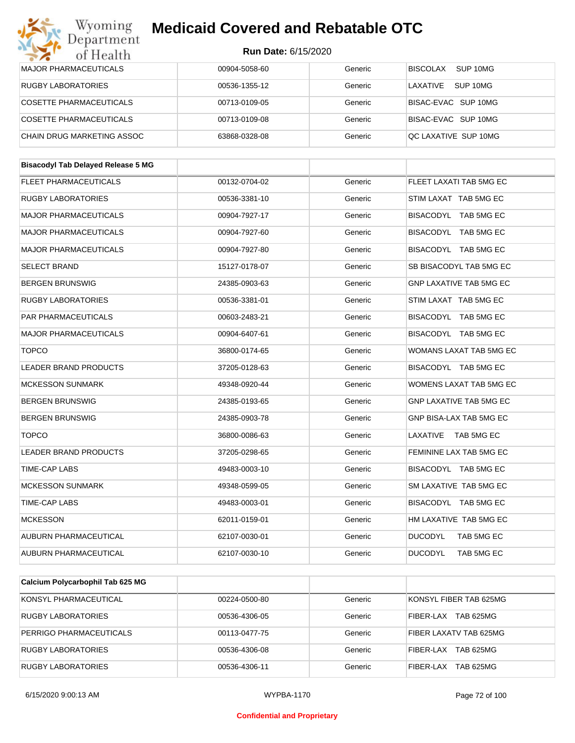#### Wyoming<br>Department **Medicaid Covered and Rebatable OTC**

#### **Run Date:** 6/15/2020

| $\sim$ $\sim$ $\sim$<br>of Health         | <b>Run Date: 6/15/2020</b> |         |                                |  |  |
|-------------------------------------------|----------------------------|---------|--------------------------------|--|--|
| <b>MAJOR PHARMACEUTICALS</b>              | 00904-5058-60              | Generic | BISCOLAX<br>SUP 10MG           |  |  |
| RUGBY LABORATORIES                        | 00536-1355-12              | Generic | LAXATIVE<br>SUP 10MG           |  |  |
| COSETTE PHARMACEUTICALS                   | 00713-0109-05              | Generic | BISAC-EVAC SUP 10MG            |  |  |
| COSETTE PHARMACEUTICALS                   | 00713-0109-08              | Generic | BISAC-EVAC SUP 10MG            |  |  |
| CHAIN DRUG MARKETING ASSOC                | 63868-0328-08              | Generic | QC LAXATIVE SUP 10MG           |  |  |
| <b>Bisacodyl Tab Delayed Release 5 MG</b> |                            |         |                                |  |  |
| FLEET PHARMACEUTICALS                     | 00132-0704-02              | Generic | FLEET LAXATI TAB 5MG EC        |  |  |
| RUGBY LABORATORIES                        | 00536-3381-10              | Generic | STIM LAXAT TAB 5MG EC          |  |  |
| <b>MAJOR PHARMACEUTICALS</b>              | 00904-7927-17              | Generic | BISACODYL TAB 5MG EC           |  |  |
| <b>MAJOR PHARMACEUTICALS</b>              | 00904-7927-60              | Generic | BISACODYL TAB 5MG EC           |  |  |
| <b>MAJOR PHARMACEUTICALS</b>              | 00904-7927-80              | Generic | BISACODYL TAB 5MG EC           |  |  |
| <b>SELECT BRAND</b>                       |                            |         | SB BISACODYL TAB 5MG EC        |  |  |
|                                           | 15127-0178-07              | Generic |                                |  |  |
| <b>BERGEN BRUNSWIG</b>                    | 24385-0903-63              | Generic | <b>GNP LAXATIVE TAB 5MG EC</b> |  |  |
| RUGBY LABORATORIES                        | 00536-3381-01              | Generic | STIM LAXAT TAB 5MG EC          |  |  |
| <b>PAR PHARMACEUTICALS</b>                | 00603-2483-21              | Generic | BISACODYL TAB 5MG EC           |  |  |
| <b>MAJOR PHARMACEUTICALS</b>              | 00904-6407-61              | Generic | BISACODYL TAB 5MG EC           |  |  |
| <b>TOPCO</b>                              | 36800-0174-65              | Generic | WOMANS LAXAT TAB 5MG EC        |  |  |
| <b>LEADER BRAND PRODUCTS</b>              | 37205-0128-63              | Generic | BISACODYL TAB 5MG EC           |  |  |
| <b>MCKESSON SUNMARK</b>                   | 49348-0920-44              | Generic | WOMENS LAXAT TAB 5MG EC        |  |  |
| <b>BERGEN BRUNSWIG</b>                    | 24385-0193-65              | Generic | GNP LAXATIVE TAB 5MG EC        |  |  |
| <b>BERGEN BRUNSWIG</b>                    | 24385-0903-78              | Generic | GNP BISA-LAX TAB 5MG EC        |  |  |
| <b>TOPCO</b>                              | 36800-0086-63              | Generic | LAXATIVE TAB 5MG EC            |  |  |
| <b>LEADER BRAND PRODUCTS</b>              | 37205-0298-65              | Generic | FEMININE LAX TAB 5MG EC        |  |  |
| TIME-CAP LABS                             | 49483-0003-10              | Generic | BISACODYL TAB 5MG EC           |  |  |
| <b>MCKESSON SUNMARK</b>                   | 49348-0599-05              | Generic | SM LAXATIVE TAB 5MG EC         |  |  |
| <b>TIME-CAP LABS</b>                      | 49483-0003-01              | Generic | BISACODYL TAB 5MG EC           |  |  |
| <b>MCKESSON</b>                           | 62011-0159-01              | Generic | HM LAXATIVE TAB 5MG EC         |  |  |
| AUBURN PHARMACEUTICAL                     | 62107-0030-01              | Generic | <b>DUCODYL</b><br>TAB 5MG EC   |  |  |
| AUBURN PHARMACEUTICAL                     | 62107-0030-10              | Generic | <b>DUCODYL</b><br>TAB 5MG EC   |  |  |
|                                           |                            |         |                                |  |  |
| Calcium Polycarbophil Tab 625 MG          |                            |         |                                |  |  |

| <b>Udicialli I Ulycal Duplill Tab ULJ INU</b> |               |         |                               |
|-----------------------------------------------|---------------|---------|-------------------------------|
| KONSYL PHARMACEUTICAL                         | 00224-0500-80 | Generic | KONSYL FIBER TAB 625MG        |
| <b>RUGBY LABORATORIES</b>                     | 00536-4306-05 | Generic | <b>TAB 625MG</b><br>FIBER-LAX |
| PERRIGO PHARMACEUTICALS                       | 00113-0477-75 | Generic | FIBER LAXATV TAB 625MG        |
| RUGBY LABORATORIES                            | 00536-4306-08 | Generic | <b>TAB 625MG</b><br>FIBER-LAX |
| RUGBY LABORATORIES                            | 00536-4306-11 | Generic | <b>TAB 625MG</b><br>FIBER-LAX |

6/15/2020 9:00:13 AM WYPBA-1170 Page 72 of 100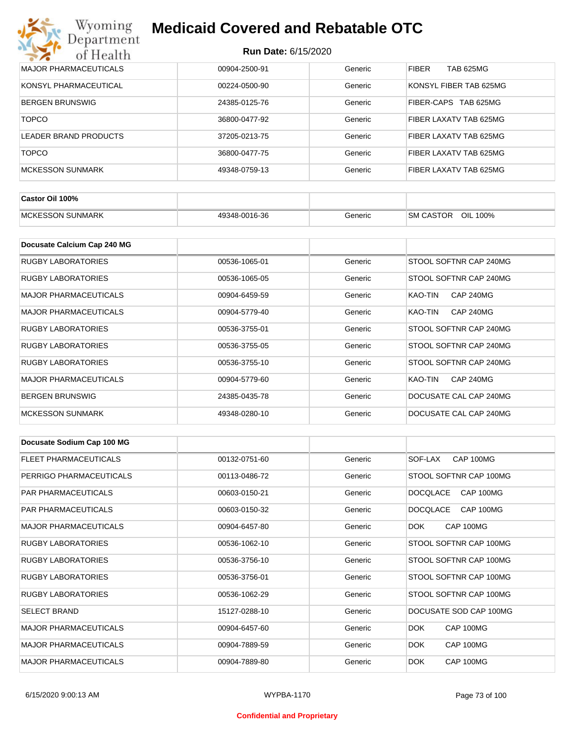| Wyoming<br><b>Medicaid Covered and Rebatable OTC</b><br>Department |                            |         |                                |  |  |
|--------------------------------------------------------------------|----------------------------|---------|--------------------------------|--|--|
| of Health                                                          | <b>Run Date: 6/15/2020</b> |         |                                |  |  |
| <b>MAJOR PHARMACEUTICALS</b>                                       | 00904-2500-91              | Generic | <b>FIBER</b><br>TAB 625MG      |  |  |
| KONSYL PHARMACEUTICAL                                              | 00224-0500-90              | Generic | KONSYL FIBER TAB 625MG         |  |  |
| <b>BERGEN BRUNSWIG</b>                                             | 24385-0125-76              | Generic | FIBER-CAPS<br><b>TAB 625MG</b> |  |  |
| <b>TOPCO</b>                                                       | 36800-0477-92              | Generic | FIBER LAXATV TAB 625MG         |  |  |
| LEADER BRAND PRODUCTS                                              | 37205-0213-75              | Generic | FIBER LAXATV TAB 625MG         |  |  |
| <b>TOPCO</b>                                                       | 36800-0477-75              | Generic | FIBER LAXATV TAB 625MG         |  |  |
| <b>MCKESSON SUNMARK</b>                                            | 49348-0759-13              | Generic | FIBER LAXATV TAB 625MG         |  |  |

| Castor Oil 100%                    |               |         |                                 |
|------------------------------------|---------------|---------|---------------------------------|
| <b>SUNMARK</b><br><b>IMCKESSON</b> | 49348-0016-36 | Beneric | OIL<br><b>SM CASTOR</b><br>100% |

| Docusate Calcium Cap 240 MG  |               |         |                             |
|------------------------------|---------------|---------|-----------------------------|
| RUGBY LABORATORIES           | 00536-1065-01 | Generic | STOOL SOFTNR CAP 240MG      |
| RUGBY LABORATORIES           | 00536-1065-05 | Generic | STOOL SOFTNR CAP 240MG      |
| <b>MAJOR PHARMACEUTICALS</b> | 00904-6459-59 | Generic | <b>CAP 240MG</b><br>KAO-TIN |
| <b>MAJOR PHARMACEUTICALS</b> | 00904-5779-40 | Generic | KAO-TIN<br><b>CAP 240MG</b> |
| <b>RUGBY LABORATORIES</b>    | 00536-3755-01 | Generic | STOOL SOFTNR CAP 240MG      |
| <b>RUGBY LABORATORIES</b>    | 00536-3755-05 | Generic | STOOL SOFTNR CAP 240MG      |
| RUGBY LABORATORIES           | 00536-3755-10 | Generic | STOOL SOFTNR CAP 240MG      |
| <b>MAJOR PHARMACEUTICALS</b> | 00904-5779-60 | Generic | KAO-TIN<br><b>CAP 240MG</b> |
| <b>BERGEN BRUNSWIG</b>       | 24385-0435-78 | Generic | DOCUSATE CAL CAP 240MG      |
| <b>MCKESSON SUNMARK</b>      | 49348-0280-10 | Generic | DOCUSATE CAL CAP 240MG      |

| Docusate Sodium Cap 100 MG   |               |         |                              |
|------------------------------|---------------|---------|------------------------------|
| FLEET PHARMACEUTICALS        | 00132-0751-60 | Generic | CAP 100MG<br>SOF-LAX         |
| PERRIGO PHARMACEUTICALS      | 00113-0486-72 | Generic | STOOL SOFTNR CAP 100MG       |
| <b>PAR PHARMACEUTICALS</b>   | 00603-0150-21 | Generic | <b>DOCOLACE</b><br>CAP 100MG |
| <b>PAR PHARMACEUTICALS</b>   | 00603-0150-32 | Generic | CAP 100MG<br><b>DOCOLACE</b> |
| <b>MAJOR PHARMACEUTICALS</b> | 00904-6457-80 | Generic | CAP 100MG<br>DOK.            |
| <b>RUGBY LABORATORIES</b>    | 00536-1062-10 | Generic | STOOL SOFTNR CAP 100MG       |
| <b>RUGBY LABORATORIES</b>    | 00536-3756-10 | Generic | STOOL SOFTNR CAP 100MG       |
| <b>RUGBY LABORATORIES</b>    | 00536-3756-01 | Generic | STOOL SOFTNR CAP 100MG       |
| <b>RUGBY LABORATORIES</b>    | 00536-1062-29 | Generic | STOOL SOFTNR CAP 100MG       |
| <b>SELECT BRAND</b>          | 15127-0288-10 | Generic | DOCUSATE SOD CAP 100MG       |
| <b>MAJOR PHARMACEUTICALS</b> | 00904-6457-60 | Generic | DOK.<br>CAP 100MG            |
| <b>MAJOR PHARMACEUTICALS</b> | 00904-7889-59 | Generic | <b>DOK</b><br>CAP 100MG      |
| <b>MAJOR PHARMACEUTICALS</b> | 00904-7889-80 | Generic | DOK.<br>CAP 100MG            |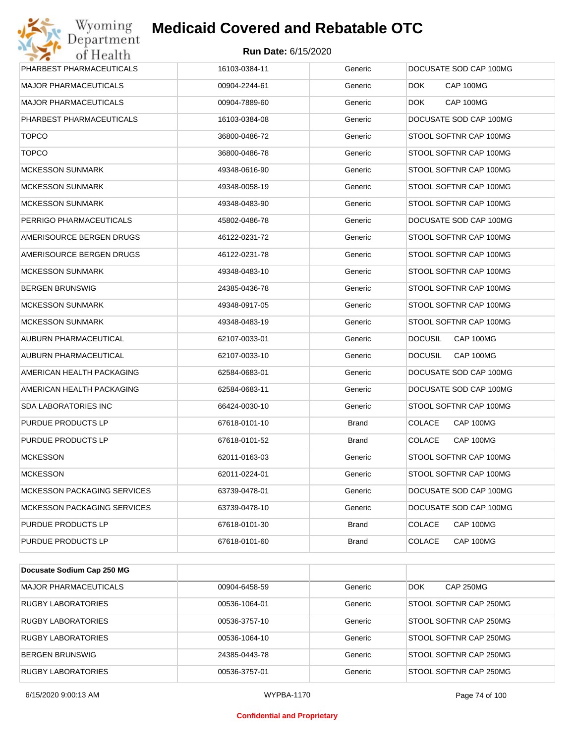

| Wyoming<br>Department                   | <b>Medicaid Covered and Rebatable OTC</b> |         |                             |  |  |
|-----------------------------------------|-------------------------------------------|---------|-----------------------------|--|--|
| <b>Run Date: 6/15/2020</b><br>of Health |                                           |         |                             |  |  |
| PHARBEST PHARMACEUTICALS                | 16103-0384-11                             | Generic | DOCUSATE SOD CAP 100MG      |  |  |
| <b>MAJOR PHARMACEUTICALS</b>            | 00904-2244-61                             | Generic | CAP 100MG<br>DOK.           |  |  |
| <b>MAJOR PHARMACEUTICALS</b>            | 00904-7889-60                             | Generic | CAP 100MG<br>DOK.           |  |  |
| PHARBEST PHARMACEUTICALS                | 16103-0384-08                             | Generic | DOCUSATE SOD CAP 100MG      |  |  |
| <b>TOPCO</b>                            | 36800-0486-72                             | Generic | STOOL SOFTNR CAP 100MG      |  |  |
| <b>TOPCO</b>                            | 36800-0486-78                             | Generic | STOOL SOFTNR CAP 100MG      |  |  |
| <b>MCKESSON SUNMARK</b>                 | 49348-0616-90                             | Generic | STOOL SOFTNR CAP 100MG      |  |  |
| <b>MCKESSON SUNMARK</b>                 | 49348-0058-19                             | Generic | STOOL SOFTNR CAP 100MG      |  |  |
| <b>MCKESSON SUNMARK</b>                 | 49348-0483-90                             | Generic | STOOL SOFTNR CAP 100MG      |  |  |
| PERRIGO PHARMACEUTICALS                 | 45802-0486-78                             | Generic | DOCUSATE SOD CAP 100MG      |  |  |
| AMERISOURCE BERGEN DRUGS                | 46122-0231-72                             | Generic | STOOL SOFTNR CAP 100MG      |  |  |
| AMERISOURCE BERGEN DRUGS                | 46122-0231-78                             | Generic | STOOL SOFTNR CAP 100MG      |  |  |
| <b>MCKESSON SUNMARK</b>                 | 49348-0483-10                             | Generic | STOOL SOFTNR CAP 100MG      |  |  |
| <b>BERGEN BRUNSWIG</b>                  | 24385-0436-78                             | Generic | STOOL SOFTNR CAP 100MG      |  |  |
| <b>MCKESSON SUNMARK</b>                 | 49348-0917-05                             | Generic | STOOL SOFTNR CAP 100MG      |  |  |
| <b>MCKESSON SUNMARK</b>                 | 49348-0483-19                             | Generic | STOOL SOFTNR CAP 100MG      |  |  |
| AUBURN PHARMACEUTICAL                   | 62107-0033-01                             | Generic | <b>DOCUSIL</b><br>CAP 100MG |  |  |
| AUBURN PHARMACEUTICAL                   | 62107-0033-10                             | Generic | <b>DOCUSIL</b><br>CAP 100MG |  |  |
| AMERICAN HEALTH PACKAGING               | 62584-0683-01                             | Generic | DOCUSATE SOD CAP 100MG      |  |  |
| AMERICAN HEALTH PACKAGING               | 62584-0683-11                             | Generic | DOCUSATE SOD CAP 100MG      |  |  |
| <b>SDA LABORATORIES INC</b>             | 66424-0030-10                             | Generic | STOOL SOFTNR CAP 100MG      |  |  |
| PURDUE PRODUCTS LP                      | 67618-0101-10                             | Brand   | <b>COLACE</b><br>CAP 100MG  |  |  |
| PURDUE PRODUCTS LP                      | 67618-0101-52                             | Brand   | <b>COLACE</b><br>CAP 100MG  |  |  |
| <b>MCKESSON</b>                         | 62011-0163-03                             | Generic | STOOL SOFTNR CAP 100MG      |  |  |
| <b>MCKESSON</b>                         | 62011-0224-01                             | Generic | STOOL SOFTNR CAP 100MG      |  |  |
| <b>MCKESSON PACKAGING SERVICES</b>      | 63739-0478-01                             | Generic | DOCUSATE SOD CAP 100MG      |  |  |
| <b>MCKESSON PACKAGING SERVICES</b>      | 63739-0478-10                             | Generic | DOCUSATE SOD CAP 100MG      |  |  |
| PURDUE PRODUCTS LP                      | 67618-0101-30                             | Brand   | <b>COLACE</b><br>CAP 100MG  |  |  |
| PURDUE PRODUCTS LP                      | 67618-0101-60                             | Brand   | <b>COLACE</b><br>CAP 100MG  |  |  |

| Docusate Sodium Cap 250 MG |               |         |                                |
|----------------------------|---------------|---------|--------------------------------|
| MAJOR PHARMACEUTICALS      | 00904-6458-59 | Generic | <b>DOK</b><br><b>CAP 250MG</b> |
| RUGBY LABORATORIES         | 00536-1064-01 | Generic | STOOL SOFTNR CAP 250MG         |
| <b>RUGBY LABORATORIES</b>  | 00536-3757-10 | Generic | STOOL SOFTNR CAP 250MG         |
| RUGBY LABORATORIES         | 00536-1064-10 | Generic | STOOL SOFTNR CAP 250MG         |
| <b>BERGEN BRUNSWIG</b>     | 24385-0443-78 | Generic | STOOL SOFTNR CAP 250MG         |
| <b>RUGBY LABORATORIES</b>  | 00536-3757-01 | Generic | STOOL SOFTNR CAP 250MG         |

6/15/2020 9:00:13 AM WYPBA-1170 Page 74 of 100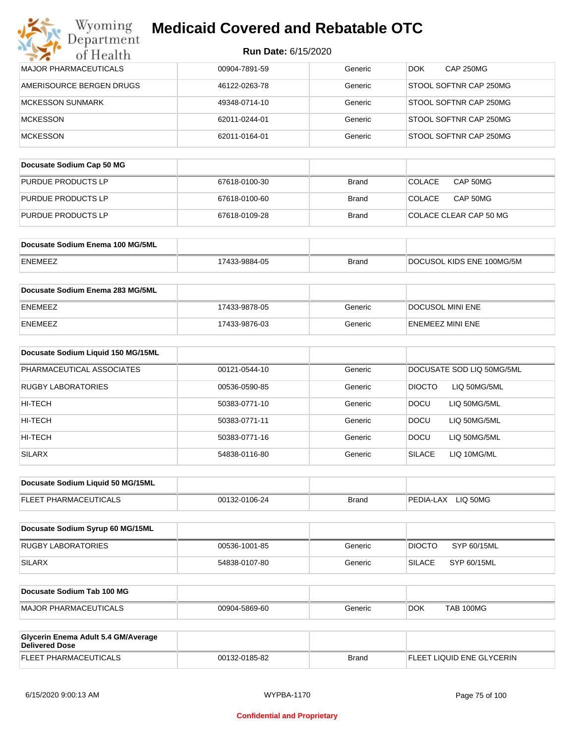| Department<br>of Health                                      | <b>Run Date: 6/15/2020</b> |              |                                |
|--------------------------------------------------------------|----------------------------|--------------|--------------------------------|
| <b>MAJOR PHARMACEUTICALS</b>                                 | 00904-7891-59              | Generic      | <b>CAP 250MG</b><br><b>DOK</b> |
| AMERISOURCE BERGEN DRUGS                                     | 46122-0263-78              | Generic      | STOOL SOFTNR CAP 250MG         |
| <b>MCKESSON SUNMARK</b>                                      | 49348-0714-10              | Generic      | STOOL SOFTNR CAP 250MG         |
| <b>MCKESSON</b>                                              | 62011-0244-01              | Generic      | STOOL SOFTNR CAP 250MG         |
| <b>MCKESSON</b>                                              | 62011-0164-01              | Generic      | STOOL SOFTNR CAP 250MG         |
| Docusate Sodium Cap 50 MG                                    |                            |              |                                |
| PURDUE PRODUCTS LP                                           | 67618-0100-30              | <b>Brand</b> | CAP 50MG<br><b>COLACE</b>      |
| PURDUE PRODUCTS LP                                           | 67618-0100-60              | Brand        | <b>COLACE</b><br>CAP 50MG      |
| PURDUE PRODUCTS LP                                           | 67618-0109-28              | Brand        | COLACE CLEAR CAP 50 MG         |
| Docusate Sodium Enema 100 MG/5ML                             |                            |              |                                |
| ENEMEEZ                                                      | 17433-9884-05              | <b>Brand</b> | DOCUSOL KIDS ENE 100MG/5M      |
| Docusate Sodium Enema 283 MG/5ML                             |                            |              |                                |
| ENEMEEZ                                                      | 17433-9878-05              | Generic      | <b>DOCUSOL MINI ENE</b>        |
| ENEMEEZ                                                      | 17433-9876-03              | Generic      | ENEMEEZ MINI ENE               |
| Docusate Sodium Liquid 150 MG/15ML                           |                            |              |                                |
| PHARMACEUTICAL ASSOCIATES                                    | 00121-0544-10              | Generic      | DOCUSATE SOD LIQ 50MG/5ML      |
| RUGBY LABORATORIES                                           | 00536-0590-85              | Generic      | <b>DIOCTO</b><br>LIQ 50MG/5ML  |
| HI-TECH                                                      | 50383-0771-10              | Generic      | <b>DOCU</b><br>LIQ 50MG/5ML    |
| HI-TECH                                                      | 50383-0771-11              | Generic      | <b>DOCU</b><br>LIQ 50MG/5ML    |
| HI-TECH                                                      | 50383-0771-16              | Generic      | DOCU<br>LIQ 50MG/5ML           |
| <b>SILARX</b>                                                | 54838-0116-80              | Generic      | <b>SILACE</b><br>LIQ 10MG/ML   |
| Docusate Sodium Liquid 50 MG/15ML                            |                            |              |                                |
| FLEET PHARMACEUTICALS                                        | 00132-0106-24              | <b>Brand</b> | PEDIA-LAX LIQ 50MG             |
| Docusate Sodium Syrup 60 MG/15ML                             |                            |              |                                |
| <b>RUGBY LABORATORIES</b>                                    | 00536-1001-85              | Generic      | SYP 60/15ML<br><b>DIOCTO</b>   |
| <b>SILARX</b>                                                | 54838-0107-80              | Generic      | <b>SILACE</b><br>SYP 60/15ML   |
| Docusate Sodium Tab 100 MG                                   |                            |              |                                |
| <b>MAJOR PHARMACEUTICALS</b>                                 | 00904-5869-60              | Generic      | <b>DOK</b><br>TAB 100MG        |
| Glycerin Enema Adult 5.4 GM/Average<br><b>Delivered Dose</b> |                            |              |                                |
| FLEET PHARMACEUTICALS                                        | 00132-0185-82              | <b>Brand</b> | FLEET LIQUID ENE GLYCERIN      |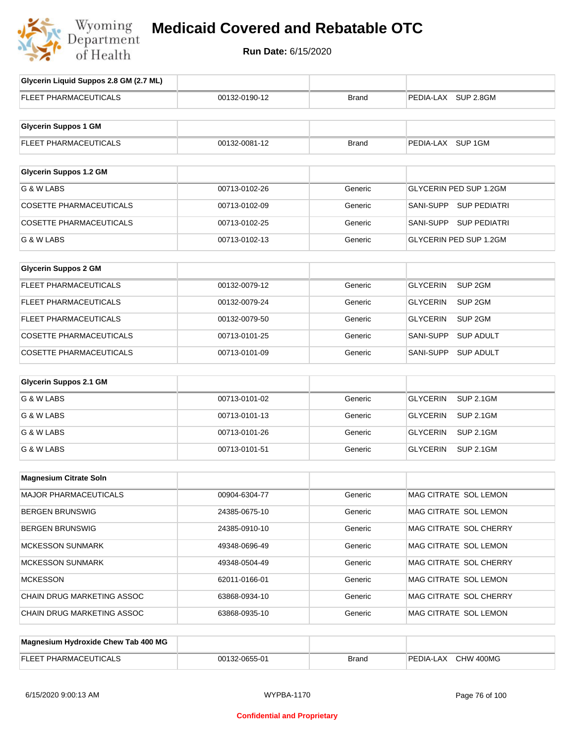

# **Medicaid Covered and Rebatable OTC**

**Run Date:** 6/15/2020

| Glycerin Liquid Suppos 2.8 GM (2.7 ML) |               |              |                                       |
|----------------------------------------|---------------|--------------|---------------------------------------|
| <b>FLEET PHARMACEUTICALS</b>           | 00132-0190-12 | <b>Brand</b> | PEDIA-LAX SUP 2.8GM                   |
| <b>Glycerin Suppos 1 GM</b>            |               |              |                                       |
| <b>FLEET PHARMACEUTICALS</b>           | 00132-0081-12 | <b>Brand</b> | PEDIA-LAX SUP 1GM                     |
| <b>Glycerin Suppos 1.2 GM</b>          |               |              |                                       |
| G & W LABS                             | 00713-0102-26 | Generic      | GLYCERIN PED SUP 1.2GM                |
|                                        |               |              |                                       |
| <b>COSETTE PHARMACEUTICALS</b>         | 00713-0102-09 | Generic      | SANI-SUPP SUP PEDIATRI                |
| <b>COSETTE PHARMACEUTICALS</b>         | 00713-0102-25 | Generic      | SANI-SUPP SUP PEDIATRI                |
| G & W LABS                             | 00713-0102-13 | Generic      | GLYCERIN PED SUP 1.2GM                |
| <b>Glycerin Suppos 2 GM</b>            |               |              |                                       |
| <b>FLEET PHARMACEUTICALS</b>           | 00132-0079-12 | Generic      | <b>GLYCERIN</b><br>SUP <sub>2GM</sub> |
| <b>FLEET PHARMACEUTICALS</b>           | 00132-0079-24 | Generic      | SUP <sub>2GM</sub><br><b>GLYCERIN</b> |
| FLEET PHARMACEUTICALS                  | 00132-0079-50 | Generic      | <b>GLYCERIN</b><br>SUP <sub>2GM</sub> |
| <b>COSETTE PHARMACEUTICALS</b>         | 00713-0101-25 | Generic      | SANI-SUPP<br><b>SUP ADULT</b>         |
| <b>COSETTE PHARMACEUTICALS</b>         | 00713-0101-09 | Generic      | SANI-SUPP<br><b>SUP ADULT</b>         |
| <b>Glycerin Suppos 2.1 GM</b>          |               |              |                                       |
| G & W LABS                             | 00713-0101-02 | Generic      | <b>GLYCERIN</b><br><b>SUP 2.1GM</b>   |
| G & W LABS                             | 00713-0101-13 | Generic      | <b>GLYCERIN</b><br><b>SUP 2.1GM</b>   |
| G & W LABS                             | 00713-0101-26 | Generic      | <b>GLYCERIN</b><br><b>SUP 2.1GM</b>   |
| G & W LABS                             | 00713-0101-51 | Generic      | <b>GLYCERIN</b><br><b>SUP 2.1GM</b>   |
| <b>Magnesium Citrate Soln</b>          |               |              |                                       |
| MAJOR PHARMACEUTICALS                  | 00904-6304-77 | Generic      | MAG CITRATE SOL LEMON                 |
| <b>BERGEN BRUNSWIG</b>                 | 24385-0675-10 | Generic      | MAG CITRATE SOL LEMON                 |
| <b>BERGEN BRUNSWIG</b>                 | 24385-0910-10 | Generic      | MAG CITRATE SOL CHERRY                |
| <b>MCKESSON SUNMARK</b>                | 49348-0696-49 | Generic      | MAG CITRATE SOL LEMON                 |
| <b>MCKESSON SUNMARK</b>                | 49348-0504-49 | Generic      | MAG CITRATE SOL CHERRY                |
| <b>MCKESSON</b>                        |               |              |                                       |
|                                        | 62011-0166-01 | Generic      | MAG CITRATE SOL LEMON                 |
| CHAIN DRUG MARKETING ASSOC             | 63868-0934-10 | Generic      | MAG CITRATE SOL CHERRY                |
| CHAIN DRUG MARKETING ASSOC             | 63868-0935-10 | Generic      | MAG CITRATE SOL LEMON                 |
| Magnesium Hydroxide Chew Tab 400 MG    |               |              |                                       |
|                                        |               |              |                                       |

| FI FFT<br><b>FUTICALL</b><br>$T$ T PHARMAUL L<br>--- | 00132-0655-01 | Brand | ' 400MG<br>CHW<br><b>PEDIA-L</b><br>-LAX |
|------------------------------------------------------|---------------|-------|------------------------------------------|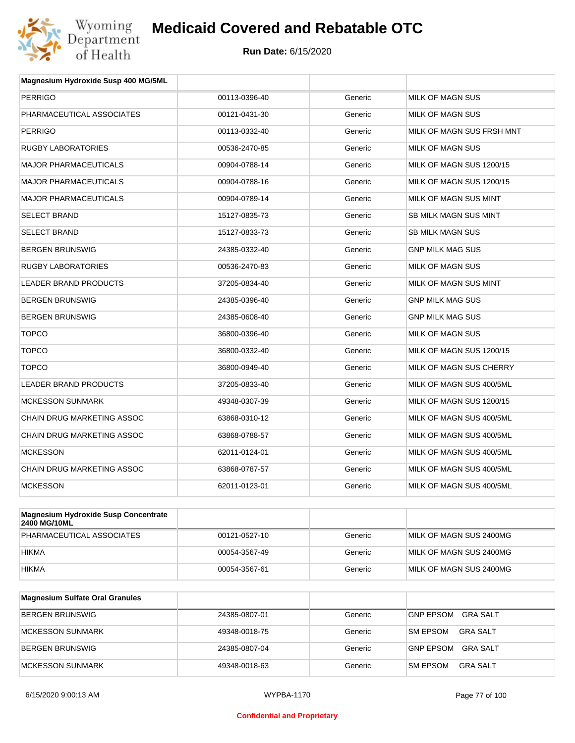

| <b>PERRIGO</b><br>PHARMACEUTICAL ASSOCIATES<br><b>PERRIGO</b> | 00113-0396-40<br>00121-0431-30<br>00113-0332-40 | Generic<br>Generic | <b>MILK OF MAGN SUS</b><br><b>MILK OF MAGN SUS</b> |
|---------------------------------------------------------------|-------------------------------------------------|--------------------|----------------------------------------------------|
|                                                               |                                                 |                    |                                                    |
|                                                               |                                                 |                    |                                                    |
|                                                               |                                                 | Generic            | MILK OF MAGN SUS FRSH MNT                          |
| <b>RUGBY LABORATORIES</b>                                     | 00536-2470-85                                   | Generic            | MILK OF MAGN SUS                                   |
| <b>MAJOR PHARMACEUTICALS</b>                                  | 00904-0788-14                                   | Generic            | MILK OF MAGN SUS 1200/15                           |
| <b>MAJOR PHARMACEUTICALS</b>                                  | 00904-0788-16                                   | Generic            | MILK OF MAGN SUS 1200/15                           |
| <b>MAJOR PHARMACEUTICALS</b>                                  | 00904-0789-14                                   | Generic            | MILK OF MAGN SUS MINT                              |
| <b>SELECT BRAND</b>                                           | 15127-0835-73                                   | Generic            | <b>SB MILK MAGN SUS MINT</b>                       |
| <b>SELECT BRAND</b>                                           | 15127-0833-73                                   | Generic            | <b>SB MILK MAGN SUS</b>                            |
| <b>BERGEN BRUNSWIG</b>                                        | 24385-0332-40                                   | Generic            | <b>GNP MILK MAG SUS</b>                            |
| <b>RUGBY LABORATORIES</b>                                     | 00536-2470-83                                   | Generic            | MILK OF MAGN SUS                                   |
| LEADER BRAND PRODUCTS                                         | 37205-0834-40                                   | Generic            | MILK OF MAGN SUS MINT                              |
| <b>BERGEN BRUNSWIG</b>                                        | 24385-0396-40                                   | Generic            | <b>GNP MILK MAG SUS</b>                            |
| <b>BERGEN BRUNSWIG</b>                                        | 24385-0608-40                                   | Generic            | <b>GNP MILK MAG SUS</b>                            |
| <b>TOPCO</b>                                                  | 36800-0396-40                                   | Generic            | MILK OF MAGN SUS                                   |
| <b>TOPCO</b>                                                  | 36800-0332-40                                   | Generic            | MILK OF MAGN SUS 1200/15                           |
| <b>TOPCO</b>                                                  | 36800-0949-40                                   | Generic            | MILK OF MAGN SUS CHERRY                            |
| <b>LEADER BRAND PRODUCTS</b>                                  | 37205-0833-40                                   | Generic            | MILK OF MAGN SUS 400/5ML                           |
| <b>MCKESSON SUNMARK</b>                                       | 49348-0307-39                                   | Generic            | MILK OF MAGN SUS 1200/15                           |
| CHAIN DRUG MARKETING ASSOC                                    | 63868-0310-12                                   | Generic            | MILK OF MAGN SUS 400/5ML                           |
| <b>CHAIN DRUG MARKETING ASSOC</b>                             | 63868-0788-57                                   | Generic            | MILK OF MAGN SUS 400/5ML                           |
| <b>MCKESSON</b>                                               | 62011-0124-01                                   | Generic            | MILK OF MAGN SUS 400/5ML                           |
| <b>CHAIN DRUG MARKETING ASSOC</b>                             | 63868-0787-57                                   | Generic            | MILK OF MAGN SUS 400/5ML                           |
| <b>MCKESSON</b>                                               | 62011-0123-01                                   | Generic            | MILK OF MAGN SUS 400/5ML                           |

| Magnesium Hydroxide Susp Concentrate<br>2400 MG/10ML |               |         |                         |
|------------------------------------------------------|---------------|---------|-------------------------|
| PHARMACEUTICAL ASSOCIATES                            | 00121-0527-10 | Generic | MILK OF MAGN SUS 2400MG |
| <b>HIKMA</b>                                         | 00054-3567-49 | Generic | MILK OF MAGN SUS 2400MG |
| <b>HIKMA</b>                                         | 00054-3567-61 | Generic | MILK OF MAGN SUS 2400MG |

| <b>Magnesium Sulfate Oral Granules</b> |               |         |                                     |
|----------------------------------------|---------------|---------|-------------------------------------|
| BERGEN BRUNSWIG                        | 24385-0807-01 | Generic | GRA SALT<br>GNP EPSOM               |
| <b>IMCKESSON SUNMARK</b>               | 49348-0018-75 | Generic | <b>GRA SALT</b><br><b>SM EPSOM</b>  |
| BERGEN BRUNSWIG                        | 24385-0807-04 | Generic | <b>GRA SALT</b><br><b>GNP EPSOM</b> |
| <b>IMCKESSON SUNMARK</b>               | 49348-0018-63 | Generic | <b>GRA SALT</b><br><b>SM EPSOM</b>  |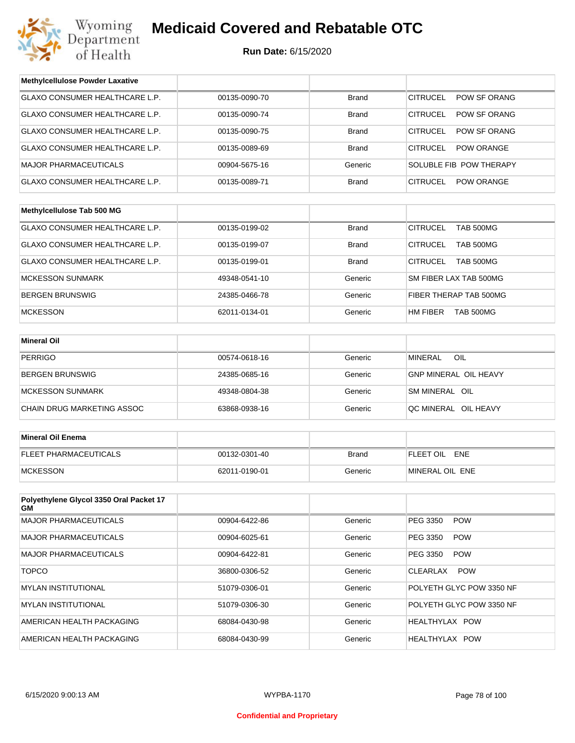

| <b>Methylcellulose Powder Laxative</b>        |               |              |                                      |  |
|-----------------------------------------------|---------------|--------------|--------------------------------------|--|
| GLAXO CONSUMER HEALTHCARE L.P.                | 00135-0090-70 | <b>Brand</b> | POW SF ORANG<br><b>CITRUCEL</b>      |  |
| GLAXO CONSUMER HEALTHCARE L.P.                | 00135-0090-74 | Brand        | <b>CITRUCEL</b><br>POW SF ORANG      |  |
| GLAXO CONSUMER HEALTHCARE L.P.                | 00135-0090-75 | <b>Brand</b> | <b>CITRUCEL</b><br>POW SF ORANG      |  |
| GLAXO CONSUMER HEALTHCARE L.P.                | 00135-0089-69 | Brand        | <b>CITRUCEL</b><br><b>POW ORANGE</b> |  |
| <b>MAJOR PHARMACEUTICALS</b>                  | 00904-5675-16 | Generic      | SOLUBLE FIB POW THERAPY              |  |
| GLAXO CONSUMER HEALTHCARE L.P.                | 00135-0089-71 | Brand        | <b>CITRUCEL</b><br><b>POW ORANGE</b> |  |
|                                               |               |              |                                      |  |
| Methylcellulose Tab 500 MG                    |               |              |                                      |  |
| GLAXO CONSUMER HEALTHCARE L.P.                | 00135-0199-02 | <b>Brand</b> | <b>CITRUCEL</b><br>TAB 500MG         |  |
| GLAXO CONSUMER HEALTHCARE L.P.                | 00135-0199-07 | <b>Brand</b> | <b>CITRUCEL</b><br><b>TAB 500MG</b>  |  |
| GLAXO CONSUMER HEALTHCARE L.P.                | 00135-0199-01 | <b>Brand</b> | <b>CITRUCEL</b><br>TAB 500MG         |  |
| <b>MCKESSON SUNMARK</b>                       | 49348-0541-10 | Generic      | SM FIBER LAX TAB 500MG               |  |
| <b>BERGEN BRUNSWIG</b>                        | 24385-0466-78 | Generic      | FIBER THERAP TAB 500MG               |  |
| <b>MCKESSON</b>                               | 62011-0134-01 | Generic      | HM FIBER<br><b>TAB 500MG</b>         |  |
|                                               |               |              |                                      |  |
| <b>Mineral Oil</b>                            |               |              |                                      |  |
| <b>PERRIGO</b>                                | 00574-0618-16 | Generic      | <b>MINERAL</b><br>OIL                |  |
| <b>BERGEN BRUNSWIG</b>                        | 24385-0685-16 | Generic      | <b>GNP MINERAL OIL HEAVY</b>         |  |
| <b>MCKESSON SUNMARK</b>                       | 49348-0804-38 | Generic      | SM MINERAL OIL                       |  |
| CHAIN DRUG MARKETING ASSOC                    | 63868-0938-16 | Generic      | QC MINERAL OIL HEAVY                 |  |
|                                               |               |              |                                      |  |
| <b>Mineral Oil Enema</b>                      |               |              |                                      |  |
| FLEET PHARMACEUTICALS                         | 00132-0301-40 | <b>Brand</b> | FLEET OIL ENE                        |  |
| <b>MCKESSON</b>                               | 62011-0190-01 | Generic      | MINERAL OIL ENE                      |  |
|                                               |               |              |                                      |  |
| Polyethylene Glycol 3350 Oral Packet 17<br>GМ |               |              |                                      |  |
| MAJOR PHARMACEUTICALS                         | 00904-6422-86 | Generic      | PEG 3350<br><b>POW</b>               |  |
| <b>MAJOR PHARMACEUTICALS</b>                  | 00904-6025-61 | Generic      | PEG 3350<br><b>POW</b>               |  |
| <b>MAJOR PHARMACEUTICALS</b>                  | 00904-6422-81 | Generic      | PEG 3350<br><b>POW</b>               |  |
| <b>TOPCO</b>                                  | 36800-0306-52 | Generic      | CLEARLAX<br><b>POW</b>               |  |
| <b>MYLAN INSTITUTIONAL</b>                    | 51079-0306-01 | Generic      | POLYETH GLYC POW 3350 NF             |  |
| <b>MYLAN INSTITUTIONAL</b>                    | 51079-0306-30 | Generic      | POLYETH GLYC POW 3350 NF             |  |
| AMERICAN HEALTH PACKAGING                     | 68084-0430-98 | Generic      | HEALTHYLAX POW                       |  |
| AMERICAN HEALTH PACKAGING                     | 68084-0430-99 | Generic      | HEALTHYLAX POW                       |  |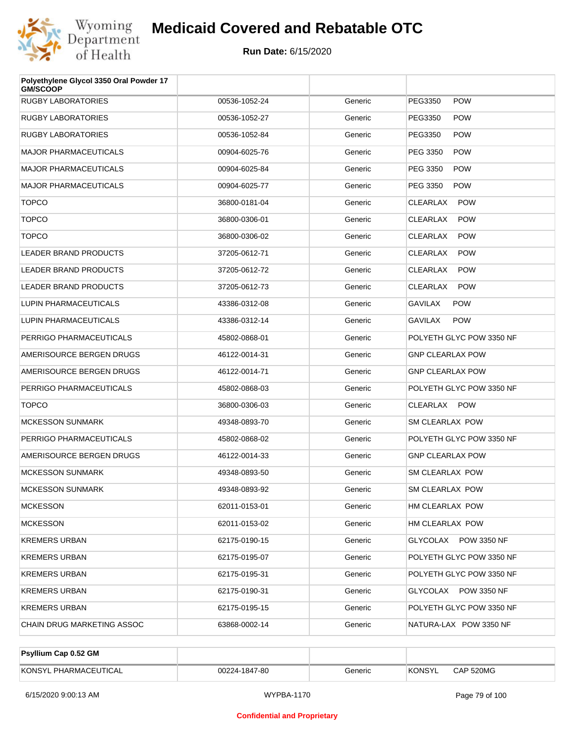

| Polyethylene Glycol 3350 Oral Powder 17<br><b>GM/SCOOP</b> |               |         |                               |
|------------------------------------------------------------|---------------|---------|-------------------------------|
| <b>RUGBY LABORATORIES</b>                                  | 00536-1052-24 | Generic | PEG3350<br><b>POW</b>         |
| <b>RUGBY LABORATORIES</b>                                  | 00536-1052-27 | Generic | PEG3350<br><b>POW</b>         |
| <b>RUGBY LABORATORIES</b>                                  | 00536-1052-84 | Generic | PEG3350<br><b>POW</b>         |
| <b>MAJOR PHARMACEUTICALS</b>                               | 00904-6025-76 | Generic | PEG 3350<br><b>POW</b>        |
| <b>MAJOR PHARMACEUTICALS</b>                               | 00904-6025-84 | Generic | PEG 3350<br><b>POW</b>        |
| <b>MAJOR PHARMACEUTICALS</b>                               | 00904-6025-77 | Generic | PEG 3350<br><b>POW</b>        |
| <b>TOPCO</b>                                               | 36800-0181-04 | Generic | <b>CLEARLAX</b><br><b>POW</b> |
| <b>TOPCO</b>                                               | 36800-0306-01 | Generic | <b>CLEARLAX</b><br><b>POW</b> |
| <b>TOPCO</b>                                               | 36800-0306-02 | Generic | <b>CLEARLAX</b><br><b>POW</b> |
| <b>LEADER BRAND PRODUCTS</b>                               | 37205-0612-71 | Generic | <b>CLEARLAX</b><br><b>POW</b> |
| <b>LEADER BRAND PRODUCTS</b>                               | 37205-0612-72 | Generic | CLEARLAX<br><b>POW</b>        |
| <b>LEADER BRAND PRODUCTS</b>                               | 37205-0612-73 | Generic | <b>CLEARLAX</b><br><b>POW</b> |
| LUPIN PHARMACEUTICALS                                      | 43386-0312-08 | Generic | <b>GAVILAX</b><br><b>POW</b>  |
| LUPIN PHARMACEUTICALS                                      | 43386-0312-14 | Generic | <b>GAVILAX</b><br><b>POW</b>  |
| PERRIGO PHARMACEUTICALS                                    | 45802-0868-01 | Generic | POLYETH GLYC POW 3350 NF      |
| AMERISOURCE BERGEN DRUGS                                   | 46122-0014-31 | Generic | <b>GNP CLEARLAX POW</b>       |
| AMERISOURCE BERGEN DRUGS                                   | 46122-0014-71 | Generic | <b>GNP CLEARLAX POW</b>       |
| PERRIGO PHARMACEUTICALS                                    | 45802-0868-03 | Generic | POLYETH GLYC POW 3350 NF      |
| <b>TOPCO</b>                                               | 36800-0306-03 | Generic | CLEARLAX POW                  |
| <b>MCKESSON SUNMARK</b>                                    | 49348-0893-70 | Generic | SM CLEARLAX POW               |
| PERRIGO PHARMACEUTICALS                                    | 45802-0868-02 | Generic | POLYETH GLYC POW 3350 NF      |
| AMERISOURCE BERGEN DRUGS                                   | 46122-0014-33 | Generic | <b>GNP CLEARLAX POW</b>       |
| <b>MCKESSON SUNMARK</b>                                    | 49348-0893-50 | Generic | <b>SM CLEARLAX POW</b>        |
| <b>MCKESSON SUNMARK</b>                                    | 49348-0893-92 | Generic | <b>SM CLEARLAX POW</b>        |
| <b>MCKESSON</b>                                            | 62011-0153-01 | Generic | HM CLEARLAX POW               |
| <b>MCKESSON</b>                                            | 62011-0153-02 | Generic | HM CLEARLAX POW               |
| <b>KREMERS URBAN</b>                                       | 62175-0190-15 | Generic | GLYCOLAX POW 3350 NF          |
| <b>KREMERS URBAN</b>                                       | 62175-0195-07 | Generic | POLYETH GLYC POW 3350 NF      |
| <b>KREMERS URBAN</b>                                       | 62175-0195-31 | Generic | POLYETH GLYC POW 3350 NF      |
| <b>KREMERS URBAN</b>                                       | 62175-0190-31 | Generic | GLYCOLAX POW 3350 NF          |
| <b>KREMERS URBAN</b>                                       | 62175-0195-15 | Generic | POLYETH GLYC POW 3350 NF      |
| CHAIN DRUG MARKETING ASSOC                                 | 63868-0002-14 | Generic | NATURA-LAX POW 3350 NF        |

| <b>Psyllium Cap 0.52 GM</b> |               |         |         |           |
|-----------------------------|---------------|---------|---------|-----------|
| KONSYL PHARMACEUTICAL       | 00224-1847-80 | Generic | 'KONSYL | CAP 520MG |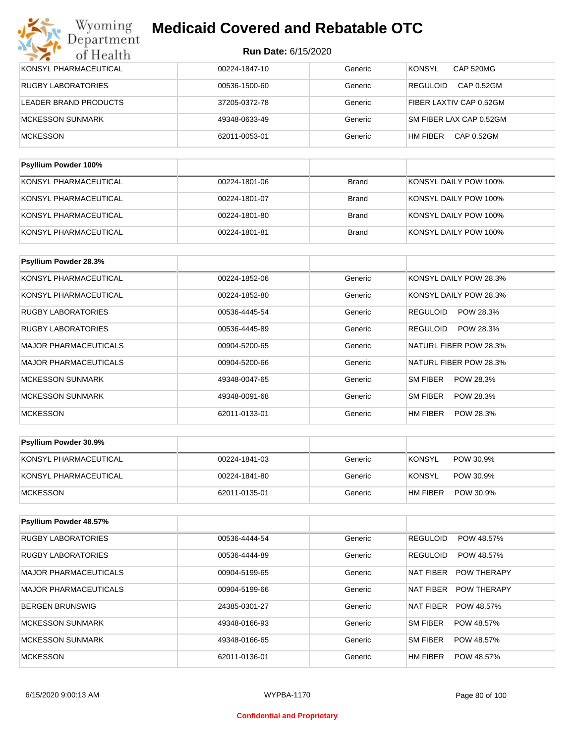| KONSYL PHARMACEUTICAL     | 00224-1847-10 | Generic      | <b>CAP 520MG</b><br><b>KONSYL</b> |
|---------------------------|---------------|--------------|-----------------------------------|
| <b>RUGBY LABORATORIES</b> | 00536-1500-60 | Generic      | CAP 0.52GM<br><b>REGULOID</b>     |
| LEADER BRAND PRODUCTS     | 37205-0372-78 | Generic      | FIBER LAXTIV CAP 0.52GM           |
| <b>MCKESSON SUNMARK</b>   | 49348-0633-49 | Generic      | SM FIBER LAX CAP 0.52GM           |
| <b>MCKESSON</b>           | 62011-0053-01 | Generic      | CAP 0.52GM<br>HM FIBER            |
|                           |               |              |                                   |
| Psyllium Powder 100%      |               |              |                                   |
| KONSYL PHARMACEUTICAL     | 00224-1801-06 | <b>Brand</b> | KONSYL DAILY POW 100%             |

| KONSYL PHARMACEUTICAL | 00224-1801-07 | Brand | KONSYL DAILY POW 100% |
|-----------------------|---------------|-------|-----------------------|
| KONSYL PHARMACEUTICAL | 00224-1801-80 | Brand | KONSYL DAILY POW 100% |
| KONSYL PHARMACEUTICAL | 00224-1801-81 | Brand | KONSYL DAILY POW 100% |

| Psyllium Powder 28.3%        |               |         |                              |
|------------------------------|---------------|---------|------------------------------|
| KONSYL PHARMACEUTICAL        | 00224-1852-06 | Generic | KONSYL DAILY POW 28.3%       |
| KONSYL PHARMACEUTICAL        | 00224-1852-80 | Generic | KONSYL DAILY POW 28.3%       |
| <b>RUGBY LABORATORIES</b>    | 00536-4445-54 | Generic | POW 28.3%<br><b>REGULOID</b> |
| <b>RUGBY LABORATORIES</b>    | 00536-4445-89 | Generic | <b>REGULOID</b><br>POW 28.3% |
| <b>MAJOR PHARMACEUTICALS</b> | 00904-5200-65 | Generic | NATURL FIBER POW 28.3%       |
| <b>MAJOR PHARMACEUTICALS</b> | 00904-5200-66 | Generic | NATURL FIBER POW 28.3%       |
| <b>MCKESSON SUNMARK</b>      | 49348-0047-65 | Generic | SM FIBER<br>POW 28.3%        |
| <b>MCKESSON SUNMARK</b>      | 49348-0091-68 | Generic | SM FIBER<br>POW 28.3%        |
| <b>MCKESSON</b>              | 62011-0133-01 | Generic | HM FIBER<br>POW 28.3%        |

| <b>Psyllium Powder 30.9%</b> |               |         |                            |
|------------------------------|---------------|---------|----------------------------|
| KONSYL PHARMACEUTICAL        | 00224-1841-03 | Generic | <b>KONSYL</b><br>POW 30.9% |
| KONSYL PHARMACEUTICAL        | 00224-1841-80 | Generic | KONSYL<br>POW 30.9%        |
| <b>IMCKESSON</b>             | 62011-0135-01 | Generic | HM FIBER<br>POW 30.9%      |

| Psyllium Powder 48.57%       |               |         |                                        |
|------------------------------|---------------|---------|----------------------------------------|
| <b>RUGBY LABORATORIES</b>    | 00536-4444-54 | Generic | <b>REGULOID</b><br>POW 48.57%          |
| <b>RUGBY LABORATORIES</b>    | 00536-4444-89 | Generic | <b>REGULOID</b><br>POW 48.57%          |
| <b>MAJOR PHARMACEUTICALS</b> | 00904-5199-65 | Generic | <b>NAT FIBER</b><br><b>POW THERAPY</b> |
| <b>MAJOR PHARMACEUTICALS</b> | 00904-5199-66 | Generic | NAT FIBER<br><b>POW THERAPY</b>        |
| <b>BERGEN BRUNSWIG</b>       | 24385-0301-27 | Generic | <b>NAT FIBER</b><br>POW 48.57%         |
| MCKESSON SUNMARK             | 49348-0166-93 | Generic | SM FIBER<br>POW 48.57%                 |
| MCKESSON SUNMARK             | 49348-0166-65 | Generic | <b>SM FIBER</b><br>POW 48.57%          |
| <b>MCKESSON</b>              | 62011-0136-01 | Generic | HM FIBER<br>POW 48.57%                 |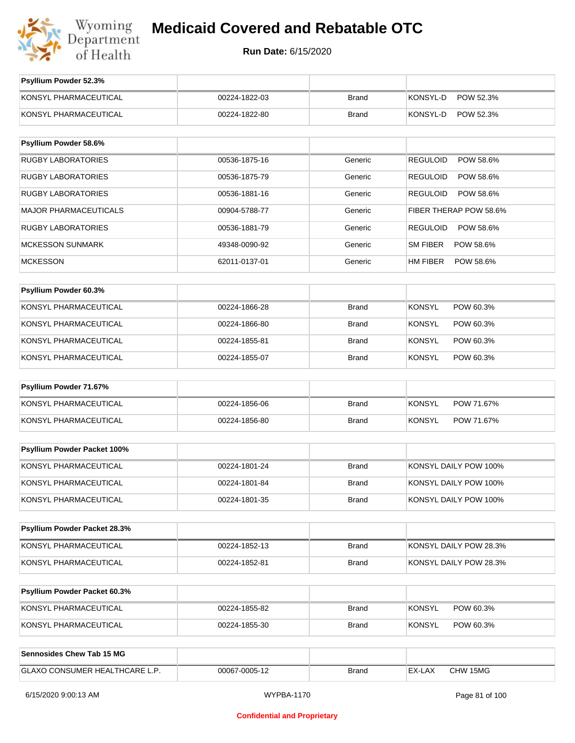

**Run Date:** 6/15/2020

| Psyllium Powder 52.3%               |               |              |                              |
|-------------------------------------|---------------|--------------|------------------------------|
| KONSYL PHARMACEUTICAL               | 00224-1822-03 | <b>Brand</b> | KONSYL-D<br>POW 52.3%        |
| KONSYL PHARMACEUTICAL               | 00224-1822-80 | <b>Brand</b> | KONSYL-D<br>POW 52.3%        |
|                                     |               |              |                              |
| Psyllium Powder 58.6%               |               |              |                              |
| <b>RUGBY LABORATORIES</b>           | 00536-1875-16 | Generic      | <b>REGULOID</b><br>POW 58.6% |
| <b>RUGBY LABORATORIES</b>           | 00536-1875-79 | Generic      | <b>REGULOID</b><br>POW 58.6% |
| <b>RUGBY LABORATORIES</b>           | 00536-1881-16 | Generic      | <b>REGULOID</b><br>POW 58.6% |
| <b>MAJOR PHARMACEUTICALS</b>        | 00904-5788-77 | Generic      | FIBER THERAP POW 58.6%       |
| <b>RUGBY LABORATORIES</b>           | 00536-1881-79 | Generic      | <b>REGULOID</b><br>POW 58.6% |
| <b>MCKESSON SUNMARK</b>             | 49348-0090-92 | Generic      | <b>SM FIBER</b><br>POW 58.6% |
| <b>MCKESSON</b>                     | 62011-0137-01 | Generic      | HM FIBER<br>POW 58.6%        |
| Psyllium Powder 60.3%               |               |              |                              |
| KONSYL PHARMACEUTICAL               | 00224-1866-28 | <b>Brand</b> | <b>KONSYL</b><br>POW 60.3%   |
| KONSYL PHARMACEUTICAL               | 00224-1866-80 | <b>Brand</b> | <b>KONSYL</b><br>POW 60.3%   |
| KONSYL PHARMACEUTICAL               | 00224-1855-81 | <b>Brand</b> | <b>KONSYL</b><br>POW 60.3%   |
| KONSYL PHARMACEUTICAL               | 00224-1855-07 | <b>Brand</b> | <b>KONSYL</b><br>POW 60.3%   |
| Psyllium Powder 71.67%              |               |              |                              |
| KONSYL PHARMACEUTICAL               | 00224-1856-06 | <b>Brand</b> | <b>KONSYL</b><br>POW 71.67%  |
| KONSYL PHARMACEUTICAL               | 00224-1856-80 | <b>Brand</b> | <b>KONSYL</b><br>POW 71.67%  |
|                                     |               |              |                              |
| Psyllium Powder Packet 100%         |               |              |                              |
| KONSYL PHARMACEUTICAL               | 00224-1801-24 | <b>Brand</b> | KONSYL DAILY POW 100%        |
| KONSYL PHARMACEUTICAL               | 00224-1801-84 | <b>Brand</b> | KONSYL DAILY POW 100%        |
| KONSYL PHARMACEUTICAL               | 00224-1801-35 | <b>Brand</b> | KONSYL DAILY POW 100%        |
|                                     |               |              |                              |
| Psyllium Powder Packet 28.3%        |               |              |                              |
| KONSYL PHARMACEUTICAL               | 00224-1852-13 | <b>Brand</b> | KONSYL DAILY POW 28.3%       |
| KONSYL PHARMACEUTICAL               | 00224-1852-81 | <b>Brand</b> | KONSYL DAILY POW 28.3%       |
| <b>Psyllium Powder Packet 60.3%</b> |               |              |                              |
| KONSYL PHARMACEUTICAL               | 00224-1855-82 | <b>Brand</b> | <b>KONSYL</b><br>POW 60.3%   |
| KONSYL PHARMACEUTICAL               | 00224-1855-30 | <b>Brand</b> | <b>KONSYL</b><br>POW 60.3%   |
|                                     |               |              |                              |
| <b>Sennosides Chew Tab 15 MG</b>    |               |              |                              |
| GLAXO CONSUMER HEALTHCARE L.P.      | 00067-0005-12 | <b>Brand</b> | EX-LAX<br>CHW 15MG           |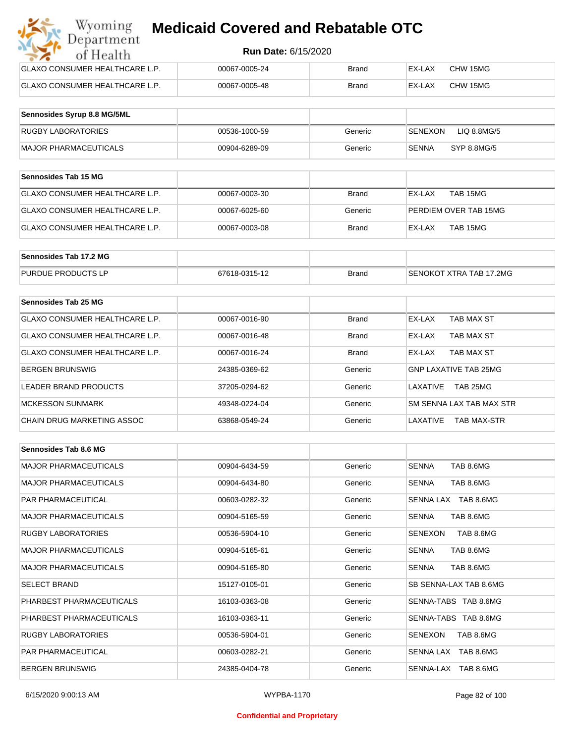| Wyoming<br><b>Medicaid Covered and Rebatable OTC</b><br>Department |                            |       |        |          |  |  |
|--------------------------------------------------------------------|----------------------------|-------|--------|----------|--|--|
| of Health                                                          | <b>Run Date: 6/15/2020</b> |       |        |          |  |  |
| <b>GLAXO CONSUMER HEALTHCARE L.P.</b>                              | 00067-0005-24              | Brand | EX-LAX | CHW 15MG |  |  |
| <b>GLAXO CONSUMER HEALTHCARE L.P.</b>                              | 00067-0005-48              | Brand | EX-LAX | CHW 15MG |  |  |

| Sennosides Syrup 8.8 MG/5ML |               |         |                               |
|-----------------------------|---------------|---------|-------------------------------|
| <b>RUGBY LABORATORIES</b>   | 00536-1000-59 | Generic | LIQ 8.8MG/5<br><b>SENEXON</b> |
| MAJOR PHARMACEUTICALS       | 00904-6289-09 | Generic | SYP 8.8MG/5<br>SENNA          |

| <b>Sennosides Tab 15 MG</b>           |               |              |                       |
|---------------------------------------|---------------|--------------|-----------------------|
| <b>GLAXO CONSUMER HEALTHCARE L.P.</b> | 00067-0003-30 | <b>Brand</b> | EX-LAX<br>TAB 15MG    |
| GLAXO CONSUMER HEALTHCARE L.P.        | 00067-6025-60 | Generic      | PERDIEM OVER TAB 15MG |
| GLAXO CONSUMER HEALTHCARE L.P.        | 00067-0003-08 | <b>Brand</b> | EX-LAX<br>TAB 15MG    |

| Sennosides Tab 17.2 MG    |               |              |                         |
|---------------------------|---------------|--------------|-------------------------|
| <b>PURDUE PRODUCTS LP</b> | 67618-0315-12 | <b>Brand</b> | SENOKOT XTRA TAB 17.2MG |

| Sennosides Tab 25 MG           |               |              |                                |
|--------------------------------|---------------|--------------|--------------------------------|
| GLAXO CONSUMER HEALTHCARE L.P. | 00067-0016-90 | <b>Brand</b> | EX-LAX<br>TAB MAX ST           |
| GLAXO CONSUMER HEALTHCARE L.P. | 00067-0016-48 | <b>Brand</b> | TAB MAX ST<br>EX-LAX           |
| GLAXO CONSUMER HEALTHCARE L.P. | 00067-0016-24 | <b>Brand</b> | TAB MAX ST<br>EX-LAX           |
| <b>BERGEN BRUNSWIG</b>         | 24385-0369-62 | Generic      | <b>GNP LAXATIVE TAB 25MG</b>   |
| LEADER BRAND PRODUCTS          | 37205-0294-62 | Generic      | TAB 25MG<br>I AXATIVF          |
| <b>MCKESSON SUNMARK</b>        | 49348-0224-04 | Generic      | SM SENNA LAX TAB MAX STR       |
| CHAIN DRUG MARKETING ASSOC     | 63868-0549-24 | Generic      | LAXATIVE<br><b>TAB MAX-STR</b> |

| Sennosides Tab 8.6 MG        |               |         |                             |
|------------------------------|---------------|---------|-----------------------------|
| <b>MAJOR PHARMACEUTICALS</b> | 00904-6434-59 | Generic | <b>SENNA</b><br>TAB 8.6MG   |
| <b>MAJOR PHARMACEUTICALS</b> | 00904-6434-80 | Generic | <b>SENNA</b><br>TAB 8.6MG   |
| <b>PAR PHARMACEUTICAL</b>    | 00603-0282-32 | Generic | SENNA LAX TAB 8.6MG         |
| <b>MAJOR PHARMACEUTICALS</b> | 00904-5165-59 | Generic | TAB 8.6MG<br><b>SENNA</b>   |
| <b>RUGBY LABORATORIES</b>    | 00536-5904-10 | Generic | TAB 8.6MG<br>SENEXON        |
| <b>MAJOR PHARMACEUTICALS</b> | 00904-5165-61 | Generic | TAB 8.6MG<br><b>SENNA</b>   |
| <b>MAJOR PHARMACEUTICALS</b> | 00904-5165-80 | Generic | TAB 8.6MG<br><b>SENNA</b>   |
| <b>SELECT BRAND</b>          | 15127-0105-01 | Generic | SB SENNA-LAX TAB 8.6MG      |
| PHARBEST PHARMACEUTICALS     | 16103-0363-08 | Generic | SENNA-TABS TAB 8.6MG        |
| PHARBEST PHARMACEUTICALS     | 16103-0363-11 | Generic | SENNA-TABS TAB 8.6MG        |
| <b>RUGBY LABORATORIES</b>    | 00536-5904-01 | Generic | <b>SENEXON</b><br>TAB 8.6MG |
| <b>PAR PHARMACEUTICAL</b>    | 00603-0282-21 | Generic | SENNA LAX TAB 8.6MG         |
| <b>BERGEN BRUNSWIG</b>       | 24385-0404-78 | Generic | SENNA-LAX TAB 8.6MG         |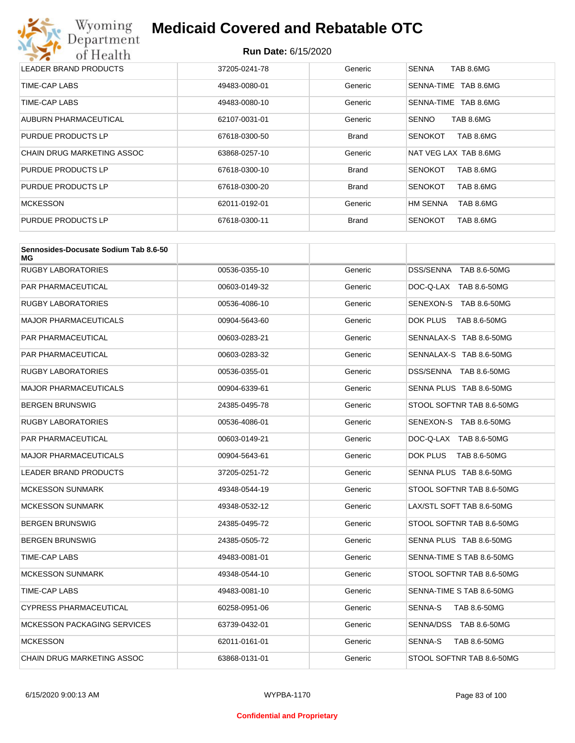

| LEADER BRAND PRODUCTS      | 37205-0241-78 | Generic      | <b>SENNA</b><br>TAB 8.6MG    |
|----------------------------|---------------|--------------|------------------------------|
| TIME-CAP LABS              | 49483-0080-01 | Generic      | TAB 8.6MG<br>SENNA-TIME      |
| TIME-CAP LABS              | 49483-0080-10 | Generic      | TAB 8.6MG<br>SENNA-TIME      |
| AUBURN PHARMACEUTICAL      | 62107-0031-01 | Generic      | <b>SENNO</b><br>TAB 8.6MG    |
| PURDUE PRODUCTS LP         | 67618-0300-50 | <b>Brand</b> | TAB 8.6MG<br><b>SENOKOT</b>  |
| CHAIN DRUG MARKETING ASSOC | 63868-0257-10 | Generic      | NAT VEG LAX TAB 8.6MG        |
| <b>PURDUE PRODUCTS LP</b>  | 67618-0300-10 | <b>Brand</b> | TAB 8.6MG<br><b>SENOKOT</b>  |
| PURDUE PRODUCTS LP         | 67618-0300-20 | <b>Brand</b> | <b>SENOKOT</b><br>TAB 8.6MG  |
| <b>MCKESSON</b>            | 62011-0192-01 | Generic      | <b>HM SENNA</b><br>TAB 8.6MG |
| PURDUE PRODUCTS LP         | 67618-0300-11 | <b>Brand</b> | <b>SENOKOT</b><br>TAB 8.6MG  |

| Sennosides-Docusate Sodium Tab 8.6-50<br>МG |               |         |                           |
|---------------------------------------------|---------------|---------|---------------------------|
| <b>RUGBY LABORATORIES</b>                   | 00536-0355-10 | Generic | DSS/SENNA TAB 8.6-50MG    |
| <b>PAR PHARMACEUTICAL</b>                   | 00603-0149-32 | Generic | DOC-Q-LAX TAB 8.6-50MG    |
| <b>RUGBY LABORATORIES</b>                   | 00536-4086-10 | Generic | SENEXON-S TAB 8.6-50MG    |
| <b>MAJOR PHARMACEUTICALS</b>                | 00904-5643-60 | Generic | DOK PLUS<br>TAB 8.6-50MG  |
| PAR PHARMACEUTICAL                          | 00603-0283-21 | Generic | SENNALAX-S TAB 8.6-50MG   |
| <b>PAR PHARMACEUTICAL</b>                   | 00603-0283-32 | Generic | SENNALAX-S TAB 8.6-50MG   |
| <b>RUGBY LABORATORIES</b>                   | 00536-0355-01 | Generic | DSS/SENNA TAB 8.6-50MG    |
| <b>MAJOR PHARMACEUTICALS</b>                | 00904-6339-61 | Generic | SENNA PLUS TAB 8.6-50MG   |
| <b>BERGEN BRUNSWIG</b>                      | 24385-0495-78 | Generic | STOOL SOFTNR TAB 8.6-50MG |
| <b>RUGBY LABORATORIES</b>                   | 00536-4086-01 | Generic | SENEXON-S TAB 8.6-50MG    |
| PAR PHARMACEUTICAL                          | 00603-0149-21 | Generic | DOC-Q-LAX TAB 8.6-50MG    |
| <b>MAJOR PHARMACEUTICALS</b>                | 00904-5643-61 | Generic | DOK PLUS<br>TAB 8.6-50MG  |
| <b>LEADER BRAND PRODUCTS</b>                | 37205-0251-72 | Generic | SENNA PLUS TAB 8.6-50MG   |
| <b>MCKESSON SUNMARK</b>                     | 49348-0544-19 | Generic | STOOL SOFTNR TAB 8.6-50MG |
| <b>MCKESSON SUNMARK</b>                     | 49348-0532-12 | Generic | LAX/STL SOFT TAB 8.6-50MG |
| <b>BERGEN BRUNSWIG</b>                      | 24385-0495-72 | Generic | STOOL SOFTNR TAB 8.6-50MG |
| <b>BERGEN BRUNSWIG</b>                      | 24385-0505-72 | Generic | SENNA PLUS TAB 8.6-50MG   |
| TIME-CAP LABS                               | 49483-0081-01 | Generic | SENNA-TIME S TAB 8.6-50MG |
| MCKESSON SUNMARK                            | 49348-0544-10 | Generic | STOOL SOFTNR TAB 8.6-50MG |
| TIME-CAP LABS                               | 49483-0081-10 | Generic | SENNA-TIME S TAB 8.6-50MG |
| <b>CYPRESS PHARMACEUTICAL</b>               | 60258-0951-06 | Generic | SENNA-S<br>TAB 8.6-50MG   |
| MCKESSON PACKAGING SERVICES                 | 63739-0432-01 | Generic | SENNA/DSS TAB 8.6-50MG    |
| <b>MCKESSON</b>                             | 62011-0161-01 | Generic | SENNA-S<br>TAB 8.6-50MG   |
| <b>CHAIN DRUG MARKETING ASSOC</b>           | 63868-0131-01 | Generic | STOOL SOFTNR TAB 8.6-50MG |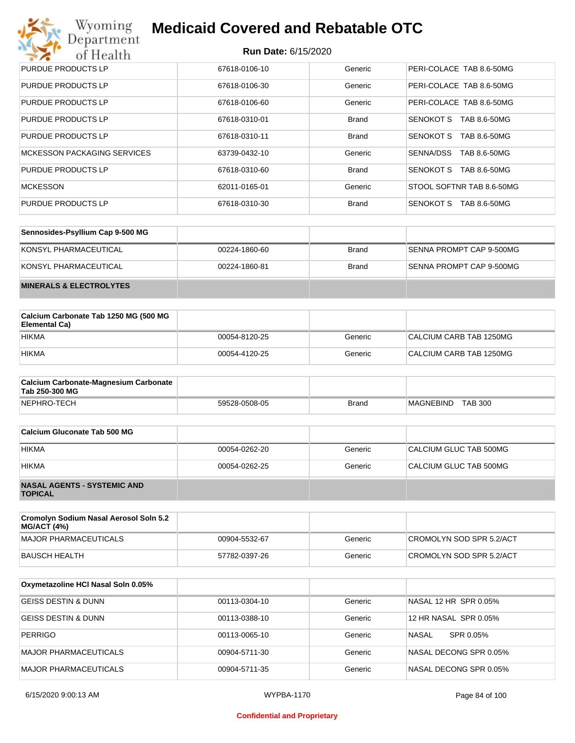# Wyoming<br>Department<br>of Health

## **Medicaid Covered and Rebatable OTC**

| PURDUE PRODUCTS LP                 | 67618-0106-10 | Generic      | PERI-COLACE TAB 8.6-50MG         |
|------------------------------------|---------------|--------------|----------------------------------|
| PURDUE PRODUCTS LP                 | 67618-0106-30 | Generic      | PERI-COLACE TAB 8.6-50MG         |
| PURDUE PRODUCTS LP                 | 67618-0106-60 | Generic      | PERI-COLACE TAB 8.6-50MG         |
| PURDUE PRODUCTS LP                 | 67618-0310-01 | <b>Brand</b> | SENOKOT S<br>TAB 8.6-50MG        |
| PURDUE PRODUCTS LP                 | 67618-0310-11 | <b>Brand</b> | SENOKOT S<br>TAB 8.6-50MG        |
| <b>MCKESSON PACKAGING SERVICES</b> | 63739-0432-10 | Generic      | SENNA/DSS<br>TAB 8.6-50MG        |
| PURDUE PRODUCTS LP                 | 67618-0310-60 | <b>Brand</b> | SENOKOT S<br>TAB 8.6-50MG        |
| <b>MCKESSON</b>                    | 62011-0165-01 | Generic      | STOOL SOFTNR TAB 8.6-50MG        |
| PURDUE PRODUCTS LP                 | 67618-0310-30 | <b>Brand</b> | <b>SENOKOT S</b><br>TAB 8.6-50MG |

| Sennosides-Psyllium Cap 9-500 MG   |               |              |                          |
|------------------------------------|---------------|--------------|--------------------------|
| KONSYL PHARMACEUTICAL              | 00224-1860-60 | <b>Brand</b> | SENNA PROMPT CAP 9-500MG |
| KONSYL PHARMACEUTICAL              | 00224-1860-81 | <b>Brand</b> | SENNA PROMPT CAP 9-500MG |
| <b>MINERALS &amp; ELECTROLYTES</b> |               |              |                          |

| Calcium Carbonate Tab 1250 MG (500 MG<br>Elemental Ca) |               |         |                         |
|--------------------------------------------------------|---------------|---------|-------------------------|
| <b>HIKMA</b>                                           | 00054-8120-25 | Generic | CALCIUM CARB TAB 1250MG |
| <b>HIKMA</b>                                           | 00054-4120-25 | Generic | CALCIUM CARB TAB 1250MG |

| <b>Calcium Carbonate-Magnesium Carbonate</b><br>Tab 250-300 MG |               |              |                             |
|----------------------------------------------------------------|---------------|--------------|-----------------------------|
| NEPHRO-TECH                                                    | 59528-0508-05 | <b>Brand</b> | <b>TAB 300</b><br>MAGNEBIND |

| Calcium Gluconate Tab 500 MG                         |               |         |                        |
|------------------------------------------------------|---------------|---------|------------------------|
| <b>HIKMA</b>                                         | 00054-0262-20 | Generic | CALCIUM GLUC TAB 500MG |
| <b>HIKMA</b>                                         | 00054-0262-25 | Generic | CALCIUM GLUC TAB 500MG |
| <b>NASAL AGENTS - SYSTEMIC AND</b><br><b>TOPICAL</b> |               |         |                        |

| Cromolyn Sodium Nasal Aerosol Soln 5.2<br><b>MG/ACT (4%)</b> |               |         |                          |
|--------------------------------------------------------------|---------------|---------|--------------------------|
| MAJOR PHARMACEUTICALS                                        | 00904-5532-67 | Generic | CROMOLYN SOD SPR 5.2/ACT |
| BAUSCH HEALTH                                                | 57782-0397-26 | Generic | CROMOLYN SOD SPR 5.2/ACT |

| Oxymetazoline HCI Nasal Soln 0.05% |               |         |                           |
|------------------------------------|---------------|---------|---------------------------|
| <b>GEISS DESTIN &amp; DUNN</b>     | 00113-0304-10 | Generic | NASAL 12 HR SPR 0.05%     |
| <b>GEISS DESTIN &amp; DUNN</b>     | 00113-0388-10 | Generic | 12 HR NASAL SPR 0.05%     |
| <b>PERRIGO</b>                     | 00113-0065-10 | Generic | <b>NASAL</b><br>SPR 0.05% |
| MAJOR PHARMACEUTICALS              | 00904-5711-30 | Generic | NASAL DECONG SPR 0.05%    |
| MAJOR PHARMACEUTICALS              | 00904-5711-35 | Generic | NASAL DECONG SPR 0.05%    |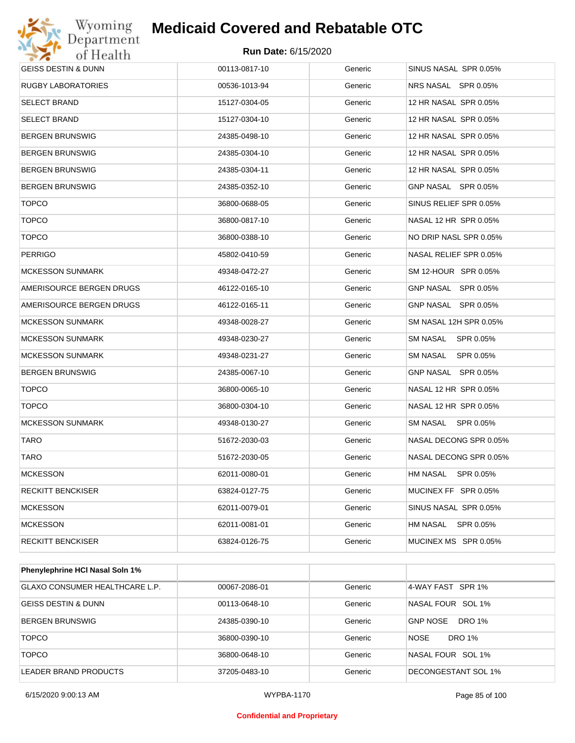# Wyoming<br>Department<br>of Health

# **Medicaid Covered and Rebatable OTC**

| GEISS DESTIN & DUNN      | 00113-0817-10 | Generic | SINUS NASAL SPR 0.05%  |
|--------------------------|---------------|---------|------------------------|
| RUGBY LABORATORIES       | 00536-1013-94 | Generic | NRS NASAL SPR 0.05%    |
| SELECT BRAND             | 15127-0304-05 | Generic | 12 HR NASAL SPR 0.05%  |
| SELECT BRAND             | 15127-0304-10 | Generic | 12 HR NASAL SPR 0.05%  |
| BERGEN BRUNSWIG          | 24385-0498-10 | Generic | 12 HR NASAL SPR 0.05%  |
| BERGEN BRUNSWIG          | 24385-0304-10 | Generic | 12 HR NASAL SPR 0.05%  |
| BERGEN BRUNSWIG          | 24385-0304-11 | Generic | 12 HR NASAL SPR 0.05%  |
| BERGEN BRUNSWIG          | 24385-0352-10 | Generic | GNP NASAL SPR 0.05%    |
| <b>TOPCO</b>             | 36800-0688-05 | Generic | SINUS RELIEF SPR 0.05% |
| <b>TOPCO</b>             | 36800-0817-10 | Generic | NASAL 12 HR SPR 0.05%  |
| <b>TOPCO</b>             | 36800-0388-10 | Generic | NO DRIP NASL SPR 0.05% |
| PERRIGO                  | 45802-0410-59 | Generic | NASAL RELIEF SPR 0.05% |
| MCKESSON SUNMARK         | 49348-0472-27 | Generic | SM 12-HOUR SPR 0.05%   |
| AMERISOURCE BERGEN DRUGS | 46122-0165-10 | Generic | GNP NASAL SPR 0.05%    |
| AMERISOURCE BERGEN DRUGS | 46122-0165-11 | Generic | GNP NASAL SPR 0.05%    |
| <b>MCKESSON SUNMARK</b>  | 49348-0028-27 | Generic | SM NASAL 12H SPR 0.05% |
| <b>MCKESSON SUNMARK</b>  | 49348-0230-27 | Generic | SM NASAL<br>SPR 0.05%  |
| MCKESSON SUNMARK         | 49348-0231-27 | Generic | SM NASAL<br>SPR 0.05%  |
| BERGEN BRUNSWIG          | 24385-0067-10 | Generic | GNP NASAL SPR 0.05%    |
| <b>TOPCO</b>             | 36800-0065-10 | Generic | NASAL 12 HR SPR 0.05%  |
| <b>TOPCO</b>             | 36800-0304-10 | Generic | NASAL 12 HR SPR 0.05%  |
| <b>MCKESSON SUNMARK</b>  | 49348-0130-27 | Generic | SM NASAL SPR 0.05%     |
| <b>TARO</b>              | 51672-2030-03 | Generic | NASAL DECONG SPR 0.05% |
| <b>TARO</b>              | 51672-2030-05 | Generic | NASAL DECONG SPR 0.05% |
| <b>MCKESSON</b>          | 62011-0080-01 | Generic | HM NASAL SPR 0.05%     |
| RECKITT BENCKISER        | 63824-0127-75 | Generic | MUCINEX FF SPR 0.05%   |
| <b>MCKESSON</b>          | 62011-0079-01 | Generic | SINUS NASAL SPR 0.05%  |
| <b>MCKESSON</b>          | 62011-0081-01 | Generic | HM NASAL<br>SPR 0.05%  |
| RECKITT BENCKISER        | 63824-0126-75 | Generic | MUCINEX MS SPR 0.05%   |
|                          |               |         |                        |

| <b>Phenylephrine HCI Nasal Soln 1%</b> |               |         |                                  |
|----------------------------------------|---------------|---------|----------------------------------|
| GLAXO CONSUMER HEALTHCARE L.P.         | 00067-2086-01 | Generic | 4-WAY FAST SPR 1%                |
| <b>GEISS DESTIN &amp; DUNN</b>         | 00113-0648-10 | Generic | NASAL FOUR SOL 1%                |
| <b>BERGEN BRUNSWIG</b>                 | 24385-0390-10 | Generic | <b>GNP NOSE</b><br><b>DRO 1%</b> |
| <b>TOPCO</b>                           | 36800-0390-10 | Generic | <b>NOSE</b><br>DRO 1%            |
| <b>TOPCO</b>                           | 36800-0648-10 | Generic | NASAL FOUR SOL 1%                |
| LEADER BRAND PRODUCTS                  | 37205-0483-10 | Generic | DECONGESTANT SOL 1%              |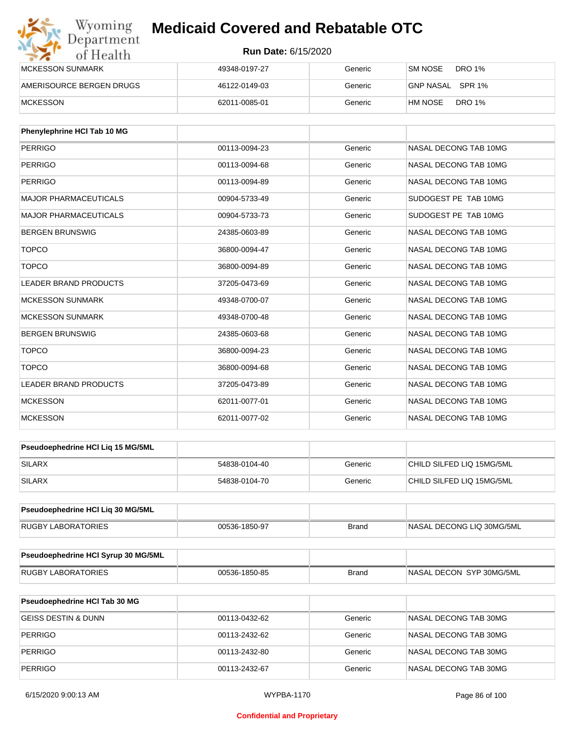| Wyoming<br>Department    | <b>Medicaid Covered and Rebatable OTC</b><br><b>Run Date: 6/15/2020</b> |         |                          |  |
|--------------------------|-------------------------------------------------------------------------|---------|--------------------------|--|
| of Health                |                                                                         |         |                          |  |
| <b>MCKESSON SUNMARK</b>  | 49348-0197-27                                                           | Generic | DRO 1%<br>SM NOSE        |  |
| AMERISOURCE BERGEN DRUGS | 46122-0149-03                                                           | Generic | GNP NASAL SPR 1%         |  |
| <b>MCKESSON</b>          | 62011-0085-01                                                           | Generic | <b>DRO 1%</b><br>HM NOSE |  |

| Phenylephrine HCI Tab 10 MG  |               |         |                       |
|------------------------------|---------------|---------|-----------------------|
| <b>PERRIGO</b>               | 00113-0094-23 | Generic | NASAL DECONG TAB 10MG |
| PERRIGO                      | 00113-0094-68 | Generic | NASAL DECONG TAB 10MG |
| <b>PERRIGO</b>               | 00113-0094-89 | Generic | NASAL DECONG TAB 10MG |
| <b>MAJOR PHARMACEUTICALS</b> | 00904-5733-49 | Generic | SUDOGEST PE TAB 10MG  |
| <b>MAJOR PHARMACEUTICALS</b> | 00904-5733-73 | Generic | SUDOGEST PE TAB 10MG  |
| <b>BERGEN BRUNSWIG</b>       | 24385-0603-89 | Generic | NASAL DECONG TAB 10MG |
| <b>TOPCO</b>                 | 36800-0094-47 | Generic | NASAL DECONG TAB 10MG |
| <b>TOPCO</b>                 | 36800-0094-89 | Generic | NASAL DECONG TAB 10MG |
| <b>LEADER BRAND PRODUCTS</b> | 37205-0473-69 | Generic | NASAL DECONG TAB 10MG |
| <b>MCKESSON SUNMARK</b>      | 49348-0700-07 | Generic | NASAL DECONG TAB 10MG |
| <b>MCKESSON SUNMARK</b>      | 49348-0700-48 | Generic | NASAL DECONG TAB 10MG |
| <b>BERGEN BRUNSWIG</b>       | 24385-0603-68 | Generic | NASAL DECONG TAB 10MG |
| <b>TOPCO</b>                 | 36800-0094-23 | Generic | NASAL DECONG TAB 10MG |
| <b>TOPCO</b>                 | 36800-0094-68 | Generic | NASAL DECONG TAB 10MG |
| <b>LEADER BRAND PRODUCTS</b> | 37205-0473-89 | Generic | NASAL DECONG TAB 10MG |
| <b>MCKESSON</b>              | 62011-0077-01 | Generic | NASAL DECONG TAB 10MG |
| <b>MCKESSON</b>              | 62011-0077-02 | Generic | NASAL DECONG TAB 10MG |

| <b>Pseudoephedrine HCI Lig 15 MG/5ML</b> |               |         |                           |
|------------------------------------------|---------------|---------|---------------------------|
| SILARX                                   | 54838-0104-40 | Generic | CHILD SILFED LIQ 15MG/5ML |
| SILARX                                   | 54838-0104-70 | Generic | CHILD SILFED LIQ 15MG/5ML |

| <b>Pseudoephedrine HCI Lig 30 MG/5ML</b> |               |       |                           |
|------------------------------------------|---------------|-------|---------------------------|
| RUGBY LABORATORIES                       | 00536-1850-97 | Brand | NASAL DECONG LIQ 30MG/5ML |

| Pseudoephedrine HCI Syrup 30 MG/5ML |               |       |                           |
|-------------------------------------|---------------|-------|---------------------------|
| <b>RUGBY LABORATORIES</b>           | 00536-1850-85 | Brand | INASAL DECON SYP 30MG/5ML |

| <b>Pseudoephedrine HCI Tab 30 MG</b> |               |         |                       |
|--------------------------------------|---------------|---------|-----------------------|
| GEISS DESTIN & DUNN                  | 00113-0432-62 | Generic | NASAL DECONG TAB 30MG |
| PERRIGO                              | 00113-2432-62 | Generic | NASAL DECONG TAB 30MG |
| PERRIGO                              | 00113-2432-80 | Generic | NASAL DECONG TAB 30MG |
| PERRIGO                              | 00113-2432-67 | Generic | NASAL DECONG TAB 30MG |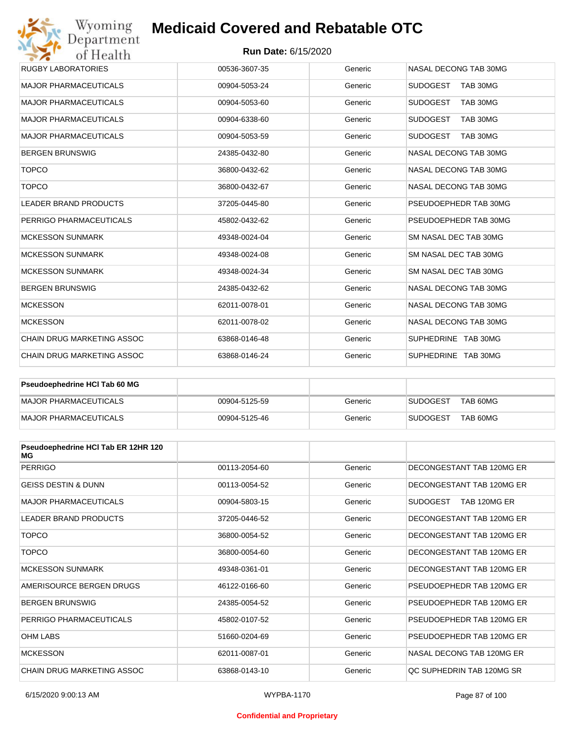### **Run Date:** 6/15/2020

| Wyoming                                               | <b>Medicaid Covered and Rebatable OTC</b> |         |                             |  |  |
|-------------------------------------------------------|-------------------------------------------|---------|-----------------------------|--|--|
| Department<br><b>Run Date: 6/15/2020</b><br>of Health |                                           |         |                             |  |  |
| <b>RUGBY LABORATORIES</b>                             | 00536-3607-35                             | Generic | NASAL DECONG TAB 30MG       |  |  |
| <b>MAJOR PHARMACEUTICALS</b>                          | 00904-5053-24                             | Generic | <b>SUDOGEST</b><br>TAB 30MG |  |  |
| <b>MAJOR PHARMACEUTICALS</b>                          | 00904-5053-60                             | Generic | <b>SUDOGEST</b><br>TAB 30MG |  |  |
| <b>MAJOR PHARMACEUTICALS</b>                          | 00904-6338-60                             | Generic | <b>SUDOGEST</b><br>TAB 30MG |  |  |
| <b>MAJOR PHARMACEUTICALS</b>                          | 00904-5053-59                             | Generic | <b>SUDOGEST</b><br>TAB 30MG |  |  |
| <b>BERGEN BRUNSWIG</b>                                | 24385-0432-80                             | Generic | NASAL DECONG TAB 30MG       |  |  |
| <b>TOPCO</b>                                          | 36800-0432-62                             | Generic | NASAL DECONG TAB 30MG       |  |  |
| <b>TOPCO</b>                                          | 36800-0432-67                             | Generic | NASAL DECONG TAB 30MG       |  |  |
| <b>LEADER BRAND PRODUCTS</b>                          | 37205-0445-80                             | Generic | PSEUDOEPHEDR TAB 30MG       |  |  |
| PERRIGO PHARMACEUTICALS                               | 45802-0432-62                             | Generic | PSEUDOEPHEDR TAB 30MG       |  |  |
| <b>MCKESSON SUNMARK</b>                               | 49348-0024-04                             | Generic | SM NASAL DEC TAB 30MG       |  |  |
| <b>MCKESSON SUNMARK</b>                               | 49348-0024-08                             | Generic | SM NASAL DEC TAB 30MG       |  |  |
| <b>MCKESSON SUNMARK</b>                               | 49348-0024-34                             | Generic | SM NASAL DEC TAB 30MG       |  |  |
| <b>BERGEN BRUNSWIG</b>                                | 24385-0432-62                             | Generic | NASAL DECONG TAB 30MG       |  |  |
| <b>MCKESSON</b>                                       | 62011-0078-01                             | Generic | NASAL DECONG TAB 30MG       |  |  |
| <b>MCKESSON</b>                                       | 62011-0078-02                             | Generic | NASAL DECONG TAB 30MG       |  |  |
| <b>CHAIN DRUG MARKETING ASSOC</b>                     | 63868-0146-48                             | Generic | SUPHEDRINE TAB 30MG         |  |  |
| <b>CHAIN DRUG MARKETING ASSOC</b>                     | 63868-0146-24                             | Generic | SUPHEDRINE TAB 30MG         |  |  |

| Pseudoephedrine HCI Tab 60 MG |               |         |                             |
|-------------------------------|---------------|---------|-----------------------------|
| MAJOR PHARMACEUTICALS         | 00904-5125-59 | Generic | TAB 60MG<br><b>SUDOGEST</b> |
| MAJOR PHARMACEUTICALS         | 00904-5125-46 | Generic | TAB 60MG<br><b>SUDOGEST</b> |

| Pseudoephedrine HCI Tab ER 12HR 120<br>МG |               |         |                           |
|-------------------------------------------|---------------|---------|---------------------------|
| <b>PERRIGO</b>                            | 00113-2054-60 | Generic | DECONGESTANT TAB 120MG ER |
| <b>GEISS DESTIN &amp; DUNN</b>            | 00113-0054-52 | Generic | DECONGESTANT TAB 120MG ER |
| <b>MAJOR PHARMACEUTICALS</b>              | 00904-5803-15 | Generic | SUDOGEST<br>TAB 120MG ER  |
| <b>LEADER BRAND PRODUCTS</b>              | 37205-0446-52 | Generic | DECONGESTANT TAB 120MG ER |
| <b>TOPCO</b>                              | 36800-0054-52 | Generic | DECONGESTANT TAB 120MG ER |
| <b>TOPCO</b>                              | 36800-0054-60 | Generic | DECONGESTANT TAB 120MG ER |
| <b>MCKESSON SUNMARK</b>                   | 49348-0361-01 | Generic | DECONGESTANT TAB 120MG ER |
| AMERISOURCE BERGEN DRUGS                  | 46122-0166-60 | Generic | PSEUDOEPHEDR TAB 120MG ER |
| <b>BERGEN BRUNSWIG</b>                    | 24385-0054-52 | Generic | PSEUDOEPHEDR TAB 120MG ER |
| PERRIGO PHARMACEUTICALS                   | 45802-0107-52 | Generic | PSEUDOEPHEDR TAB 120MG ER |
| <b>OHM LABS</b>                           | 51660-0204-69 | Generic | PSEUDOEPHEDR TAB 120MG ER |
| <b>MCKESSON</b>                           | 62011-0087-01 | Generic | NASAL DECONG TAB 120MG ER |
| CHAIN DRUG MARKETING ASSOC                | 63868-0143-10 | Generic | QC SUPHEDRIN TAB 120MG SR |

#### **Confidential and Proprietary**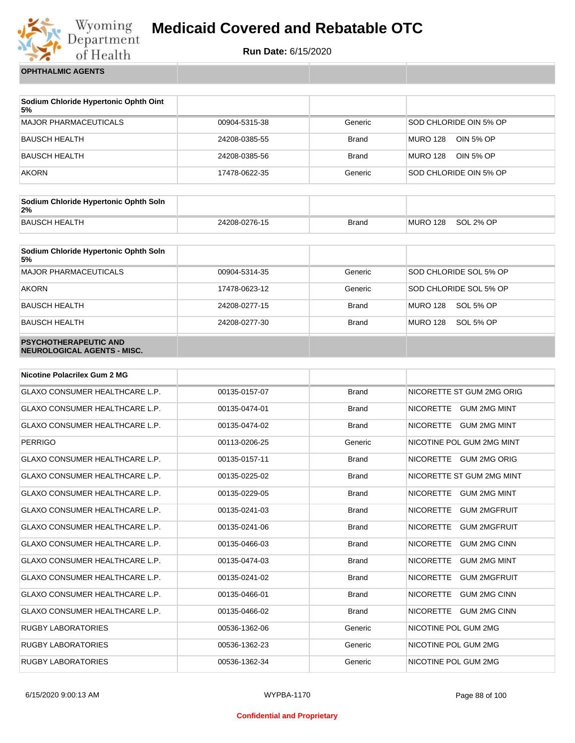

**Run Date:** 6/15/2020

**OPHTHALMIC AGENTS**

| Sodium Chloride Hypertonic Ophth Oint<br>5% |               |              |                              |
|---------------------------------------------|---------------|--------------|------------------------------|
| <b>MAJOR PHARMACEUTICALS</b>                | 00904-5315-38 | Generic      | SOD CHLORIDE OIN 5% OP       |
| BAUSCH HEALTH                               | 24208-0385-55 | <b>Brand</b> | <b>MURO 128</b><br>OIN 5% OP |
| <b>BAUSCH HEALTH</b>                        | 24208-0385-56 | <b>Brand</b> | MURO 128<br>OIN 5% OP        |
| <b>AKORN</b>                                | 17478-0622-35 | Generic      | SOD CHLORIDE OIN 5% OP       |

| Sodium Chloride Hypertonic Ophth Soln<br>2% |               |              |          |           |
|---------------------------------------------|---------------|--------------|----------|-----------|
| <b>BAUSCH HEALTH</b>                        | 24208-0276-15 | <b>Brand</b> | MURO 128 | SOL 2% OP |

| Sodium Chloride Hypertonic Ophth Soln<br>5%                 |               |              |                        |
|-------------------------------------------------------------|---------------|--------------|------------------------|
| <b>MAJOR PHARMACEUTICALS</b>                                | 00904-5314-35 | Generic      | SOD CHLORIDE SOL 5% OP |
| <b>AKORN</b>                                                | 17478-0623-12 | Generic      | SOD CHLORIDE SOL 5% OP |
| <b>BAUSCH HEALTH</b>                                        | 24208-0277-15 | <b>Brand</b> | MURO 128<br>SOL 5% OP  |
| <b>BAUSCH HEALTH</b>                                        | 24208-0277-30 | <b>Brand</b> | MURO 128<br>SOL 5% OP  |
| <b>PSYCHOTHERAPEUTIC AND</b><br>NEUROLOGICAL AGENTS - MISC. |               |              |                        |

| Nicotine Polacrilex Gum 2 MG          |               |              |                                         |
|---------------------------------------|---------------|--------------|-----------------------------------------|
| <b>GLAXO CONSUMER HEALTHCARE L.P.</b> | 00135-0157-07 | <b>Brand</b> | NICORETTE ST GUM 2MG ORIG               |
| <b>GLAXO CONSUMER HEALTHCARE L.P.</b> | 00135-0474-01 | <b>Brand</b> | NICORETTE GUM 2MG MINT                  |
| <b>GLAXO CONSUMER HEALTHCARE L.P.</b> | 00135-0474-02 | <b>Brand</b> | NICORETTE GUM 2MG MINT                  |
| <b>PERRIGO</b>                        | 00113-0206-25 | Generic      | NICOTINE POL GUM 2MG MINT               |
| <b>GLAXO CONSUMER HEALTHCARE L.P.</b> | 00135-0157-11 | <b>Brand</b> | NICORETTE GUM 2MG ORIG                  |
| <b>GLAXO CONSUMER HEALTHCARE L.P.</b> | 00135-0225-02 | <b>Brand</b> | NICORETTE ST GUM 2MG MINT               |
| <b>GLAXO CONSUMER HEALTHCARE L.P.</b> | 00135-0229-05 | <b>Brand</b> | <b>NICORETTE</b><br><b>GUM 2MG MINT</b> |
| <b>GLAXO CONSUMER HEALTHCARE L.P.</b> | 00135-0241-03 | <b>Brand</b> | <b>NICORETTE</b><br><b>GUM 2MGFRUIT</b> |
| <b>GLAXO CONSUMER HEALTHCARE L.P.</b> | 00135-0241-06 | <b>Brand</b> | <b>NICORETTE</b><br><b>GUM 2MGFRUIT</b> |
| <b>GLAXO CONSUMER HEALTHCARE L.P.</b> | 00135-0466-03 | <b>Brand</b> | <b>NICORETTE</b><br><b>GUM 2MG CINN</b> |
| <b>GLAXO CONSUMER HEALTHCARE L.P.</b> | 00135-0474-03 | <b>Brand</b> | <b>NICORETTE</b><br><b>GUM 2MG MINT</b> |
| <b>GLAXO CONSUMER HEALTHCARE L.P.</b> | 00135-0241-02 | <b>Brand</b> | <b>NICORETTE</b><br><b>GUM 2MGFRUIT</b> |
| <b>GLAXO CONSUMER HEALTHCARE L.P.</b> | 00135-0466-01 | <b>Brand</b> | <b>NICORETTE</b><br><b>GUM 2MG CINN</b> |
| <b>GLAXO CONSUMER HEALTHCARE L.P.</b> | 00135-0466-02 | <b>Brand</b> | <b>NICORETTE</b><br><b>GUM 2MG CINN</b> |
| <b>RUGBY LABORATORIES</b>             | 00536-1362-06 | Generic      | NICOTINE POL GUM 2MG                    |
| <b>RUGBY LABORATORIES</b>             | 00536-1362-23 | Generic      | NICOTINE POL GUM 2MG                    |
| <b>RUGBY LABORATORIES</b>             | 00536-1362-34 | Generic      | NICOTINE POL GUM 2MG                    |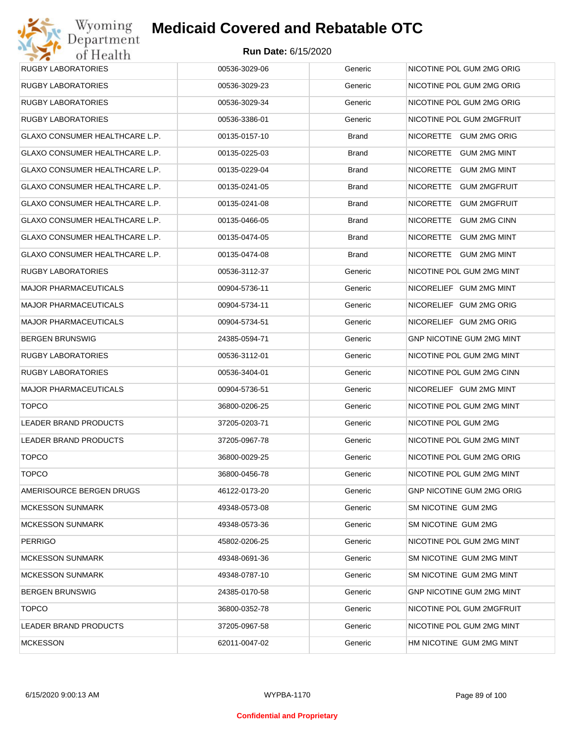| <b>RUGBY LABORATORIES</b>             | 00536-3029-06 | Generic | NICOTINE POL GUM 2MG ORIG        |
|---------------------------------------|---------------|---------|----------------------------------|
| <b>RUGBY LABORATORIES</b>             | 00536-3029-23 | Generic | NICOTINE POL GUM 2MG ORIG        |
| <b>RUGBY LABORATORIES</b>             | 00536-3029-34 | Generic | NICOTINE POL GUM 2MG ORIG        |
| <b>RUGBY LABORATORIES</b>             | 00536-3386-01 | Generic | NICOTINE POL GUM 2MGFRUIT        |
| GLAXO CONSUMER HEALTHCARE L.P.        | 00135-0157-10 | Brand   | NICORETTE GUM 2MG ORIG           |
| GLAXO CONSUMER HEALTHCARE L.P.        | 00135-0225-03 | Brand   | NICORETTE GUM 2MG MINT           |
| GLAXO CONSUMER HEALTHCARE L.P.        | 00135-0229-04 | Brand   | NICORETTE GUM 2MG MINT           |
| GLAXO CONSUMER HEALTHCARE L.P.        | 00135-0241-05 | Brand   | NICORETTE<br><b>GUM 2MGFRUIT</b> |
| GLAXO CONSUMER HEALTHCARE L.P.        | 00135-0241-08 | Brand   | NICORETTE GUM 2MGFRUIT           |
| GLAXO CONSUMER HEALTHCARE L.P.        | 00135-0466-05 | Brand   | NICORETTE<br><b>GUM 2MG CINN</b> |
| GLAXO CONSUMER HEALTHCARE L.P.        | 00135-0474-05 | Brand   | NICORETTE GUM 2MG MINT           |
| <b>GLAXO CONSUMER HEALTHCARE L.P.</b> | 00135-0474-08 | Brand   | NICORETTE GUM 2MG MINT           |
| <b>RUGBY LABORATORIES</b>             | 00536-3112-37 | Generic | NICOTINE POL GUM 2MG MINT        |
| <b>MAJOR PHARMACEUTICALS</b>          | 00904-5736-11 | Generic | NICORELIEF GUM 2MG MINT          |
| <b>MAJOR PHARMACEUTICALS</b>          | 00904-5734-11 | Generic | NICORELIEF GUM 2MG ORIG          |
| <b>MAJOR PHARMACEUTICALS</b>          | 00904-5734-51 | Generic | NICORELIEF GUM 2MG ORIG          |
| <b>BERGEN BRUNSWIG</b>                | 24385-0594-71 | Generic | GNP NICOTINE GUM 2MG MINT        |
| <b>RUGBY LABORATORIES</b>             | 00536-3112-01 | Generic | NICOTINE POL GUM 2MG MINT        |
| <b>RUGBY LABORATORIES</b>             | 00536-3404-01 | Generic | NICOTINE POL GUM 2MG CINN        |
| <b>MAJOR PHARMACEUTICALS</b>          | 00904-5736-51 | Generic | NICORELIEF GUM 2MG MINT          |
| <b>TOPCO</b>                          | 36800-0206-25 | Generic | NICOTINE POL GUM 2MG MINT        |
| LEADER BRAND PRODUCTS                 | 37205-0203-71 | Generic | NICOTINE POL GUM 2MG             |
| LEADER BRAND PRODUCTS                 | 37205-0967-78 | Generic | NICOTINE POL GUM 2MG MINT        |
| <b>TOPCO</b>                          | 36800-0029-25 | Generic | NICOTINE POL GUM 2MG ORIG        |
| <b>TOPCO</b>                          | 36800-0456-78 | Generic | NICOTINE POL GUM 2MG MINT        |
| AMERISOURCE BERGEN DRUGS              | 46122-0173-20 | Generic | GNP NICOTINE GUM 2MG ORIG        |
| <b>MCKESSON SUNMARK</b>               | 49348-0573-08 | Generic | SM NICOTINE GUM 2MG              |
| <b>MCKESSON SUNMARK</b>               | 49348-0573-36 | Generic | SM NICOTINE GUM 2MG              |
| <b>PERRIGO</b>                        | 45802-0206-25 | Generic | NICOTINE POL GUM 2MG MINT        |
| <b>MCKESSON SUNMARK</b>               | 49348-0691-36 | Generic | SM NICOTINE GUM 2MG MINT         |
| <b>MCKESSON SUNMARK</b>               | 49348-0787-10 | Generic | SM NICOTINE GUM 2MG MINT         |
| <b>BERGEN BRUNSWIG</b>                | 24385-0170-58 | Generic | GNP NICOTINE GUM 2MG MINT        |
| <b>TOPCO</b>                          | 36800-0352-78 | Generic | NICOTINE POL GUM 2MGFRUIT        |
| LEADER BRAND PRODUCTS                 | 37205-0967-58 | Generic | NICOTINE POL GUM 2MG MINT        |
| <b>MCKESSON</b>                       | 62011-0047-02 | Generic | HM NICOTINE GUM 2MG MINT         |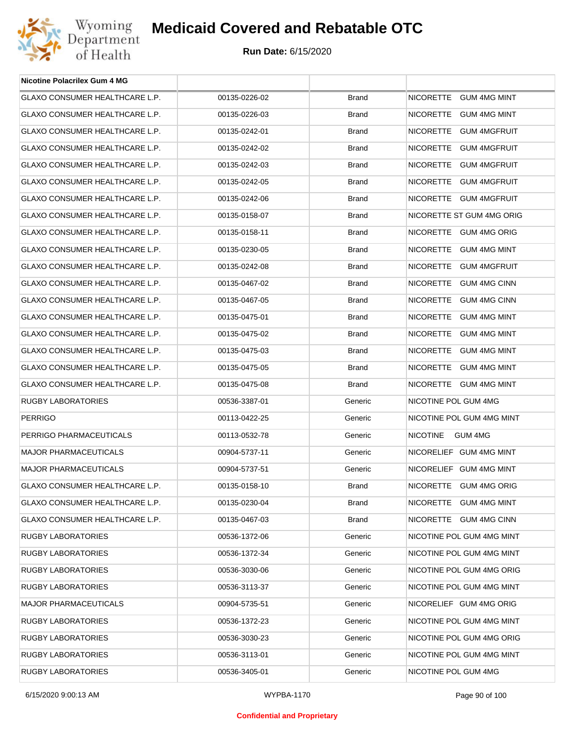

| <b>Nicotine Polacrilex Gum 4 MG</b>   |               |              |                            |
|---------------------------------------|---------------|--------------|----------------------------|
| GLAXO CONSUMER HEALTHCARE L.P.        | 00135-0226-02 | <b>Brand</b> | NICORETTE GUM 4MG MINT     |
| GLAXO CONSUMER HEALTHCARE L.P.        | 00135-0226-03 | <b>Brand</b> | NICORETTE GUM 4MG MINT     |
| GLAXO CONSUMER HEALTHCARE L.P.        | 00135-0242-01 | <b>Brand</b> | NICORETTE GUM 4MGFRUIT     |
| GLAXO CONSUMER HEALTHCARE L.P.        | 00135-0242-02 | <b>Brand</b> | NICORETTE GUM 4MGFRUIT     |
| GLAXO CONSUMER HEALTHCARE L.P.        | 00135-0242-03 | <b>Brand</b> | NICORETTE GUM 4MGFRUIT     |
| GLAXO CONSUMER HEALTHCARE L.P.        | 00135-0242-05 | <b>Brand</b> | NICORETTE GUM 4MGFRUIT     |
| GLAXO CONSUMER HEALTHCARE L.P.        | 00135-0242-06 | <b>Brand</b> | NICORETTE GUM 4MGFRUIT     |
| GLAXO CONSUMER HEALTHCARE L.P.        | 00135-0158-07 | <b>Brand</b> | NICORETTE ST GUM 4MG ORIG  |
| GLAXO CONSUMER HEALTHCARE L.P.        | 00135-0158-11 | <b>Brand</b> | NICORETTE GUM 4MG ORIG     |
| GLAXO CONSUMER HEALTHCARE L.P.        | 00135-0230-05 | <b>Brand</b> | NICORETTE GUM 4MG MINT     |
| GLAXO CONSUMER HEALTHCARE L.P.        | 00135-0242-08 | <b>Brand</b> | NICORETTE GUM 4MGFRUIT     |
| <b>GLAXO CONSUMER HEALTHCARE L.P.</b> | 00135-0467-02 | <b>Brand</b> | NICORETTE GUM 4MG CINN     |
| GLAXO CONSUMER HEALTHCARE L.P.        | 00135-0467-05 | <b>Brand</b> | NICORETTE GUM 4MG CINN     |
| <b>GLAXO CONSUMER HEALTHCARE L.P.</b> | 00135-0475-01 | <b>Brand</b> | NICORETTE GUM 4MG MINT     |
| GLAXO CONSUMER HEALTHCARE L.P.        | 00135-0475-02 | <b>Brand</b> | NICORETTE GUM 4MG MINT     |
| GLAXO CONSUMER HEALTHCARE L.P.        | 00135-0475-03 | <b>Brand</b> | NICORETTE GUM 4MG MINT     |
| GLAXO CONSUMER HEALTHCARE L.P.        | 00135-0475-05 | <b>Brand</b> | NICORETTE GUM 4MG MINT     |
| GLAXO CONSUMER HEALTHCARE L.P.        | 00135-0475-08 | <b>Brand</b> | NICORETTE GUM 4MG MINT     |
| RUGBY LABORATORIES                    | 00536-3387-01 | Generic      | NICOTINE POL GUM 4MG       |
| <b>PERRIGO</b>                        | 00113-0422-25 | Generic      | NICOTINE POL GUM 4MG MINT  |
| PERRIGO PHARMACEUTICALS               | 00113-0532-78 | Generic      | <b>NICOTINE</b><br>GUM 4MG |
| <b>MAJOR PHARMACEUTICALS</b>          | 00904-5737-11 | Generic      | NICORELIEF GUM 4MG MINT    |
| <b>MAJOR PHARMACEUTICALS</b>          | 00904-5737-51 | Generic      | NICORELIEF GUM 4MG MINT    |
| GLAXO CONSUMER HEALTHCARE L.P.        | 00135-0158-10 | <b>Brand</b> | NICORETTE GUM 4MG ORIG     |
| GLAXO CONSUMER HEALTHCARE L.P.        | 00135-0230-04 | <b>Brand</b> | NICORETTE GUM 4MG MINT     |
| GLAXO CONSUMER HEALTHCARE L.P.        | 00135-0467-03 | <b>Brand</b> | NICORETTE GUM 4MG CINN     |
| RUGBY LABORATORIES                    | 00536-1372-06 | Generic      | NICOTINE POL GUM 4MG MINT  |
| RUGBY LABORATORIES                    | 00536-1372-34 | Generic      | NICOTINE POL GUM 4MG MINT  |
| <b>RUGBY LABORATORIES</b>             | 00536-3030-06 | Generic      | NICOTINE POL GUM 4MG ORIG  |
| RUGBY LABORATORIES                    | 00536-3113-37 | Generic      | NICOTINE POL GUM 4MG MINT  |
| <b>MAJOR PHARMACEUTICALS</b>          | 00904-5735-51 | Generic      | NICORELIEF GUM 4MG ORIG    |
| RUGBY LABORATORIES                    | 00536-1372-23 | Generic      | NICOTINE POL GUM 4MG MINT  |
| RUGBY LABORATORIES                    | 00536-3030-23 | Generic      | NICOTINE POL GUM 4MG ORIG  |
| RUGBY LABORATORIES                    | 00536-3113-01 | Generic      | NICOTINE POL GUM 4MG MINT  |
| RUGBY LABORATORIES                    | 00536-3405-01 | Generic      | NICOTINE POL GUM 4MG       |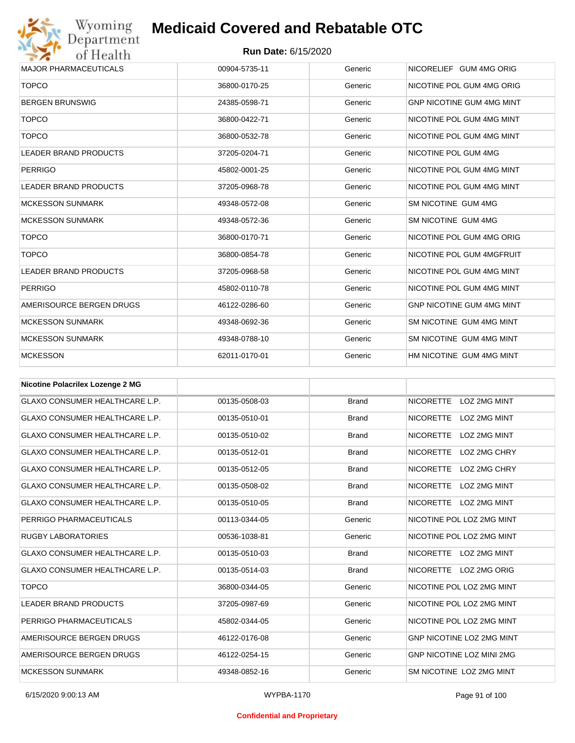

| 00904-5735-11 | Generic | NICORELIEF GUM 4MG ORIG          |
|---------------|---------|----------------------------------|
| 36800-0170-25 | Generic | NICOTINE POL GUM 4MG ORIG        |
| 24385-0598-71 | Generic | <b>GNP NICOTINE GUM 4MG MINT</b> |
| 36800-0422-71 | Generic | NICOTINE POL GUM 4MG MINT        |
| 36800-0532-78 | Generic | NICOTINE POL GUM 4MG MINT        |
| 37205-0204-71 | Generic | NICOTINE POL GUM 4MG             |
| 45802-0001-25 | Generic | NICOTINE POL GUM 4MG MINT        |
| 37205-0968-78 | Generic | NICOTINE POL GUM 4MG MINT        |
| 49348-0572-08 | Generic | SM NICOTINE GUM 4MG              |
| 49348-0572-36 | Generic | SM NICOTINE GUM 4MG              |
| 36800-0170-71 | Generic | NICOTINE POL GUM 4MG ORIG        |
| 36800-0854-78 | Generic | NICOTINE POL GUM 4MGFRUIT        |
| 37205-0968-58 | Generic | NICOTINE POL GUM 4MG MINT        |
| 45802-0110-78 | Generic | NICOTINE POL GUM 4MG MINT        |
| 46122-0286-60 | Generic | <b>GNP NICOTINE GUM 4MG MINT</b> |
| 49348-0692-36 | Generic | SM NICOTINE GUM 4MG MINT         |
| 49348-0788-10 | Generic | SM NICOTINE GUM 4MG MINT         |
| 62011-0170-01 | Generic | HM NICOTINE GUM 4MG MINT         |
|               |         |                                  |

| <b>Nicotine Polacrilex Lozenge 2 MG</b> |               |              |                                         |
|-----------------------------------------|---------------|--------------|-----------------------------------------|
| <b>GLAXO CONSUMER HEALTHCARE L.P.</b>   | 00135-0508-03 | <b>Brand</b> | <b>NICORETTE</b><br>LOZ 2MG MINT        |
| <b>GLAXO CONSUMER HEALTHCARE L.P.</b>   | 00135-0510-01 | <b>Brand</b> | <b>NICORETTE</b><br>LOZ 2MG MINT        |
| <b>GLAXO CONSUMER HEALTHCARE L.P.</b>   | 00135-0510-02 | <b>Brand</b> | <b>NICORETTE</b><br><b>LOZ 2MG MINT</b> |
| <b>GLAXO CONSUMER HEALTHCARE L.P.</b>   | 00135-0512-01 | <b>Brand</b> | <b>NICORETTE</b><br>LOZ 2MG CHRY        |
| <b>GLAXO CONSUMER HEALTHCARE L.P.</b>   | 00135-0512-05 | <b>Brand</b> | <b>NICORETTE</b><br>LOZ 2MG CHRY        |
| <b>GLAXO CONSUMER HEALTHCARE L.P.</b>   | 00135-0508-02 | <b>Brand</b> | <b>NICORETTE</b><br><b>LOZ 2MG MINT</b> |
| <b>GLAXO CONSUMER HEALTHCARE L.P.</b>   | 00135-0510-05 | <b>Brand</b> | <b>NICORETTE</b><br>LOZ 2MG MINT        |
| PERRIGO PHARMACEUTICALS                 | 00113-0344-05 | Generic      | NICOTINE POL LOZ 2MG MINT               |
| <b>RUGBY LABORATORIES</b>               | 00536-1038-81 | Generic      | NICOTINE POL LOZ 2MG MINT               |
| <b>GLAXO CONSUMER HEALTHCARE L.P.</b>   | 00135-0510-03 | <b>Brand</b> | NICORETTE LOZ 2MG MINT                  |
| <b>GLAXO CONSUMER HEALTHCARE L.P.</b>   | 00135-0514-03 | <b>Brand</b> | NICORETTE LOZ 2MG ORIG                  |
| <b>TOPCO</b>                            | 36800-0344-05 | Generic      | NICOTINE POL LOZ 2MG MINT               |
| <b>LEADER BRAND PRODUCTS</b>            | 37205-0987-69 | Generic      | NICOTINE POL LOZ 2MG MINT               |
| PERRIGO PHARMACEUTICALS                 | 45802-0344-05 | Generic      | NICOTINE POL LOZ 2MG MINT               |
| AMERISOURCE BERGEN DRUGS                | 46122-0176-08 | Generic      | <b>GNP NICOTINE LOZ 2MG MINT</b>        |
| AMERISOURCE BERGEN DRUGS                | 46122-0254-15 | Generic      | <b>GNP NICOTINE LOZ MINI 2MG</b>        |
| <b>MCKESSON SUNMARK</b>                 | 49348-0852-16 | Generic      | SM NICOTINE LOZ 2MG MINT                |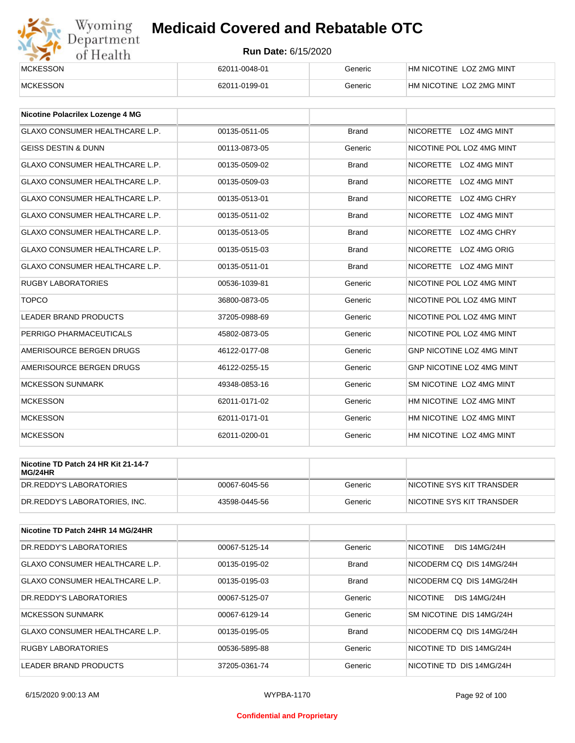

| <b>MCKESSON</b> | 62011-0048-01 | Generic | HM NICOTINE LOZ 2MG MINT |
|-----------------|---------------|---------|--------------------------|
| <b>MCKESSON</b> | 62011-0199-01 | Generic | HM NICOTINE LOZ 2MG MINT |

| <b>Nicotine Polacrilex Lozenge 4 MG</b> |               |              |                                         |
|-----------------------------------------|---------------|--------------|-----------------------------------------|
| <b>GLAXO CONSUMER HEALTHCARE L.P.</b>   | 00135-0511-05 | <b>Brand</b> | NICORETTE LOZ 4MG MINT                  |
| <b>GEISS DESTIN &amp; DUNN</b>          | 00113-0873-05 | Generic      | NICOTINE POL LOZ 4MG MINT               |
| <b>GLAXO CONSUMER HEALTHCARE L.P.</b>   | 00135-0509-02 | <b>Brand</b> | <b>NICORETTE</b><br>LOZ 4MG MINT        |
| <b>GLAXO CONSUMER HEALTHCARE L.P.</b>   | 00135-0509-03 | <b>Brand</b> | <b>NICORETTE</b><br>LOZ 4MG MINT        |
| <b>GLAXO CONSUMER HEALTHCARE L.P.</b>   | 00135-0513-01 | <b>Brand</b> | <b>NICORETTE</b><br>LOZ 4MG CHRY        |
| <b>GLAXO CONSUMER HEALTHCARE L.P.</b>   | 00135-0511-02 | <b>Brand</b> | <b>LOZ 4MG MINT</b><br><b>NICORETTE</b> |
| <b>GLAXO CONSUMER HEALTHCARE L.P.</b>   | 00135-0513-05 | <b>Brand</b> | <b>NICORETTE</b><br>LOZ 4MG CHRY        |
| <b>GLAXO CONSUMER HEALTHCARE L.P.</b>   | 00135-0515-03 | <b>Brand</b> | <b>NICORETTE</b><br>LOZ 4MG ORIG        |
| <b>GLAXO CONSUMER HEALTHCARE L.P.</b>   | 00135-0511-01 | <b>Brand</b> | NICORETTE LOZ 4MG MINT                  |
| <b>RUGBY LABORATORIES</b>               | 00536-1039-81 | Generic      | NICOTINE POL LOZ 4MG MINT               |
| <b>TOPCO</b>                            | 36800-0873-05 | Generic      | NICOTINE POL LOZ 4MG MINT               |
| <b>LEADER BRAND PRODUCTS</b>            | 37205-0988-69 | Generic      | NICOTINE POL LOZ 4MG MINT               |
| PERRIGO PHARMACEUTICALS                 | 45802-0873-05 | Generic      | NICOTINE POL LOZ 4MG MINT               |
| AMERISOURCE BERGEN DRUGS                | 46122-0177-08 | Generic      | <b>GNP NICOTINE LOZ 4MG MINT</b>        |
| AMERISOURCE BERGEN DRUGS                | 46122-0255-15 | Generic      | <b>GNP NICOTINE LOZ 4MG MINT</b>        |
| <b>MCKESSON SUNMARK</b>                 | 49348-0853-16 | Generic      | SM NICOTINE LOZ 4MG MINT                |
| <b>MCKESSON</b>                         | 62011-0171-02 | Generic      | HM NICOTINE LOZ 4MG MINT                |
| <b>MCKESSON</b>                         | 62011-0171-01 | Generic      | HM NICOTINE LOZ 4MG MINT                |
| <b>MCKESSON</b>                         | 62011-0200-01 | Generic      | HM NICOTINE LOZ 4MG MINT                |

| Nicotine TD Patch 24 HR Kit 21-14-7<br>MG/24HR |               |         |                            |
|------------------------------------------------|---------------|---------|----------------------------|
| DR.REDDY'S LABORATORIES                        | 00067-6045-56 | Generic | INICOTINE SYS KIT TRANSDER |
| DR.REDDY'S LABORATORIES. INC.                  | 43598-0445-56 | Generic | NICOTINE SYS KIT TRANSDER  |

| Nicotine TD Patch 24HR 14 MG/24HR     |               |              |                                        |
|---------------------------------------|---------------|--------------|----------------------------------------|
| DR. REDDY'S LABORATORIES              | 00067-5125-14 | Generic      | <b>NICOTINE</b><br><b>DIS 14MG/24H</b> |
| GLAXO CONSUMER HEALTHCARE L.P.        | 00135-0195-02 | <b>Brand</b> | NICODERM CO DIS 14MG/24H               |
| <b>GLAXO CONSUMER HEALTHCARE L.P.</b> | 00135-0195-03 | <b>Brand</b> | NICODERM CO DIS 14MG/24H               |
| DR.REDDY'S LABORATORIES               | 00067-5125-07 | Generic      | <b>NICOTINE</b><br><b>DIS 14MG/24H</b> |
| <b>MCKESSON SUNMARK</b>               | 00067-6129-14 | Generic      | SM NICOTINE DIS 14MG/24H               |
| GLAXO CONSUMER HEALTHCARE L.P.        | 00135-0195-05 | <b>Brand</b> | NICODERM CO DIS 14MG/24H               |
| <b>RUGBY LABORATORIES</b>             | 00536-5895-88 | Generic      | NICOTINE TD DIS 14MG/24H               |
| LEADER BRAND PRODUCTS                 | 37205-0361-74 | Generic      | NICOTINE TD DIS 14MG/24H               |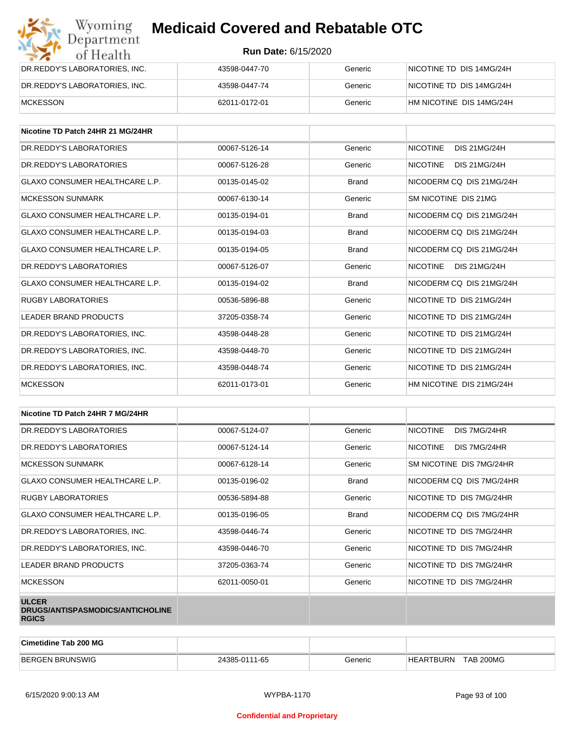| Wyoming<br><b>Medicaid Covered and Rebatable OTC</b><br>Department |                            |         |                          |  |
|--------------------------------------------------------------------|----------------------------|---------|--------------------------|--|
| of Health                                                          | <b>Run Date: 6/15/2020</b> |         |                          |  |
| DR.REDDY'S LABORATORIES, INC.                                      | 43598-0447-70              | Generic | NICOTINE TD DIS 14MG/24H |  |
| DR.REDDY'S LABORATORIES, INC.                                      | 43598-0447-74              | Generic | NICOTINE TD DIS 14MG/24H |  |
| <b>MCKESSON</b>                                                    | 62011-0172-01              | Generic | HM NICOTINE DIS 14MG/24H |  |

| Nicotine TD Patch 24HR 21 MG/24HR     |               |              |                                        |
|---------------------------------------|---------------|--------------|----------------------------------------|
| DR. REDDY'S LABORATORIES              | 00067-5126-14 | Generic      | <b>NICOTINE</b><br><b>DIS 21MG/24H</b> |
| DR. REDDY'S LABORATORIES              | 00067-5126-28 | Generic      | <b>NICOTINE</b><br><b>DIS 21MG/24H</b> |
| <b>GLAXO CONSUMER HEALTHCARE L.P.</b> | 00135-0145-02 | <b>Brand</b> | NICODERM CO DIS 21MG/24H               |
| <b>MCKESSON SUNMARK</b>               | 00067-6130-14 | Generic      | SM NICOTINE DIS 21MG                   |
| <b>GLAXO CONSUMER HEALTHCARE L.P.</b> | 00135-0194-01 | <b>Brand</b> | NICODERM CO DIS 21MG/24H               |
| GLAXO CONSUMER HEALTHCARE L.P.        | 00135-0194-03 | <b>Brand</b> | NICODERM CO DIS 21MG/24H               |
| <b>GLAXO CONSUMER HEALTHCARE L.P.</b> | 00135-0194-05 | <b>Brand</b> | NICODERM CO DIS 21MG/24H               |
| DR.REDDY'S LABORATORIES               | 00067-5126-07 | Generic      | <b>NICOTINE</b><br><b>DIS 21MG/24H</b> |
| GLAXO CONSUMER HEALTHCARE L.P.        | 00135-0194-02 | <b>Brand</b> | NICODERM CO DIS 21MG/24H               |
| <b>RUGBY LABORATORIES</b>             | 00536-5896-88 | Generic      | NICOTINE TD DIS 21MG/24H               |
| LEADER BRAND PRODUCTS                 | 37205-0358-74 | Generic      | NICOTINE TD DIS 21MG/24H               |
| DR.REDDY'S LABORATORIES, INC.         | 43598-0448-28 | Generic      | NICOTINE TD DIS 21MG/24H               |
| DR.REDDY'S LABORATORIES, INC.         | 43598-0448-70 | Generic      | NICOTINE TD DIS 21MG/24H               |
| DR. REDDY'S LABORATORIES. INC.        | 43598-0448-74 | Generic      | NICOTINE TD DIS 21MG/24H               |
| <b>MCKESSON</b>                       | 62011-0173-01 | Generic      | HM NICOTINE DIS 21MG/24H               |

| Nicotine TD Patch 24HR 7 MG/24HR                                 |               |              |                                 |
|------------------------------------------------------------------|---------------|--------------|---------------------------------|
| DR. REDDY'S LABORATORIES                                         | 00067-5124-07 | Generic      | <b>NICOTINE</b><br>DIS 7MG/24HR |
| DR. REDDY'S LABORATORIES                                         | 00067-5124-14 | Generic      | <b>NICOTINE</b><br>DIS 7MG/24HR |
| <b>MCKESSON SUNMARK</b>                                          | 00067-6128-14 | Generic      | SM NICOTINE DIS 7MG/24HR        |
| <b>GLAXO CONSUMER HEALTHCARE L.P.</b>                            | 00135-0196-02 | <b>Brand</b> | NICODERM CQ DIS 7MG/24HR        |
| RUGBY LABORATORIES                                               | 00536-5894-88 | Generic      | NICOTINE TD DIS 7MG/24HR        |
| <b>GLAXO CONSUMER HEALTHCARE L.P.</b>                            | 00135-0196-05 | <b>Brand</b> | NICODERM CQ DIS 7MG/24HR        |
| DR.REDDY'S LABORATORIES, INC.                                    | 43598-0446-74 | Generic      | NICOTINE TD DIS 7MG/24HR        |
| DR.REDDY'S LABORATORIES, INC.                                    | 43598-0446-70 | Generic      | NICOTINE TD DIS 7MG/24HR        |
| LEADER BRAND PRODUCTS                                            | 37205-0363-74 | Generic      | NICOTINE TD DIS 7MG/24HR        |
| <b>MCKESSON</b>                                                  | 62011-0050-01 | Generic      | NICOTINE TD DIS 7MG/24HR        |
| <b>ULCER</b><br>DRUGS/ANTISPASMODICS/ANTICHOLINE<br><b>RGICS</b> |               |              |                                 |

| Cimetidine Tab 200 MG  |               |         |                               |  |
|------------------------|---------------|---------|-------------------------------|--|
| <b>BERGEN BRUNSWIG</b> | 24385-0111-65 | Generic | TAB 200MG<br><b>HEARTBURN</b> |  |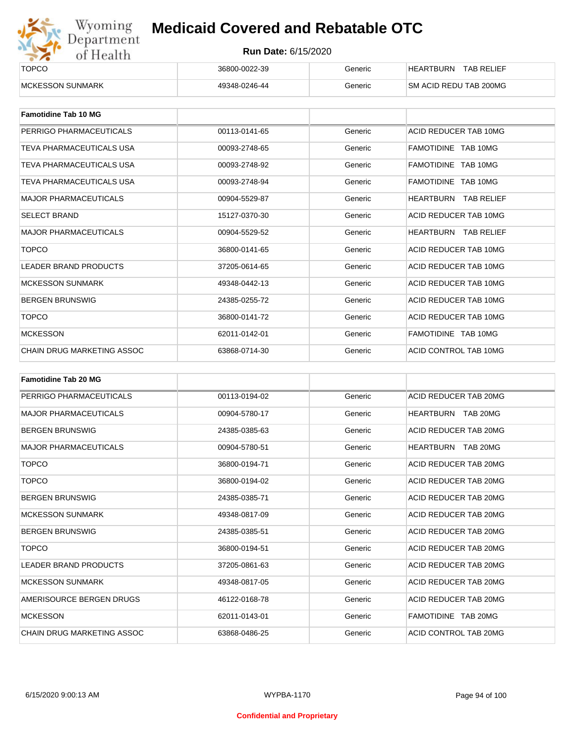

| ______<br><b>TOPCO</b>   | 36800-0022-39 | Beneric | TAB RELIEF<br><b>HEARTBURN</b> |
|--------------------------|---------------|---------|--------------------------------|
| <b>IMCKESSON SUNMARK</b> | 49348-0246-44 | Generic | <b>SM ACID REDU TAB 200MG</b>  |

| <b>Famotidine Tab 10 MG</b>  |               |         |                         |
|------------------------------|---------------|---------|-------------------------|
| PERRIGO PHARMACEUTICALS      | 00113-0141-65 | Generic | ACID REDUCER TAB 10MG   |
| TEVA PHARMACEUTICALS USA     | 00093-2748-65 | Generic | FAMOTIDINE TAB 10MG     |
| TEVA PHARMACEUTICALS USA     | 00093-2748-92 | Generic | FAMOTIDINE TAB 10MG     |
| TEVA PHARMACEUTICALS USA     | 00093-2748-94 | Generic | FAMOTIDINE TAB 10MG     |
| <b>MAJOR PHARMACEUTICALS</b> | 00904-5529-87 | Generic | HEARTBURN<br>TAB RELIEF |
| <b>SELECT BRAND</b>          | 15127-0370-30 | Generic | ACID REDUCER TAB 10MG   |
| <b>MAJOR PHARMACEUTICALS</b> | 00904-5529-52 | Generic | HEARTBURN TAB RELIEF    |
| <b>TOPCO</b>                 | 36800-0141-65 | Generic | ACID REDUCER TAB 10MG   |
| <b>LEADER BRAND PRODUCTS</b> | 37205-0614-65 | Generic | ACID REDUCER TAB 10MG   |
| <b>MCKESSON SUNMARK</b>      | 49348-0442-13 | Generic | ACID REDUCER TAB 10MG   |
| <b>BERGEN BRUNSWIG</b>       | 24385-0255-72 | Generic | ACID REDUCER TAB 10MG   |
| <b>TOPCO</b>                 | 36800-0141-72 | Generic | ACID REDUCER TAB 10MG   |
| <b>MCKESSON</b>              | 62011-0142-01 | Generic | FAMOTIDINE TAB 10MG     |
| CHAIN DRUG MARKETING ASSOC   | 63868-0714-30 | Generic | ACID CONTROL TAB 10MG   |

| <b>Famotidine Tab 20 MG</b>  |               |         |                           |
|------------------------------|---------------|---------|---------------------------|
| PERRIGO PHARMACEUTICALS      | 00113-0194-02 | Generic | ACID REDUCER TAB 20MG     |
| <b>MAJOR PHARMACEUTICALS</b> | 00904-5780-17 | Generic | HEARTBURN TAB 20MG        |
| <b>BERGEN BRUNSWIG</b>       | 24385-0385-63 | Generic | ACID REDUCER TAB 20MG     |
| <b>MAJOR PHARMACEUTICALS</b> | 00904-5780-51 | Generic | <b>HEARTBURN TAB 20MG</b> |
| <b>TOPCO</b>                 | 36800-0194-71 | Generic | ACID REDUCER TAB 20MG     |
| <b>TOPCO</b>                 | 36800-0194-02 | Generic | ACID REDUCER TAB 20MG     |
| <b>BERGEN BRUNSWIG</b>       | 24385-0385-71 | Generic | ACID REDUCER TAB 20MG     |
| <b>MCKESSON SUNMARK</b>      | 49348-0817-09 | Generic | ACID REDUCER TAB 20MG     |
| <b>BERGEN BRUNSWIG</b>       | 24385-0385-51 | Generic | ACID REDUCER TAB 20MG     |
| <b>TOPCO</b>                 | 36800-0194-51 | Generic | ACID REDUCER TAB 20MG     |
| <b>LEADER BRAND PRODUCTS</b> | 37205-0861-63 | Generic | ACID REDUCER TAB 20MG     |
| <b>MCKESSON SUNMARK</b>      | 49348-0817-05 | Generic | ACID REDUCER TAB 20MG     |
| AMERISOURCE BERGEN DRUGS     | 46122-0168-78 | Generic | ACID REDUCER TAB 20MG     |
| <b>MCKESSON</b>              | 62011-0143-01 | Generic | FAMOTIDINE TAB 20MG       |
| CHAIN DRUG MARKETING ASSOC   | 63868-0486-25 | Generic | ACID CONTROL TAB 20MG     |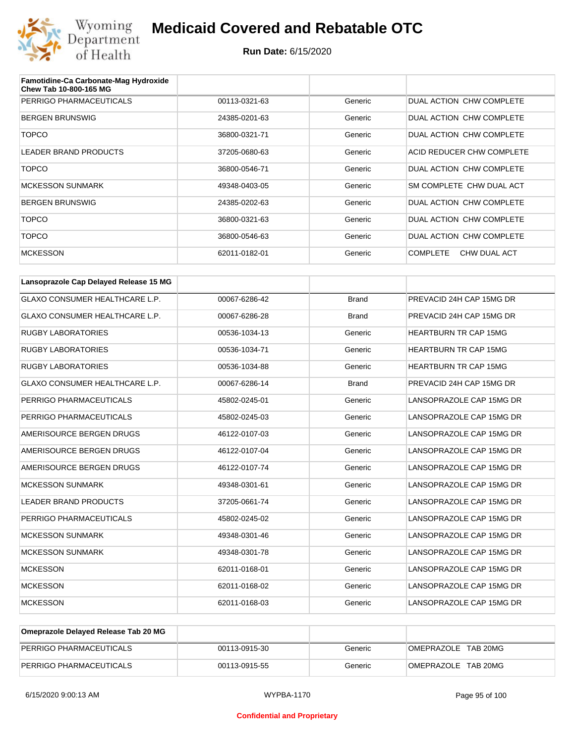

| Famotidine-Ca Carbonate-Mag Hydroxide<br><b>Chew Tab 10-800-165 MG</b> |               |         |                                 |
|------------------------------------------------------------------------|---------------|---------|---------------------------------|
| PERRIGO PHARMACEUTICALS                                                | 00113-0321-63 | Generic | DUAL ACTION CHW COMPLETE        |
| <b>BERGEN BRUNSWIG</b>                                                 | 24385-0201-63 | Generic | DUAL ACTION CHW COMPLETE        |
| <b>TOPCO</b>                                                           | 36800-0321-71 | Generic | DUAL ACTION CHW COMPLETE        |
| <b>LEADER BRAND PRODUCTS</b>                                           | 37205-0680-63 | Generic | ACID REDUCER CHW COMPLETE       |
| <b>TOPCO</b>                                                           | 36800-0546-71 | Generic | DUAL ACTION CHW COMPLETE        |
| <b>MCKESSON SUNMARK</b>                                                | 49348-0403-05 | Generic | SM COMPLETE CHW DUAL ACT        |
| <b>BERGEN BRUNSWIG</b>                                                 | 24385-0202-63 | Generic | DUAL ACTION CHW COMPLETE        |
| <b>TOPCO</b>                                                           | 36800-0321-63 | Generic | DUAL ACTION CHW COMPLETE        |
| <b>TOPCO</b>                                                           | 36800-0546-63 | Generic | DUAL ACTION CHW COMPLETE        |
| <b>MCKESSON</b>                                                        | 62011-0182-01 | Generic | <b>COMPLETE</b><br>CHW DUAL ACT |

| Lansoprazole Cap Delayed Release 15 MG |               |              |                              |
|----------------------------------------|---------------|--------------|------------------------------|
| <b>GLAXO CONSUMER HEALTHCARE L.P.</b>  | 00067-6286-42 | <b>Brand</b> | PREVACID 24H CAP 15MG DR     |
| <b>GLAXO CONSUMER HEALTHCARE L.P.</b>  | 00067-6286-28 | <b>Brand</b> | PREVACID 24H CAP 15MG DR     |
| <b>RUGBY LABORATORIES</b>              | 00536-1034-13 | Generic      | <b>HEARTBURN TR CAP 15MG</b> |
| <b>RUGBY LABORATORIES</b>              | 00536-1034-71 | Generic      | <b>HEARTBURN TR CAP 15MG</b> |
| <b>RUGBY LABORATORIES</b>              | 00536-1034-88 | Generic      | <b>HEARTBURN TR CAP 15MG</b> |
| GLAXO CONSUMER HEALTHCARE L.P.         | 00067-6286-14 | <b>Brand</b> | PREVACID 24H CAP 15MG DR     |
| PERRIGO PHARMACEUTICALS                | 45802-0245-01 | Generic      | LANSOPRAZOLE CAP 15MG DR     |
| PERRIGO PHARMACEUTICALS                | 45802-0245-03 | Generic      | LANSOPRAZOLE CAP 15MG DR     |
| AMERISOURCE BERGEN DRUGS               | 46122-0107-03 | Generic      | LANSOPRAZOLE CAP 15MG DR     |
| AMERISOURCE BERGEN DRUGS               | 46122-0107-04 | Generic      | LANSOPRAZOLE CAP 15MG DR     |
| AMERISOURCE BERGEN DRUGS               | 46122-0107-74 | Generic      | LANSOPRAZOLE CAP 15MG DR     |
| <b>MCKESSON SUNMARK</b>                | 49348-0301-61 | Generic      | LANSOPRAZOLE CAP 15MG DR     |
| <b>LEADER BRAND PRODUCTS</b>           | 37205-0661-74 | Generic      | LANSOPRAZOLE CAP 15MG DR     |
| PERRIGO PHARMACEUTICALS                | 45802-0245-02 | Generic      | LANSOPRAZOLE CAP 15MG DR     |
| <b>MCKESSON SUNMARK</b>                | 49348-0301-46 | Generic      | LANSOPRAZOLE CAP 15MG DR     |
| <b>MCKESSON SUNMARK</b>                | 49348-0301-78 | Generic      | LANSOPRAZOLE CAP 15MG DR     |
| <b>MCKESSON</b>                        | 62011-0168-01 | Generic      | LANSOPRAZOLE CAP 15MG DR     |
| <b>MCKESSON</b>                        | 62011-0168-02 | Generic      | LANSOPRAZOLE CAP 15MG DR     |
| <b>MCKESSON</b>                        | 62011-0168-03 | Generic      | LANSOPRAZOLE CAP 15MG DR     |

| Omeprazole Delayed Release Tab 20 MG |               |         |                     |
|--------------------------------------|---------------|---------|---------------------|
| PERRIGO PHARMACEUTICALS              | 00113-0915-30 | Generic | OMEPRAZOLE TAB 20MG |
| PERRIGO PHARMACEUTICALS              | 00113-0915-55 | Generic | OMEPRAZOLE TAB 20MG |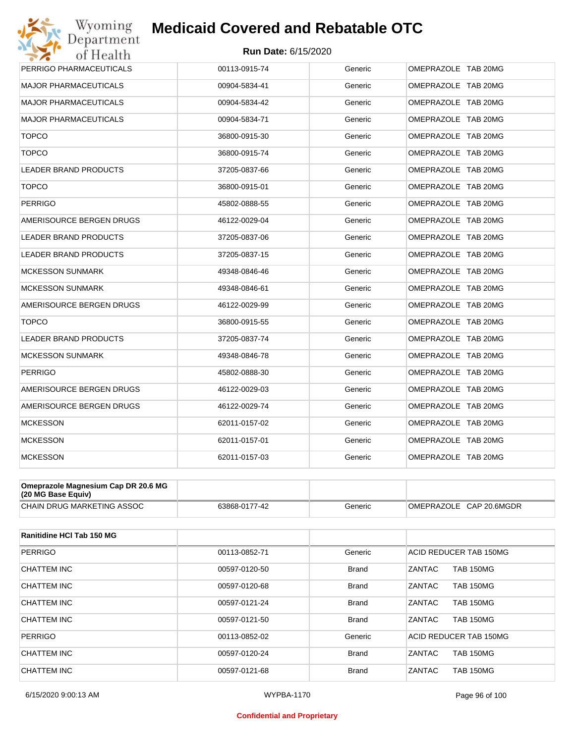

| Wyoming                                               | <b>Medicaid Covered and Rebatable OTC</b> |         |                     |  |  |  |
|-------------------------------------------------------|-------------------------------------------|---------|---------------------|--|--|--|
| Department<br><b>Run Date: 6/15/2020</b><br>of Health |                                           |         |                     |  |  |  |
| PERRIGO PHARMACEUTICALS                               | 00113-0915-74                             | Generic | OMEPRAZOLE TAB 20MG |  |  |  |
| <b>MAJOR PHARMACEUTICALS</b>                          | 00904-5834-41                             | Generic | OMEPRAZOLE TAB 20MG |  |  |  |
| <b>MAJOR PHARMACEUTICALS</b>                          | 00904-5834-42                             | Generic | OMEPRAZOLE TAB 20MG |  |  |  |
| <b>MAJOR PHARMACEUTICALS</b>                          | 00904-5834-71                             | Generic | OMEPRAZOLE TAB 20MG |  |  |  |
| <b>TOPCO</b>                                          | 36800-0915-30                             | Generic | OMEPRAZOLE TAB 20MG |  |  |  |
| <b>TOPCO</b>                                          | 36800-0915-74                             | Generic | OMEPRAZOLE TAB 20MG |  |  |  |
| LEADER BRAND PRODUCTS                                 | 37205-0837-66                             | Generic | OMEPRAZOLE TAB 20MG |  |  |  |
| <b>TOPCO</b>                                          | 36800-0915-01                             | Generic | OMEPRAZOLE TAB 20MG |  |  |  |
| <b>PERRIGO</b>                                        | 45802-0888-55                             | Generic | OMEPRAZOLE TAB 20MG |  |  |  |
| AMERISOURCE BERGEN DRUGS                              | 46122-0029-04                             | Generic | OMEPRAZOLE TAB 20MG |  |  |  |
| <b>LEADER BRAND PRODUCTS</b>                          | 37205-0837-06                             | Generic | OMEPRAZOLE TAB 20MG |  |  |  |
| LEADER BRAND PRODUCTS                                 | 37205-0837-15                             | Generic | OMEPRAZOLE TAB 20MG |  |  |  |
| <b>MCKESSON SUNMARK</b>                               | 49348-0846-46                             | Generic | OMEPRAZOLE TAB 20MG |  |  |  |
| <b>MCKESSON SUNMARK</b>                               | 49348-0846-61                             | Generic | OMEPRAZOLE TAB 20MG |  |  |  |
| AMERISOURCE BERGEN DRUGS                              | 46122-0029-99                             | Generic | OMEPRAZOLE TAB 20MG |  |  |  |
| <b>TOPCO</b>                                          | 36800-0915-55                             | Generic | OMEPRAZOLE TAB 20MG |  |  |  |
| <b>LEADER BRAND PRODUCTS</b>                          | 37205-0837-74                             | Generic | OMEPRAZOLE TAB 20MG |  |  |  |
| <b>MCKESSON SUNMARK</b>                               | 49348-0846-78                             | Generic | OMEPRAZOLE TAB 20MG |  |  |  |
| <b>PERRIGO</b>                                        | 45802-0888-30                             | Generic | OMEPRAZOLE TAB 20MG |  |  |  |
| AMERISOURCE BERGEN DRUGS                              | 46122-0029-03                             | Generic | OMEPRAZOLE TAB 20MG |  |  |  |
| AMERISOURCE BERGEN DRUGS                              | 46122-0029-74                             | Generic | OMEPRAZOLE TAB 20MG |  |  |  |
| <b>MCKESSON</b>                                       | 62011-0157-02                             | Generic | OMEPRAZOLE TAB 20MG |  |  |  |
| <b>MCKESSON</b>                                       | 62011-0157-01                             | Generic | OMEPRAZOLE TAB 20MG |  |  |  |
| <b>MCKESSON</b>                                       | 62011-0157-03                             | Generic | OMEPRAZOLE TAB 20MG |  |  |  |

| Omeprazole Magnesium Cap DR 20.6 MG<br>$(20 \text{ MG Base}$ Equiv) |               |         |                         |
|---------------------------------------------------------------------|---------------|---------|-------------------------|
| CHAIN DRUG MARKETING ASSOC                                          | 63868-0177-42 | Generic | OMEPRAZOLE CAP 20.6MGDR |

| <b>Ranitidine HCI Tab 150 MG</b> |               |              |                                   |
|----------------------------------|---------------|--------------|-----------------------------------|
| <b>PERRIGO</b>                   | 00113-0852-71 | Generic      | ACID REDUCER TAB 150MG            |
| CHATTEM INC                      | 00597-0120-50 | <b>Brand</b> | <b>TAB 150MG</b><br>ZANTAC        |
| CHATTEM INC                      | 00597-0120-68 | <b>Brand</b> | <b>ZANTAC</b><br><b>TAB 150MG</b> |
| CHATTEM INC                      | 00597-0121-24 | <b>Brand</b> | ZANTAC<br><b>TAB 150MG</b>        |
| <b>CHATTEM INC</b>               | 00597-0121-50 | <b>Brand</b> | ZANTAC<br><b>TAB 150MG</b>        |
| <b>PERRIGO</b>                   | 00113-0852-02 | Generic      | ACID REDUCER TAB 150MG            |
| CHATTEM INC                      | 00597-0120-24 | <b>Brand</b> | <b>ZANTAC</b><br><b>TAB 150MG</b> |
| CHATTEM INC                      | 00597-0121-68 | <b>Brand</b> | ZANTAC<br><b>TAB 150MG</b>        |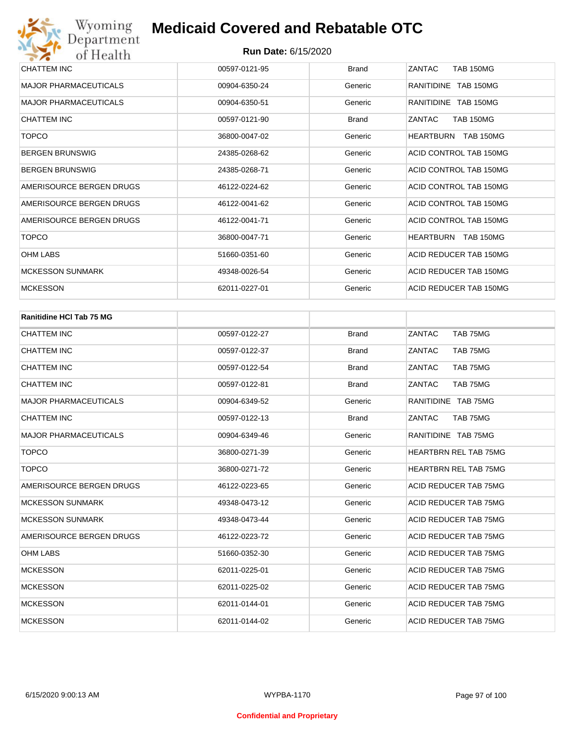| CHATTEM INC                  | 00597-0121-95 | <b>Brand</b> | ZANTAC<br><b>TAB 150MG</b>    |
|------------------------------|---------------|--------------|-------------------------------|
| <b>MAJOR PHARMACEUTICALS</b> | 00904-6350-24 | Generic      | RANITIDINE TAB 150MG          |
| <b>MAJOR PHARMACEUTICALS</b> | 00904-6350-51 | Generic      | RANITIDINE TAB 150MG          |
| CHATTEM INC                  | 00597-0121-90 | <b>Brand</b> | <b>TAB 150MG</b><br>ZANTAC    |
| <b>TOPCO</b>                 | 36800-0047-02 | Generic      | <b>TAB 150MG</b><br>HEARTBURN |
| <b>BERGEN BRUNSWIG</b>       | 24385-0268-62 | Generic      | ACID CONTROL TAB 150MG        |
| <b>BERGEN BRUNSWIG</b>       | 24385-0268-71 | Generic      | ACID CONTROL TAB 150MG        |
| AMERISOURCE BERGEN DRUGS     | 46122-0224-62 | Generic      | ACID CONTROL TAB 150MG        |
| AMERISOURCE BERGEN DRUGS     | 46122-0041-62 | Generic      | ACID CONTROL TAB 150MG        |
| AMERISOURCE BERGEN DRUGS     | 46122-0041-71 | Generic      | ACID CONTROL TAB 150MG        |
| <b>TOPCO</b>                 | 36800-0047-71 | Generic      | HEARTBURN<br><b>TAB 150MG</b> |
| <b>OHM LABS</b>              | 51660-0351-60 | Generic      | ACID REDUCER TAB 150MG        |
| <b>MCKESSON SUNMARK</b>      | 49348-0026-54 | Generic      | ACID REDUCER TAB 150MG        |
| <b>MCKESSON</b>              | 62011-0227-01 | Generic      | ACID REDUCER TAB 150MG        |

| <b>Ranitidine HCI Tab 75 MG</b> |               |              |                              |
|---------------------------------|---------------|--------------|------------------------------|
| <b>CHATTEM INC</b>              | 00597-0122-27 | <b>Brand</b> | TAB 75MG<br>ZANTAC           |
| <b>CHATTEM INC</b>              | 00597-0122-37 | <b>Brand</b> | TAB 75MG<br>ZANTAC           |
| <b>CHATTEM INC</b>              | 00597-0122-54 | <b>Brand</b> | ZANTAC<br>TAB 75MG           |
| <b>CHATTEM INC</b>              | 00597-0122-81 | <b>Brand</b> | ZANTAC<br>TAB 75MG           |
| <b>MAJOR PHARMACEUTICALS</b>    | 00904-6349-52 | Generic      | RANITIDINE TAB 75MG          |
| <b>CHATTEM INC</b>              | 00597-0122-13 | <b>Brand</b> | ZANTAC<br>TAB 75MG           |
| <b>MAJOR PHARMACEUTICALS</b>    | 00904-6349-46 | Generic      | RANITIDINE TAB 75MG          |
| <b>TOPCO</b>                    | 36800-0271-39 | Generic      | <b>HEARTBRN REL TAB 75MG</b> |
| <b>TOPCO</b>                    | 36800-0271-72 | Generic      | <b>HEARTBRN REL TAB 75MG</b> |
| AMERISOURCE BERGEN DRUGS        | 46122-0223-65 | Generic      | ACID REDUCER TAB 75MG        |
| <b>MCKESSON SUNMARK</b>         | 49348-0473-12 | Generic      | ACID REDUCER TAB 75MG        |
| <b>MCKESSON SUNMARK</b>         | 49348-0473-44 | Generic      | ACID REDUCER TAB 75MG        |
| AMERISOURCE BERGEN DRUGS        | 46122-0223-72 | Generic      | ACID REDUCER TAB 75MG        |
| <b>OHM LABS</b>                 | 51660-0352-30 | Generic      | ACID REDUCER TAB 75MG        |
| <b>MCKESSON</b>                 | 62011-0225-01 | Generic      | ACID REDUCER TAB 75MG        |
| <b>MCKESSON</b>                 | 62011-0225-02 | Generic      | ACID REDUCER TAB 75MG        |
| <b>MCKESSON</b>                 | 62011-0144-01 | Generic      | ACID REDUCER TAB 75MG        |
| <b>MCKESSON</b>                 | 62011-0144-02 | Generic      | ACID REDUCER TAB 75MG        |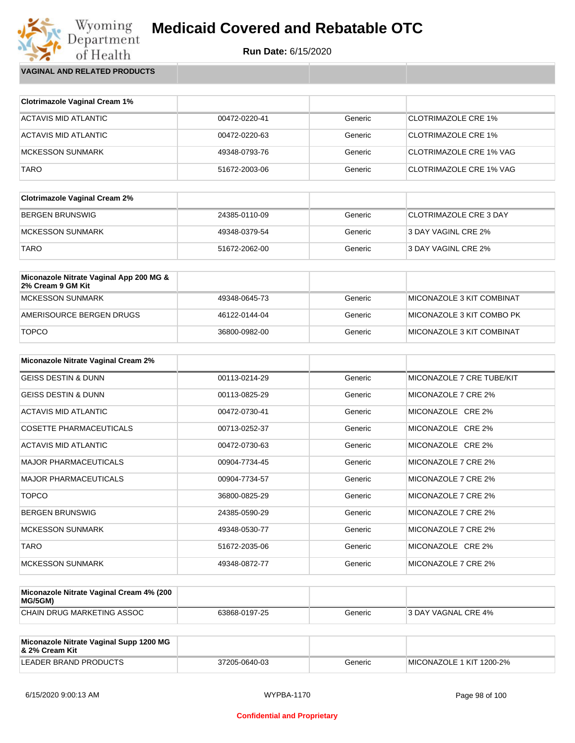**Run Date:** 6/15/2020

Wyoming<br>Department<br>of Health **VAGINAL AND RELATED PRODUCTS**

| <b>Clotrimazole Vaginal Cream 1%</b> |               |         |                                |
|--------------------------------------|---------------|---------|--------------------------------|
| ACTAVIS MID ATLANTIC                 | 00472-0220-41 | Generic | <b>CLOTRIMAZOLE CRE 1%</b>     |
|                                      |               |         |                                |
| ACTAVIS MID ATLANTIC                 | 00472-0220-63 | Generic | <b>CLOTRIMAZOLE CRE 1%</b>     |
| <b>MCKESSON SUNMARK</b>              | 49348-0793-76 | Generic | <b>CLOTRIMAZOLE CRE 1% VAG</b> |
| <b>TARO</b>                          | 51672-2003-06 | Generic | <b>CLOTRIMAZOLE CRE 1% VAG</b> |

| <b>Clotrimazole Vaginal Cream 2%</b> |               |         |                               |
|--------------------------------------|---------------|---------|-------------------------------|
| BERGEN BRUNSWIG                      | 24385-0110-09 | Generic | <b>CLOTRIMAZOLE CRE 3 DAY</b> |
| IMCKESSON SUNMARK                    | 49348-0379-54 | Generic | 3 DAY VAGINL CRE 2%           |
| <b>TARO</b>                          | 51672-2062-00 | Generic | 3 DAY VAGINL CRE 2%           |

| Miconazole Nitrate Vaginal App 200 MG &<br>2% Cream 9 GM Kit |               |         |                           |
|--------------------------------------------------------------|---------------|---------|---------------------------|
| MCKESSON SUNMARK                                             | 49348-0645-73 | Generic | MICONAZOLE 3 KIT COMBINAT |
| AMERISOURCE BERGEN DRUGS                                     | 46122-0144-04 | Generic | MICONAZOLE 3 KIT COMBO PK |
| <b>TOPCO</b>                                                 | 36800-0982-00 | Generic | MICONAZOLE 3 KIT COMBINAT |

| Miconazole Nitrate Vaginal Cream 2% |               |         |                           |
|-------------------------------------|---------------|---------|---------------------------|
| <b>GEISS DESTIN &amp; DUNN</b>      | 00113-0214-29 | Generic | MICONAZOLE 7 CRE TUBE/KIT |
| <b>GEISS DESTIN &amp; DUNN</b>      | 00113-0825-29 | Generic | MICONAZOLE 7 CRE 2%       |
| ACTAVIS MID ATLANTIC                | 00472-0730-41 | Generic | MICONAZOLE CRE 2%         |
| COSETTE PHARMACEUTICALS             | 00713-0252-37 | Generic | MICONAZOLE CRE 2%         |
| ACTAVIS MID ATLANTIC                | 00472-0730-63 | Generic | MICONAZOLE CRE 2%         |
| <b>MAJOR PHARMACEUTICALS</b>        | 00904-7734-45 | Generic | MICONAZOLE 7 CRE 2%       |
| <b>MAJOR PHARMACEUTICALS</b>        | 00904-7734-57 | Generic | MICONAZOLE 7 CRE 2%       |
| <b>TOPCO</b>                        | 36800-0825-29 | Generic | MICONAZOLE 7 CRE 2%       |
| <b>BERGEN BRUNSWIG</b>              | 24385-0590-29 | Generic | MICONAZOLE 7 CRE 2%       |
| <b>MCKESSON SUNMARK</b>             | 49348-0530-77 | Generic | MICONAZOLE 7 CRE 2%       |
| <b>TARO</b>                         | 51672-2035-06 | Generic | MICONAZOLE CRE 2%         |
| <b>MCKESSON SUNMARK</b>             | 49348-0872-77 | Generic | MICONAZOLE 7 CRE 2%       |

| Miconazole Nitrate Vaginal Cream 4% (200<br>MG/5GM) |               |         |                            |
|-----------------------------------------------------|---------------|---------|----------------------------|
| CHAIN DRUG MARKETING ASSOC                          | 63868-0197-25 | Generic | <b>3 DAY VAGNAL CRE 4%</b> |

| Miconazole Nitrate Vaginal Supp 1200 MG<br>8. 2% Cream Kit |               |         |                          |
|------------------------------------------------------------|---------------|---------|--------------------------|
| LEADER BRAND PRODUCTS                                      | 37205-0640-03 | Generic | MICONAZOLE 1 KIT 1200-2% |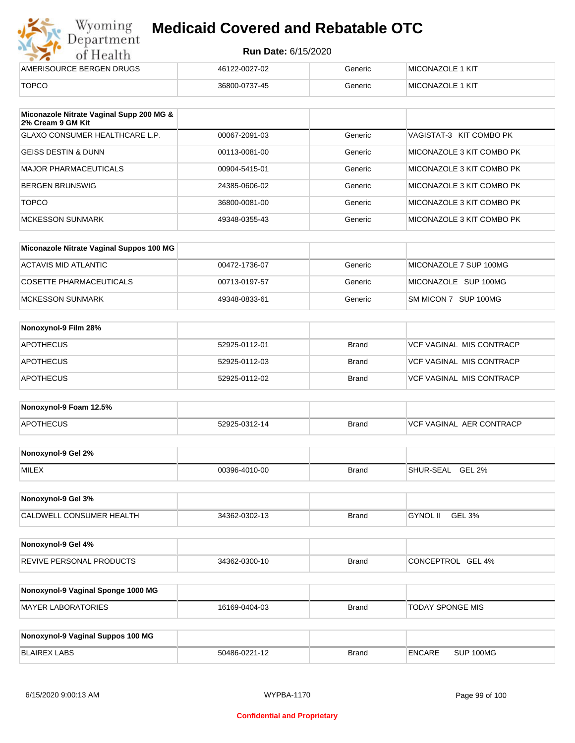| Wyoming<br><b>Medicaid Covered and Rebatable OTC</b><br>Department |                            |         |                         |  |
|--------------------------------------------------------------------|----------------------------|---------|-------------------------|--|
| of Health                                                          | <b>Run Date: 6/15/2020</b> |         |                         |  |
| AMERISOURCE BERGEN DRUGS                                           | 46122-0027-02              | Generic | <b>MICONAZOLE 1 KIT</b> |  |
| <b>TOPCO</b>                                                       | 36800-0737-45              | Generic | MICONAZOLE 1 KIT        |  |

| Miconazole Nitrate Vaginal Supp 200 MG &<br>2% Cream 9 GM Kit |               |         |                           |
|---------------------------------------------------------------|---------------|---------|---------------------------|
| GLAXO CONSUMER HEALTHCARE L.P.                                | 00067-2091-03 | Generic | VAGISTAT-3 KIT COMBO PK   |
| GEISS DESTIN & DUNN                                           | 00113-0081-00 | Generic | MICONAZOLE 3 KIT COMBO PK |
| MAJOR PHARMACEUTICALS                                         | 00904-5415-01 | Generic | MICONAZOLE 3 KIT COMBO PK |
| BERGEN BRUNSWIG                                               | 24385-0606-02 | Generic | MICONAZOLE 3 KIT COMBO PK |
| <b>TOPCO</b>                                                  | 36800-0081-00 | Generic | MICONAZOLE 3 KIT COMBO PK |
| <b>MCKESSON SUNMARK</b>                                       | 49348-0355-43 | Generic | MICONAZOLE 3 KIT COMBO PK |

| Miconazole Nitrate Vaginal Suppos 100 MG |               |         |                        |
|------------------------------------------|---------------|---------|------------------------|
| ACTAVIS MID ATLANTIC                     | 00472-1736-07 | Generic | MICONAZOLE 7 SUP 100MG |
| COSETTE PHARMACEUTICALS                  | 00713-0197-57 | Generic | MICONAZOLE SUP 100MG   |
| IMCKESSON SUNMARK                        | 49348-0833-61 | Generic | SM MICON 7 SUP 100MG   |

| Nonoxynol-9 Film 28% |               |       |                                 |
|----------------------|---------------|-------|---------------------------------|
| <b>APOTHECUS</b>     | 52925-0112-01 | Brand | <b>VCF VAGINAL MIS CONTRACP</b> |
| <b>APOTHECUS</b>     | 52925-0112-03 | Brand | VCF VAGINAL MIS CONTRACP        |
| <b>APOTHECUS</b>     | 52925-0112-02 | Brand | <b>VCF VAGINAL MIS CONTRACP</b> |

| Nonoxynol-9 Foam 12.5% |               |              |                               |
|------------------------|---------------|--------------|-------------------------------|
| <b>APOTHECUS</b>       | 52925-0312-14 | <b>Brand</b> | . AER CONTRACP<br>VCF VAGINAL |

| Nonoxynol-9 Gel 2% |               |       |                            |
|--------------------|---------------|-------|----------------------------|
| <b>MILEX</b>       | 00396-4010-00 | Brand | <b>GEL 2%</b><br>SHUR-SEAL |

| Nonoxynol-9 Gel 3%              |               |       |                           |  |
|---------------------------------|---------------|-------|---------------------------|--|
| <b>CALDWELL CONSUMER HEALTH</b> | 34362-0302-13 | Brand | <b>GYNOL II</b><br>GEL 3% |  |

| Nonoxynol-9 Gel 4%              |               |              |                      |
|---------------------------------|---------------|--------------|----------------------|
| <b>REVIVE PERSONAL PRODUCTS</b> | 34362-0300-10 | <b>Brand</b> | GEL 4%<br>CONCEPTROL |

| Nonoxynol-9 Vaginal Sponge 1000 MG |               |       |                  |
|------------------------------------|---------------|-------|------------------|
| MAYER LABORATORIES                 | 16169-0404-03 | Brand | TODAY SPONGE MIS |

| Nonoxynol-9 Vaginal Suppos 100 MG |               |              |        |           |
|-----------------------------------|---------------|--------------|--------|-----------|
| <b>BLAIREX LABS</b>               | 50486-0221-12 | <b>Brand</b> | ENCARE | SUP 100MG |